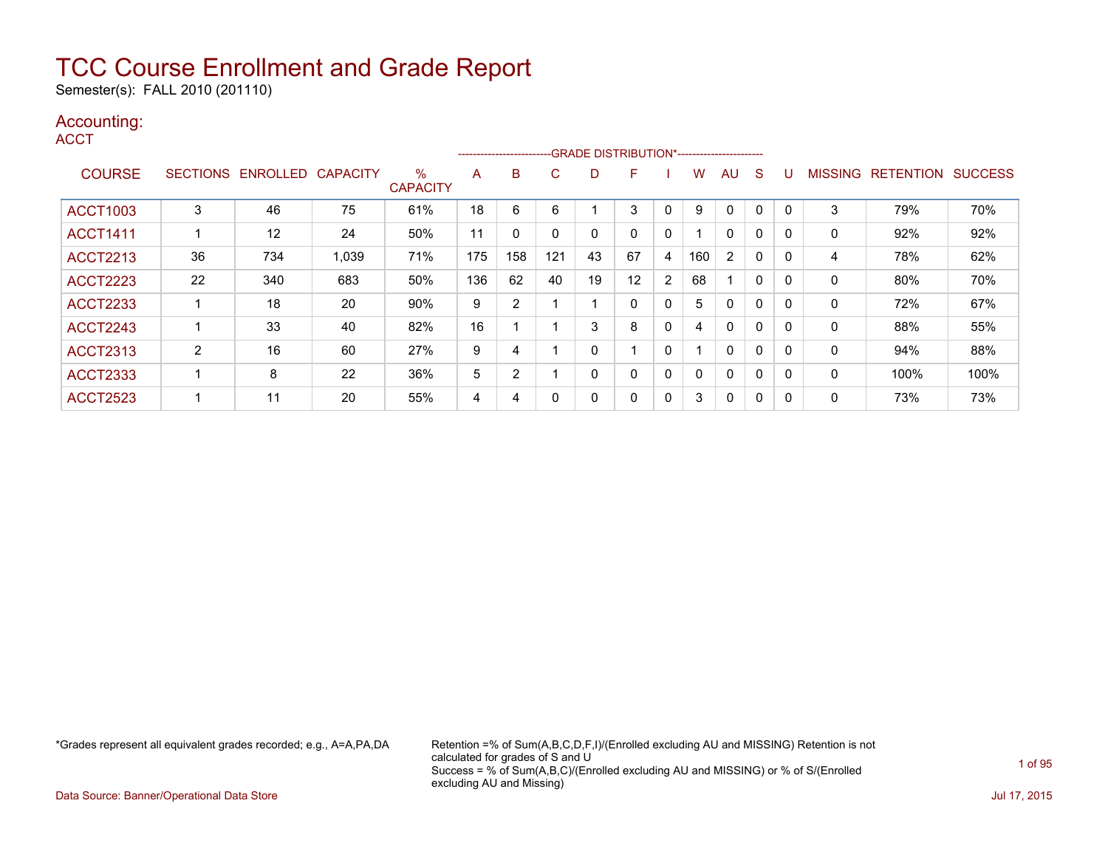Semester(s): FALL 2010 (201110)

### Accounting:

**ACCT** 

|                 |                 |          |                 |                      |     | ------------------------ |             |    | --GRADE DISTRIBUTION*----------------------- |              |          |          |   |          |                |                  |                |
|-----------------|-----------------|----------|-----------------|----------------------|-----|--------------------------|-------------|----|----------------------------------------------|--------------|----------|----------|---|----------|----------------|------------------|----------------|
| <b>COURSE</b>   | <b>SECTIONS</b> | ENROLLED | <b>CAPACITY</b> | %<br><b>CAPACITY</b> | A   | B                        | С           | D  | F                                            |              | w        | AU       | S |          | <b>MISSING</b> | <b>RETENTION</b> | <b>SUCCESS</b> |
| <b>ACCT1003</b> | 3               | 46       | 75              | 61%                  | 18  | 6                        | 6           |    | 3                                            | 0            | 9        | 0        | 0 |          | 3              | 79%              | 70%            |
| <b>ACCT1411</b> |                 | 12       | 24              | 50%                  | 11  | $\Omega$                 | $\mathbf 0$ | 0  | $\Omega$                                     | 0            |          | $\Omega$ | 0 |          | $\Omega$       | 92%              | 92%            |
| <b>ACCT2213</b> | 36              | 734      | 1,039           | 71%                  | 175 | 158                      | 121         | 43 | 67                                           | 4            | 160      | 2        | 0 | 0        | 4              | 78%              | 62%            |
| <b>ACCT2223</b> | 22              | 340      | 683             | 50%                  | 136 | 62                       | 40          | 19 | 12                                           | 2            | 68       |          | 0 |          | 0              | 80%              | 70%            |
| <b>ACCT2233</b> |                 | 18       | 20              | 90%                  | 9   | 2                        |             |    | $\Omega$                                     | 0            | 5        | 0        | 0 |          | 0              | 72%              | 67%            |
| ACCT2243        |                 | 33       | 40              | 82%                  | 16  |                          |             | 3  | 8                                            | 0            | 4        | 0        | 0 |          | 0              | 88%              | 55%            |
| <b>ACCT2313</b> | 2               | 16       | 60              | 27%                  | 9   | 4                        |             | 0  |                                              | $\mathbf{0}$ |          | 0        | 0 | 0        | 0              | 94%              | 88%            |
| <b>ACCT2333</b> |                 | 8        | 22              | 36%                  | 5   | $\overline{2}$           |             | 0  | $\Omega$                                     | $\mathbf{0}$ | $\Omega$ | $\Omega$ | 0 | $\Omega$ | 0              | 100%             | 100%           |
| <b>ACCT2523</b> |                 | 11       | 20              | 55%                  | 4   | 4                        | 0           | 0  |                                              | 0            | 3        | 0        | 0 |          | 0              | 73%              | 73%            |

\*Grades represent all equivalent grades recorded; e.g., A=A,PA,DA Retention =% of Sum(A,B,C,D,F,I)/(Enrolled excluding AU and MISSING) Retention is not calculated for grades of S and U Success = % of Sum(A,B,C)/(Enrolled excluding AU and MISSING) or % of S/(Enrolled excluding AU and Missing)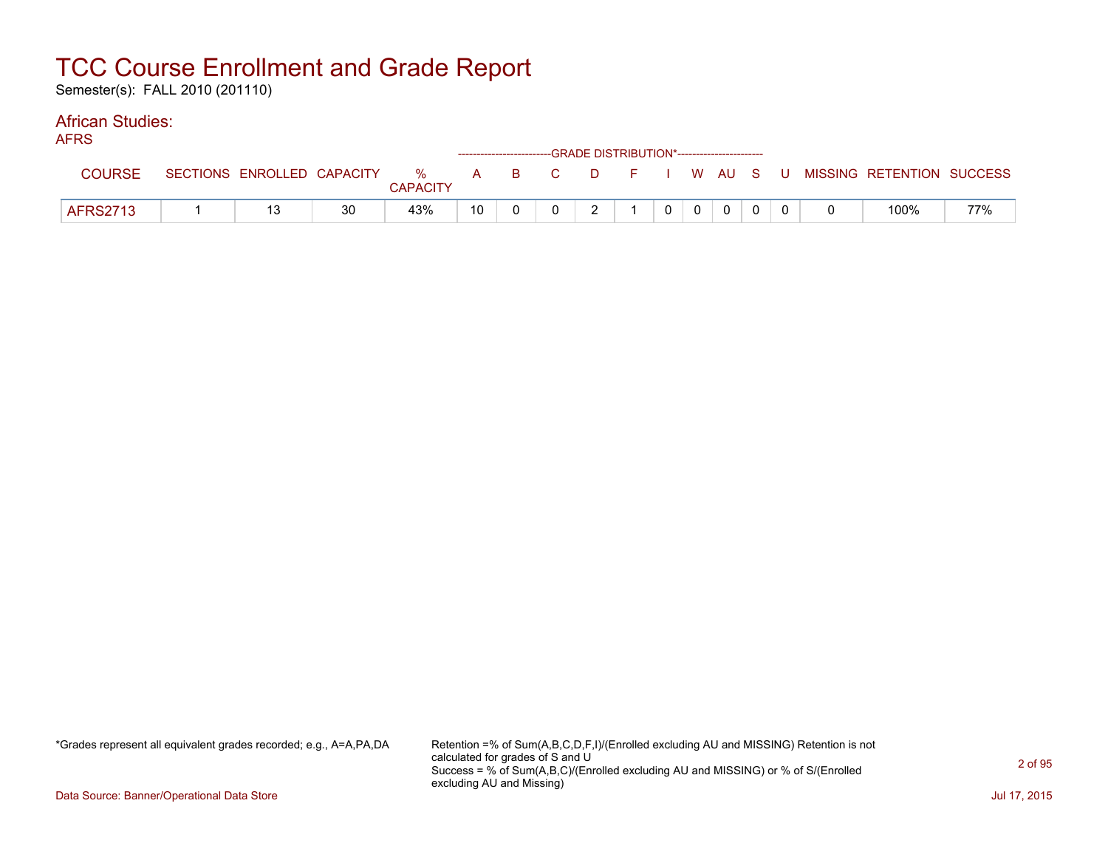Semester(s): FALL 2010 (201110)

#### African Studies: AFRS

| AFNO            |                            |    |                 |    |  |                | ------------------------GRADE DISTRIBUTION*----------------------- |         |                |  |                                                  |     |
|-----------------|----------------------------|----|-----------------|----|--|----------------|--------------------------------------------------------------------|---------|----------------|--|--------------------------------------------------|-----|
| <b>COURSE</b>   | SECTIONS ENROLLED CAPACITY |    | <b>CAPACITY</b> |    |  |                |                                                                    |         |                |  | % A B C D F I W AU S U MISSING RETENTION SUCCESS |     |
| <b>AFRS2713</b> |                            | 30 | 43%             | 10 |  | $\overline{2}$ |                                                                    | $0$   0 | $\overline{0}$ |  | 100%                                             | 77% |

\*Grades represent all equivalent grades recorded; e.g., A=A,PA,DA Retention =% of Sum(A,B,C,D,F,I)/(Enrolled excluding AU and MISSING) Retention is not calculated for grades of S and U Success = % of Sum(A,B,C)/(Enrolled excluding AU and MISSING) or % of S/(Enrolled excluding AU and Missing)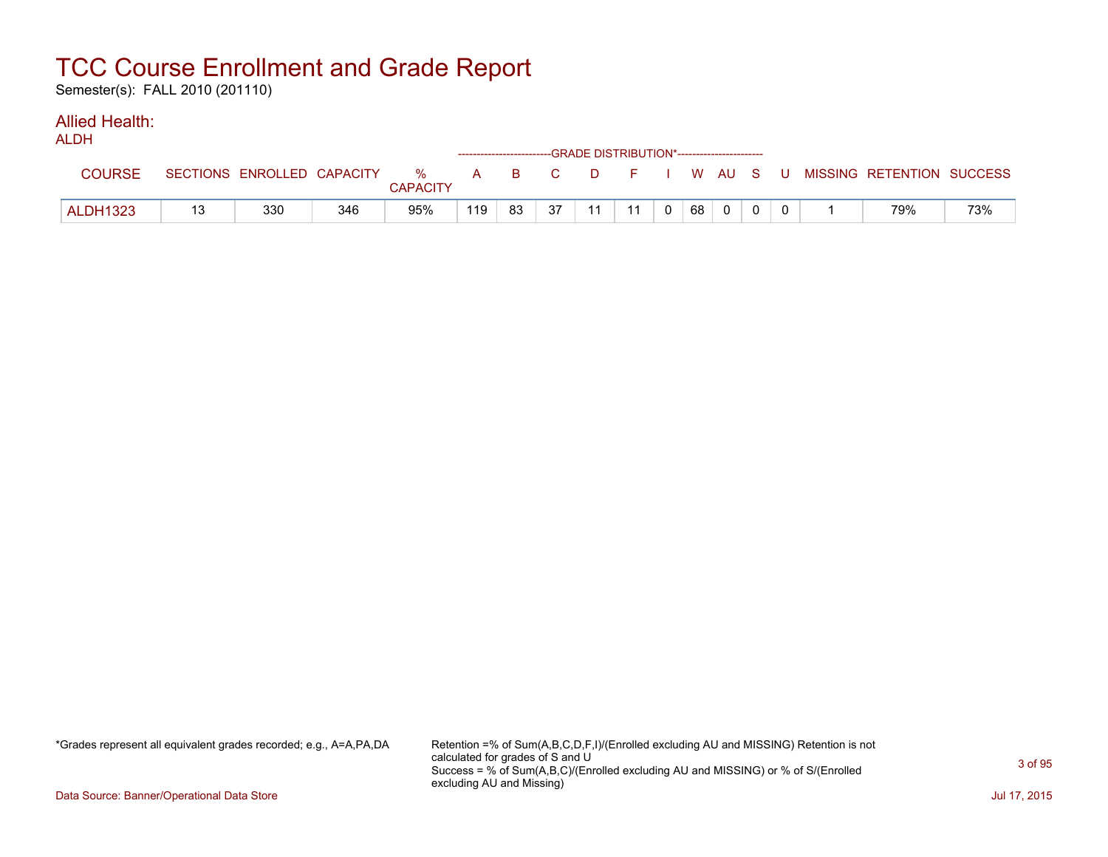Semester(s): FALL 2010 (201110)

#### Allied Health:  $AD$

| ALUN            |                            |     |                      | ------------------------GRADE                DISTRIBUTION*---------------------- |    |    |    |    |    |          |  |                                                |     |
|-----------------|----------------------------|-----|----------------------|----------------------------------------------------------------------------------|----|----|----|----|----|----------|--|------------------------------------------------|-----|
| <b>COURSE</b>   | SECTIONS ENROLLED CAPACITY |     | %<br><b>CAPACITY</b> |                                                                                  |    |    |    |    |    |          |  | A B C D F I W AU S U MISSING—RETENTION SUCCESS |     |
| <b>ALDH1323</b> | 330                        | 346 | 95%                  | 119                                                                              | 83 | 37 | 11 | 11 | 68 | $\Omega$ |  | 79%                                            | 73% |

\*Grades represent all equivalent grades recorded; e.g., A=A,PA,DA Retention =% of Sum(A,B,C,D,F,I)/(Enrolled excluding AU and MISSING) Retention is not calculated for grades of S and U Success = % of Sum(A,B,C)/(Enrolled excluding AU and MISSING) or % of S/(Enrolled excluding AU and Missing)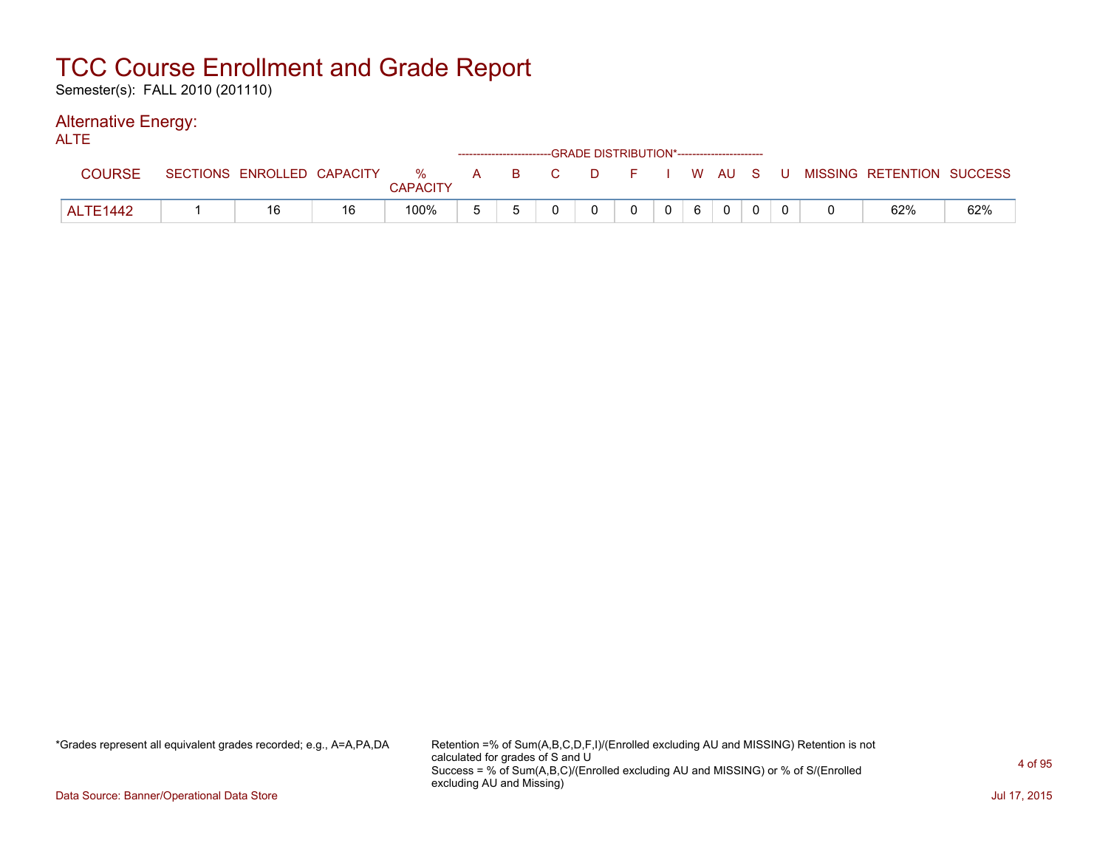Semester(s): FALL 2010 (201110)

#### Alternative Energy: ALTE

| ALIE            |                            |    |                      |    | ------------------------GRADE DISTRIBUTION*----------------------- |              |          |                |   |                |  |                                                |     |
|-----------------|----------------------------|----|----------------------|----|--------------------------------------------------------------------|--------------|----------|----------------|---|----------------|--|------------------------------------------------|-----|
| <b>COURSE</b>   | SECTIONS ENROLLED CAPACITY |    | %<br><b>CAPACITY</b> |    |                                                                    |              |          |                |   |                |  | A B C D F I W AU S U MISSING RETENTION SUCCESS |     |
| <b>ALTE1442</b> |                            | 16 | 100%                 | b. |                                                                    | <sup>n</sup> | $\Omega$ | 0 <sup>1</sup> | 6 | $\overline{0}$ |  | 62%                                            | 62% |

\*Grades represent all equivalent grades recorded; e.g., A=A,PA,DA Retention =% of Sum(A,B,C,D,F,I)/(Enrolled excluding AU and MISSING) Retention is not calculated for grades of S and U Success = % of Sum(A,B,C)/(Enrolled excluding AU and MISSING) or % of S/(Enrolled excluding AU and Missing)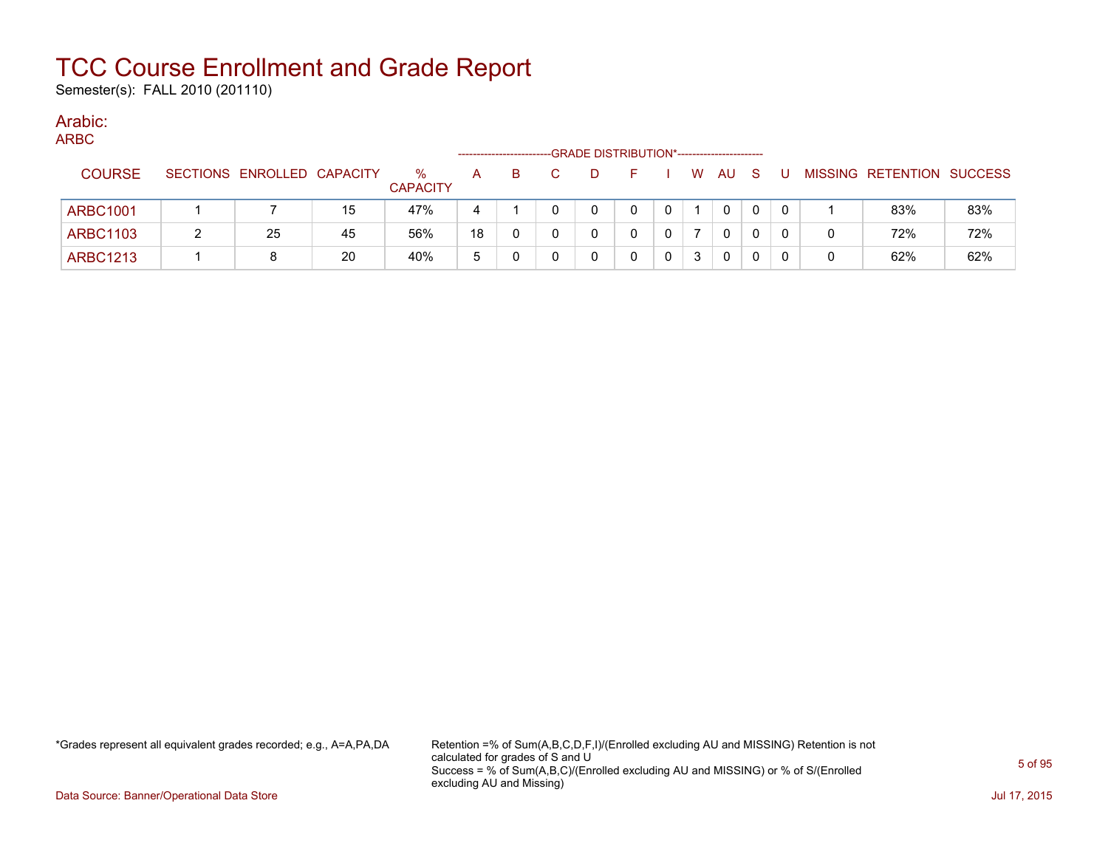Semester(s): FALL 2010 (201110)

#### Arabic: ARBC

| ARBC. |                 |                            |    |                         |    |    | -GRADE DISTRIBUTION*----------------------- |    |   |              |     |   |   |                           |     |
|-------|-----------------|----------------------------|----|-------------------------|----|----|---------------------------------------------|----|---|--------------|-----|---|---|---------------------------|-----|
|       | <b>COURSE</b>   | SECTIONS ENROLLED CAPACITY |    | $\%$<br><b>CAPACITY</b> | A  | B. | D                                           | н. | W | AU           | - S | U |   | MISSING RETENTION SUCCESS |     |
|       | <b>ARBC1001</b> |                            | 15 | 47%                     |    |    |                                             |    |   | $\mathbf{0}$ | 0   |   |   | 83%                       | 83% |
|       | <b>ARBC1103</b> | 25                         | 45 | 56%                     | 18 |    |                                             |    |   | 0            |     |   |   | 72%                       | 72% |
|       | <b>ARBC1213</b> | 8                          | 20 | 40%                     | ა  |    |                                             |    |   | 0            |     |   | 0 | 62%                       | 62% |

\*Grades represent all equivalent grades recorded; e.g., A=A,PA,DA Retention =% of Sum(A,B,C,D,F,I)/(Enrolled excluding AU and MISSING) Retention is not calculated for grades of S and U Success = % of Sum(A,B,C)/(Enrolled excluding AU and MISSING) or % of S/(Enrolled excluding AU and Missing)

Data Source: Banner/Operational Data Store Jul 17, 2015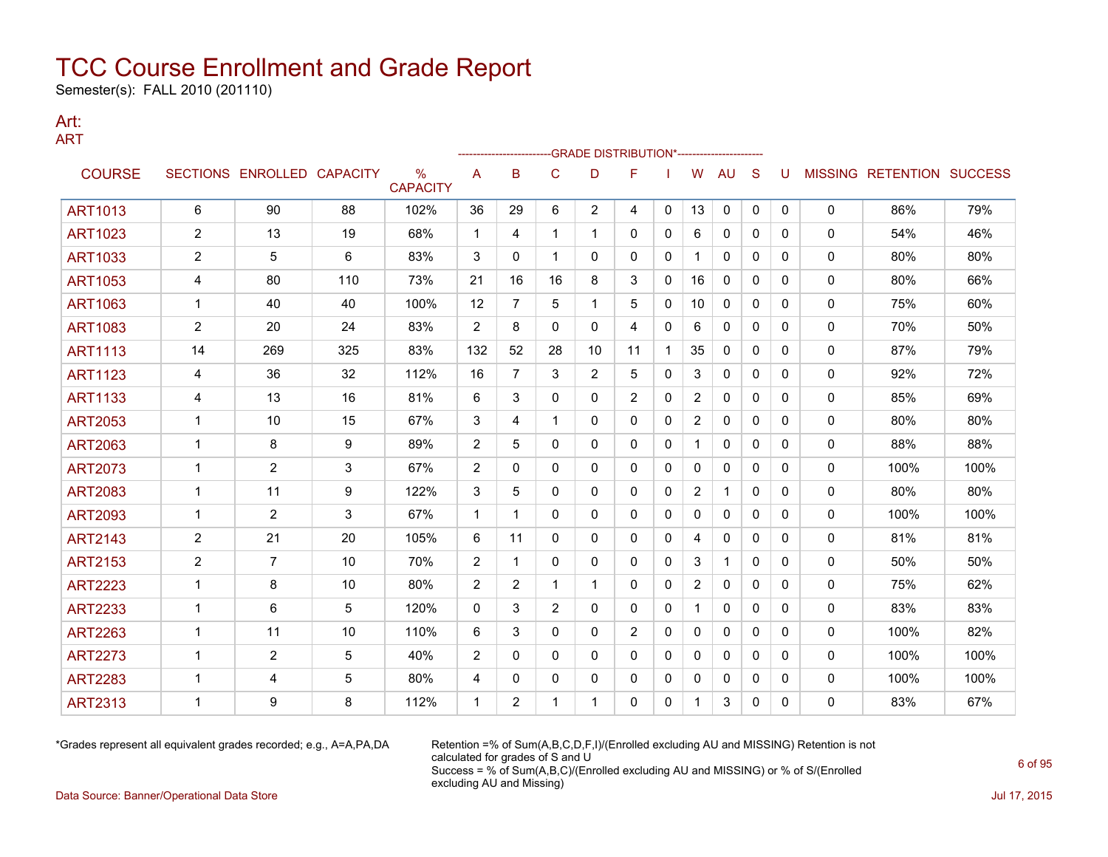Semester(s): FALL 2010 (201110)

### Art: ART

|                |                |                            |     |                                  |                | -------------------- |                | -- GRADE DISTRIBUTION*----------------------- |              |              |                |              |              |          |              |                                  |      |
|----------------|----------------|----------------------------|-----|----------------------------------|----------------|----------------------|----------------|-----------------------------------------------|--------------|--------------|----------------|--------------|--------------|----------|--------------|----------------------------------|------|
| <b>COURSE</b>  |                | SECTIONS ENROLLED CAPACITY |     | $\frac{0}{0}$<br><b>CAPACITY</b> | A              | B                    | C              | D                                             | F            |              | W              | <b>AU</b>    | S            | U        |              | <b>MISSING RETENTION SUCCESS</b> |      |
| <b>ART1013</b> | 6              | 90                         | 88  | 102%                             | 36             | 29                   | 6              | $\overline{2}$                                | 4            | 0            | 13             | 0            | 0            | 0        | 0            | 86%                              | 79%  |
| ART1023        | $\overline{2}$ | 13                         | 19  | 68%                              | 1              | 4                    | 1              | $\mathbf 1$                                   | 0            | 0            | 6              | 0            | $\mathbf{0}$ | 0        | 0            | 54%                              | 46%  |
| <b>ART1033</b> | 2              | 5                          | 6   | 83%                              | 3              | $\mathbf{0}$         | 1              | 0                                             | 0            | $\mathbf{0}$ |                | $\mathbf{0}$ | $\mathbf{0}$ | $\Omega$ | 0            | 80%                              | 80%  |
| <b>ART1053</b> | 4              | 80                         | 110 | 73%                              | 21             | 16                   | 16             | 8                                             | 3            | $\mathbf{0}$ | 16             | 0            | $\mathbf{0}$ | 0        | 0            | 80%                              | 66%  |
| <b>ART1063</b> | 1              | 40                         | 40  | 100%                             | 12             | $\overline{7}$       | 5              | 1                                             | 5            | 0            | 10             | 0            | $\mathbf{0}$ | 0        | 0            | 75%                              | 60%  |
| <b>ART1083</b> | $\overline{2}$ | 20                         | 24  | 83%                              | $\overline{2}$ | 8                    | 0              | 0                                             | 4            | 0            | 6              | 0            | $\mathbf{0}$ | 0        | 0            | 70%                              | 50%  |
| <b>ART1113</b> | 14             | 269                        | 325 | 83%                              | 132            | 52                   | 28             | 10                                            | 11           | $\mathbf 1$  | 35             | 0            | $\mathbf{0}$ | $\Omega$ | 0            | 87%                              | 79%  |
| <b>ART1123</b> | 4              | 36                         | 32  | 112%                             | 16             | $\overline{7}$       | 3              | $\overline{2}$                                | 5            | $\mathbf{0}$ | 3              | $\mathbf{0}$ | $\Omega$     | $\Omega$ | 0            | 92%                              | 72%  |
| <b>ART1133</b> | 4              | 13                         | 16  | 81%                              | 6              | 3                    | 0              | 0                                             | 2            | 0            | $\overline{2}$ | $\mathbf{0}$ | $\mathbf{0}$ | 0        | 0            | 85%                              | 69%  |
| <b>ART2053</b> | 1              | 10                         | 15  | 67%                              | 3              | 4                    | 1              | 0                                             | 0            | 0            | $\overline{2}$ | 0            | $\mathbf{0}$ | 0        | 0            | 80%                              | 80%  |
| <b>ART2063</b> | 1              | 8                          | 9   | 89%                              | $\overline{2}$ | 5                    | $\mathbf{0}$   | 0                                             | $\mathbf{0}$ | $\mathbf{0}$ |                | $\mathbf{0}$ | $\mathbf{0}$ | 0        | 0            | 88%                              | 88%  |
| <b>ART2073</b> | 1              | $\overline{2}$             | 3   | 67%                              | $\overline{2}$ | 0                    | 0              | 0                                             | 0            | $\mathbf{0}$ | 0              | $\mathbf{0}$ | $\mathbf{0}$ | 0        | 0            | 100%                             | 100% |
| <b>ART2083</b> | 1              | 11                         | 9   | 122%                             | 3              | 5                    | 0              | 0                                             | 0            | 0            | $\overline{2}$ | 1            | $\mathbf{0}$ | 0        | 0            | 80%                              | 80%  |
| <b>ART2093</b> | 1              | $\overline{2}$             | 3   | 67%                              | 1              | -1                   | 0              | 0                                             | 0            | 0            | 0              | 0            | 0            | 0        | 0            | 100%                             | 100% |
| <b>ART2143</b> | $\overline{2}$ | 21                         | 20  | 105%                             | 6              | 11                   | 0              | 0                                             | $\mathbf{0}$ | $\mathbf{0}$ | 4              | $\mathbf{0}$ | $\mathbf{0}$ | 0        | $\mathbf{0}$ | 81%                              | 81%  |
| <b>ART2153</b> | 2              | $\overline{7}$             | 10  | 70%                              | $\overline{2}$ | 1                    | 0              | 0                                             | 0            | 0            | 3              | $\mathbf{1}$ | $\mathbf{0}$ | 0        | 0            | 50%                              | 50%  |
| <b>ART2223</b> | 1              | 8                          | 10  | 80%                              | $\overline{2}$ | $\overline{2}$       | 1              | $\mathbf{1}$                                  | $\Omega$     | $\mathbf{0}$ | $\overline{2}$ | $\mathbf{0}$ | $\mathbf{0}$ | 0        | 0            | 75%                              | 62%  |
| <b>ART2233</b> | -1             | 6                          | 5   | 120%                             | 0              | 3                    | $\overline{2}$ | 0                                             | 0            | 0            |                | 0            | $\mathbf{0}$ | 0        | 0            | 83%                              | 83%  |
| <b>ART2263</b> | 1              | 11                         | 10  | 110%                             | 6              | 3                    | 0              | 0                                             | 2            | $\mathbf{0}$ | 0              | $\mathbf{0}$ | $\mathbf{0}$ | $\Omega$ | 0            | 100%                             | 82%  |
| <b>ART2273</b> | 1              | $\overline{2}$             | 5   | 40%                              | $\overline{2}$ | $\Omega$             | $\Omega$       | 0                                             | $\mathbf{0}$ | $\mathbf{0}$ | $\mathbf{0}$   | $\mathbf{0}$ | $\Omega$     | $\Omega$ | 0            | 100%                             | 100% |
| <b>ART2283</b> | -1             | 4                          | 5   | 80%                              | 4              | 0                    | 0              | 0                                             | 0            | 0            | 0              | 0            | $\mathbf{0}$ | 0        | 0            | 100%                             | 100% |
| <b>ART2313</b> | -1             | 9                          | 8   | 112%                             | 1              | $\overline{2}$       |                |                                               | 0            | 0            |                | 3            | 0            | 0        | 0            | 83%                              | 67%  |

\*Grades represent all equivalent grades recorded; e.g., A=A,PA,DA Retention =% of Sum(A,B,C,D,F,I)/(Enrolled excluding AU and MISSING) Retention is not calculated for grades of S and U Success = % of Sum(A,B,C)/(Enrolled excluding AU and MISSING) or % of S/(Enrolled excluding AU and Missing)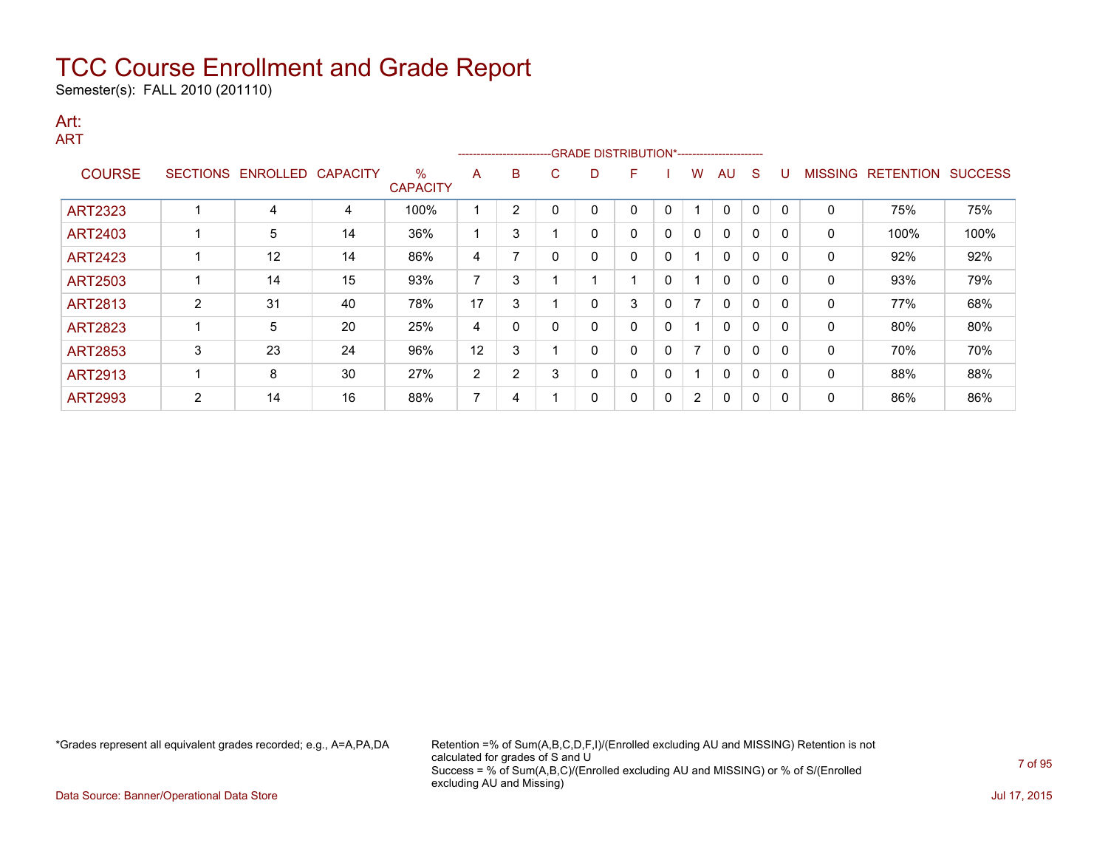Semester(s): FALL 2010 (201110)

#### Art: ART

|                |                 |                 |                 |                      |    |                |   | ------------------------GRADE                DISTRIBUTION*---------------------- |   |   |                       |              |             |          |                |                  |                |
|----------------|-----------------|-----------------|-----------------|----------------------|----|----------------|---|----------------------------------------------------------------------------------|---|---|-----------------------|--------------|-------------|----------|----------------|------------------|----------------|
| <b>COURSE</b>  | <b>SECTIONS</b> | <b>ENROLLED</b> | <b>CAPACITY</b> | %<br><b>CAPACITY</b> | A  | B              | C | D                                                                                | F |   | w                     | AU           | S           |          | <b>MISSING</b> | <b>RETENTION</b> | <b>SUCCESS</b> |
|                |                 |                 |                 |                      |    |                |   |                                                                                  |   |   |                       |              |             |          |                |                  |                |
| ART2323        |                 | 4               | 4               | 100%                 |    | $\overline{2}$ |   | 0                                                                                | 0 | 0 |                       | 0            | $\mathbf 0$ | $\Omega$ | 0              | 75%              | 75%            |
| <b>ART2403</b> |                 | 5               | 14              | 36%                  |    | 3              |   | 0                                                                                | 0 | 0 | 0                     | $\mathbf{0}$ | $\mathbf 0$ | $\Omega$ | 0              | 100%             | 100%           |
| <b>ART2423</b> |                 | 12              | 14              | 86%                  | 4  | 7              |   | 0                                                                                | 0 | 0 |                       | 0            | 0           |          | 0              | 92%              | 92%            |
| <b>ART2503</b> |                 | 14              | 15              | 93%                  | ⇁  | 3              |   |                                                                                  |   | 0 |                       | 0            | 0           | -0       | 0              | 93%              | 79%            |
| <b>ART2813</b> | $\overline{2}$  | 31              | 40              | 78%                  | 17 | 3              |   | 0                                                                                | 3 | 0 | $\overline{ }$        | $\mathbf{0}$ | 0           | $\Omega$ | 0              | 77%              | 68%            |
| <b>ART2823</b> |                 | 5               | 20              | 25%                  | 4  | 0              |   | 0                                                                                | 0 | 0 |                       | 0            | 0           |          | 0              | 80%              | 80%            |
| <b>ART2853</b> | 3               | 23              | 24              | 96%                  | 12 | 3              |   | 0                                                                                | 0 | 0 | $\overline{ }$        | 0            | 0           |          | 0              | 70%              | 70%            |
| <b>ART2913</b> |                 | 8               | 30              | 27%                  | 2  | 2              | 3 | 0                                                                                | 0 | 0 |                       | 0            | 0           | - 0      | 0              | 88%              | 88%            |
| <b>ART2993</b> | 2               | 14              | 16              | 88%                  | ⇁  | 4              |   | 0                                                                                | 0 | 0 | $\mathbf{2}^{\prime}$ | 0            | 0           | C        | 0              | 86%              | 86%            |

\*Grades represent all equivalent grades recorded; e.g., A=A,PA,DA Retention =% of Sum(A,B,C,D,F,I)/(Enrolled excluding AU and MISSING) Retention is not calculated for grades of S and U Success = % of Sum(A,B,C)/(Enrolled excluding AU and MISSING) or % of S/(Enrolled excluding AU and Missing)

Data Source: Banner/Operational Data Store **July 17, 2015**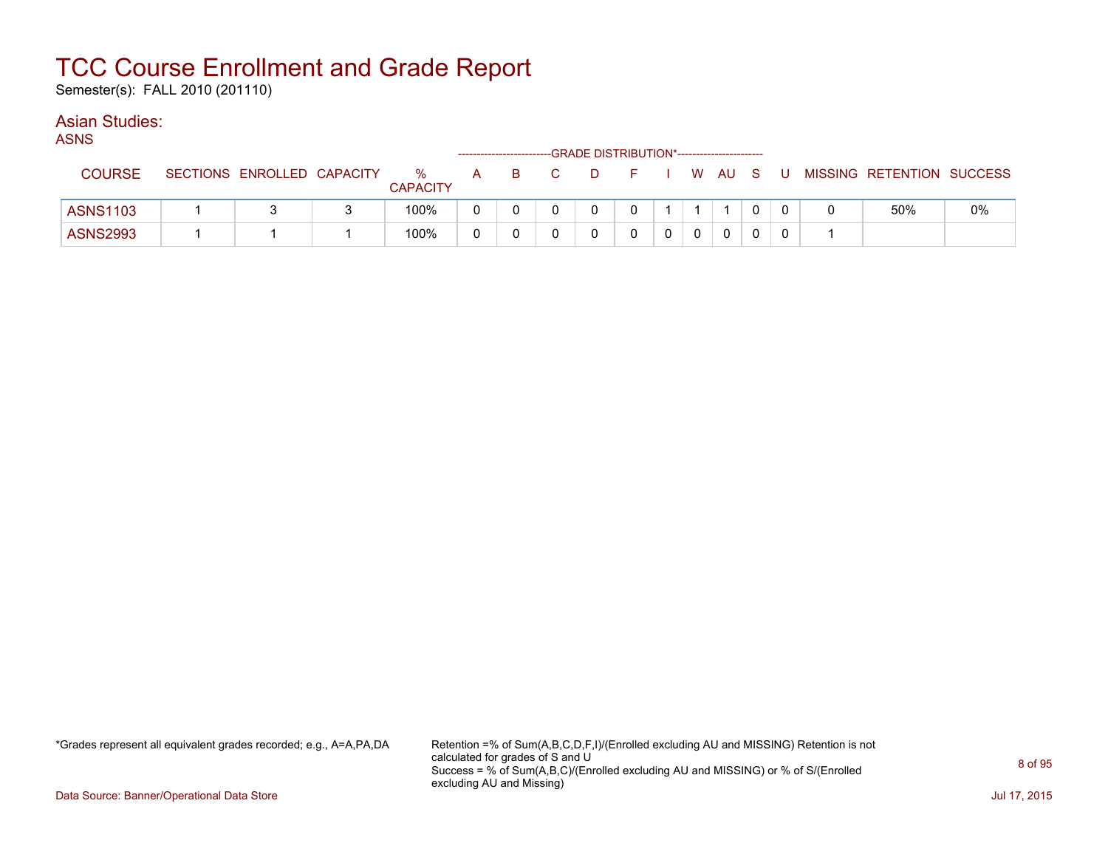Semester(s): FALL 2010 (201110)

### Asian Studies:

ASNS

| $\sim$          |                 |                   |                      |              |     | -GRADE DISTRIBUTION*----------------------- |  |        |          |   |                           |    |
|-----------------|-----------------|-------------------|----------------------|--------------|-----|---------------------------------------------|--|--------|----------|---|---------------------------|----|
| <b>COURSE</b>   | <b>SECTIONS</b> | ENROLLED CAPACITY | %<br><b>CAPACITY</b> | $\mathsf{A}$ | - B | D.                                          |  | W AU S |          | U | MISSING RETENTION SUCCESS |    |
| <b>ASNS1103</b> |                 |                   | 100%                 |              |     |                                             |  |        | $\Omega$ |   | 50%                       | 0% |
| <b>ASNS2993</b> |                 |                   | 100%                 |              |     |                                             |  |        | 0        |   |                           |    |

\*Grades represent all equivalent grades recorded; e.g., A=A,PA,DA Retention =% of Sum(A,B,C,D,F,I)/(Enrolled excluding AU and MISSING) Retention is not calculated for grades of S and U Success = % of Sum(A,B,C)/(Enrolled excluding AU and MISSING) or % of S/(Enrolled excluding AU and Missing)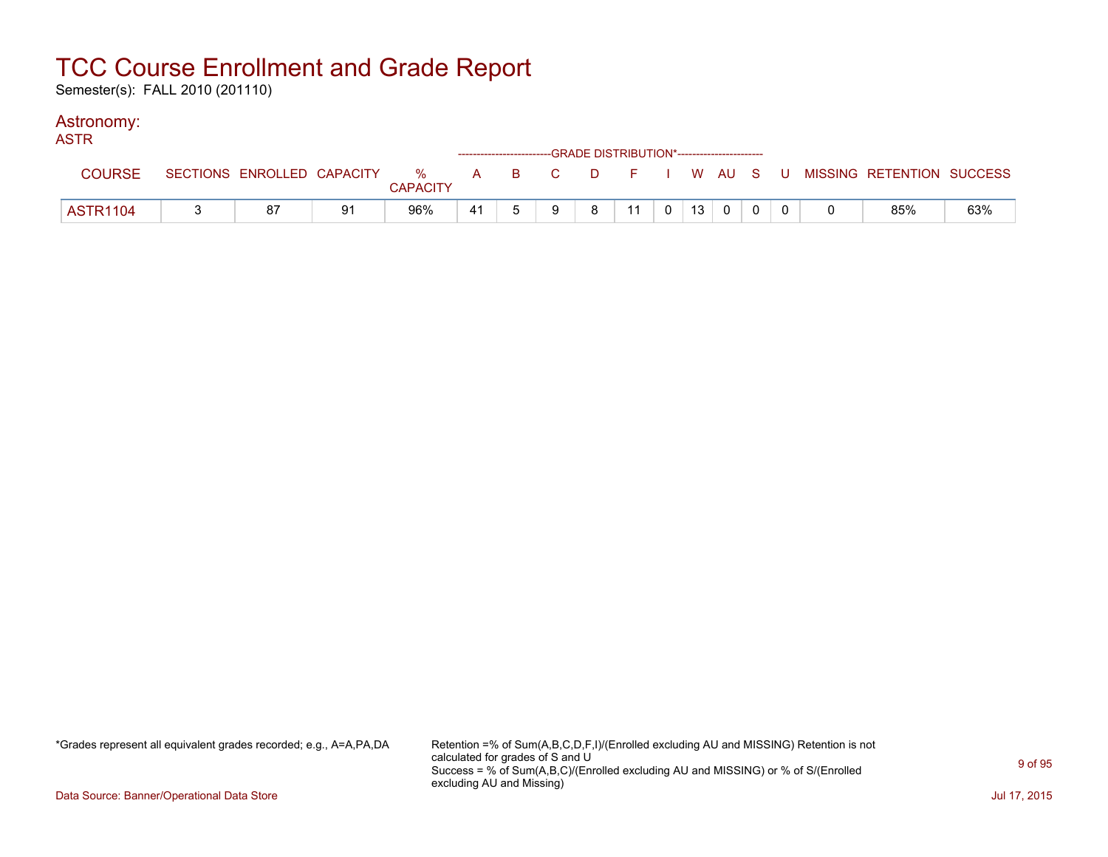Semester(s): FALL 2010 (201110)

### Astronomy:

| <b>ASTR</b>     |    |    |                 |    | ------------------------GRADE DISTRIBUTION*----------------------- |   |    |  |          |  |                                                                             |     |
|-----------------|----|----|-----------------|----|--------------------------------------------------------------------|---|----|--|----------|--|-----------------------------------------------------------------------------|-----|
| <b>COURSE</b>   |    |    | <b>CAPACITY</b> |    |                                                                    |   |    |  |          |  | SECTIONS ENROLLED CAPACITY % A B C D F I W AU S U MISSING RETENTION SUCCESS |     |
| <b>ASTR1104</b> | 87 | 91 | 96%             | 41 | q                                                                  | 8 | 11 |  | $\Omega$ |  | 85%                                                                         | 63% |

\*Grades represent all equivalent grades recorded; e.g., A=A,PA,DA Retention =% of Sum(A,B,C,D,F,I)/(Enrolled excluding AU and MISSING) Retention is not calculated for grades of S and U Success = % of Sum(A,B,C)/(Enrolled excluding AU and MISSING) or % of S/(Enrolled excluding AU and Missing)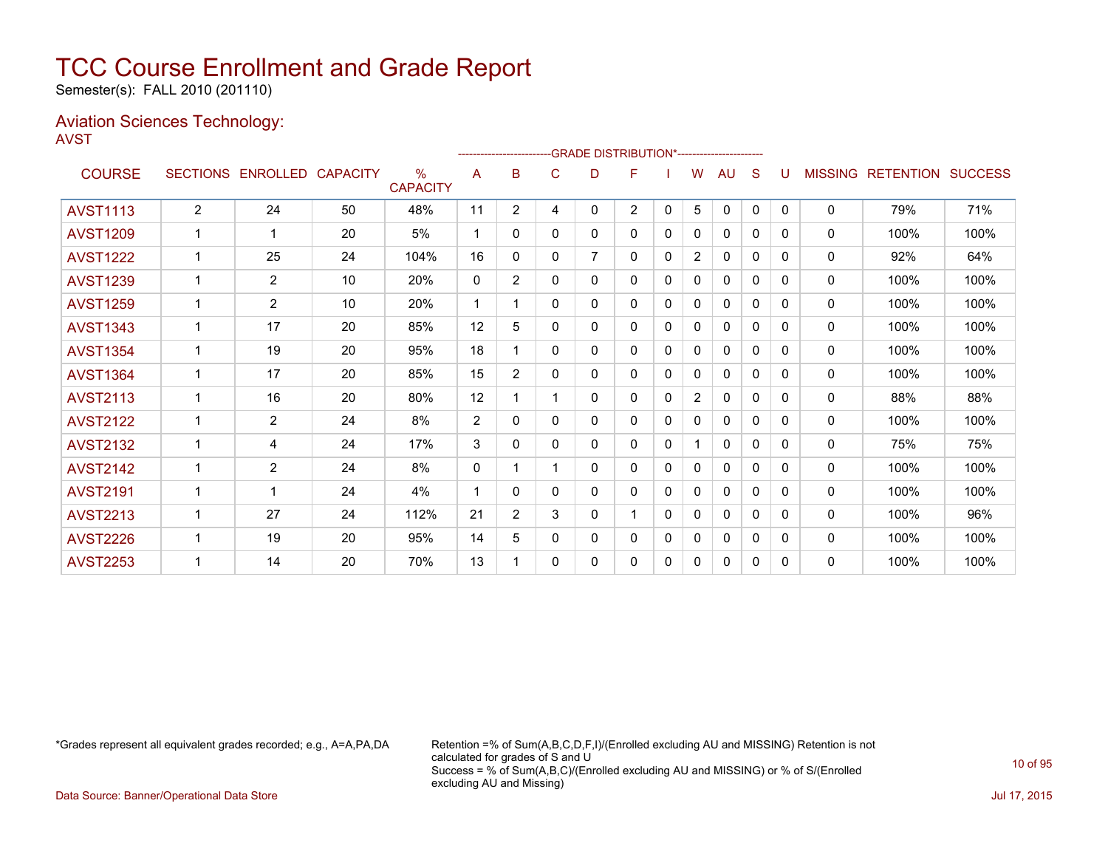Semester(s): FALL 2010 (201110)

### Aviation Sciences Technology: AVST

|                 |                 |                   |    |                                  |             |                |              |                | -GRADE DISTRIBUTION*---------------------- |              |                |              |   |              |                |                          |      |
|-----------------|-----------------|-------------------|----|----------------------------------|-------------|----------------|--------------|----------------|--------------------------------------------|--------------|----------------|--------------|---|--------------|----------------|--------------------------|------|
| <b>COURSE</b>   | <b>SECTIONS</b> | ENROLLED CAPACITY |    | $\frac{0}{0}$<br><b>CAPACITY</b> | A           | в              | C            | D              | F                                          |              | W              | AU           | S |              | <b>MISSING</b> | <b>RETENTION SUCCESS</b> |      |
| <b>AVST1113</b> | $\overline{2}$  | 24                | 50 | 48%                              | 11          | $\overline{2}$ | 4            | 0              | $\overline{2}$                             | $\mathbf{0}$ | 5              | 0            | 0 | $\mathbf{0}$ | 0              | 79%                      | 71%  |
| <b>AVST1209</b> |                 | $\mathbf 1$       | 20 | 5%                               | $\mathbf 1$ | 0              | $\mathbf{0}$ | 0              | 0                                          | 0            | 0              | 0            | 0 | 0            | 0              | 100%                     | 100% |
| <b>AVST1222</b> |                 | 25                | 24 | 104%                             | 16          | 0              | 0            | $\overline{7}$ | 0                                          | 0            | 2              | 0            | 0 | 0            | $\Omega$       | 92%                      | 64%  |
| <b>AVST1239</b> | 1               | $\overline{2}$    | 10 | 20%                              | 0           | $\overline{2}$ | $\mathbf{0}$ | 0              | 0                                          | 0            | 0              | 0            | 0 | 0            | 0              | 100%                     | 100% |
| <b>AVST1259</b> |                 | $\overline{2}$    | 10 | 20%                              |             |                | $\Omega$     | 0              | 0                                          | 0            | 0              | 0            | 0 | 0            | 0              | 100%                     | 100% |
| <b>AVST1343</b> |                 | 17                | 20 | 85%                              | 12          | 5              | 0            | 0              | 0                                          | 0            | 0              | $\mathbf{0}$ | 0 | 0            | 0              | 100%                     | 100% |
| <b>AVST1354</b> |                 | 19                | 20 | 95%                              | 18          |                | 0            | 0              | 0                                          | $\mathbf{0}$ | $\Omega$       | $\mathbf{0}$ | 0 | 0            | $\mathbf{0}$   | 100%                     | 100% |
| <b>AVST1364</b> |                 | 17                | 20 | 85%                              | 15          | 2              | 0            | 0              | 0                                          | 0            | 0              | $\mathbf{0}$ | 0 | 0            | 0              | 100%                     | 100% |
| <b>AVST2113</b> |                 | 16                | 20 | 80%                              | 12          |                |              | 0              | 0                                          | $\mathbf{0}$ | $\overline{2}$ | $\mathbf{0}$ | 0 | $\mathbf{0}$ | 0              | 88%                      | 88%  |
| <b>AVST2122</b> | $\mathbf 1$     | $\overline{2}$    | 24 | 8%                               | 2           | 0              | $\mathbf{0}$ | 0              | 0                                          | $\mathbf 0$  | 0              | $\mathbf{0}$ | 0 | $\mathbf{0}$ | 0              | 100%                     | 100% |
| <b>AVST2132</b> | 1               | 4                 | 24 | 17%                              | 3           | 0              | $\mathbf{0}$ | 0              | 0                                          | $\mathbf{0}$ |                | $\mathbf{0}$ | 0 | $\mathbf{0}$ | 0              | 75%                      | 75%  |
| <b>AVST2142</b> |                 | $\overline{2}$    | 24 | 8%                               | 0           |                |              | 0              | 0                                          | 0            | 0              | $\mathbf{0}$ | 0 | $\Omega$     | $\mathbf{0}$   | 100%                     | 100% |
| <b>AVST2191</b> |                 | 1                 | 24 | 4%                               | $\mathbf 1$ | $\Omega$       | $\Omega$     | 0              | 0                                          | 0            | 0              | $\mathbf{0}$ | 0 | 0            | 0              | 100%                     | 100% |
| <b>AVST2213</b> |                 | 27                | 24 | 112%                             | 21          | $\overline{2}$ | 3            | 0              |                                            | $\mathbf 0$  | 0              | $\mathbf{0}$ | 0 | 0            | 0              | 100%                     | 96%  |
| <b>AVST2226</b> |                 | 19                | 20 | 95%                              | 14          | 5              | 0            | 0              | 0                                          | 0            | 0              | 0            | 0 | 0            | 0              | 100%                     | 100% |
| <b>AVST2253</b> |                 | 14                | 20 | 70%                              | 13          |                | 0            | 0              | 0                                          | 0            | 0              | 0            | 0 | 0            | 0              | 100%                     | 100% |

\*Grades represent all equivalent grades recorded; e.g., A=A,PA,DA Retention =% of Sum(A,B,C,D,F,I)/(Enrolled excluding AU and MISSING) Retention is not calculated for grades of S and U Success = % of Sum(A,B,C)/(Enrolled excluding AU and MISSING) or % of S/(Enrolled excluding AU and Missing)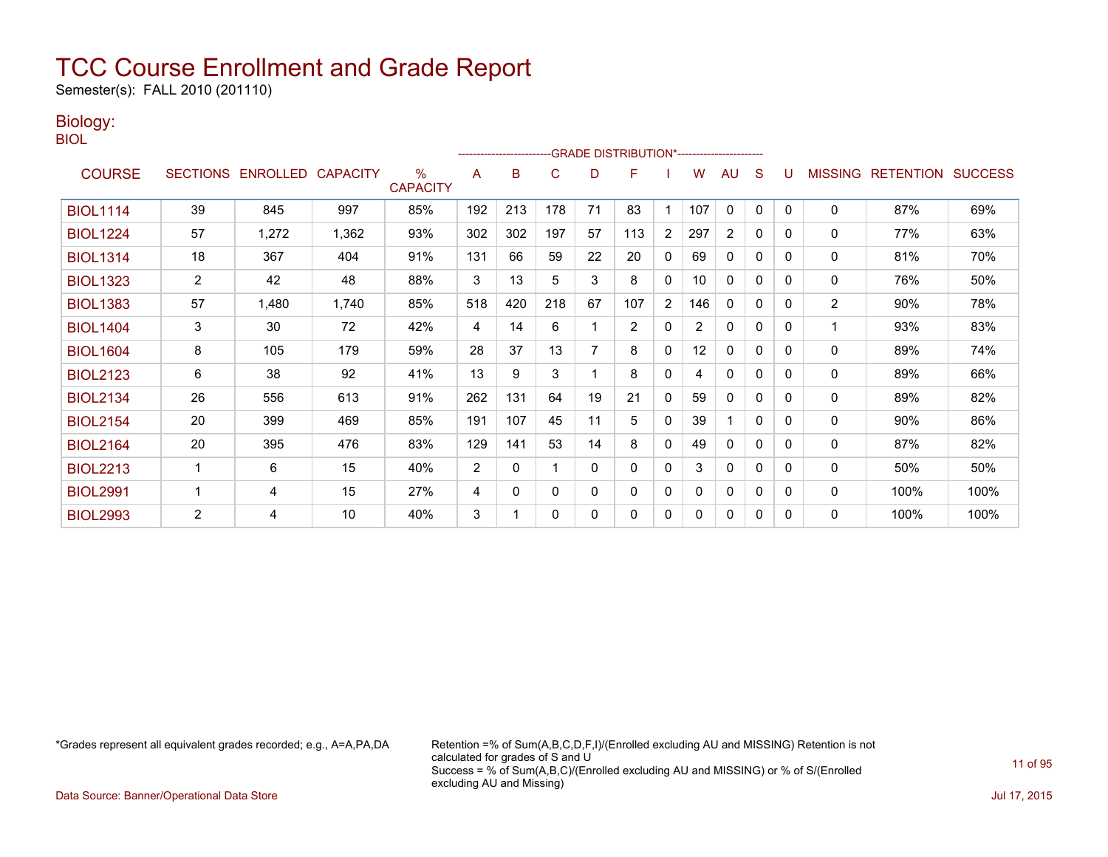Semester(s): FALL 2010 (201110)

### Biology:

BIOL

|                 |                |                            |       |                      |                |          |              |          | -GRADE DISTRIBUTION*----------------------- |                |                |              |              |              |                |                  |                |
|-----------------|----------------|----------------------------|-------|----------------------|----------------|----------|--------------|----------|---------------------------------------------|----------------|----------------|--------------|--------------|--------------|----------------|------------------|----------------|
| <b>COURSE</b>   |                | SECTIONS ENROLLED CAPACITY |       | %<br><b>CAPACITY</b> | A              | B        | C            | D        | F                                           |                | w              | AU           | S            |              | <b>MISSING</b> | <b>RETENTION</b> | <b>SUCCESS</b> |
| <b>BIOL1114</b> | 39             | 845                        | 997   | 85%                  | 192            | 213      | 178          | 71       | 83                                          |                | 107            | $\mathbf{0}$ | $\mathbf{0}$ | $\Omega$     | $\Omega$       | 87%              | 69%            |
| <b>BIOL1224</b> | 57             | 1,272                      | 1,362 | 93%                  | 302            | 302      | 197          | 57       | 113                                         | 2              | 297            | 2            | 0            | 0            | 0              | 77%              | 63%            |
| <b>BIOL1314</b> | 18             | 367                        | 404   | 91%                  | 131            | 66       | 59           | 22       | 20                                          | $\mathbf{0}$   | 69             | $\mathbf{0}$ | $\Omega$     | 0            | 0              | 81%              | 70%            |
| <b>BIOL1323</b> | $\overline{2}$ | 42                         | 48    | 88%                  | 3              | 13       | 5            | 3        | 8                                           | $\mathbf{0}$   | 10             | $\mathbf{0}$ | $\Omega$     | 0            | 0              | 76%              | 50%            |
| <b>BIOL1383</b> | 57             | 1,480                      | 1,740 | 85%                  | 518            | 420      | 218          | 67       | 107                                         | $\overline{2}$ | 146            | 0            | 0            | 0            | 2              | 90%              | 78%            |
| <b>BIOL1404</b> | 3              | 30                         | 72    | 42%                  | 4              | 14       | 6            |          | $\overline{2}$                              | $\mathbf{0}$   | $\overline{2}$ | 0            | 0            | <sup>0</sup> |                | 93%              | 83%            |
| <b>BIOL1604</b> | 8              | 105                        | 179   | 59%                  | 28             | 37       | 13           | 7        | 8                                           | $\mathbf{0}$   | 12             | $\mathbf{0}$ | $\Omega$     | 0            | 0              | 89%              | 74%            |
| <b>BIOL2123</b> | 6              | 38                         | 92    | 41%                  | 13             | 9        | 3            |          | 8                                           | $\mathbf{0}$   | 4              | $\mathbf{0}$ | 0            | 0            | 0              | 89%              | 66%            |
| <b>BIOL2134</b> | 26             | 556                        | 613   | 91%                  | 262            | 131      | 64           | 19       | 21                                          | $\mathbf{0}$   | 59             | $\mathbf{0}$ | $\Omega$     | 0            | 0              | 89%              | 82%            |
| <b>BIOL2154</b> | 20             | 399                        | 469   | 85%                  | 191            | 107      | 45           | 11       | 5                                           | $\mathbf{0}$   | 39             |              | $\Omega$     | 0            | 0              | 90%              | 86%            |
| <b>BIOL2164</b> | 20             | 395                        | 476   | 83%                  | 129            | 141      | 53           | 14       | 8                                           | 0              | 49             | 0            | 0            | 0            | 0              | 87%              | 82%            |
| <b>BIOL2213</b> |                | 6                          | 15    | 40%                  | $\overline{2}$ | 0        |              | $\Omega$ | $\mathbf{0}$                                | $\mathbf{0}$   | 3              | 0            | $\Omega$     | $\Omega$     | 0              | 50%              | 50%            |
| <b>BIOL2991</b> |                | 4                          | 15    | 27%                  | 4              | $\Omega$ | $\mathbf{0}$ | $\Omega$ | $\Omega$                                    | $\mathbf{0}$   | 0              | $\mathbf{0}$ | $\Omega$     | 0            | 0              | 100%             | 100%           |
| <b>BIOL2993</b> | 2              | 4                          | 10    | 40%                  | 3              |          | 0            | 0        | 0                                           | 0              | 0              | 0            | 0            | 0            | $\mathbf 0$    | 100%             | 100%           |

\*Grades represent all equivalent grades recorded; e.g., A=A,PA,DA Retention =% of Sum(A,B,C,D,F,I)/(Enrolled excluding AU and MISSING) Retention is not calculated for grades of S and U Success = % of Sum(A,B,C)/(Enrolled excluding AU and MISSING) or % of S/(Enrolled excluding AU and Missing)

Data Source: Banner/Operational Data Store Jul 17, 2015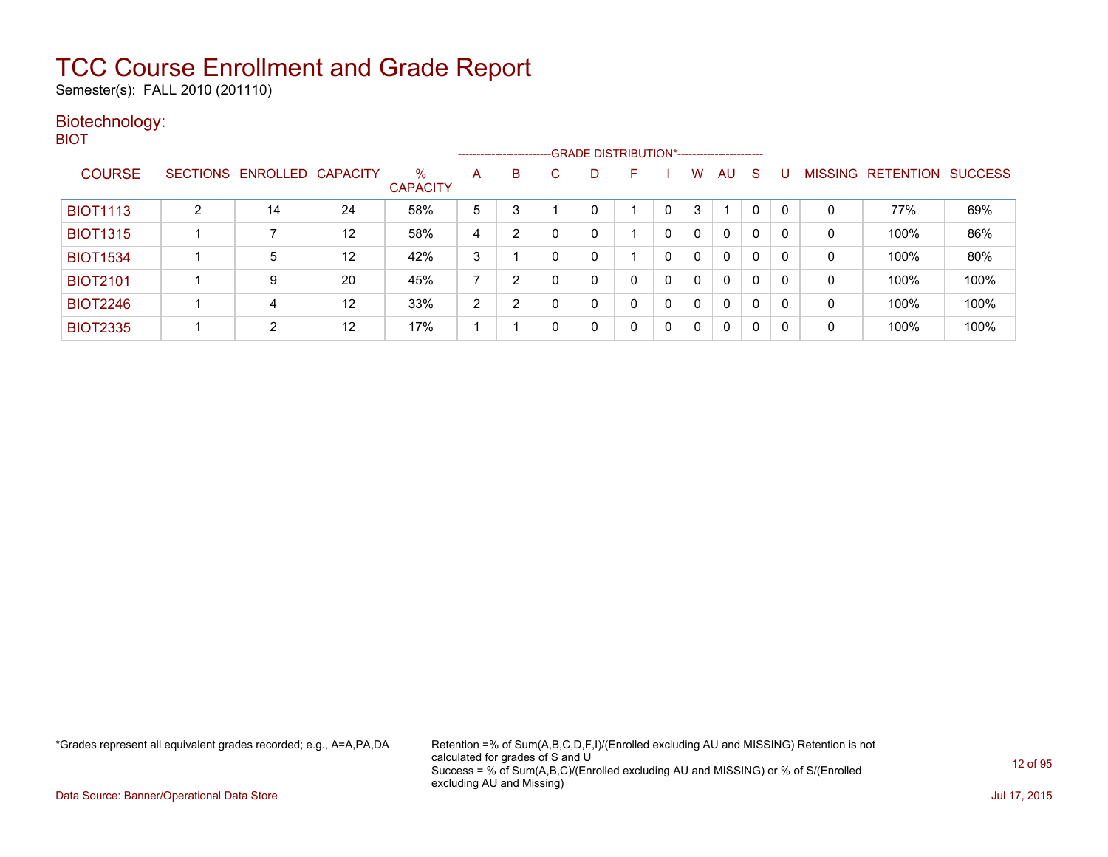Semester(s): FALL 2010 (201110)

### Biotechnology: BIOT

|                 |   |                            |    |                      |   |                |              |              | ------------------------GRADE DISTRIBUTION*----------------------- |             |              |    |   |              |             |                   |                |
|-----------------|---|----------------------------|----|----------------------|---|----------------|--------------|--------------|--------------------------------------------------------------------|-------------|--------------|----|---|--------------|-------------|-------------------|----------------|
| <b>COURSE</b>   |   | SECTIONS ENROLLED CAPACITY |    | ℅<br><b>CAPACITY</b> | A | B              | $\mathbf{C}$ |              | н.                                                                 |             | w            | AU | S |              |             | MISSING RETENTION | <b>SUCCESS</b> |
| <b>BIOT1113</b> | 2 | 14                         | 24 | 58%                  | 5 | 3              |              |              |                                                                    |             | 3            |    | 0 | 0            | 0           | 77%               | 69%            |
| <b>BIOT1315</b> |   |                            | 12 | 58%                  | 4 | $\overline{2}$ | 0            |              |                                                                    |             | $\mathbf{0}$ | 0  | 0 | 0            | 0           | 100%              | 86%            |
| <b>BIOT1534</b> |   | 5                          | 12 | 42%                  | 3 |                | 0            |              |                                                                    | 0           | $\mathbf{0}$ | 0  | 0 | 0            | 0           | 100%              | 80%            |
| <b>BIOT2101</b> |   | 9                          | 20 | 45%                  | ⇁ | $\overline{2}$ | 0            |              |                                                                    | $\Omega$    | $\Omega$     | 0  | 0 | $\mathbf{0}$ | $\mathbf 0$ | 100%              | 100%           |
| <b>BIOT2246</b> |   | 4                          | 12 | 33%                  | 2 | ົ              | 0            |              |                                                                    | $\mathbf 0$ | $\Omega$     | 0  | 0 | 0            | $\mathbf 0$ | 100%              | 100%           |
| <b>BIOT2335</b> |   | $\overline{2}$             | 12 | 17%                  |   |                | 0            | $\mathbf{0}$ |                                                                    | $\Omega$    | $\Omega$     | 0  | 0 | 0            | 0           | 100%              | 100%           |

\*Grades represent all equivalent grades recorded; e.g., A=A,PA,DA Retention =% of Sum(A,B,C,D,F,I)/(Enrolled excluding AU and MISSING) Retention is not calculated for grades of S and U Success = % of Sum(A,B,C)/(Enrolled excluding AU and MISSING) or % of S/(Enrolled excluding AU and Missing)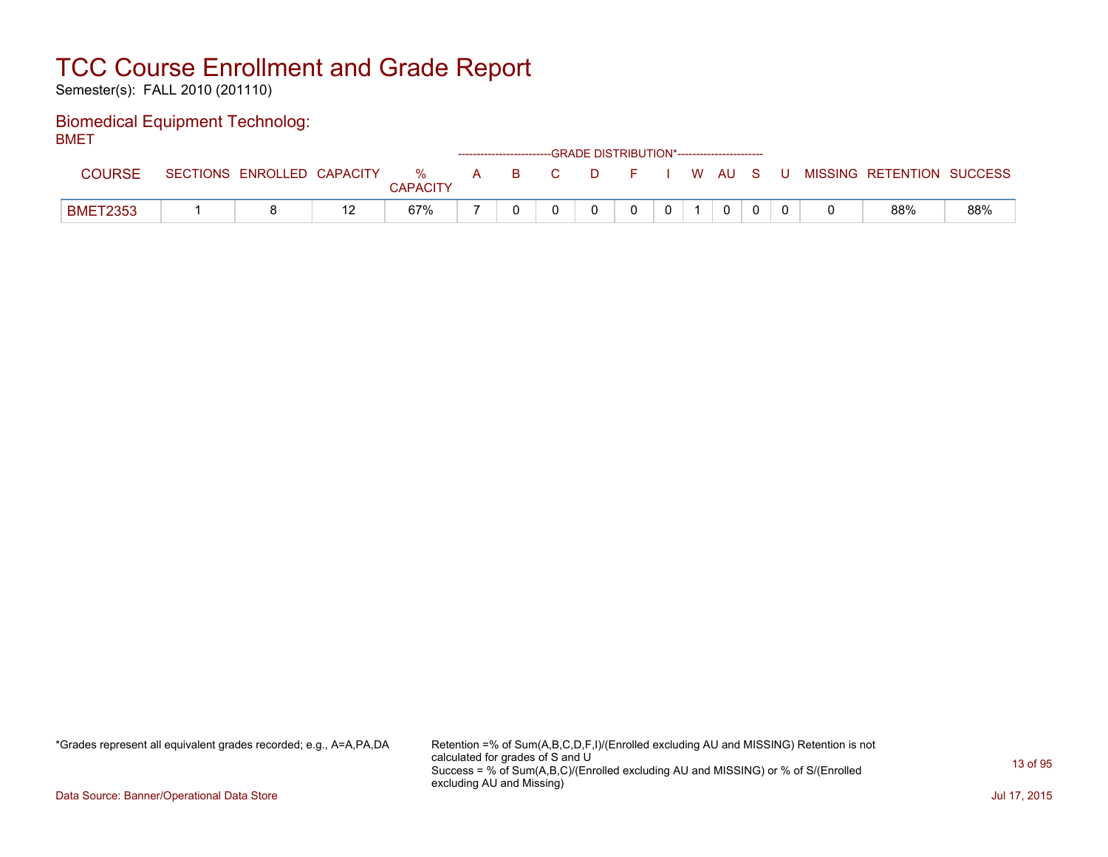Semester(s): FALL 2010 (201110)

#### Biomedical Equipment Technolog: **BMFT**

| ----            |                            |                 |  | ------------------------GRADE DISTRIBUTION*----------------------- |  |              |          |  |                                                  |     |
|-----------------|----------------------------|-----------------|--|--------------------------------------------------------------------|--|--------------|----------|--|--------------------------------------------------|-----|
| COURSE          | SECTIONS ENROLLED CAPACITY | <b>CAPACITY</b> |  |                                                                    |  |              |          |  | % A B C D F I W AU S U MISSING RETENTION SUCCESS |     |
| <b>BMET2353</b> |                            | 67%             |  |                                                                    |  | $\mathbf{0}$ | $\Omega$ |  | 88%                                              | 88% |

\*Grades represent all equivalent grades recorded; e.g., A=A,PA,DA Retention =% of Sum(A,B,C,D,F,I)/(Enrolled excluding AU and MISSING) Retention is not calculated for grades of S and U Success = % of Sum(A,B,C)/(Enrolled excluding AU and MISSING) or % of S/(Enrolled excluding AU and Missing)

Data Source: Banner/Operational Data Store Jul 17, 2015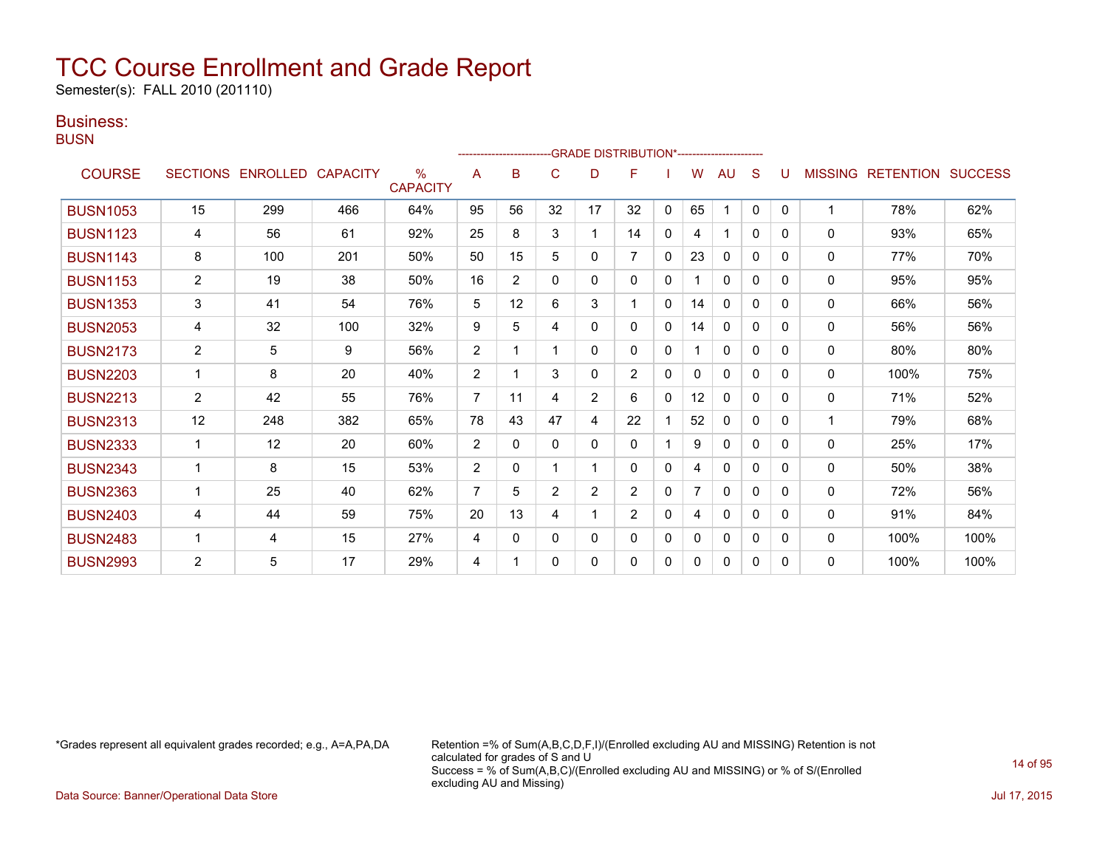Semester(s): FALL 2010 (201110)

### Business:

**BUSN** 

|                 |                |                   |                 |                         |                |                |                |                | -------------------------GRADE                DISTRIBUTION*--------------------- |              |    |              |              |              |                |                          |      |
|-----------------|----------------|-------------------|-----------------|-------------------------|----------------|----------------|----------------|----------------|----------------------------------------------------------------------------------|--------------|----|--------------|--------------|--------------|----------------|--------------------------|------|
| <b>COURSE</b>   |                | SECTIONS ENROLLED | <b>CAPACITY</b> | $\%$<br><b>CAPACITY</b> | A              | в              | C              | D              | F                                                                                |              | w  | AU           | S            | U            | <b>MISSING</b> | <b>RETENTION SUCCESS</b> |      |
| <b>BUSN1053</b> | 15             | 299               | 466             | 64%                     | 95             | 56             | 32             | 17             | 32                                                                               | $\mathbf{0}$ | 65 | 1            | $\mathbf{0}$ | $\mathbf{0}$ | $\mathbf{1}$   | 78%                      | 62%  |
| <b>BUSN1123</b> | 4              | 56                | 61              | 92%                     | 25             | 8              | 3              |                | 14                                                                               | 0            | 4  | 1            | $\Omega$     | 0            | $\mathbf 0$    | 93%                      | 65%  |
| <b>BUSN1143</b> | 8              | 100               | 201             | 50%                     | 50             | 15             | 5              | 0              | $\overline{7}$                                                                   | $\Omega$     | 23 | $\Omega$     | $\Omega$     | $\Omega$     | $\mathbf{0}$   | 77%                      | 70%  |
| <b>BUSN1153</b> | 2              | 19                | 38              | 50%                     | 16             | $\overline{2}$ | 0              | 0              | 0                                                                                | $\Omega$     |    | $\Omega$     | $\Omega$     | 0            | $\mathbf{0}$   | 95%                      | 95%  |
| <b>BUSN1353</b> | 3              | 41                | 54              | 76%                     | 5              | 12             | 6              | 3              |                                                                                  | 0            | 14 | $\Omega$     | 0            | 0            | $\mathbf{0}$   | 66%                      | 56%  |
| <b>BUSN2053</b> | 4              | 32                | 100             | 32%                     | 9              | 5              | 4              | 0              | 0                                                                                | 0            | 14 | $\mathbf{0}$ | $\Omega$     | 0            | 0              | 56%                      | 56%  |
| <b>BUSN2173</b> | $\overline{c}$ | 5                 | 9               | 56%                     | 2              |                |                | 0              | 0                                                                                | 0            |    | $\mathbf{0}$ | 0            | $\Omega$     | 0              | 80%                      | 80%  |
| <b>BUSN2203</b> |                | 8                 | 20              | 40%                     | 2              |                | 3              | 0              | $\overline{2}$                                                                   | $\mathbf{0}$ | 0  | $\mathbf{0}$ | $\mathbf{0}$ | $\Omega$     | 0              | 100%                     | 75%  |
| <b>BUSN2213</b> | $\overline{2}$ | 42                | 55              | 76%                     | $\overline{7}$ | 11             | 4              | $\overline{2}$ | 6                                                                                | $\mathbf{0}$ | 12 | $\mathbf{0}$ | $\mathbf{0}$ | $\Omega$     | $\Omega$       | 71%                      | 52%  |
| <b>BUSN2313</b> | 12             | 248               | 382             | 65%                     | 78             | 43             | 47             | 4              | 22                                                                               |              | 52 | $\mathbf{0}$ | $\Omega$     | $\Omega$     | 1              | 79%                      | 68%  |
| <b>BUSN2333</b> |                | 12                | 20              | 60%                     | 2              | $\Omega$       | $\Omega$       | 0              | 0                                                                                |              | 9  | $\Omega$     | $\Omega$     | $\Omega$     | $\Omega$       | 25%                      | 17%  |
| <b>BUSN2343</b> |                | 8                 | 15              | 53%                     | $\overline{2}$ | 0              |                |                | 0                                                                                | $\mathbf{0}$ | 4  | 0            | $\mathbf{0}$ | 0            | 0              | 50%                      | 38%  |
| <b>BUSN2363</b> |                | 25                | 40              | 62%                     | $\overline{7}$ | 5              | $\overline{2}$ | 2              | $\overline{2}$                                                                   | 0            | 7  | $\mathbf{0}$ | $\mathbf{0}$ | 0            | 0              | 72%                      | 56%  |
| <b>BUSN2403</b> | 4              | 44                | 59              | 75%                     | 20             | 13             | 4              |                | $\overline{2}$                                                                   | $\Omega$     | 4  | 0            | 0            | 0            | 0              | 91%                      | 84%  |
| <b>BUSN2483</b> | 1              | 4                 | 15              | 27%                     | 4              | 0              | 0              | 0              | 0                                                                                | 0            | 0  | $\mathbf{0}$ | $\Omega$     | 0            | 0              | 100%                     | 100% |
| <b>BUSN2993</b> | $\mathbf{2}$   | 5                 | 17              | 29%                     | 4              |                | 0              | 0              | 0                                                                                | 0            | 0  | $\Omega$     | $\Omega$     | $\Omega$     | $\Omega$       | 100%                     | 100% |

\*Grades represent all equivalent grades recorded; e.g., A=A,PA,DA Retention =% of Sum(A,B,C,D,F,I)/(Enrolled excluding AU and MISSING) Retention is not calculated for grades of S and U Success = % of Sum(A,B,C)/(Enrolled excluding AU and MISSING) or % of S/(Enrolled excluding AU and Missing)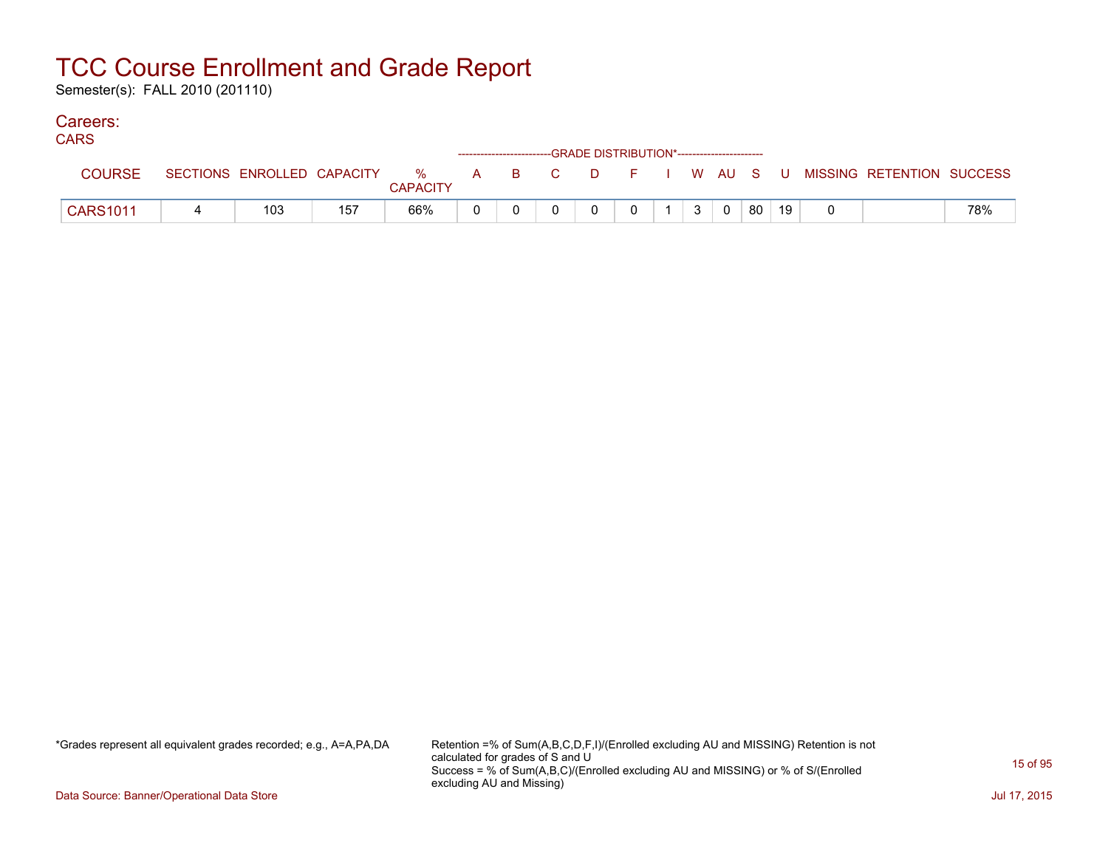Semester(s): FALL 2010 (201110)

### Careers:

| <b>CARS</b>     |     |     |                 |  | ------------------------GRADE DISTRIBUTION*----------------------- |  |                |                         |    |    |                                                                               |     |
|-----------------|-----|-----|-----------------|--|--------------------------------------------------------------------|--|----------------|-------------------------|----|----|-------------------------------------------------------------------------------|-----|
| <b>COURSE</b>   |     |     | <b>CAPACITY</b> |  |                                                                    |  |                |                         |    |    | SECTIONS ENROLLED CAPACITY 3 % A B C D F I W AU S U MISSING RETENTION SUCCESS |     |
| <b>CARS1011</b> | 103 | 157 | 66%             |  |                                                                    |  | 3 <sup>1</sup> | $\overline{\mathbf{0}}$ | 80 | 19 |                                                                               | 78% |

\*Grades represent all equivalent grades recorded; e.g., A=A,PA,DA Retention =% of Sum(A,B,C,D,F,I)/(Enrolled excluding AU and MISSING) Retention is not calculated for grades of S and U Success = % of Sum(A,B,C)/(Enrolled excluding AU and MISSING) or % of S/(Enrolled excluding AU and Missing)

Data Source: Banner/Operational Data Store Jul 17, 2015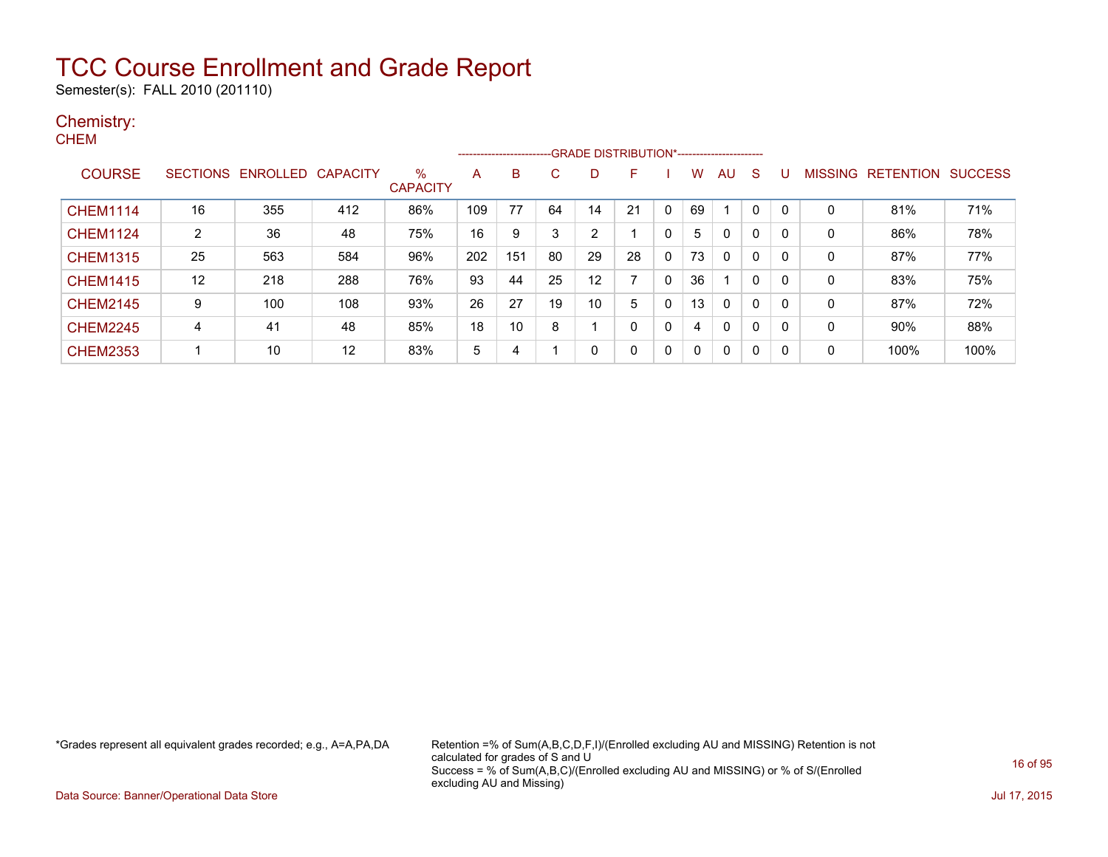Semester(s): FALL 2010 (201110)

### Chemistry: **CHEM**

|                 |                |                   |                 |                         |     | ------------------------ |    |    | -- GRADE DISTRIBUTION*----------------------- |          |    |             |              |              |                |                  |                |
|-----------------|----------------|-------------------|-----------------|-------------------------|-----|--------------------------|----|----|-----------------------------------------------|----------|----|-------------|--------------|--------------|----------------|------------------|----------------|
| <b>COURSE</b>   |                | SECTIONS ENROLLED | <b>CAPACITY</b> | $\%$<br><b>CAPACITY</b> | A   | B                        | С  | D  | F                                             |          | w  | AU          | <sub>S</sub> | U            | <b>MISSING</b> | <b>RETENTION</b> | <b>SUCCESS</b> |
| <b>CHEM1114</b> | 16             | 355               | 412             | 86%                     | 109 | 77                       | 64 | 14 | 21                                            |          | 69 |             |              | 0            | 0              | 81%              | 71%            |
| <b>CHEM1124</b> | $\overline{2}$ | 36                | 48              | 75%                     | 16  | 9                        | 3  | 2  |                                               |          | 5  | 0           | 0            | $\mathbf{0}$ | 0              | 86%              | 78%            |
| <b>CHEM1315</b> | 25             | 563               | 584             | 96%                     | 202 | 151                      | 80 | 29 | 28                                            | $\Omega$ | 73 | 0           | $\mathbf{0}$ | $\Omega$     | 0              | 87%              | 77%            |
| <b>CHEM1415</b> | 12             | 218               | 288             | 76%                     | 93  | 44                       | 25 | 12 | -                                             |          | 36 |             | 0            | $\Omega$     | 0              | 83%              | 75%            |
| <b>CHEM2145</b> | 9              | 100               | 108             | 93%                     | 26  | 27                       | 19 | 10 | 5                                             |          | 13 | $\mathbf 0$ | $\mathbf{0}$ | $\mathbf{0}$ | $\Omega$       | 87%              | 72%            |
| <b>CHEM2245</b> | 4              | 41                | 48              | 85%                     | 18  | 10                       | 8  |    | 0                                             |          | 4  | 0           | 0            | $\mathbf{0}$ | 0              | 90%              | 88%            |
| <b>CHEM2353</b> |                | 10                | 12              | 83%                     | 5   | 4                        |    | 0  | 0                                             | 0        | 0  | 0           | 0            | 0            | 0              | 100%             | 100%           |

\*Grades represent all equivalent grades recorded; e.g., A=A,PA,DA Retention =% of Sum(A,B,C,D,F,I)/(Enrolled excluding AU and MISSING) Retention is not calculated for grades of S and U Success = % of Sum(A,B,C)/(Enrolled excluding AU and MISSING) or % of S/(Enrolled excluding AU and Missing)

Data Source: Banner/Operational Data Store Jul 17, 2015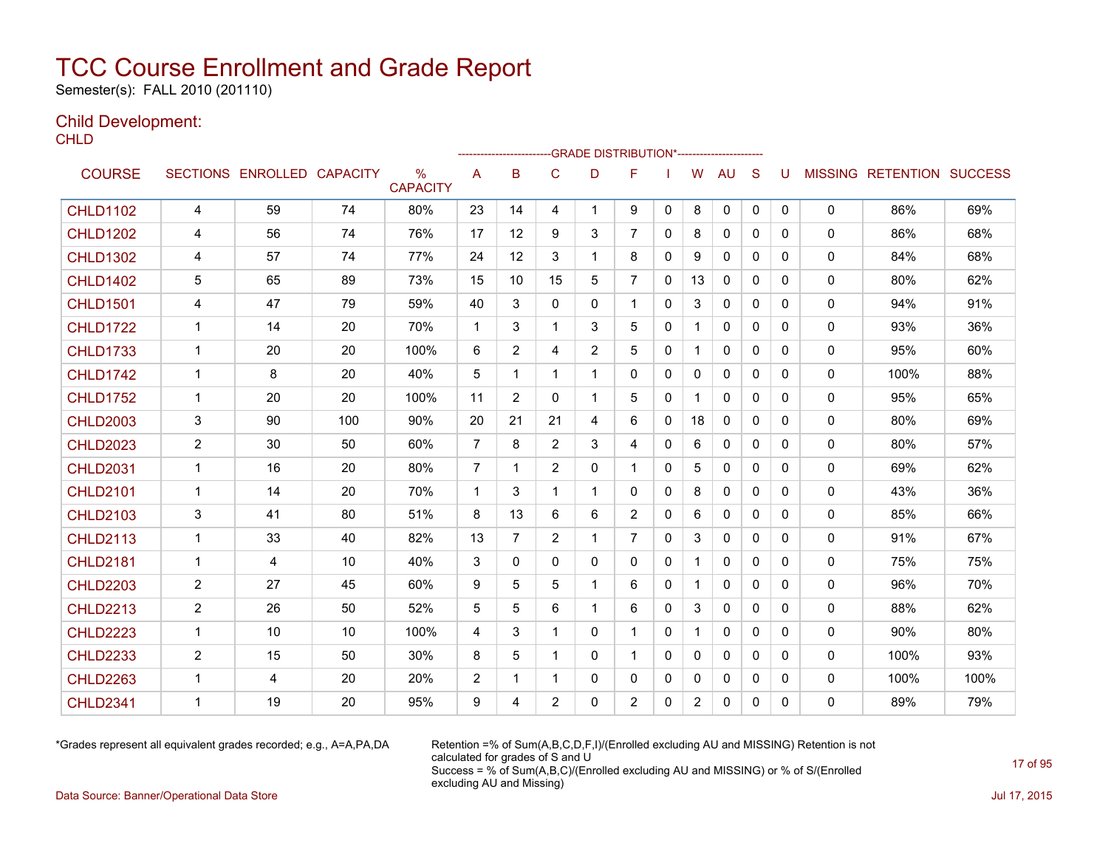Semester(s): FALL 2010 (201110)

### Child Development:

**CHLD** 

|                 |                |                   |                 |                      |                | ------------------- |                |                | -GRADE DISTRIBUTION*---------------------- |              |              |              |              |              |              |                                  |      |
|-----------------|----------------|-------------------|-----------------|----------------------|----------------|---------------------|----------------|----------------|--------------------------------------------|--------------|--------------|--------------|--------------|--------------|--------------|----------------------------------|------|
| <b>COURSE</b>   |                | SECTIONS ENROLLED | <b>CAPACITY</b> | %<br><b>CAPACITY</b> | A              | B                   | C              | D              | F                                          |              | W            | <b>AU</b>    | <sub>S</sub> | U            |              | <b>MISSING RETENTION SUCCESS</b> |      |
| <b>CHLD1102</b> | 4              | 59                | 74              | 80%                  | 23             | 14                  | 4              | 1              | 9                                          | $\mathbf{0}$ | 8            | 0            | $\mathbf{0}$ | 0            | 0            | 86%                              | 69%  |
| <b>CHLD1202</b> | 4              | 56                | 74              | 76%                  | 17             | 12                  | 9              | 3              | $\overline{7}$                             | 0            | 8            | 0            | $\mathbf{0}$ | 0            | 0            | 86%                              | 68%  |
| <b>CHLD1302</b> | 4              | 57                | 74              | 77%                  | 24             | 12                  | 3              | $\mathbf{1}$   | 8                                          | $\Omega$     | 9            | $\mathbf{0}$ | $\Omega$     | 0            | $\mathbf{0}$ | 84%                              | 68%  |
| <b>CHLD1402</b> | 5              | 65                | 89              | 73%                  | 15             | 10                  | 15             | 5              | $\overline{7}$                             | 0            | 13           | 0            | $\mathbf{0}$ | 0            | 0            | 80%                              | 62%  |
| <b>CHLD1501</b> | 4              | 47                | 79              | 59%                  | 40             | 3                   | $\mathbf{0}$   | 0              | 1.                                         | 0            | 3            | 0            | $\mathbf{0}$ | 0            | 0            | 94%                              | 91%  |
| <b>CHLD1722</b> | $\mathbf 1$    | 14                | 20              | 70%                  | $\mathbf 1$    | 3                   | 1              | 3              | 5                                          | $\mathbf{0}$ | $\mathbf{1}$ | 0            | $\mathbf{0}$ | 0            | 0            | 93%                              | 36%  |
| <b>CHLD1733</b> | $\mathbf{1}$   | 20                | 20              | 100%                 | 6              | $\overline{2}$      | 4              | $\overline{2}$ | 5                                          | $\mathbf{0}$ | $\mathbf{1}$ | $\Omega$     | $\Omega$     | $\mathbf{0}$ | 0            | 95%                              | 60%  |
| <b>CHLD1742</b> | $\mathbf{1}$   | 8                 | 20              | 40%                  | 5              | $\mathbf 1$         | $\mathbf{1}$   | 1              | 0                                          | $\Omega$     | $\mathbf{0}$ | $\Omega$     | $\Omega$     | $\Omega$     | 0            | 100%                             | 88%  |
| <b>CHLD1752</b> | $\mathbf 1$    | 20                | 20              | 100%                 | 11             | $\overline{2}$      | $\mathbf{0}$   | 1              | 5                                          | $\mathbf{0}$ | 1            | 0            | $\mathbf{0}$ | $\Omega$     | 0            | 95%                              | 65%  |
| <b>CHLD2003</b> | 3              | 90                | 100             | 90%                  | 20             | 21                  | 21             | 4              | 6                                          | 0            | 18           | 0            | $\mathbf{0}$ | 0            | 0            | 80%                              | 69%  |
| <b>CHLD2023</b> | 2              | 30                | 50              | 60%                  | $\overline{7}$ | 8                   | $\overline{2}$ | 3              | 4                                          | $\mathbf{0}$ | 6            | $\mathbf{0}$ | $\mathbf{0}$ | $\mathbf{0}$ | $\mathbf{0}$ | 80%                              | 57%  |
| <b>CHLD2031</b> | $\mathbf{1}$   | 16                | 20              | 80%                  | $\overline{7}$ | 1                   | $\overline{2}$ | 0              | 1                                          | 0            | 5            | 0            | $\mathbf{0}$ | 0            | 0            | 69%                              | 62%  |
| <b>CHLD2101</b> | $\mathbf 1$    | 14                | 20              | 70%                  | 1              | 3                   | 1              | 1              | 0                                          | 0            | 8            | 0            | $\mathbf{0}$ | $\Omega$     | 0            | 43%                              | 36%  |
| <b>CHLD2103</b> | 3              | 41                | 80              | 51%                  | 8              | 13                  | 6              | 6              | 2                                          | 0            | 6            | 0            | $\mathbf{0}$ | 0            | 0            | 85%                              | 66%  |
| <b>CHLD2113</b> | $\mathbf{1}$   | 33                | 40              | 82%                  | 13             | $\overline{7}$      | 2              | $\mathbf 1$    | $\overline{7}$                             | $\mathbf{0}$ | 3            | $\mathbf{0}$ | $\mathbf{0}$ | $\mathbf{0}$ | $\mathbf{0}$ | 91%                              | 67%  |
| <b>CHLD2181</b> | $\mathbf 1$    | 4                 | 10              | 40%                  | 3              | 0                   | $\mathbf{0}$   | $\mathbf{0}$   | 0                                          | $\mathbf{0}$ | $\mathbf{1}$ | 0            | $\Omega$     | $\Omega$     | 0            | 75%                              | 75%  |
| <b>CHLD2203</b> | $\overline{c}$ | 27                | 45              | 60%                  | 9              | 5                   | 5              | $\mathbf{1}$   | 6                                          | $\mathbf{0}$ | $\mathbf{1}$ | $\Omega$     | $\Omega$     | 0            | 0            | 96%                              | 70%  |
| <b>CHLD2213</b> | $\overline{c}$ | 26                | 50              | 52%                  | 5              | 5                   | 6              | 1              | 6                                          | 0            | 3            | $\mathbf 0$  | $\Omega$     | 0            | 0            | 88%                              | 62%  |
| <b>CHLD2223</b> | $\mathbf{1}$   | 10                | 10              | 100%                 | 4              | 3                   | 1              | $\mathbf{0}$   | 1                                          | $\mathbf{0}$ | $\mathbf 1$  | $\mathbf{0}$ | $\Omega$     | 0            | $\mathbf{0}$ | 90%                              | 80%  |
| <b>CHLD2233</b> | $\overline{2}$ | 15                | 50              | 30%                  | 8              | 5                   | 1              | $\mathbf{0}$   | 1                                          | $\Omega$     | 0            | $\mathbf{0}$ | $\Omega$     | 0            | 0            | 100%                             | 93%  |
| <b>CHLD2263</b> | $\mathbf{1}$   | 4                 | 20              | 20%                  | 2              | 1                   | 1              | 0              | 0                                          | 0            | 0            | 0            | $\mathbf{0}$ | 0            | 0            | 100%                             | 100% |
| <b>CHLD2341</b> | 1              | 19                | 20              | 95%                  | 9              | 4                   | $\overline{2}$ | 0              | 2                                          | 0            | 2            | 0            | 0            | 0            | 0            | 89%                              | 79%  |

\*Grades represent all equivalent grades recorded; e.g., A=A,PA,DA Retention =% of Sum(A,B,C,D,F,I)/(Enrolled excluding AU and MISSING) Retention is not calculated for grades of S and U Success = % of Sum(A,B,C)/(Enrolled excluding AU and MISSING) or % of S/(Enrolled excluding AU and Missing)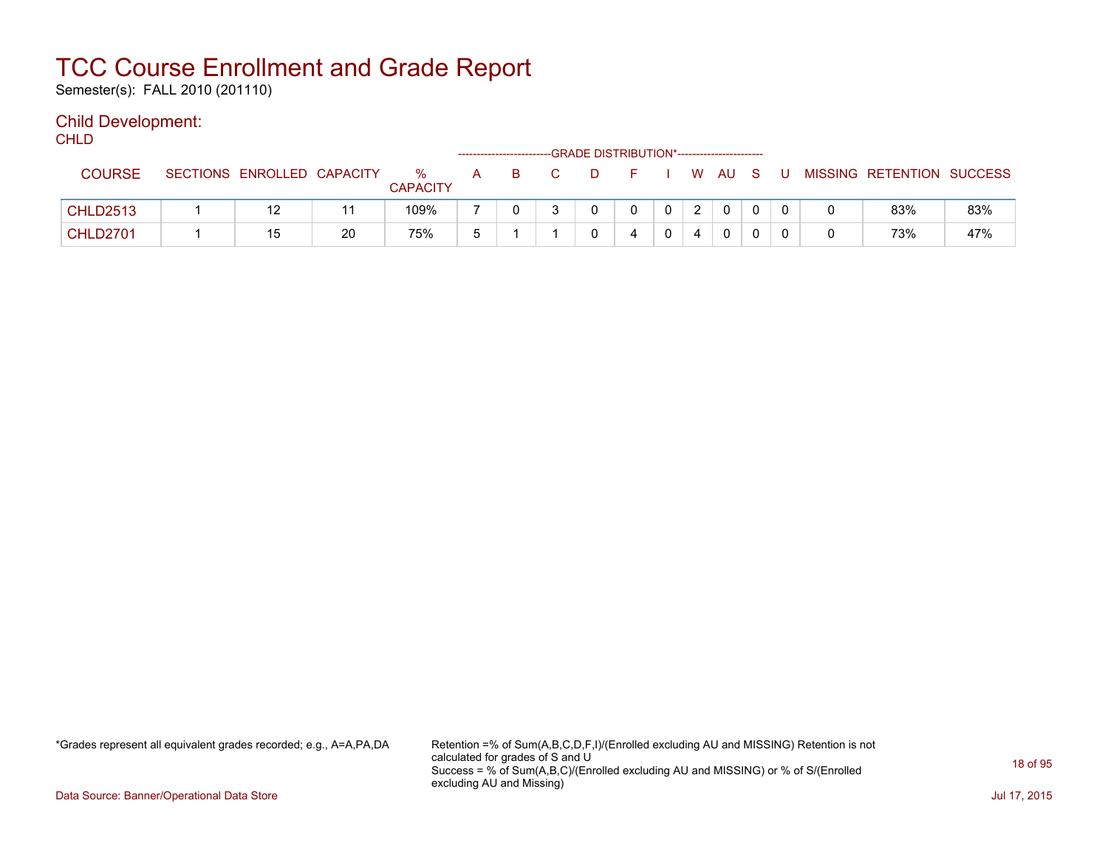Semester(s): FALL 2010 (201110)

### Child Development:

**CHLD** 

|                 |                            |    |                      | -------------------- |    |    |              |       |   |                           |     |
|-----------------|----------------------------|----|----------------------|----------------------|----|----|--------------|-------|---|---------------------------|-----|
| <b>COURSE</b>   | SECTIONS ENROLLED CAPACITY |    | %<br><b>CAPACITY</b> | A                    | B. | D. |              | WAUS. | U | MISSING RETENTION SUCCESS |     |
| <b>CHLD2513</b> | 12                         |    | 109%                 |                      |    |    | $\mathbf{0}$ |       |   | 83%                       | 83% |
| <b>CHLD2701</b> | 15                         | 20 | 75%                  |                      |    |    |              |       |   | 73%                       | 47% |

\*Grades represent all equivalent grades recorded; e.g., A=A,PA,DA Retention =% of Sum(A,B,C,D,F,I)/(Enrolled excluding AU and MISSING) Retention is not calculated for grades of S and U Success = % of Sum(A,B,C)/(Enrolled excluding AU and MISSING) or % of S/(Enrolled excluding AU and Missing)

Data Source: Banner/Operational Data Store Jul 17, 2015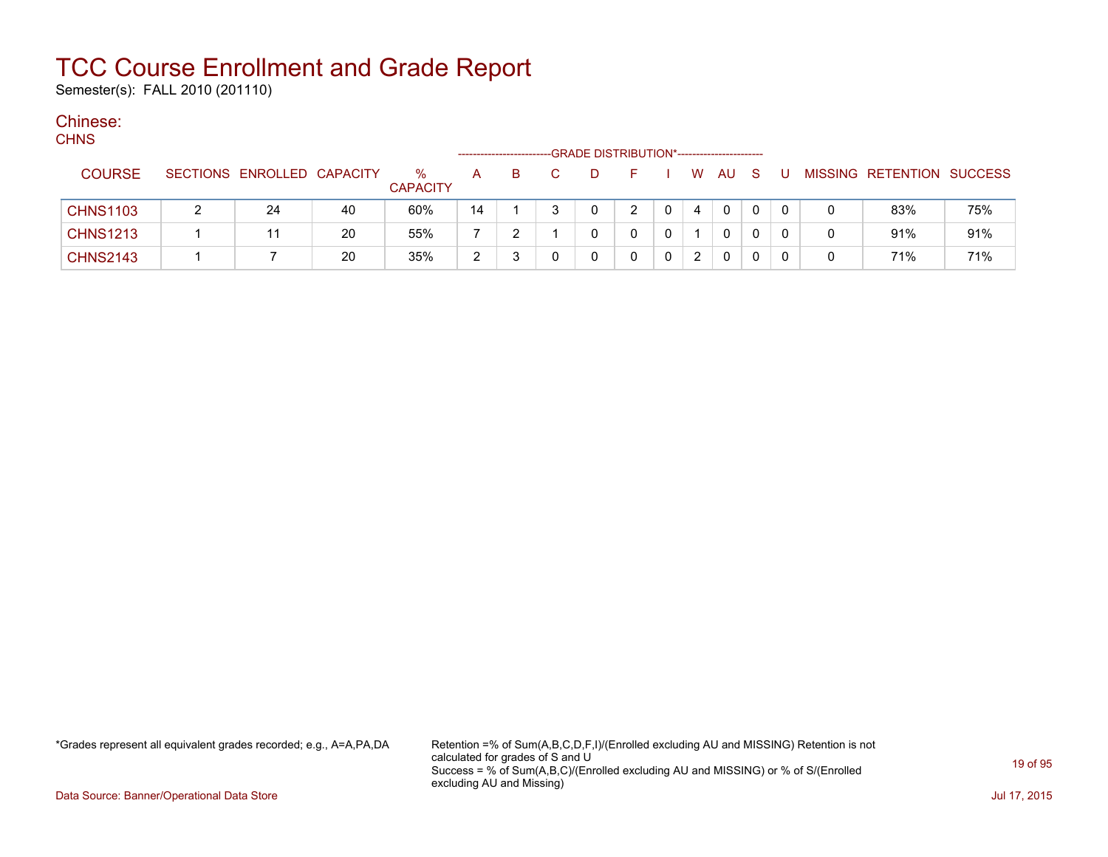Semester(s): FALL 2010 (201110)

#### Chinese:  $C$

| <b>CHNS</b>     |                            |    |                         |                |    |   | -GRADE DISTRIBUTION*----------------------- |          |   |      |     |   |   |                           |     |
|-----------------|----------------------------|----|-------------------------|----------------|----|---|---------------------------------------------|----------|---|------|-----|---|---|---------------------------|-----|
| <b>COURSE</b>   | SECTIONS ENROLLED CAPACITY |    | $\%$<br><b>CAPACITY</b> | A              | B. | D | F.                                          |          |   | W AU | - S | U |   | MISSING RETENTION SUCCESS |     |
| <b>CHNS1103</b> | 24                         | 40 | 60%                     | 14             |    | 0 | 2                                           | $\Omega$ | 4 | 0    | 0   | 0 |   | 83%                       | 75% |
| <b>CHNS1213</b> |                            | 20 | 55%                     |                |    |   |                                             |          |   | 0    |     |   | 0 | 91%                       | 91% |
| <b>CHNS2143</b> |                            | 20 | 35%                     | $\overline{2}$ |    |   |                                             |          |   | 0    |     | 0 | 0 | 71%                       | 71% |

\*Grades represent all equivalent grades recorded; e.g., A=A,PA,DA Retention =% of Sum(A,B,C,D,F,I)/(Enrolled excluding AU and MISSING) Retention is not calculated for grades of S and U Success = % of Sum(A,B,C)/(Enrolled excluding AU and MISSING) or % of S/(Enrolled excluding AU and Missing)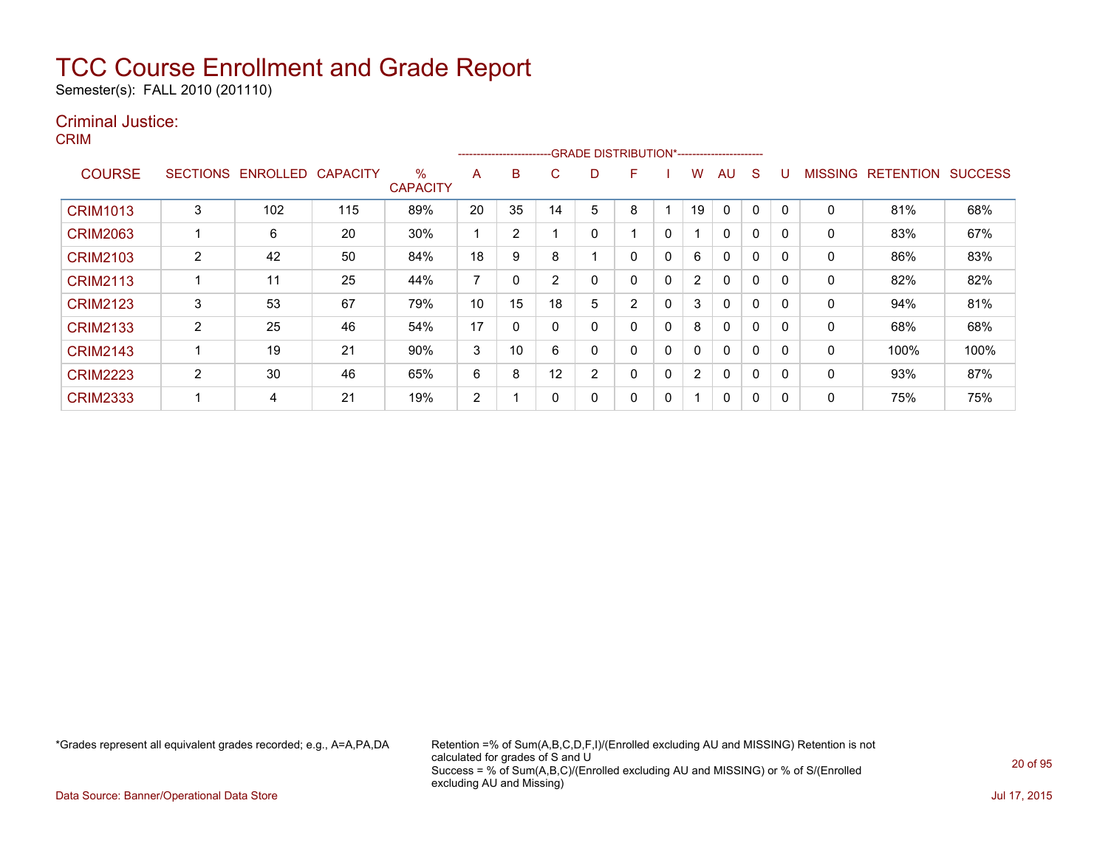Semester(s): FALL 2010 (201110)

### Criminal Justice:

CRIM

|                 |                 |          |                 |                         |                | ------------------------- |    | -GRADE DISTRIBUTION*----------------------- |   |              |                |              |              |          |                |                  |                |
|-----------------|-----------------|----------|-----------------|-------------------------|----------------|---------------------------|----|---------------------------------------------|---|--------------|----------------|--------------|--------------|----------|----------------|------------------|----------------|
| <b>COURSE</b>   | <b>SECTIONS</b> | ENROLLED | <b>CAPACITY</b> | $\%$<br><b>CAPACITY</b> | A              | B                         | C  | D                                           | F |              | W              | AU           | S            |          | <b>MISSING</b> | <b>RETENTION</b> | <b>SUCCESS</b> |
| <b>CRIM1013</b> | 3               | 102      | 115             | 89%                     | 20             | 35                        | 14 | 5                                           | 8 |              | 19             | 0            | 0            |          | 0              | 81%              | 68%            |
| <b>CRIM2063</b> |                 | 6        | 20              | 30%                     |                | 2                         |    | 0                                           |   | 0            |                | 0            | $\mathbf 0$  |          | 0              | 83%              | 67%            |
| <b>CRIM2103</b> | 2               | 42       | 50              | 84%                     | 18             | 9                         | 8  |                                             | 0 | $\mathbf{0}$ | 6              | $\mathbf{0}$ | $\mathbf{0}$ | $\Omega$ | 0              | 86%              | 83%            |
| <b>CRIM2113</b> |                 | 11       | 25              | 44%                     | 7              |                           | 2  | 0                                           | 0 | $\Omega$     | $\overline{2}$ | 0            | 0            | $\Omega$ | 0              | 82%              | 82%            |
| <b>CRIM2123</b> | 3               | 53       | 67              | 79%                     | 10             | 15                        | 18 | 5                                           | 2 | 0            | 3              | $\mathbf{0}$ | $\mathbf 0$  |          | 0              | 94%              | 81%            |
| <b>CRIM2133</b> | 2               | 25       | 46              | 54%                     | 17             | 0                         | 0  | 0                                           | 0 | $\Omega$     | 8              | $\mathbf{0}$ | 0            | $\Omega$ | 0              | 68%              | 68%            |
| <b>CRIM2143</b> |                 | 19       | 21              | 90%                     | 3              | 10                        | 6  | 0                                           | 0 | 0            | $\mathbf{0}$   | $\mathbf{0}$ | $\mathbf 0$  | $\Omega$ | 0              | 100%             | 100%           |
| <b>CRIM2223</b> | 2               | 30       | 46              | 65%                     | 6              | 8                         | 12 | 2                                           | 0 | 0            | $\overline{2}$ | $\mathbf{0}$ | 0            |          | 0              | 93%              | 87%            |
| <b>CRIM2333</b> |                 | 4        | 21              | 19%                     | $\overline{2}$ |                           |    | 0                                           | 0 | 0            |                | 0            | 0            |          | 0              | 75%              | 75%            |

\*Grades represent all equivalent grades recorded; e.g., A=A,PA,DA Retention =% of Sum(A,B,C,D,F,I)/(Enrolled excluding AU and MISSING) Retention is not calculated for grades of S and U Success = % of Sum(A,B,C)/(Enrolled excluding AU and MISSING) or % of S/(Enrolled excluding AU and Missing)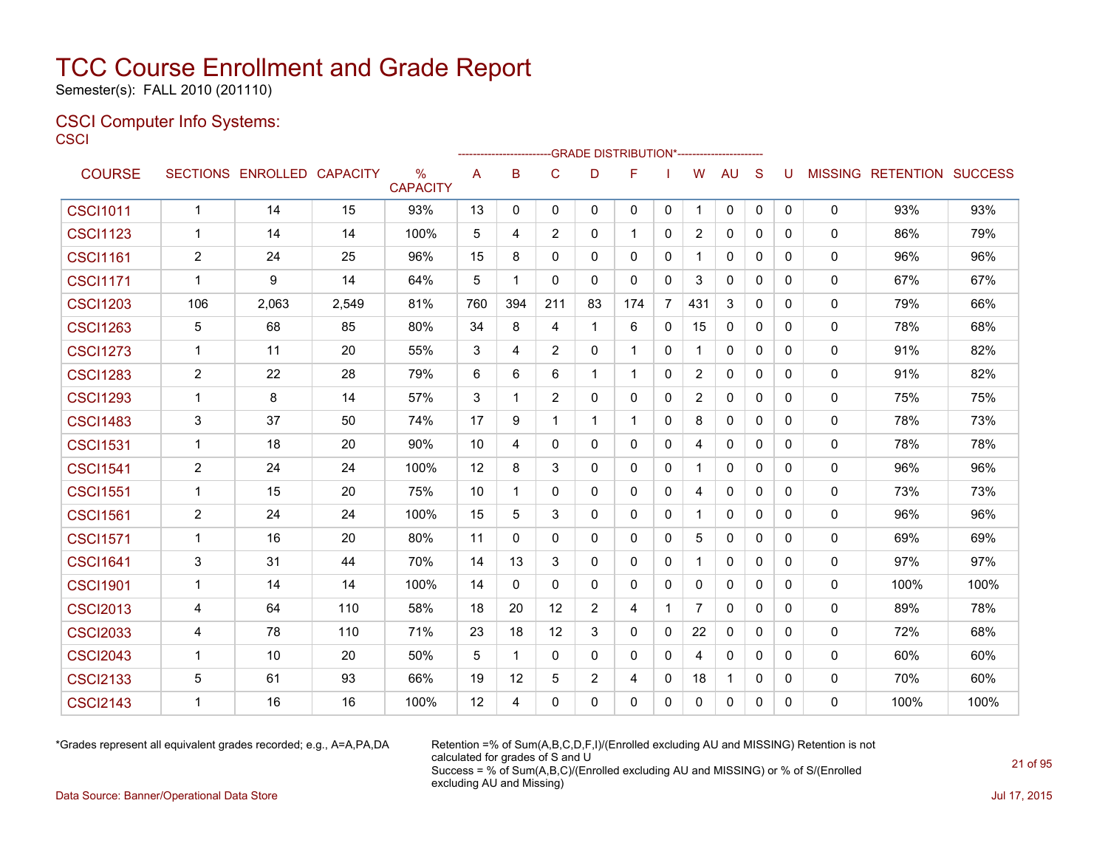Semester(s): FALL 2010 (201110)

### CSCI Computer Info Systems: **CSCI**

|                 |                |                            |       |                         |     |              |                |                | ------------------------GRADE                DISTRIBUTION*---------------------- |                |                |              |              |              |   |                                  |      |
|-----------------|----------------|----------------------------|-------|-------------------------|-----|--------------|----------------|----------------|----------------------------------------------------------------------------------|----------------|----------------|--------------|--------------|--------------|---|----------------------------------|------|
| <b>COURSE</b>   |                | SECTIONS ENROLLED CAPACITY |       | $\%$<br><b>CAPACITY</b> | A   | B            | $\mathsf{C}$   | D              | F                                                                                |                | W              | <b>AU</b>    | S            | U            |   | <b>MISSING RETENTION SUCCESS</b> |      |
| <b>CSCI1011</b> | $\mathbf{1}$   | 14                         | 15    | 93%                     | 13  | $\mathbf{0}$ | $\mathbf{0}$   | $\mathbf{0}$   | $\mathbf{0}$                                                                     | $\mathbf 0$    | $\mathbf 1$    | 0            | $\mathbf{0}$ | $\Omega$     | 0 | 93%                              | 93%  |
| <b>CSCI1123</b> | $\mathbf{1}$   | 14                         | 14    | 100%                    | 5   | 4            | 2              | $\mathbf{0}$   | $\mathbf 1$                                                                      | $\mathbf{0}$   | $\overline{2}$ | $\Omega$     | $\Omega$     | $\Omega$     | 0 | 86%                              | 79%  |
| <b>CSCI1161</b> | $\overline{2}$ | 24                         | 25    | 96%                     | 15  | 8            | $\Omega$       | $\Omega$       | $\Omega$                                                                         | 0              |                | $\Omega$     | $\Omega$     | $\Omega$     | 0 | 96%                              | 96%  |
| <b>CSCI1171</b> | -1             | 9                          | 14    | 64%                     | 5   | 1            | $\Omega$       | $\mathbf{0}$   | $\mathbf{0}$                                                                     | $\mathbf{0}$   | 3              | 0            | $\mathbf{0}$ | 0            | 0 | 67%                              | 67%  |
| <b>CSCI1203</b> | 106            | 2,063                      | 2,549 | 81%                     | 760 | 394          | 211            | 83             | 174                                                                              | $\overline{7}$ | 431            | 3            | $\mathbf{0}$ | 0            | 0 | 79%                              | 66%  |
| <b>CSCI1263</b> | 5              | 68                         | 85    | 80%                     | 34  | 8            | 4              | 1              | 6                                                                                | 0              | 15             | 0            | $\mathbf{0}$ | $\mathbf{0}$ | 0 | 78%                              | 68%  |
| <b>CSCI1273</b> | $\mathbf{1}$   | 11                         | 20    | 55%                     | 3   | 4            | $\overline{2}$ | $\mathbf{0}$   | $\mathbf 1$                                                                      | 0              | 1              | 0            | $\mathbf{0}$ | $\mathbf{0}$ | 0 | 91%                              | 82%  |
| <b>CSCI1283</b> | $\overline{2}$ | 22                         | 28    | 79%                     | 6   | 6            | 6              | $\mathbf 1$    | $\mathbf{1}$                                                                     | $\mathbf{0}$   | $\overline{2}$ | 0            | $\Omega$     | $\Omega$     | 0 | 91%                              | 82%  |
| <b>CSCI1293</b> | $\mathbf{1}$   | 8                          | 14    | 57%                     | 3   | 1            | 2              | $\mathbf{0}$   | $\mathbf{0}$                                                                     | 0              | $\overline{2}$ | 0            | $\mathbf{0}$ | 0            | 0 | 75%                              | 75%  |
| <b>CSCI1483</b> | 3              | 37                         | 50    | 74%                     | 17  | 9            | $\mathbf{1}$   | $\mathbf 1$    | $\mathbf 1$                                                                      | $\mathbf{0}$   | 8              | $\mathbf{0}$ | $\mathbf{0}$ | $\Omega$     | 0 | 78%                              | 73%  |
| <b>CSCI1531</b> | $\mathbf 1$    | 18                         | 20    | 90%                     | 10  | 4            | 0              | 0              | $\mathbf{0}$                                                                     | 0              | 4              | 0            | $\mathbf{0}$ | 0            | 0 | 78%                              | 78%  |
| <b>CSCI1541</b> | $\overline{2}$ | 24                         | 24    | 100%                    | 12  | 8            | 3              | $\mathbf{0}$   | $\mathbf{0}$                                                                     | 0              |                | 0            | $\mathbf{0}$ | $\mathbf{0}$ | 0 | 96%                              | 96%  |
| <b>CSCI1551</b> | 1              | 15                         | 20    | 75%                     | 10  | 1            | 0              | 0              | $\mathbf{0}$                                                                     | 0              | 4              | 0            | $\mathbf{0}$ | 0            | 0 | 73%                              | 73%  |
| <b>CSCI1561</b> | $\overline{2}$ | 24                         | 24    | 100%                    | 15  | 5            | 3              | 0              | $\Omega$                                                                         | 0              | 1              | 0            | 0            | 0            | 0 | 96%                              | 96%  |
| <b>CSCI1571</b> | -1             | 16                         | 20    | 80%                     | 11  | $\mathbf{0}$ | 0              | $\mathbf{0}$   | $\mathbf{0}$                                                                     | 0              | 5              | 0            | $\mathbf{0}$ | $\mathbf{0}$ | 0 | 69%                              | 69%  |
| <b>CSCI1641</b> | 3              | 31                         | 44    | 70%                     | 14  | 13           | 3              | $\mathbf{0}$   | $\mathbf{0}$                                                                     | 0              | 1              | $\Omega$     | $\mathbf{0}$ | $\mathbf{0}$ | 0 | 97%                              | 97%  |
| <b>CSCI1901</b> | $\mathbf{1}$   | 14                         | 14    | 100%                    | 14  | $\mathbf{0}$ | $\Omega$       | $\mathbf{0}$   | $\mathbf{0}$                                                                     | $\mathbf{0}$   | 0              | $\Omega$     | $\mathbf{0}$ | $\Omega$     | 0 | 100%                             | 100% |
| <b>CSCI2013</b> | 4              | 64                         | 110   | 58%                     | 18  | 20           | 12             | $\overline{2}$ | 4                                                                                | $\mathbf{1}$   | $\overline{7}$ | $\Omega$     | $\Omega$     | $\Omega$     | 0 | 89%                              | 78%  |
| <b>CSCI2033</b> | 4              | 78                         | 110   | 71%                     | 23  | 18           | 12             | 3              | $\mathbf{0}$                                                                     | $\mathbf{0}$   | 22             | $\Omega$     | $\Omega$     | $\Omega$     | 0 | 72%                              | 68%  |
| <b>CSCI2043</b> | -1             | 10                         | 20    | 50%                     | 5   | $\mathbf 1$  | $\mathbf{0}$   | $\mathbf{0}$   | $\mathbf{0}$                                                                     | $\mathbf{0}$   | 4              | $\Omega$     | $\mathbf{0}$ | $\Omega$     | 0 | 60%                              | 60%  |
| <b>CSCI2133</b> | 5              | 61                         | 93    | 66%                     | 19  | 12           | 5              | 2              | 4                                                                                | 0              | 18             | $\mathbf 1$  | $\mathbf{0}$ | $\Omega$     | 0 | 70%                              | 60%  |
| <b>CSCI2143</b> | -1             | 16                         | 16    | 100%                    | 12  | 4            | $\mathbf 0$    | $\mathbf{0}$   | $\mathbf{0}$                                                                     | $\Omega$       | 0              | $\Omega$     | $\mathbf{0}$ | 0            | 0 | 100%                             | 100% |

\*Grades represent all equivalent grades recorded; e.g., A=A,PA,DA Retention =% of Sum(A,B,C,D,F,I)/(Enrolled excluding AU and MISSING) Retention is not calculated for grades of S and U Success = % of Sum(A,B,C)/(Enrolled excluding AU and MISSING) or % of S/(Enrolled excluding AU and Missing)

Data Source: Banner/Operational Data Store Jul 17, 2015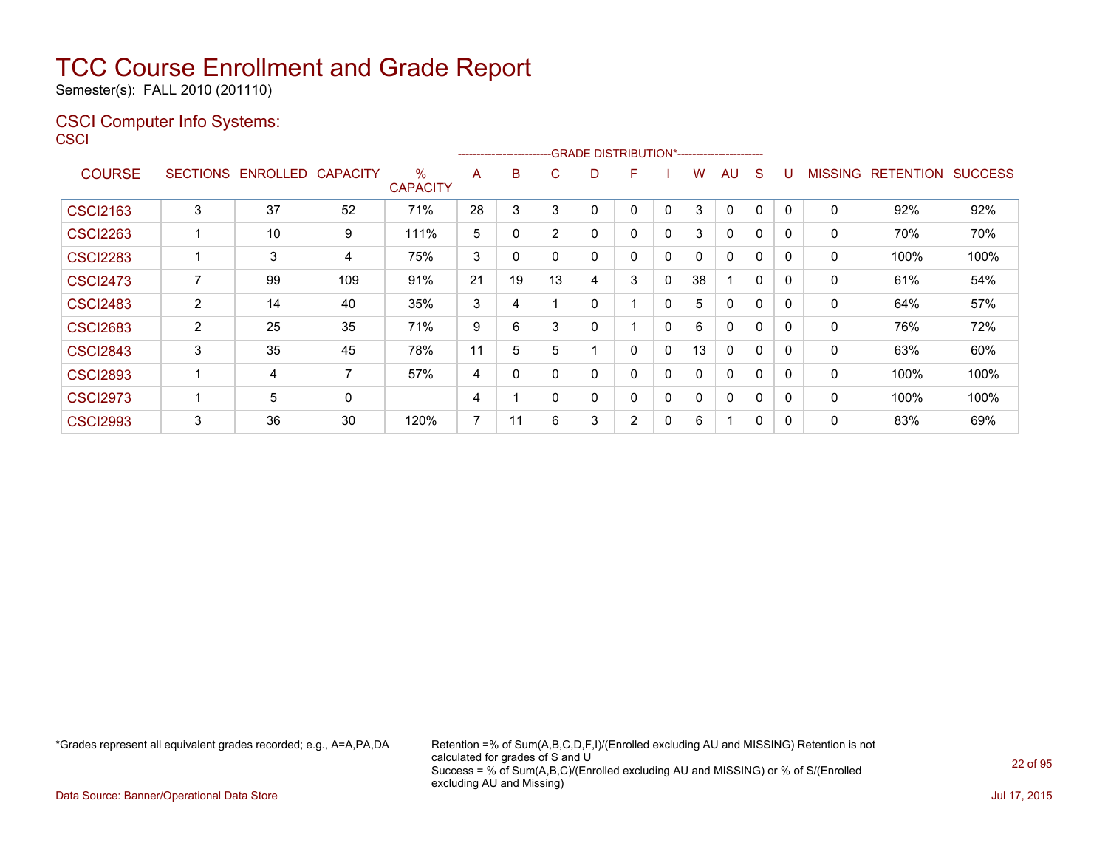Semester(s): FALL 2010 (201110)

### CSCI Computer Info Systems:

**CSCI** 

|                 |                 |                 |                 |                      |    | <u>------------------------GRADE DISTRIBUTION®</u> |             |   |          |              |    | `------------------------ |              |          |                |                  |                |
|-----------------|-----------------|-----------------|-----------------|----------------------|----|----------------------------------------------------|-------------|---|----------|--------------|----|---------------------------|--------------|----------|----------------|------------------|----------------|
| <b>COURSE</b>   | <b>SECTIONS</b> | <b>ENROLLED</b> | <b>CAPACITY</b> | %<br><b>CAPACITY</b> | A  | B                                                  | С           | D | F        |              | w  | AU                        | <sub>S</sub> |          | <b>MISSING</b> | <b>RETENTION</b> | <b>SUCCESS</b> |
| <b>CSCI2163</b> | 3               | 37              | 52              | 71%                  | 28 | 3                                                  | 3           | 0 | $\Omega$ | 0            | 3  | 0                         | 0            | $\Omega$ | $\Omega$       | 92%              | 92%            |
| <b>CSCI2263</b> |                 | 10              | 9               | 111%                 | 5  | 0                                                  | 2           | 0 |          | 0            | 3  | $\mathbf{0}$              | 0            |          | 0              | 70%              | 70%            |
| <b>CSCI2283</b> |                 | 3               | 4               | 75%                  | 3  | 0                                                  | $\mathbf 0$ | 0 | 0        | 0            |    | $\Omega$                  | 0            |          | 0              | 100%             | 100%           |
| <b>CSCI2473</b> |                 | 99              | 109             | 91%                  | 21 | 19                                                 | 13          | 4 | 3        | $\mathbf{0}$ | 38 |                           | 0            | 0        | $\mathbf{0}$   | 61%              | 54%            |
| <b>CSCI2483</b> | 2               | 14              | 40              | 35%                  | 3  | 4                                                  |             | 0 |          | 0            | 5  | 0                         | $\Omega$     |          | 0              | 64%              | 57%            |
| <b>CSCI2683</b> | $\overline{2}$  | 25              | 35              | 71%                  | 9  | 6                                                  | 3           | 0 |          | $\mathbf{0}$ | 6  | $\mathbf{0}$              | 0            | 0        | $\mathbf{0}$   | 76%              | 72%            |
| <b>CSCI2843</b> | 3               | 35              | 45              | 78%                  | 11 | 5                                                  | 5           |   | $\Omega$ | 0            | 13 | 0                         | $\Omega$     |          | 0              | 63%              | 60%            |
| <b>CSCI2893</b> |                 | 4               | 7               | 57%                  | 4  | $\Omega$                                           | 0           | 0 | 0        | 0            |    | $\mathbf{0}$              | 0            | 0        | 0              | 100%             | 100%           |
| <b>CSCI2973</b> |                 | 5               | 0               |                      | 4  |                                                    | 0           | 0 |          | 0            |    | $\mathbf{0}$              | 0            | 0        | 0              | 100%             | 100%           |
| <b>CSCI2993</b> | 3               | 36              | 30              | 120%                 | 7  | 11                                                 | 6           | 3 | 2        | 0            | 6  |                           | 0            |          | 0              | 83%              | 69%            |

-------------------------GRADE DISTRIBUTION\*-----------------------

\*Grades represent all equivalent grades recorded; e.g., A=A,PA,DA Retention =% of Sum(A,B,C,D,F,I)/(Enrolled excluding AU and MISSING) Retention is not calculated for grades of S and U Success = % of Sum(A,B,C)/(Enrolled excluding AU and MISSING) or % of S/(Enrolled excluding AU and Missing)

Data Source: Banner/Operational Data Store Jul 17, 2015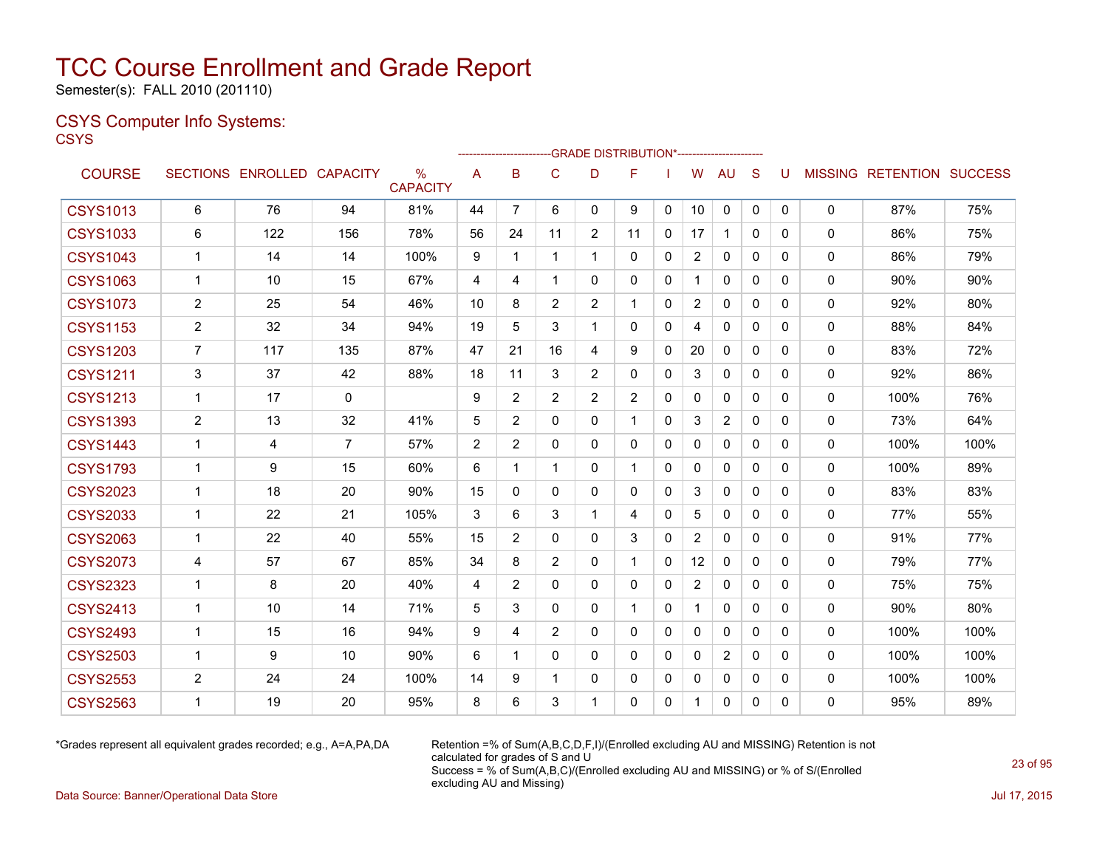Semester(s): FALL 2010 (201110)

### CSYS Computer Info Systems:

**CSYS** 

|                 |                |                   |                 |                                  |                |                |                |                | --------------------GRADE                       DISTRIBUTION*--------------------- |              |                       |                |              |   |              |                                  |      |
|-----------------|----------------|-------------------|-----------------|----------------------------------|----------------|----------------|----------------|----------------|------------------------------------------------------------------------------------|--------------|-----------------------|----------------|--------------|---|--------------|----------------------------------|------|
| <b>COURSE</b>   |                | SECTIONS ENROLLED | <b>CAPACITY</b> | $\frac{0}{0}$<br><b>CAPACITY</b> | A              | B              | C              | D              | F                                                                                  |              | W                     | AU             | S            | U |              | <b>MISSING RETENTION SUCCESS</b> |      |
| <b>CSYS1013</b> | 6              | 76                | 94              | 81%                              | 44             | $\overline{7}$ | 6              | 0              | 9                                                                                  | 0            | 10                    | 0              | $\mathbf 0$  | 0 | 0            | 87%                              | 75%  |
| <b>CSYS1033</b> | 6              | 122               | 156             | 78%                              | 56             | 24             | 11             | $\overline{2}$ | 11                                                                                 | $\Omega$     | 17                    | $\mathbf{1}$   | $\Omega$     | 0 | $\mathbf{0}$ | 86%                              | 75%  |
| <b>CSYS1043</b> | $\mathbf{1}$   | 14                | 14              | 100%                             | 9              | 1              | 1              |                | 0                                                                                  | $\mathbf{0}$ | $\overline{c}$        | $\mathbf{0}$   | $\Omega$     | 0 | 0            | 86%                              | 79%  |
| <b>CSYS1063</b> | 1              | 10                | 15              | 67%                              | 4              | 4              |                | 0              | 0                                                                                  | 0            | 1                     | $\mathbf{0}$   | 0            | 0 | 0            | 90%                              | 90%  |
| <b>CSYS1073</b> | $\overline{2}$ | 25                | 54              | 46%                              | 10             | 8              | $\overline{2}$ | $\overline{2}$ | 1                                                                                  | 0            | $\mathbf{2}^{\prime}$ | 0              | 0            | 0 | 0            | 92%                              | 80%  |
| <b>CSYS1153</b> | $\overline{2}$ | 32                | 34              | 94%                              | 19             | 5              | 3              | 1              | $\Omega$                                                                           | $\Omega$     | 4                     | $\mathbf{0}$   | $\Omega$     | 0 | 0            | 88%                              | 84%  |
| <b>CSYS1203</b> | $\overline{7}$ | 117               | 135             | 87%                              | 47             | 21             | 16             | 4              | 9                                                                                  | $\Omega$     | 20                    | $\mathbf{0}$   | $\mathbf{0}$ | 0 | 0            | 83%                              | 72%  |
| <b>CSYS1211</b> | 3              | 37                | 42              | 88%                              | 18             | 11             | 3              | $\overline{2}$ | 0                                                                                  | 0            | 3                     | $\mathbf{0}$   | $\mathbf{0}$ | 0 | 0            | 92%                              | 86%  |
| <b>CSYS1213</b> | $\mathbf{1}$   | 17                | $\mathbf 0$     |                                  | 9              | $\overline{2}$ | $\overline{2}$ | $\overline{2}$ | $\overline{2}$                                                                     | $\mathbf{0}$ | $\mathbf{0}$          | $\mathbf{0}$   | $\Omega$     | 0 | 0            | 100%                             | 76%  |
| <b>CSYS1393</b> | $\overline{2}$ | 13                | 32              | 41%                              | 5              | $\overline{2}$ | 0              | 0              | 1                                                                                  | $\Omega$     | 3                     | $\overline{2}$ | $\mathbf{0}$ | 0 | 0            | 73%                              | 64%  |
| <b>CSYS1443</b> | 1              | 4                 | 7               | 57%                              | $\overline{2}$ | $\overline{2}$ | 0              | 0              | 0                                                                                  | $\mathbf{0}$ | $\mathbf{0}$          | $\mathbf{0}$   | $\Omega$     | 0 | 0            | 100%                             | 100% |
| <b>CSYS1793</b> | $\mathbf{1}$   | 9                 | 15              | 60%                              | 6              | 1              |                | 0              | 1                                                                                  | $\Omega$     | $\mathbf{0}$          | $\mathbf{0}$   | $\mathbf{0}$ | 0 | $\mathbf{0}$ | 100%                             | 89%  |
| <b>CSYS2023</b> | $\mathbf 1$    | 18                | 20              | 90%                              | 15             | $\Omega$       | $\Omega$       | 0              | 0                                                                                  | $\mathbf{0}$ | 3                     | $\mathbf{0}$   | $\Omega$     | 0 | 0            | 83%                              | 83%  |
| <b>CSYS2033</b> | $\mathbf 1$    | 22                | 21              | 105%                             | 3              | 6              | 3              | $\mathbf{1}$   | 4                                                                                  | $\mathbf{0}$ | 5                     | $\mathbf{0}$   | $\mathbf{0}$ | 0 | 0            | 77%                              | 55%  |
| <b>CSYS2063</b> | $\mathbf 1$    | 22                | 40              | 55%                              | 15             | $\overline{2}$ | 0              | 0              | 3                                                                                  | $\Omega$     | $\overline{2}$        | $\mathbf{0}$   | $\Omega$     | 0 | 0            | 91%                              | 77%  |
| <b>CSYS2073</b> | 4              | 57                | 67              | 85%                              | 34             | 8              | $\overline{2}$ | 0              | $\mathbf{1}$                                                                       | 0            | 12                    | $\mathbf{0}$   | $\Omega$     | 0 | 0            | 79%                              | 77%  |
| <b>CSYS2323</b> | $\mathbf 1$    | 8                 | 20              | 40%                              | 4              | $\overline{2}$ | 0              | 0              | 0                                                                                  | $\Omega$     | $\overline{2}$        | $\mathbf{0}$   | $\Omega$     | 0 | 0            | 75%                              | 75%  |
| <b>CSYS2413</b> | -1             | 10                | 14              | 71%                              | 5              | 3              | $\mathbf{0}$   | 0              | 1                                                                                  | 0            | 1                     | $\mathbf{0}$   | $\Omega$     | 0 | 0            | 90%                              | 80%  |
| <b>CSYS2493</b> | $\mathbf 1$    | 15                | 16              | 94%                              | 9              | 4              | $\overline{2}$ | 0              | 0                                                                                  | $\mathbf{0}$ | 0                     | $\mathbf{0}$   | $\mathbf{0}$ | 0 | 0            | 100%                             | 100% |
| <b>CSYS2503</b> | $\mathbf 1$    | 9                 | 10              | 90%                              | 6              | 1              | 0              | 0              | $\Omega$                                                                           | $\Omega$     | $\mathbf{0}$          | 2              | $\Omega$     | 0 | 0            | 100%                             | 100% |
| <b>CSYS2553</b> | $\overline{2}$ | 24                | 24              | 100%                             | 14             | 9              |                | 0              | 0                                                                                  | 0            | $\Omega$              | $\mathbf{0}$   | 0            | 0 | 0            | 100%                             | 100% |
| <b>CSYS2563</b> | 1              | 19                | 20              | 95%                              | 8              | 6              | 3              |                | 0                                                                                  | 0            | $\mathbf 1$           | 0              | 0            | 0 | 0            | 95%                              | 89%  |

\*Grades represent all equivalent grades recorded; e.g., A=A,PA,DA Retention =% of Sum(A,B,C,D,F,I)/(Enrolled excluding AU and MISSING) Retention is not calculated for grades of S and U Success = % of Sum(A,B,C)/(Enrolled excluding AU and MISSING) or % of S/(Enrolled excluding AU and Missing)

Data Source: Banner/Operational Data Store Jul 17, 2015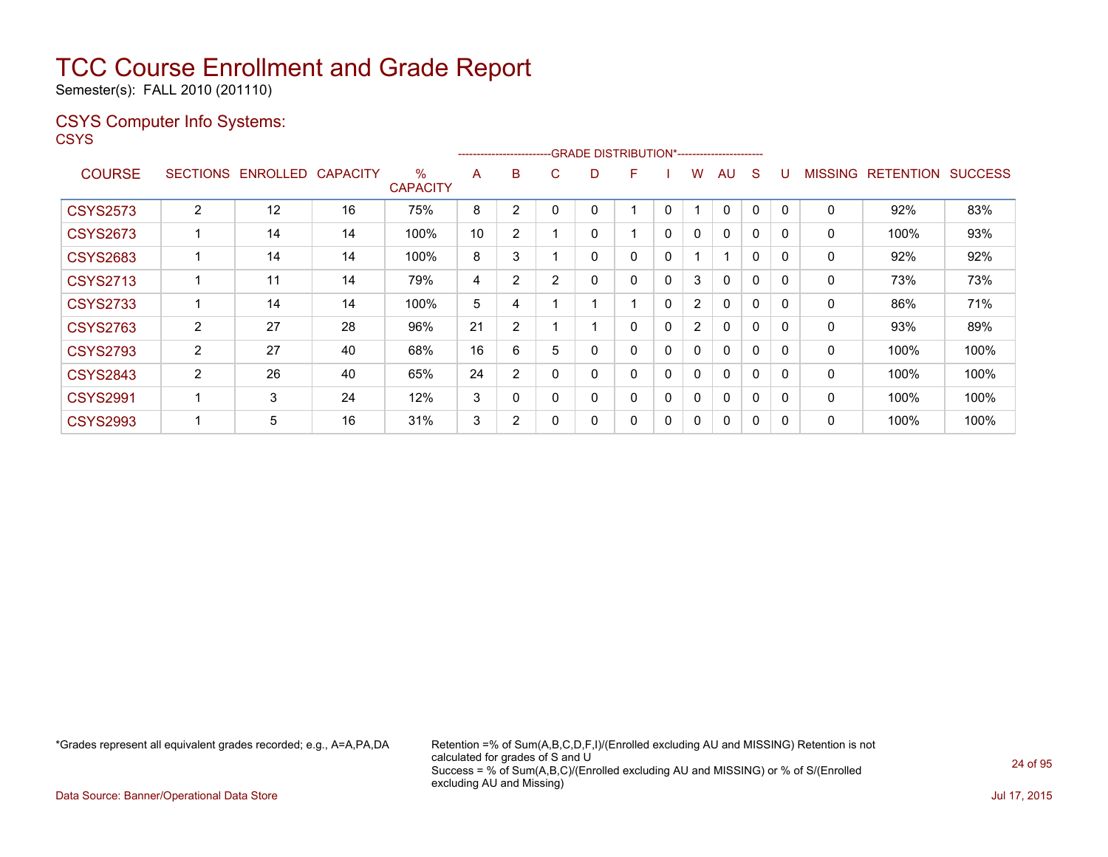Semester(s): FALL 2010 (201110)

### CSYS Computer Info Systems:

**CSYS** 

|                 |                 |          |                 |                         |    | ----------------------- |   |   | -GRADE DISTRIBUTION*----------------------- |              |                |              |              |              |                |                  |                |
|-----------------|-----------------|----------|-----------------|-------------------------|----|-------------------------|---|---|---------------------------------------------|--------------|----------------|--------------|--------------|--------------|----------------|------------------|----------------|
| <b>COURSE</b>   | <b>SECTIONS</b> | ENROLLED | <b>CAPACITY</b> | $\%$<br><b>CAPACITY</b> | A  | B                       | С | D | F                                           |              | W              | AU           | S            | U            | <b>MISSING</b> | <b>RETENTION</b> | <b>SUCCESS</b> |
| <b>CSYS2573</b> | $\overline{2}$  | 12       | 16              | 75%                     | 8  | 2                       |   | 0 |                                             | 0            |                | $\Omega$     | $\Omega$     | 0            | 0              | 92%              | 83%            |
| <b>CSYS2673</b> |                 | 14       | 14              | 100%                    | 10 | $\overline{2}$          |   | 0 |                                             | $\mathbf{0}$ | $\mathbf{0}$   | $\mathbf{0}$ | $\mathbf{0}$ | $\mathbf{0}$ | 0              | 100%             | 93%            |
| <b>CSYS2683</b> |                 | 14       | 14              | 100%                    | 8  | 3                       |   | 0 | 0                                           | 0            |                |              | 0            | $\mathbf{0}$ | 0              | 92%              | 92%            |
| <b>CSYS2713</b> |                 | 11       | 14              | 79%                     | 4  | $\overline{2}$          | 2 | 0 | 0                                           | 0            | 3              | $\mathbf{0}$ | $\Omega$     | $\mathbf{0}$ | 0              | 73%              | 73%            |
| <b>CSYS2733</b> |                 | 14       | 14              | 100%                    | 5  | 4                       |   |   | 1                                           | 0            | $\overline{2}$ | $\mathbf{0}$ | 0            | $\mathbf{0}$ | $\mathbf{0}$   | 86%              | 71%            |
| <b>CSYS2763</b> | $\overline{2}$  | 27       | 28              | 96%                     | 21 | $\overline{2}$          |   |   | 0                                           | 0            | $\overline{2}$ | $\mathbf{0}$ | 0            | 0            | $\mathbf{0}$   | 93%              | 89%            |
| <b>CSYS2793</b> | $\overline{2}$  | 27       | 40              | 68%                     | 16 | 6                       | 5 | 0 | 0                                           | 0            | 0              | $\mathbf{0}$ | $\Omega$     | $\Omega$     | $\mathbf{0}$   | 100%             | 100%           |
| <b>CSYS2843</b> | $\overline{2}$  | 26       | 40              | 65%                     | 24 | $\overline{2}$          | 0 | 0 | 0                                           | $\Omega$     | 0              | $\mathbf{0}$ | $\Omega$     | $\Omega$     | $\mathbf{0}$   | 100%             | 100%           |
| <b>CSYS2991</b> |                 | 3        | 24              | 12%                     | 3  | $\mathbf{0}$            |   | 0 | 0                                           | 0            | 0              | $\mathbf{0}$ | $\Omega$     | 0            | $\mathbf{0}$   | 100%             | 100%           |
| <b>CSYS2993</b> |                 | 5        | 16              | 31%                     | 3  | $\overline{2}$          |   | 0 | 0                                           | 0            | 0              | $\Omega$     | 0            |              | 0              | 100%             | 100%           |

\*Grades represent all equivalent grades recorded; e.g., A=A,PA,DA Retention =% of Sum(A,B,C,D,F,I)/(Enrolled excluding AU and MISSING) Retention is not calculated for grades of S and U Success = % of Sum(A,B,C)/(Enrolled excluding AU and MISSING) or % of S/(Enrolled excluding AU and Missing)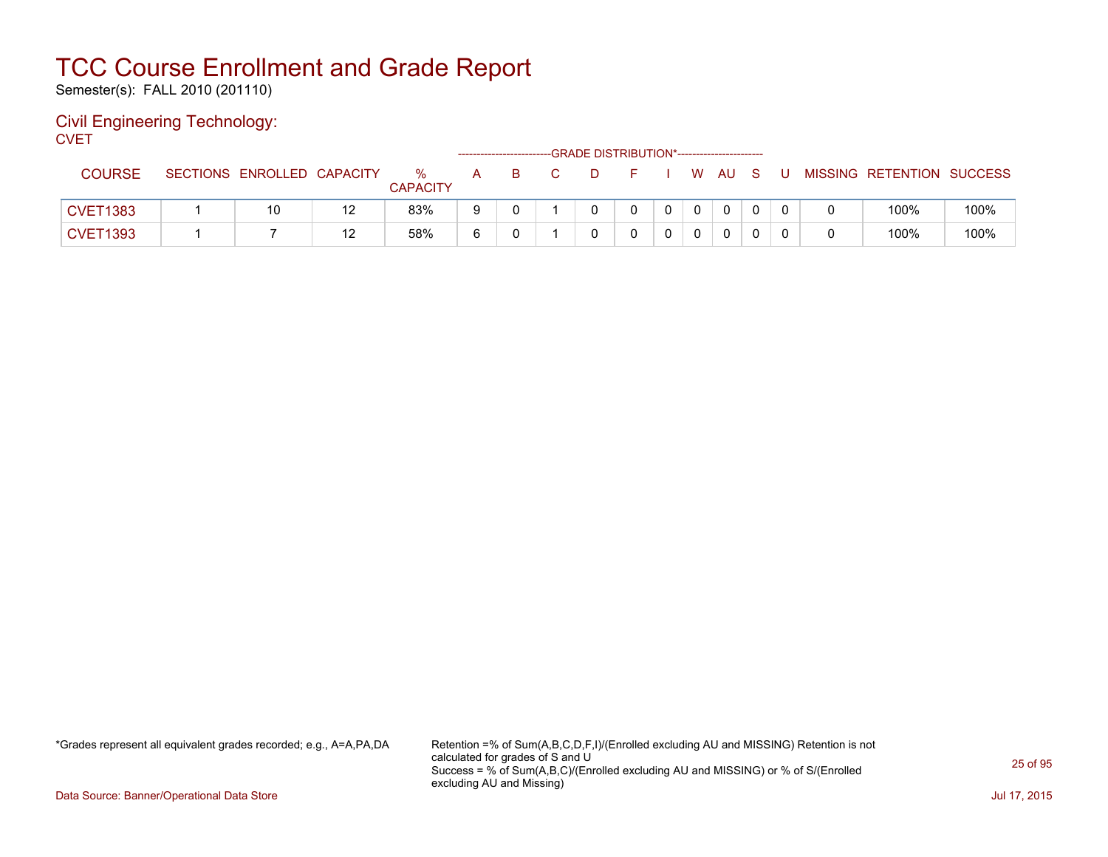Semester(s): FALL 2010 (201110)

### Civil Engineering Technology: **CVET**

| - - - - -       |                            |    |                      |   |    | -GRADE DISTRIBUTION*----------------------- |    |  |              |     |   |                           |      |
|-----------------|----------------------------|----|----------------------|---|----|---------------------------------------------|----|--|--------------|-----|---|---------------------------|------|
| <b>COURSE</b>   | SECTIONS ENROLLED CAPACITY |    | %<br><b>CAPACITY</b> | A | -B | $\Box$ D                                    | F. |  | W AU         | - S | U | MISSING RETENTION SUCCESS |      |
| <b>CVET1383</b> | 10                         | 12 | 83%                  |   |    |                                             |    |  | $\mathbf{0}$ |     |   | 100%                      | 100% |
| <b>CVET1393</b> |                            | 12 | 58%                  |   |    |                                             |    |  | 0            |     |   | 100%                      | 100% |

\*Grades represent all equivalent grades recorded; e.g., A=A,PA,DA Retention =% of Sum(A,B,C,D,F,I)/(Enrolled excluding AU and MISSING) Retention is not calculated for grades of S and U Success = % of Sum(A,B,C)/(Enrolled excluding AU and MISSING) or % of S/(Enrolled excluding AU and Missing)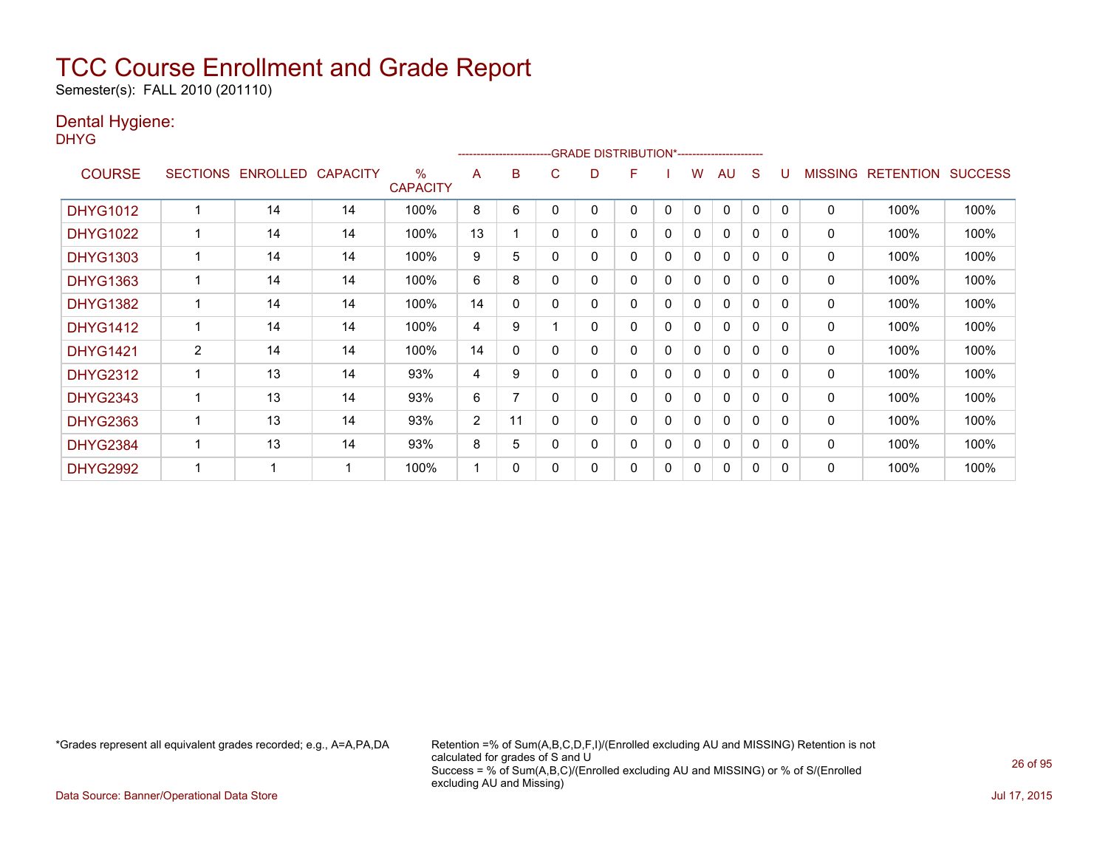Semester(s): FALL 2010 (201110)

### Dental Hygiene:

DHYG

|                 |                 |          |                 |                      |    | ---------------------- |   | -GRADE DISTRIBUTION*---------------------- |   |   |   |              |              |          |                |                  |                |
|-----------------|-----------------|----------|-----------------|----------------------|----|------------------------|---|--------------------------------------------|---|---|---|--------------|--------------|----------|----------------|------------------|----------------|
| <b>COURSE</b>   | <b>SECTIONS</b> | ENROLLED | <b>CAPACITY</b> | %<br><b>CAPACITY</b> | A  | в                      | C | D                                          | F |   | W | AU           | S            |          | <b>MISSING</b> | <b>RETENTION</b> | <b>SUCCESS</b> |
| <b>DHYG1012</b> |                 | 14       | 14              | 100%                 | 8  | 6                      |   | 0                                          | 0 | 0 | 0 | 0            | 0            | 0        | 0              | 100%             | 100%           |
| <b>DHYG1022</b> |                 | 14       | 14              | 100%                 | 13 |                        | 0 | 0                                          | 0 | 0 | 0 | $\Omega$     | 0            | $\Omega$ | 0              | 100%             | 100%           |
| <b>DHYG1303</b> |                 | 14       | 14              | 100%                 | 9  | 5                      | 0 | 0                                          | 0 | 0 | 0 | 0            | 0            | 0        | 0              | 100%             | 100%           |
| <b>DHYG1363</b> |                 | 14       | 14              | 100%                 | 6  | 8                      |   | 0                                          | 0 | 0 | 0 | $\Omega$     | $\mathbf{0}$ | $\Omega$ | 0              | 100%             | 100%           |
| <b>DHYG1382</b> |                 | 14       | 14              | 100%                 | 14 | 0                      |   | 0                                          | 0 | 0 | 0 | 0            | 0            | 0        | 0              | 100%             | 100%           |
| <b>DHYG1412</b> |                 | 14       | 14              | 100%                 | 4  | 9                      |   | 0                                          | 0 | 0 | 0 | 0            | 0            | 0        | 0              | 100%             | 100%           |
| <b>DHYG1421</b> | 2               | 14       | 14              | 100%                 | 14 | $\mathbf{0}$           | 0 | 0                                          | 0 | 0 | 0 | 0            | $\mathbf{0}$ | 0        | 0              | 100%             | 100%           |
| <b>DHYG2312</b> |                 | 13       | 14              | 93%                  | 4  | 9                      | 0 | 0                                          | 0 | 0 | 0 | 0            | 0            | 0        | 0              | 100%             | 100%           |
| <b>DHYG2343</b> |                 | 13       | 14              | 93%                  | 6  | 7                      |   | 0                                          | 0 | 0 | 0 | 0            | 0            | 0        | 0              | 100%             | 100%           |
| <b>DHYG2363</b> |                 | 13       | 14              | 93%                  | 2  | 11                     | 0 | 0                                          | 0 | 0 | 0 | $\mathbf{0}$ | $\mathbf{0}$ | $\Omega$ | 0              | 100%             | 100%           |
| <b>DHYG2384</b> |                 | 13       | 14              | 93%                  | 8  | 5                      | ი | 0                                          | 0 | 0 | 0 | $\mathbf{0}$ | $\Omega$     | 0        | 0              | 100%             | 100%           |
| <b>DHYG2992</b> |                 |          |                 | 100%                 |    | 0                      |   | 0                                          | 0 | 0 | 0 | 0            | 0            | 0        | 0              | 100%             | 100%           |

\*Grades represent all equivalent grades recorded; e.g., A=A,PA,DA Retention =% of Sum(A,B,C,D,F,I)/(Enrolled excluding AU and MISSING) Retention is not calculated for grades of S and U Success = % of Sum(A,B,C)/(Enrolled excluding AU and MISSING) or % of S/(Enrolled excluding AU and Missing)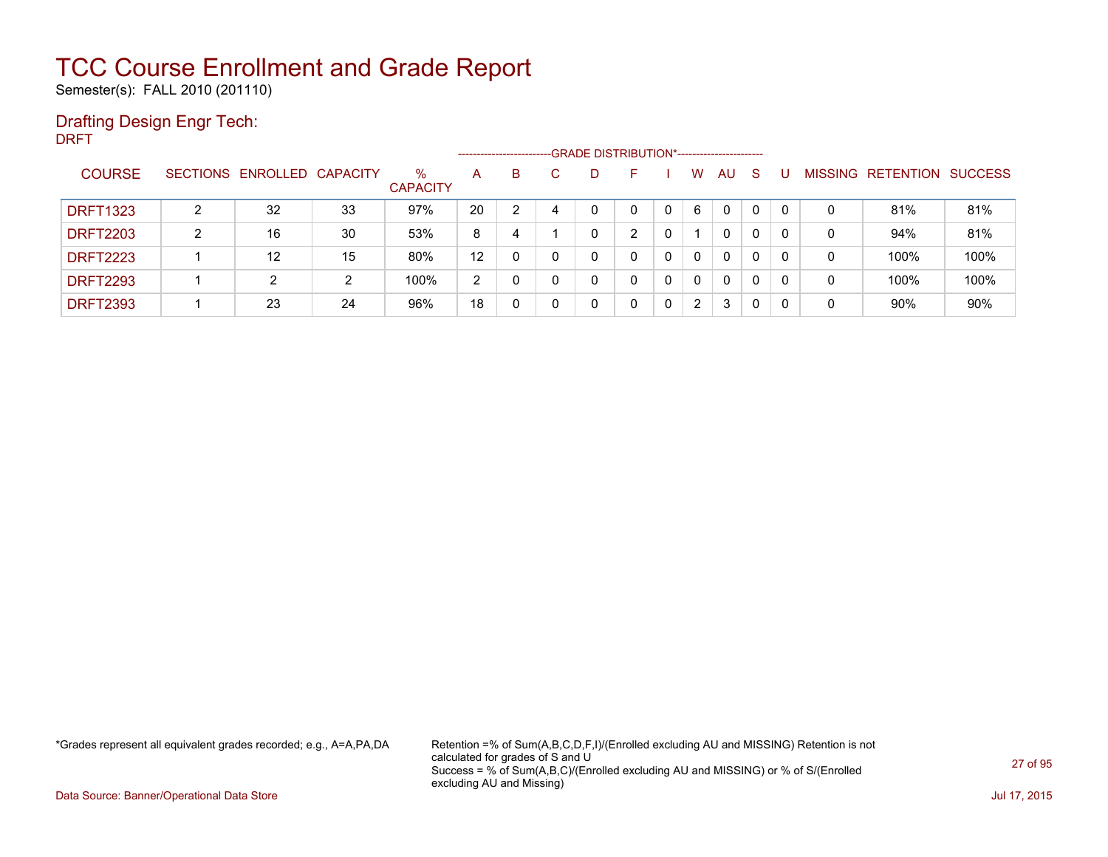Semester(s): FALL 2010 (201110)

### Drafting Design Engr Tech:

DRFT

|                 |   |                            |    |                         |    | -------------------------- | -GRADE DISTRIBUTION*----------------------- |   |   |              |          |          |          |         |                  |                |
|-----------------|---|----------------------------|----|-------------------------|----|----------------------------|---------------------------------------------|---|---|--------------|----------|----------|----------|---------|------------------|----------------|
| <b>COURSE</b>   |   | SECTIONS ENROLLED CAPACITY |    | $\%$<br><b>CAPACITY</b> | A  | B                          | D                                           |   |   | w            | AU       | S        |          | MISSING | <b>RETENTION</b> | <b>SUCCESS</b> |
| <b>DRFT1323</b> | າ | 32                         | 33 | 97%                     | 20 |                            | 0                                           |   | 0 | 6            | $\Omega$ |          | 0        | 0       | 81%              | 81%            |
| <b>DRFT2203</b> | າ | 16                         | 30 | 53%                     | 8  | 4                          | 0                                           | ົ |   |              | 0        | 0        | 0        | 0       | 94%              | 81%            |
| <b>DRFT2223</b> |   | 12                         | 15 | 80%                     | 12 |                            | 0                                           |   | 0 | $\mathbf{0}$ | 0        | 0        | 0        | 0       | 100%             | 100%           |
| <b>DRFT2293</b> |   | 2                          | 2  | 100%                    | 2  |                            | 0                                           | 0 | 0 | $\mathbf{0}$ | 0        | $\Omega$ | $\Omega$ | 0       | 100%             | 100%           |
| <b>DRFT2393</b> |   | 23                         | 24 | 96%                     | 18 | 0                          | 0                                           | 0 | 0 | 2            | 3        | 0        | 0        | 0       | 90%              | 90%            |

\*Grades represent all equivalent grades recorded; e.g., A=A,PA,DA Retention =% of Sum(A,B,C,D,F,I)/(Enrolled excluding AU and MISSING) Retention is not calculated for grades of S and U Success = % of Sum(A,B,C)/(Enrolled excluding AU and MISSING) or % of S/(Enrolled excluding AU and Missing)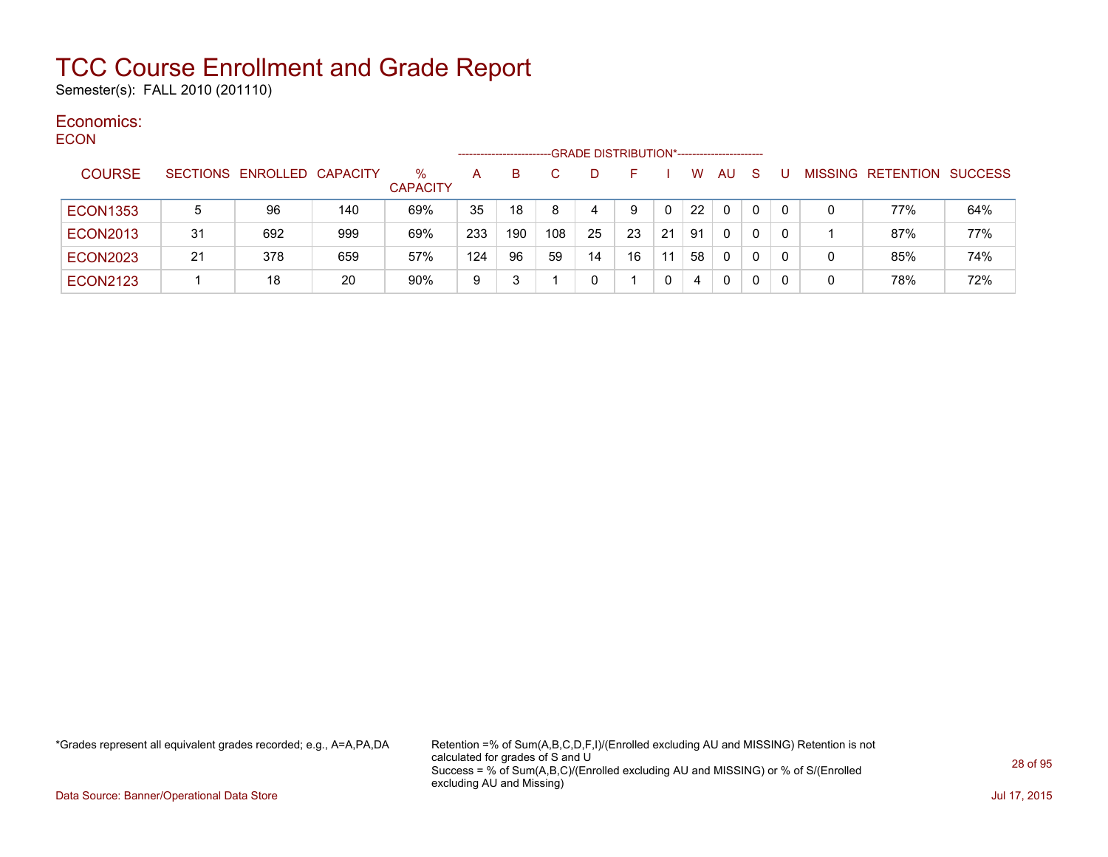Semester(s): FALL 2010 (201110)

#### Economics: ECON

| ᆫᇰᇰᇅ            |    |                            |     |                      | ----------------- |     |     | -GRADE DISTRIBUTION*----------------------- |    |    |    |           |              |    |   |                           |     |
|-----------------|----|----------------------------|-----|----------------------|-------------------|-----|-----|---------------------------------------------|----|----|----|-----------|--------------|----|---|---------------------------|-----|
| <b>COURSE</b>   |    | SECTIONS ENROLLED CAPACITY |     | %<br><b>CAPACITY</b> | A                 | B.  |     | D                                           |    |    | W  | <b>AU</b> | <sub>S</sub> |    |   | MISSING RETENTION SUCCESS |     |
| <b>ECON1353</b> | 5  | 96                         | 140 | 69%                  | 35                | 18  |     | 4                                           | 9  |    | 22 | 0         | 0            |    |   | 77%                       | 64% |
| <b>ECON2013</b> | 31 | 692                        | 999 | 69%                  | 233               | 190 | 108 | 25                                          | 23 | 21 | 91 | $\Omega$  | 0            | 0  |   | 87%                       | 77% |
| <b>ECON2023</b> | 21 | 378                        | 659 | 57%                  | 124               | 96  | 59  | 14                                          | 16 | 11 | 58 | $\Omega$  | 0            | 0  | 0 | 85%                       | 74% |
| <b>ECON2123</b> |    | 18                         | 20  | 90%                  | 9                 |     |     | 0                                           |    |    | 4  | 0         | 0            | -0 | 0 | 78%                       | 72% |

\*Grades represent all equivalent grades recorded; e.g., A=A,PA,DA Retention =% of Sum(A,B,C,D,F,I)/(Enrolled excluding AU and MISSING) Retention is not calculated for grades of S and U Success = % of Sum(A,B,C)/(Enrolled excluding AU and MISSING) or % of S/(Enrolled excluding AU and Missing)

Data Source: Banner/Operational Data Store Jul 17, 2015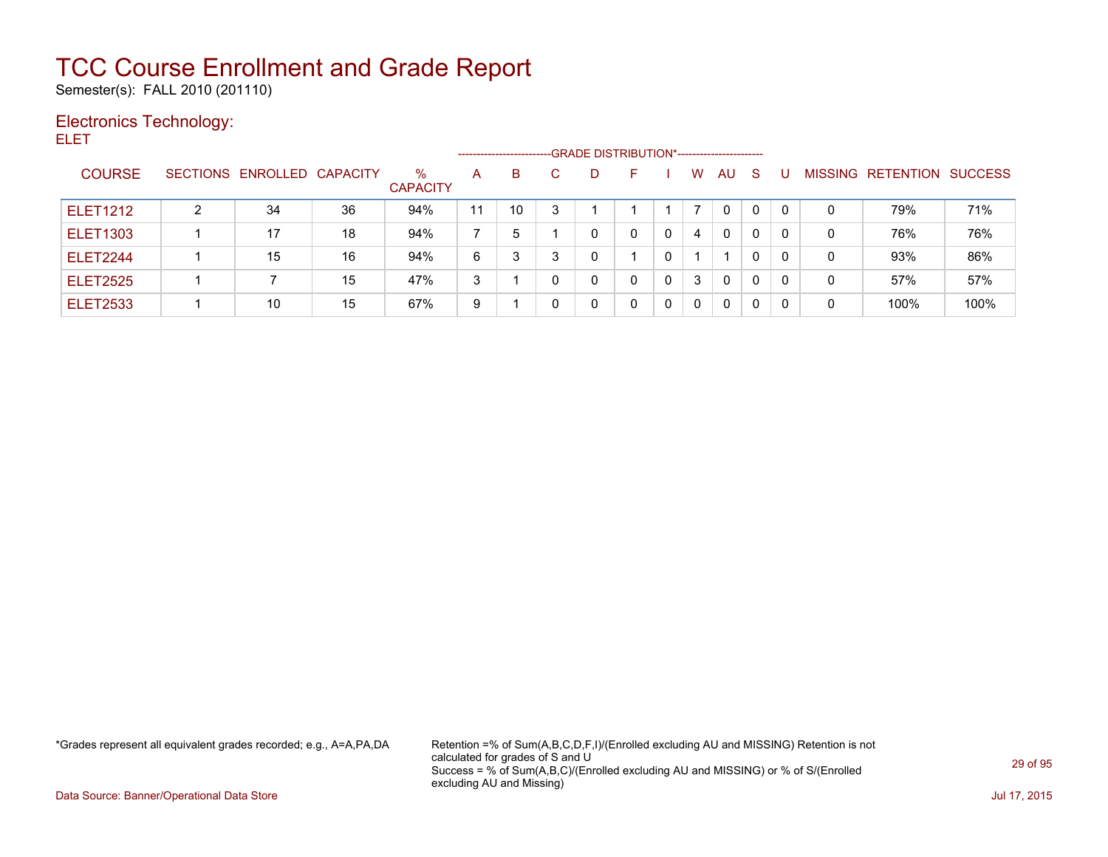Semester(s): FALL 2010 (201110)

### Electronics Technology: ELET

| ____            |   |                            |    |                      | --------------------- |    |   | -GRADE DISTRIBUTION*----------------------- |    |   |   |          |              |   |   |                                  |      |
|-----------------|---|----------------------------|----|----------------------|-----------------------|----|---|---------------------------------------------|----|---|---|----------|--------------|---|---|----------------------------------|------|
| <b>COURSE</b>   |   | SECTIONS ENROLLED CAPACITY |    | %<br><b>CAPACITY</b> | A                     | B  | C | D.                                          | F. |   | W | AU       | <sub>S</sub> | U |   | <b>MISSING RETENTION SUCCESS</b> |      |
| <b>ELET1212</b> | 2 | 34                         | 36 | 94%                  | 11                    | 10 | 3 |                                             |    |   |   | 0        | 0            | 0 | 0 | 79%                              | 71%  |
| <b>ELET1303</b> |   | 17                         | 18 | 94%                  |                       | 5  |   | 0                                           |    | 0 | 4 | 0        | 0            |   | 0 | 76%                              | 76%  |
| <b>ELET2244</b> |   | 15                         | 16 | 94%                  | 6                     | 3  | 3 | 0                                           |    | 0 |   |          | 0            | 0 | 0 | 93%                              | 86%  |
| <b>ELET2525</b> |   |                            | 15 | 47%                  | 3                     |    |   | 0                                           |    | 0 | 3 | 0        | 0            |   | 0 | 57%                              | 57%  |
| <b>ELET2533</b> |   | 10                         | 15 | 67%                  | 9                     |    |   | 0                                           |    | 0 | 0 | $\Omega$ | 0            | 0 | 0 | 100%                             | 100% |

\*Grades represent all equivalent grades recorded; e.g., A=A,PA,DA Retention =% of Sum(A,B,C,D,F,I)/(Enrolled excluding AU and MISSING) Retention is not calculated for grades of S and U Success = % of Sum(A,B,C)/(Enrolled excluding AU and MISSING) or % of S/(Enrolled excluding AU and Missing)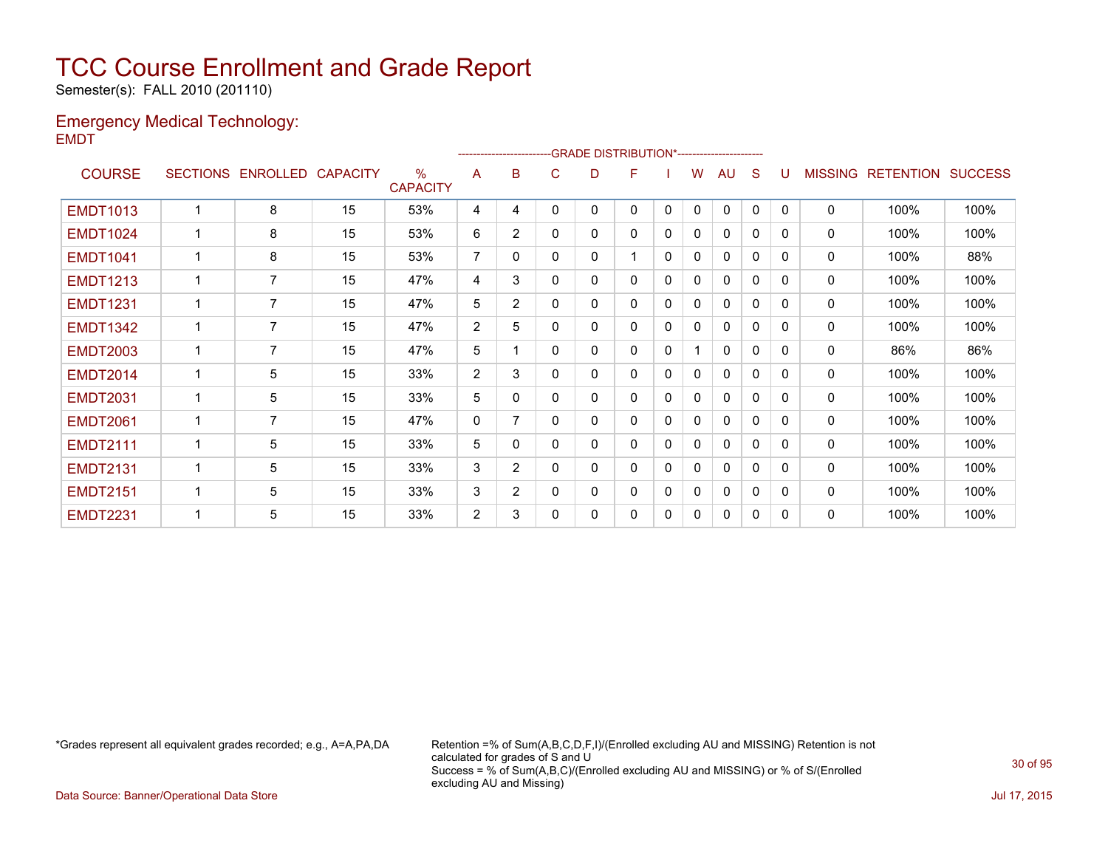Semester(s): FALL 2010 (201110)

### Emergency Medical Technology: EMDT

|                 |                 |                 |                 |                         |                | ------------------------ |          | -GRADE DISTRIBUTION*---------------------- |   |              |          |              |              |          |                |                  |                |
|-----------------|-----------------|-----------------|-----------------|-------------------------|----------------|--------------------------|----------|--------------------------------------------|---|--------------|----------|--------------|--------------|----------|----------------|------------------|----------------|
| <b>COURSE</b>   | <b>SECTIONS</b> | <b>ENROLLED</b> | <b>CAPACITY</b> | $\%$<br><b>CAPACITY</b> | A              | в                        | C        | D                                          | F |              | w        | AU           | S            |          | <b>MISSING</b> | <b>RETENTION</b> | <b>SUCCESS</b> |
| <b>EMDT1013</b> | $\overline{ }$  | 8               | 15              | 53%                     | 4              | 4                        | $\Omega$ | 0                                          | 0 | $\mathbf{0}$ | $\Omega$ | $\mathbf{0}$ | $\mathbf{0}$ | $\Omega$ | $\mathbf 0$    | 100%             | 100%           |
| <b>EMDT1024</b> |                 | 8               | 15              | 53%                     | 6              | $\overline{2}$           | 0        | 0                                          | 0 | 0            | 0        | 0            | 0            | 0        | 0              | 100%             | 100%           |
| <b>EMDT1041</b> |                 | 8               | 15              | 53%                     | $\overline{7}$ | 0                        | 0        | 0                                          | 1 | 0            | 0        | $\mathbf{0}$ | 0            | 0        | 0              | 100%             | 88%            |
| <b>EMDT1213</b> | 1               | $\overline{7}$  | 15              | 47%                     | 4              | 3                        | 0        | 0                                          | 0 | 0            | $\Omega$ | 0            | 0            | 0        | 0              | 100%             | 100%           |
| <b>EMDT1231</b> | 1               | 7               | 15              | 47%                     | 5              | $\overline{2}$           | 0        | 0                                          | 0 | 0            | 0        | $\Omega$     | 0            | 0        | 0              | 100%             | 100%           |
| <b>EMDT1342</b> | 1               | $\overline{7}$  | 15              | 47%                     | 2              | 5                        | 0        | 0                                          | 0 | 0            | 0        | $\mathbf{0}$ | $\Omega$     | 0        | $\mathbf 0$    | 100%             | 100%           |
| <b>EMDT2003</b> | 1               | $\overline{7}$  | 15              | 47%                     | 5              | 1                        | 0        | 0                                          | 0 | 0            |          | 0            | 0            | 0        | 0              | 86%              | 86%            |
| <b>EMDT2014</b> |                 | 5               | 15              | 33%                     | $\overline{2}$ | 3                        | 0        | 0                                          | 0 | 0            | 0        | 0            | 0            | 0        | 0              | 100%             | 100%           |
| <b>EMDT2031</b> | 1               | 5               | 15              | 33%                     | 5              | 0                        | 0        | 0                                          | 0 | 0            | 0        | $\mathbf{0}$ | 0            | 0        | $\mathbf{0}$   | 100%             | 100%           |
| <b>EMDT2061</b> |                 | 7               | 15              | 47%                     | 0              |                          | 0        | 0                                          | 0 | 0            | 0        | 0            | $\mathbf{0}$ | 0        | 0              | 100%             | 100%           |
| <b>EMDT2111</b> | 1               | 5               | 15              | 33%                     | 5              | $\mathbf{0}$             | 0        | 0                                          | 0 | 0            | 0        | $\mathbf{0}$ | 0            | 0        | 0              | 100%             | 100%           |
| <b>EMDT2131</b> | 1               | 5               | 15              | 33%                     | 3              | $\overline{2}$           | 0        | 0                                          | 0 | 0            | 0        | 0            | 0            | 0        | 0              | 100%             | 100%           |
| <b>EMDT2151</b> |                 | 5               | 15              | 33%                     | 3              | $\overline{2}$           | 0        | 0                                          | 0 | 0            | $\Omega$ | $\mathbf{0}$ | $\mathbf{0}$ | 0        | 0              | 100%             | 100%           |
| <b>EMDT2231</b> |                 | 5               | 15              | 33%                     | $\overline{2}$ | 3                        | 0        | 0                                          | 0 | 0            | 0        | 0            | 0            | 0        | 0              | 100%             | 100%           |

\*Grades represent all equivalent grades recorded; e.g., A=A,PA,DA Retention =% of Sum(A,B,C,D,F,I)/(Enrolled excluding AU and MISSING) Retention is not calculated for grades of S and U Success = % of Sum(A,B,C)/(Enrolled excluding AU and MISSING) or % of S/(Enrolled excluding AU and Missing)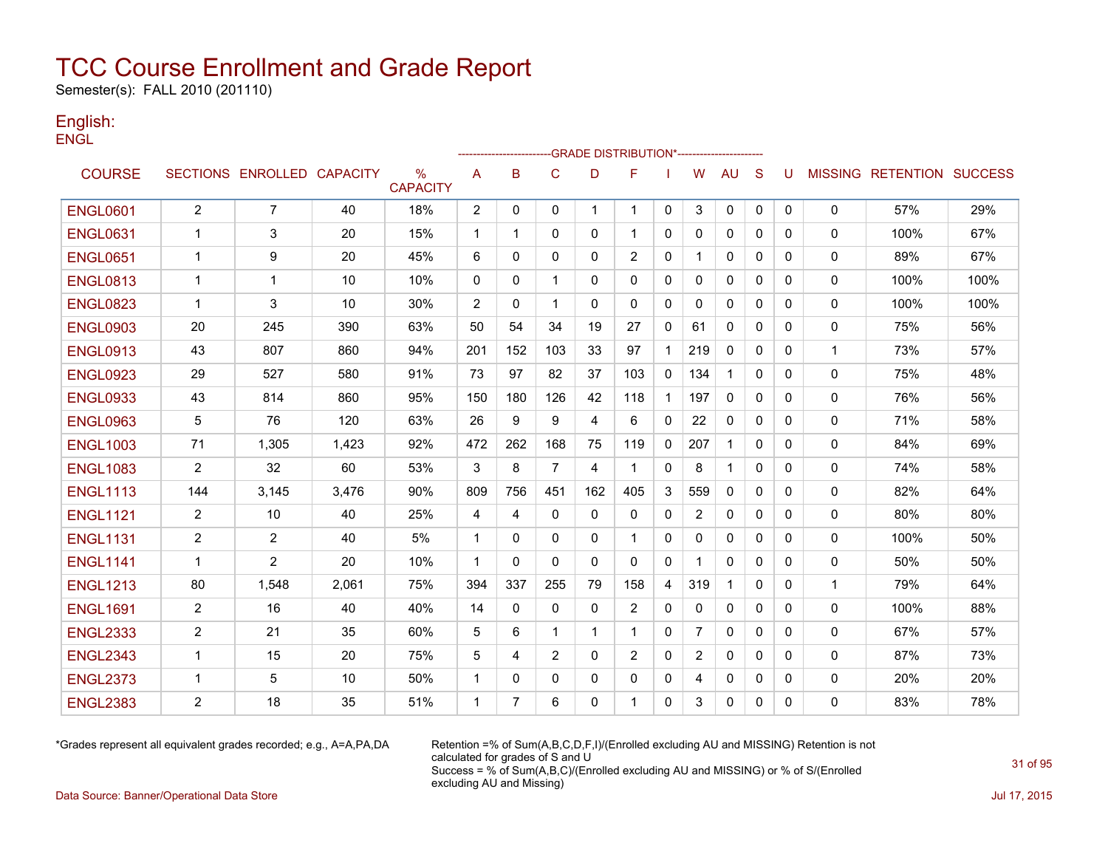Semester(s): FALL 2010 (201110)

### English: **ENGL**

|                 |                |                            |       |                      |                |              |                |              | -------------------GRADE                        DISTRIBUTION*--------------------- |              |                |              |              |              |              |                                  |      |
|-----------------|----------------|----------------------------|-------|----------------------|----------------|--------------|----------------|--------------|------------------------------------------------------------------------------------|--------------|----------------|--------------|--------------|--------------|--------------|----------------------------------|------|
| <b>COURSE</b>   |                | SECTIONS ENROLLED CAPACITY |       | %<br><b>CAPACITY</b> | A              | B            | $\mathsf{C}$   | D            | F                                                                                  |              | W              | <b>AU</b>    | S            | U            |              | <b>MISSING RETENTION SUCCESS</b> |      |
| <b>ENGL0601</b> | $\overline{2}$ | $\overline{7}$             | 40    | 18%                  | $\overline{2}$ | 0            | 0              | $\mathbf 1$  | $\mathbf 1$                                                                        | $\mathbf 0$  | 3              | 0            | 0            | $\mathbf{0}$ | $\mathbf 0$  | 57%                              | 29%  |
| <b>ENGL0631</b> | -1             | 3                          | 20    | 15%                  | $\mathbf{1}$   | 1            | 0              | 0            | $\mathbf 1$                                                                        | 0            | 0              | $\mathbf{0}$ | 0            | 0            | 0            | 100%                             | 67%  |
| <b>ENGL0651</b> | $\mathbf 1$    | 9                          | 20    | 45%                  | 6              | 0            | 0              | $\mathbf{0}$ | 2                                                                                  | 0            | 1              | 0            | $\mathbf{0}$ | 0            | 0            | 89%                              | 67%  |
| <b>ENGL0813</b> | -1             | 1                          | 10    | 10%                  | 0              | $\mathbf{0}$ | $\mathbf 1$    | $\mathbf{0}$ | $\mathbf{0}$                                                                       | $\mathbf{0}$ | 0              | 0            | $\Omega$     | 0            | 0            | 100%                             | 100% |
| <b>ENGL0823</b> | -1             | 3                          | 10    | 30%                  | $\overline{2}$ | $\mathbf{0}$ | $\mathbf 1$    | $\mathbf{0}$ | $\mathbf{0}$                                                                       | $\mathbf{0}$ | 0              | $\mathbf{0}$ | 0            | 0            | $\mathbf{0}$ | 100%                             | 100% |
| <b>ENGL0903</b> | 20             | 245                        | 390   | 63%                  | 50             | 54           | 34             | 19           | 27                                                                                 | 0            | 61             | 0            | $\mathbf{0}$ | 0            | 0            | 75%                              | 56%  |
| <b>ENGL0913</b> | 43             | 807                        | 860   | 94%                  | 201            | 152          | 103            | 33           | 97                                                                                 | 1            | 219            | 0            | $\mathbf{0}$ | 0            | $\mathbf{1}$ | 73%                              | 57%  |
| <b>ENGL0923</b> | 29             | 527                        | 580   | 91%                  | 73             | 97           | 82             | 37           | 103                                                                                | 0            | 134            | $\mathbf{1}$ | $\Omega$     | 0            | $\mathbf 0$  | 75%                              | 48%  |
| <b>ENGL0933</b> | 43             | 814                        | 860   | 95%                  | 150            | 180          | 126            | 42           | 118                                                                                | $\mathbf{1}$ | 197            | $\Omega$     | $\Omega$     | 0            | $\mathbf{0}$ | 76%                              | 56%  |
| <b>ENGL0963</b> | 5              | 76                         | 120   | 63%                  | 26             | 9            | 9              | 4            | 6                                                                                  | $\mathbf{0}$ | 22             | $\mathbf{0}$ | $\Omega$     | 0            | 0            | 71%                              | 58%  |
| <b>ENGL1003</b> | 71             | 1,305                      | 1,423 | 92%                  | 472            | 262          | 168            | 75           | 119                                                                                | 0            | 207            | $\mathbf{1}$ | $\mathbf{0}$ | 0            | 0            | 84%                              | 69%  |
| <b>ENGL1083</b> | $\overline{2}$ | 32                         | 60    | 53%                  | 3              | 8            | $\overline{7}$ | 4            | -1                                                                                 | 0            | 8              | 1            | $\mathbf{0}$ | 0            | 0            | 74%                              | 58%  |
| <b>ENGL1113</b> | 144            | 3,145                      | 3,476 | 90%                  | 809            | 756          | 451            | 162          | 405                                                                                | 3            | 559            | 0            | 0            | 0            | 0            | 82%                              | 64%  |
| <b>ENGL1121</b> | $\overline{2}$ | 10                         | 40    | 25%                  | 4              | 4            | $\mathbf{0}$   | $\mathbf{0}$ | $\mathbf{0}$                                                                       | 0            | $\overline{2}$ | 0            | $\mathbf{0}$ | 0            | 0            | 80%                              | 80%  |
| <b>ENGL1131</b> | 2              | 2                          | 40    | 5%                   | $\mathbf{1}$   | $\mathbf{0}$ | $\Omega$       | $\Omega$     | $\mathbf 1$                                                                        | $\mathbf{0}$ | 0              | $\Omega$     | $\Omega$     | $\mathbf{0}$ | $\mathbf{0}$ | 100%                             | 50%  |
| <b>ENGL1141</b> | $\mathbf{1}$   | $\overline{c}$             | 20    | 10%                  | $\mathbf{1}$   | $\mathbf{0}$ | $\Omega$       | $\mathbf{0}$ | $\mathbf{0}$                                                                       | 0            | 1              | 0            | $\mathbf{0}$ | 0            | 0            | 50%                              | 50%  |
| <b>ENGL1213</b> | 80             | 1,548                      | 2,061 | 75%                  | 394            | 337          | 255            | 79           | 158                                                                                | 4            | 319            | $\mathbf{1}$ | $\Omega$     | 0            | 1            | 79%                              | 64%  |
| <b>ENGL1691</b> | $\overline{2}$ | 16                         | 40    | 40%                  | 14             | 0            | 0              | 0            | 2                                                                                  | 0            | 0              | 0            | $\mathbf{0}$ | 0            | 0            | 100%                             | 88%  |
| <b>ENGL2333</b> | 2              | 21                         | 35    | 60%                  | 5              | 6            | $\mathbf{1}$   | $\mathbf 1$  | $\mathbf 1$                                                                        | $\mathbf{0}$ | $\overline{7}$ | $\Omega$     | $\Omega$     | 0            | $\mathbf{0}$ | 67%                              | 57%  |
| <b>ENGL2343</b> | $\mathbf{1}$   | 15                         | 20    | 75%                  | 5              | 4            | 2              | $\mathbf{0}$ | 2                                                                                  | 0            | $\overline{2}$ | $\mathbf{0}$ | $\Omega$     | $\Omega$     | 0            | 87%                              | 73%  |
| <b>ENGL2373</b> | -1             | 5                          | 10    | 50%                  | $\mathbf{1}$   | 0            | 0              | 0            | 0                                                                                  | 0            | 4              | 0            | 0            | 0            | 0            | 20%                              | 20%  |
| <b>ENGL2383</b> | $\overline{c}$ | 18                         | 35    | 51%                  | $\mathbf 1$    | 7            | 6              | 0            |                                                                                    | 0            | 3              | 0            | 0            | 0            | 0            | 83%                              | 78%  |

\*Grades represent all equivalent grades recorded; e.g., A=A,PA,DA Retention =% of Sum(A,B,C,D,F,I)/(Enrolled excluding AU and MISSING) Retention is not calculated for grades of S and U Success = % of Sum(A,B,C)/(Enrolled excluding AU and MISSING) or % of S/(Enrolled excluding AU and Missing)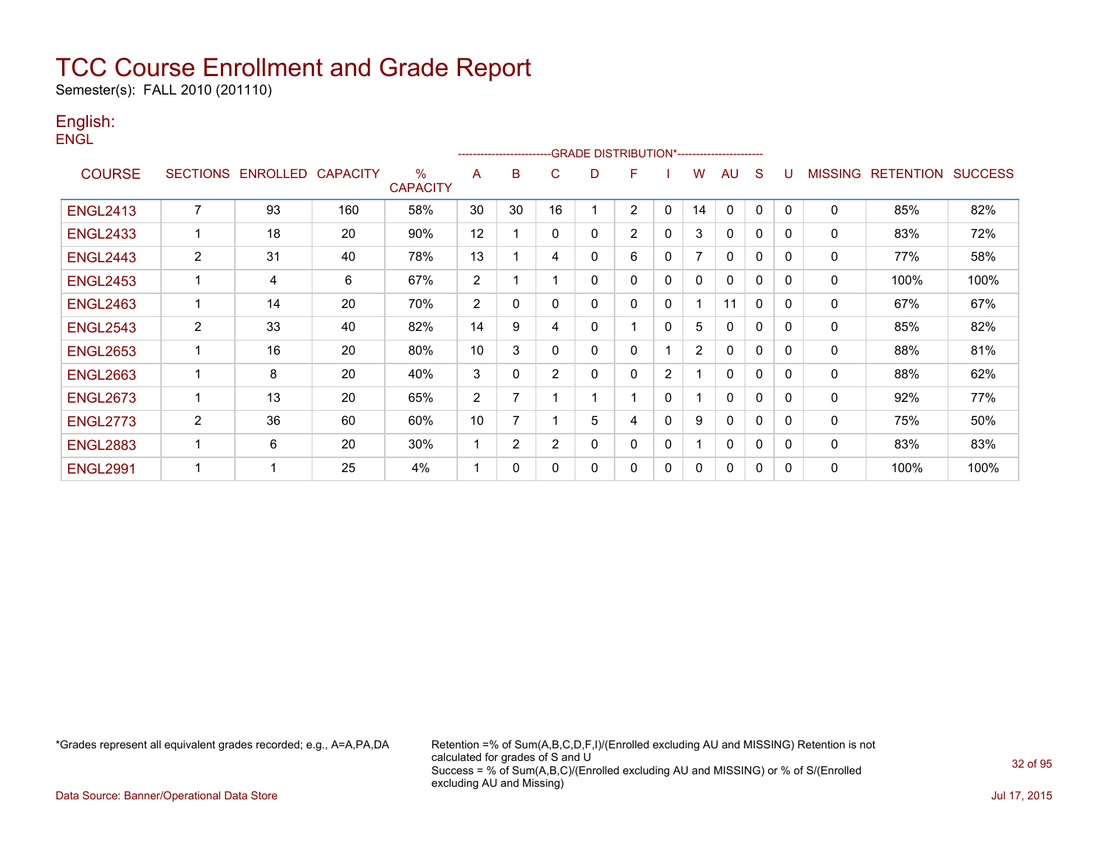Semester(s): FALL 2010 (201110)

### English: **ENGL**

|                 |                |                            |     |                      |                | ---------------------- |              |             | -GRADE DISTRIBUTION*----------------------- |                |                |              |              |          |                |                          |      |
|-----------------|----------------|----------------------------|-----|----------------------|----------------|------------------------|--------------|-------------|---------------------------------------------|----------------|----------------|--------------|--------------|----------|----------------|--------------------------|------|
| <b>COURSE</b>   |                | SECTIONS ENROLLED CAPACITY |     | %<br><b>CAPACITY</b> | A              | B                      | C            | D           | F                                           |                | W              | AU           | S            | U        | <b>MISSING</b> | <b>RETENTION SUCCESS</b> |      |
| <b>ENGL2413</b> | $\overline{7}$ | 93                         | 160 | 58%                  | 30             | 30                     | 16           |             | 2                                           | $\mathbf{0}$   | 14             | $\mathbf{0}$ | $\mathbf{0}$ | $\Omega$ | $\mathbf{0}$   | 85%                      | 82%  |
| <b>ENGL2433</b> | 1              | 18                         | 20  | 90%                  | 12             |                        | $\mathbf{0}$ | $\mathbf 0$ | $\overline{2}$                              | $\Omega$       | 3              | $\mathbf{0}$ | $\mathbf{0}$ | 0        | 0              | 83%                      | 72%  |
| <b>ENGL2443</b> | $\overline{2}$ | 31                         | 40  | 78%                  | 13             |                        | 4            | $\mathbf 0$ | 6                                           | 0              |                | $\Omega$     | $\Omega$     | $\Omega$ | $\mathbf 0$    | 77%                      | 58%  |
| <b>ENGL2453</b> | 1              | 4                          | 6   | 67%                  | $\overline{2}$ |                        |              | $\Omega$    | $\mathbf{0}$                                | $\mathbf{0}$   | $\Omega$       | $\mathbf{0}$ | $\mathbf{0}$ | $\Omega$ | 0              | 100%                     | 100% |
| <b>ENGL2463</b> | 1              | 14                         | 20  | 70%                  | 2              | 0                      | $\Omega$     | $\mathbf 0$ | $\Omega$                                    | 0              |                | 11           | $\mathbf{0}$ | $\Omega$ | $\mathbf 0$    | 67%                      | 67%  |
| <b>ENGL2543</b> | 2              | 33                         | 40  | 82%                  | 14             | 9                      | 4            | 0           |                                             | $\Omega$       | 5              | $\Omega$     | $\Omega$     | 0        | 0              | 85%                      | 82%  |
| <b>ENGL2653</b> | 1              | 16                         | 20  | 80%                  | 10             | 3                      | $\mathbf 0$  | 0           | $\mathbf{0}$                                |                | $\overline{2}$ | 0            | $\mathbf{0}$ | 0        | 0              | 88%                      | 81%  |
| <b>ENGL2663</b> | 1              | 8                          | 20  | 40%                  | 3              | 0                      | 2            | 0           | 0                                           | $\overline{2}$ |                | 0            | 0            | 0        | 0              | 88%                      | 62%  |
| <b>ENGL2673</b> | 1              | 13                         | 20  | 65%                  | 2              | 7                      |              |             |                                             | 0              |                | $\mathbf{0}$ | $\mathbf{0}$ | $\Omega$ | 0              | 92%                      | 77%  |
| <b>ENGL2773</b> | 2              | 36                         | 60  | 60%                  | 10             | 7                      |              | 5           | 4                                           | 0              | 9              | 0            | 0            | 0        | 0              | 75%                      | 50%  |
| <b>ENGL2883</b> | 1              | 6                          | 20  | 30%                  | -1             | 2                      | 2            | 0           | 0                                           | 0              |                | 0            | $\mathbf 0$  | 0        | 0              | 83%                      | 83%  |
| <b>ENGL2991</b> | 1              |                            | 25  | 4%                   |                | 0                      | $\mathbf 0$  | 0           | 0                                           | 0              | 0              | 0            | $\mathbf{0}$ | $\Omega$ | 0              | 100%                     | 100% |

\*Grades represent all equivalent grades recorded; e.g., A=A,PA,DA Retention =% of Sum(A,B,C,D,F,I)/(Enrolled excluding AU and MISSING) Retention is not calculated for grades of S and U Success = % of Sum(A,B,C)/(Enrolled excluding AU and MISSING) or % of S/(Enrolled excluding AU and Missing)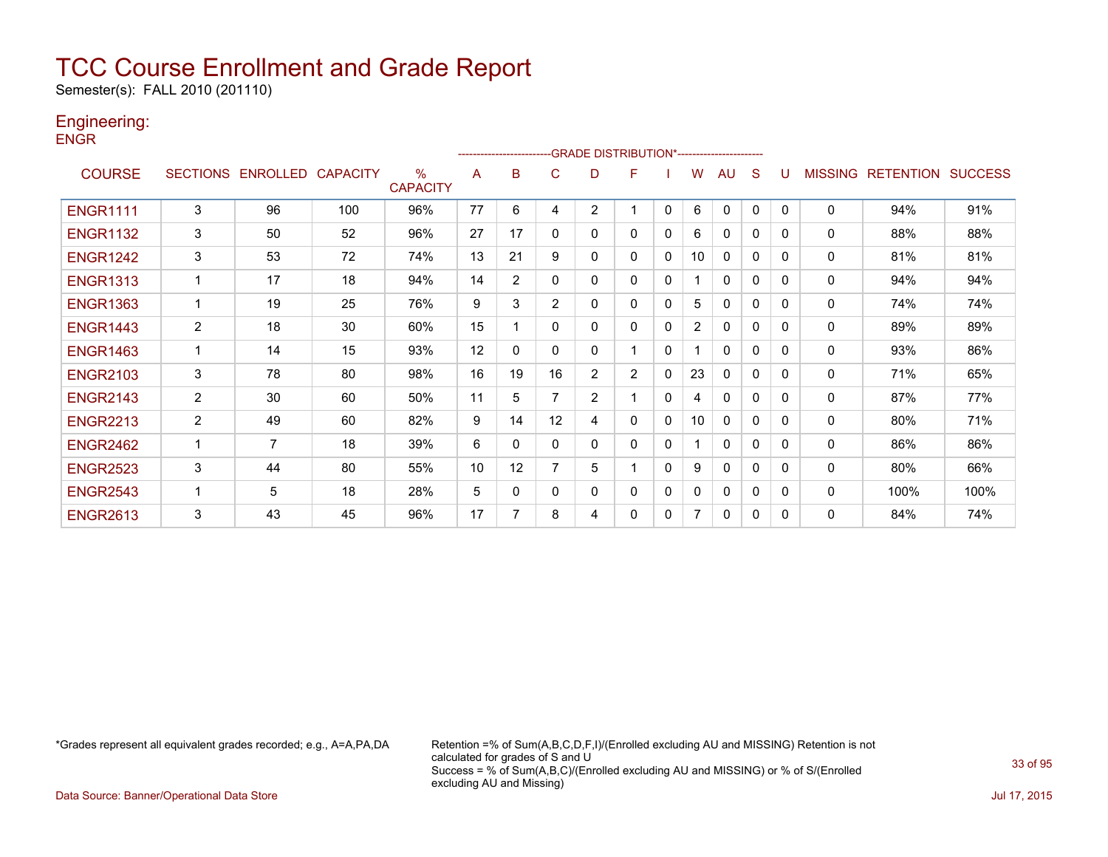Semester(s): FALL 2010 (201110)

### Engineering:

**ENGR** 

|                 |                |                            |     |                                  |    |              | ------------------------GRADE                DISTRIBUTION*---------------------- |                |                |             |                |              |          |          |                |                  |                |
|-----------------|----------------|----------------------------|-----|----------------------------------|----|--------------|----------------------------------------------------------------------------------|----------------|----------------|-------------|----------------|--------------|----------|----------|----------------|------------------|----------------|
| <b>COURSE</b>   |                | SECTIONS ENROLLED CAPACITY |     | $\frac{0}{0}$<br><b>CAPACITY</b> | A  | в            | С                                                                                | D              | F              |             | w              | AU           | S        | U        | <b>MISSING</b> | <b>RETENTION</b> | <b>SUCCESS</b> |
| <b>ENGR1111</b> | 3              | 96                         | 100 | 96%                              | 77 | 6            | 4                                                                                | $\overline{2}$ |                | 0           | 6              | $\mathbf{0}$ | 0        | $\Omega$ | 0              | 94%              | 91%            |
| <b>ENGR1132</b> | 3              | 50                         | 52  | 96%                              | 27 | 17           | $\Omega$                                                                         | 0              | 0              | $\Omega$    | 6              | $\mathbf{0}$ | 0        | 0        | 0              | 88%              | 88%            |
| <b>ENGR1242</b> | 3              | 53                         | 72  | 74%                              | 13 | 21           | 9                                                                                | 0              | 0              | 0           | 10             | $\mathbf{0}$ | 0        | 0        | 0              | 81%              | 81%            |
| <b>ENGR1313</b> |                | 17                         | 18  | 94%                              | 14 | 2            | 0                                                                                | 0              | 0              | 0           |                | $\Omega$     | 0        | 0        | 0              | 94%              | 94%            |
| <b>ENGR1363</b> |                | 19                         | 25  | 76%                              | 9  | 3            | $\overline{2}$                                                                   | 0              | 0              | 0           | 5              | $\Omega$     | 0        | 0        | 0              | 74%              | 74%            |
| <b>ENGR1443</b> | $\overline{2}$ | 18                         | 30  | 60%                              | 15 |              | $\mathbf{0}$                                                                     | 0              | 0              | 0           | $\overline{2}$ | 0            | 0        | $\Omega$ | 0              | 89%              | 89%            |
| <b>ENGR1463</b> | 1              | 14                         | 15  | 93%                              | 12 | $\mathbf{0}$ | 0                                                                                | 0              |                | $\Omega$    |                | $\Omega$     | 0        | 0        | 0              | 93%              | 86%            |
| <b>ENGR2103</b> | 3              | 78                         | 80  | 98%                              | 16 | 19           | 16                                                                               | $\overline{2}$ | $\overline{2}$ | 0           | 23             | $\mathbf{0}$ | 0        | 0        | 0              | 71%              | 65%            |
| <b>ENGR2143</b> | $\overline{2}$ | 30                         | 60  | 50%                              | 11 | 5            | 7                                                                                | $\overline{2}$ |                | 0           | 4              | $\mathbf{0}$ | $\Omega$ | 0        | 0              | 87%              | 77%            |
| <b>ENGR2213</b> | $\overline{2}$ | 49                         | 60  | 82%                              | 9  | 14           | 12                                                                               | 4              | 0              | 0           | 10             | $\mathbf{0}$ | 0        | 0        | 0              | 80%              | 71%            |
| <b>ENGR2462</b> |                | 7                          | 18  | 39%                              | 6  | 0            | 0                                                                                | 0              | 0              | 0           |                | $\Omega$     | 0        | 0        | 0              | 86%              | 86%            |
| <b>ENGR2523</b> | 3              | 44                         | 80  | 55%                              | 10 | 12           | 7                                                                                | 5              |                | $\mathbf 0$ | 9              | $\mathbf{0}$ | 0        | 0        | 0              | 80%              | 66%            |
| <b>ENGR2543</b> |                | 5                          | 18  | 28%                              | 5  | 0            | 0                                                                                | 0              | 0              | 0           | 0              | $\mathbf{0}$ | 0        | 0        | 0              | 100%             | 100%           |
| <b>ENGR2613</b> | 3              | 43                         | 45  | 96%                              | 17 | 7            | 8                                                                                | 4              | 0              | 0           |                | $\mathbf{0}$ | 0        | $\Omega$ | 0              | 84%              | 74%            |

\*Grades represent all equivalent grades recorded; e.g., A=A,PA,DA Retention =% of Sum(A,B,C,D,F,I)/(Enrolled excluding AU and MISSING) Retention is not calculated for grades of S and U Success = % of Sum(A,B,C)/(Enrolled excluding AU and MISSING) or % of S/(Enrolled excluding AU and Missing)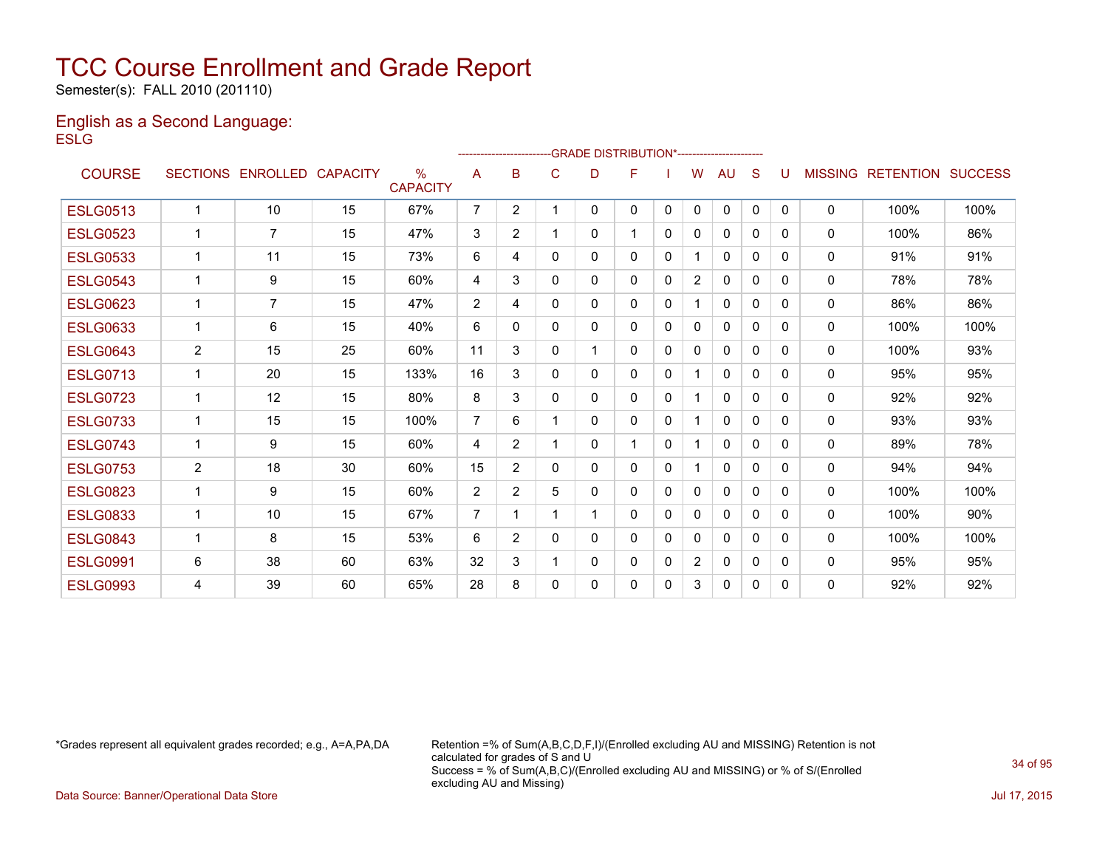Semester(s): FALL 2010 (201110)

### English as a Second Language: **ESLG**

|                 |                 |                 |                 |                                  |                |                |          | ------------------------GRADE                DISTRIBUTION*---------------------- |          |              |                |              |          |              |                |                  |                |
|-----------------|-----------------|-----------------|-----------------|----------------------------------|----------------|----------------|----------|----------------------------------------------------------------------------------|----------|--------------|----------------|--------------|----------|--------------|----------------|------------------|----------------|
| <b>COURSE</b>   | <b>SECTIONS</b> | <b>ENROLLED</b> | <b>CAPACITY</b> | $\frac{0}{0}$<br><b>CAPACITY</b> | A              | B              | C        | D                                                                                | F        |              | W              | AU           | S        |              | <b>MISSING</b> | <b>RETENTION</b> | <b>SUCCESS</b> |
| <b>ESLG0513</b> | $\mathbf{1}$    | 10              | 15              | 67%                              | $\overline{7}$ | $\overline{2}$ |          | $\mathbf{0}$                                                                     | 0        | $\mathbf{0}$ | $\Omega$       | $\mathbf{0}$ | $\Omega$ | $\mathbf{0}$ | $\mathbf{0}$   | 100%             | 100%           |
| <b>ESLG0523</b> | $\mathbf{1}$    | $\overline{7}$  | 15              | 47%                              | 3              | $\overline{2}$ |          | $\mathbf{0}$                                                                     |          | $\Omega$     | 0              | $\Omega$     | $\Omega$ | 0            | $\Omega$       | 100%             | 86%            |
| <b>ESLG0533</b> | $\mathbf 1$     | 11              | 15              | 73%                              | 6              | 4              | 0        | $\mathbf{0}$                                                                     | 0        | $\mathbf{0}$ | 1              | 0            | $\Omega$ | 0            | $\mathbf 0$    | 91%              | 91%            |
| <b>ESLG0543</b> | 1               | 9               | 15              | 60%                              | 4              | 3              | 0        | $\mathbf{0}$                                                                     | 0        | 0            | $\overline{2}$ | 0            | $\Omega$ | 0            | 0              | 78%              | 78%            |
| <b>ESLG0623</b> | $\mathbf{1}$    | $\overline{7}$  | 15              | 47%                              | 2              | 4              | 0        | $\mathbf{0}$                                                                     | 0        | 0            | 1              | $\mathbf{0}$ | 0        | 0            | $\mathbf{0}$   | 86%              | 86%            |
| <b>ESLG0633</b> | $\mathbf{1}$    | 6               | 15              | 40%                              | 6              | $\Omega$       | 0        | $\mathbf{0}$                                                                     | 0        | 0            | 0              | 0            | 0        | 0            | $\mathbf{0}$   | 100%             | 100%           |
| <b>ESLG0643</b> | 2               | 15              | 25              | 60%                              | 11             | 3              | 0        |                                                                                  | 0        | 0            | 0              | $\mathbf{0}$ | 0        | 0            | $\mathbf{0}$   | 100%             | 93%            |
| <b>ESLG0713</b> | 1               | 20              | 15              | 133%                             | 16             | 3              | 0        | $\mathbf{0}$                                                                     | $\Omega$ | $\mathbf{0}$ | 1              | $\mathbf{0}$ | 0        | $\Omega$     | $\mathbf{0}$   | 95%              | 95%            |
| <b>ESLG0723</b> | 1               | 12              | 15              | 80%                              | 8              | 3              | $\Omega$ | $\mathbf{0}$                                                                     | $\Omega$ | $\Omega$     | 1              | $\mathbf{0}$ | 0        | 0            | $\mathbf{0}$   | 92%              | 92%            |
| <b>ESLG0733</b> | $\mathbf{1}$    | 15              | 15              | 100%                             | $\overline{7}$ | 6              |          | $\Omega$                                                                         | $\Omega$ | $\Omega$     | 1              | $\mathbf{0}$ | 0        | 0            | $\mathbf{0}$   | 93%              | 93%            |
| <b>ESLG0743</b> | 1               | 9               | 15              | 60%                              | 4              | $\overline{2}$ |          | $\mathbf{0}$                                                                     |          | $\Omega$     | 1              | $\mathbf{0}$ | 0        | 0            | $\mathbf{0}$   | 89%              | 78%            |
| <b>ESLG0753</b> | $\overline{2}$  | 18              | 30              | 60%                              | 15             | $\overline{2}$ | $\Omega$ | $\Omega$                                                                         | 0        | $\Omega$     | 1              | $\mathbf{0}$ | $\Omega$ | 0            | $\mathbf{0}$   | 94%              | 94%            |
| <b>ESLG0823</b> | 1               | 9               | 15              | 60%                              | $\overline{2}$ | $\overline{2}$ | 5        | 0                                                                                | 0        | $\Omega$     | 0              | $\mathbf{0}$ | 0        | 0            | $\mathbf{0}$   | 100%             | 100%           |
| <b>ESLG0833</b> | $\mathbf{1}$    | 10              | 15              | 67%                              | $\overline{7}$ |                |          |                                                                                  | 0        | $\Omega$     | 0              | $\mathbf{0}$ | 0        | 0            | $\mathbf{0}$   | 100%             | 90%            |
| <b>ESLG0843</b> | 1               | 8               | 15              | 53%                              | 6              | $\overline{2}$ | 0        | 0                                                                                | 0        | 0            | 0              | $\mathbf{0}$ | 0        | 0            | $\mathbf{0}$   | 100%             | 100%           |
| <b>ESLG0991</b> | 6               | 38              | 60              | 63%                              | 32             | 3              |          | 0                                                                                | 0        | 0            | $\overline{2}$ | 0            | 0        | 0            | $\mathbf{0}$   | 95%              | 95%            |
| <b>ESLG0993</b> | 4               | 39              | 60              | 65%                              | 28             | 8              | $\Omega$ | 0                                                                                | 0        | 0            | 3              | $\mathbf{0}$ | 0        | 0            | $\mathbf{0}$   | 92%              | 92%            |
|                 |                 |                 |                 |                                  |                |                |          |                                                                                  |          |              |                |              |          |              |                |                  |                |

\*Grades represent all equivalent grades recorded; e.g., A=A,PA,DA Retention =% of Sum(A,B,C,D,F,I)/(Enrolled excluding AU and MISSING) Retention is not calculated for grades of S and U Success = % of Sum(A,B,C)/(Enrolled excluding AU and MISSING) or % of S/(Enrolled excluding AU and Missing)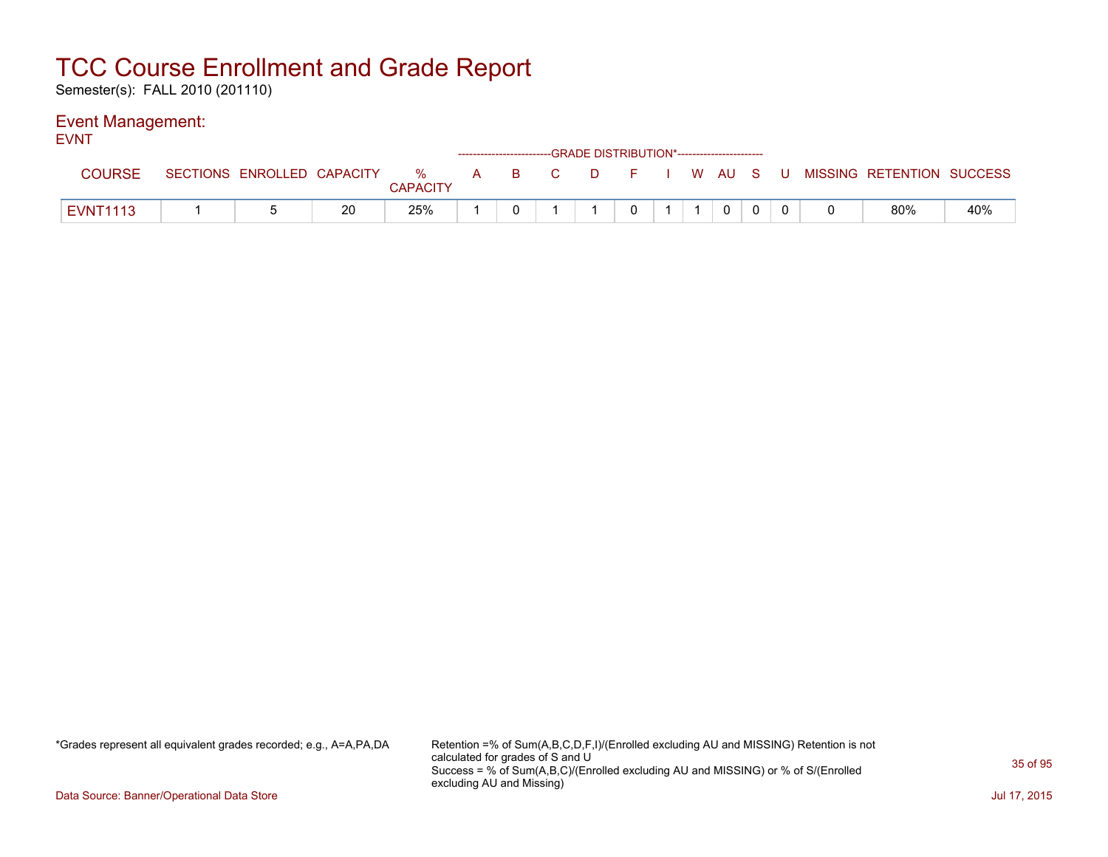Semester(s): FALL 2010 (201110)

#### Event Management: EVNT

| ᆮᅁᆡ             |                            |    |                      |  |       |          | ------------------------GRADE DISTRIBUTION*----------------------- |  |              |  |                                        |     |
|-----------------|----------------------------|----|----------------------|--|-------|----------|--------------------------------------------------------------------|--|--------------|--|----------------------------------------|-----|
| <b>COURSE</b>   | SECTIONS ENROLLED CAPACITY |    | %<br><b>CAPACITY</b> |  | A B C | $\Box$ D |                                                                    |  |              |  | F I W AU S U MISSING RETENTION SUCCESS |     |
| <b>EVNT1113</b> |                            | 20 | 25%                  |  |       |          |                                                                    |  | $\mathbf{0}$ |  | 80%                                    | 40% |

\*Grades represent all equivalent grades recorded; e.g., A=A,PA,DA Retention =% of Sum(A,B,C,D,F,I)/(Enrolled excluding AU and MISSING) Retention is not calculated for grades of S and U Success = % of Sum(A,B,C)/(Enrolled excluding AU and MISSING) or % of S/(Enrolled excluding AU and Missing)

Data Source: Banner/Operational Data Store Jul 17, 2015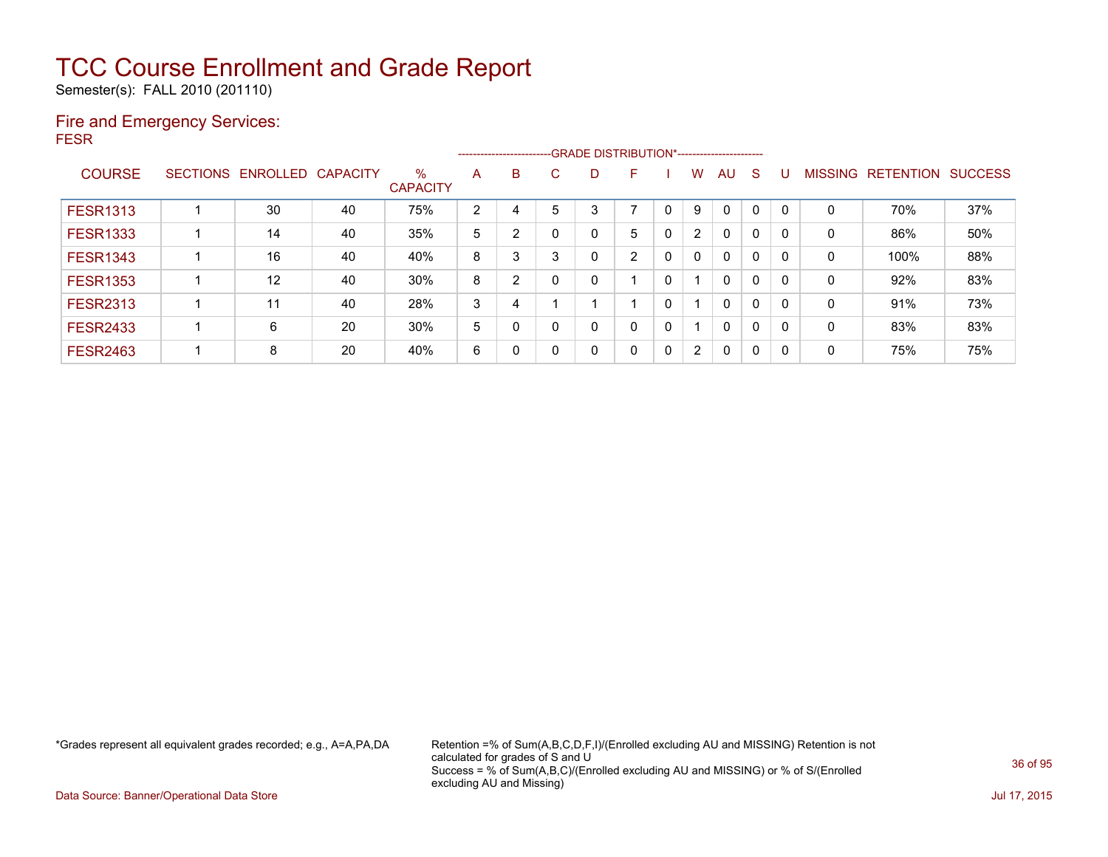Semester(s): FALL 2010 (201110)

### Fire and Emergency Services: FESR

|                 |                 |                   |    |                         |   |   |          |   | ------------------------GRADE                DISTRIBUTION*---------------------- |   |                      |              |          |          |                |                  |                |
|-----------------|-----------------|-------------------|----|-------------------------|---|---|----------|---|----------------------------------------------------------------------------------|---|----------------------|--------------|----------|----------|----------------|------------------|----------------|
| <b>COURSE</b>   | <b>SECTIONS</b> | ENROLLED CAPACITY |    | $\%$<br><b>CAPACITY</b> | A | B | C.       | D | F                                                                                |   | w                    | AU           | S        |          | <b>MISSING</b> | <b>RETENTION</b> | <b>SUCCESS</b> |
| <b>FESR1313</b> |                 | 30                | 40 | 75%                     | 2 | 4 | 5        | 3 | ⇁                                                                                |   | 9                    | $\mathbf{0}$ | 0        |          | 0              | 70%              | 37%            |
| <b>FESR1333</b> |                 | 14                | 40 | 35%                     | 5 | 2 |          |   | 5                                                                                | 0 | 2                    | $\mathbf{0}$ | 0        |          | 0              | 86%              | 50%            |
| <b>FESR1343</b> |                 | 16                | 40 | 40%                     | 8 | 3 | 3        |   | 2                                                                                | 0 | 0                    | $\mathbf{0}$ | 0        |          | 0              | 100%             | 88%            |
| <b>FESR1353</b> |                 | 12                | 40 | 30%                     | 8 | 2 |          |   |                                                                                  | 0 |                      | $\mathbf{0}$ | 0        | 0        | 0              | 92%              | 83%            |
| <b>FESR2313</b> |                 | 11                | 40 | 28%                     | 3 | 4 |          |   |                                                                                  | 0 |                      | $\mathbf{0}$ | 0        | $\Omega$ | 0              | 91%              | 73%            |
| <b>FESR2433</b> |                 | 6                 | 20 | 30%                     | 5 | 0 |          |   | 0                                                                                | 0 |                      | $\mathbf{0}$ | $\Omega$ | $\Omega$ | 0              | 83%              | 83%            |
| <b>FESR2463</b> |                 | 8                 | 20 | 40%                     | 6 | 0 | $\Omega$ |   | 0                                                                                | 0 | $\mathbf{2}^{\circ}$ | $\mathbf{0}$ | 0        | 0        | $\mathbf 0$    | 75%              | 75%            |

\*Grades represent all equivalent grades recorded; e.g., A=A,PA,DA Retention =% of Sum(A,B,C,D,F,I)/(Enrolled excluding AU and MISSING) Retention is not calculated for grades of S and U Success = % of Sum(A,B,C)/(Enrolled excluding AU and MISSING) or % of S/(Enrolled excluding AU and Missing)

Data Source: Banner/Operational Data Store Jul 17, 2015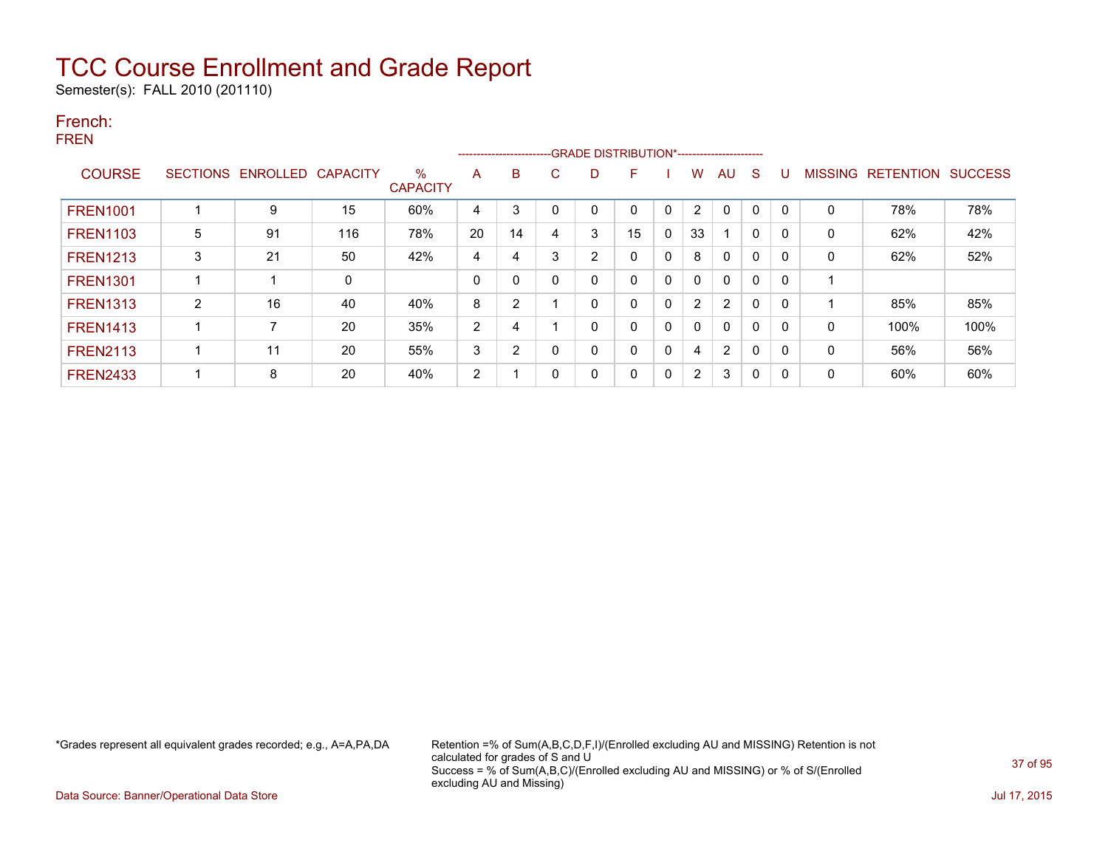Semester(s): FALL 2010 (201110)

### French: FREN

|                 |                 |                 |          |                         |                | ------------------------- |        |                |              |              |              |                |              |              |              |                   |                |
|-----------------|-----------------|-----------------|----------|-------------------------|----------------|---------------------------|--------|----------------|--------------|--------------|--------------|----------------|--------------|--------------|--------------|-------------------|----------------|
| <b>COURSE</b>   | <b>SECTIONS</b> | <b>ENROLLED</b> | CAPACITY | $\%$<br><b>CAPACITY</b> | A              | B                         | ⌒<br>U | D              | F            |              | w            | AU             | <sub>S</sub> | U            |              | MISSING RETENTION | <b>SUCCESS</b> |
| <b>FREN1001</b> |                 | 9               | 15       | 60%                     | 4              | 3                         | 0      | 0              | $\Omega$     | 0            | 2            | $\mathbf{0}$   | $\Omega$     | $\Omega$     | 0            | 78%               | 78%            |
| <b>FREN1103</b> | 5               | 91              | 116      | 78%                     | 20             | 14                        | 4      | 3              | 15           | 0            | 33           |                | 0            | $\mathbf{0}$ | $\mathbf{0}$ | 62%               | 42%            |
| <b>FREN1213</b> | 3               | 21              | 50       | 42%                     | 4              | 4                         | 3      | $\overline{2}$ | $\mathbf{0}$ | 0            | 8            | $\mathbf{0}$   | 0            | $\Omega$     | $\mathbf{0}$ | 62%               | 52%            |
| <b>FREN1301</b> |                 |                 | 0        |                         | $\mathbf{0}$   | 0                         | 0      | 0              | 0            | 0            | 0            | 0              | 0            | $\mathbf{0}$ | -1           |                   |                |
| <b>FREN1313</b> | $\overline{2}$  | 16              | 40       | 40%                     | 8              | 2                         |        | 0              | $\mathbf{0}$ | 0            | 2            | $\overline{2}$ | 0            | $\mathbf{0}$ |              | 85%               | 85%            |
| <b>FREN1413</b> |                 |                 | 20       | 35%                     | 2              | 4                         |        | 0              | $\mathbf{0}$ | 0            | $\mathbf{0}$ | $\mathbf{0}$   | 0            | $\Omega$     | $\mathbf{0}$ | 100%              | 100%           |
| <b>FREN2113</b> |                 | 11              | 20       | 55%                     | 3              | 2                         | 0      | 0              | $\mathbf{0}$ | $\mathbf{0}$ | 4            | 2              | 0            | $\Omega$     | $\mathbf{0}$ | 56%               | 56%            |
| <b>FREN2433</b> |                 | 8               | 20       | 40%                     | $\overline{2}$ |                           | 0      | 0              | $\mathbf{0}$ | 0            | 2            | 3              | 0            | $\mathbf{0}$ | 0            | 60%               | 60%            |

\*Grades represent all equivalent grades recorded; e.g., A=A,PA,DA Retention =% of Sum(A,B,C,D,F,I)/(Enrolled excluding AU and MISSING) Retention is not calculated for grades of S and U Success = % of Sum(A,B,C)/(Enrolled excluding AU and MISSING) or % of S/(Enrolled excluding AU and Missing)

Data Source: Banner/Operational Data Store Jul 17, 2015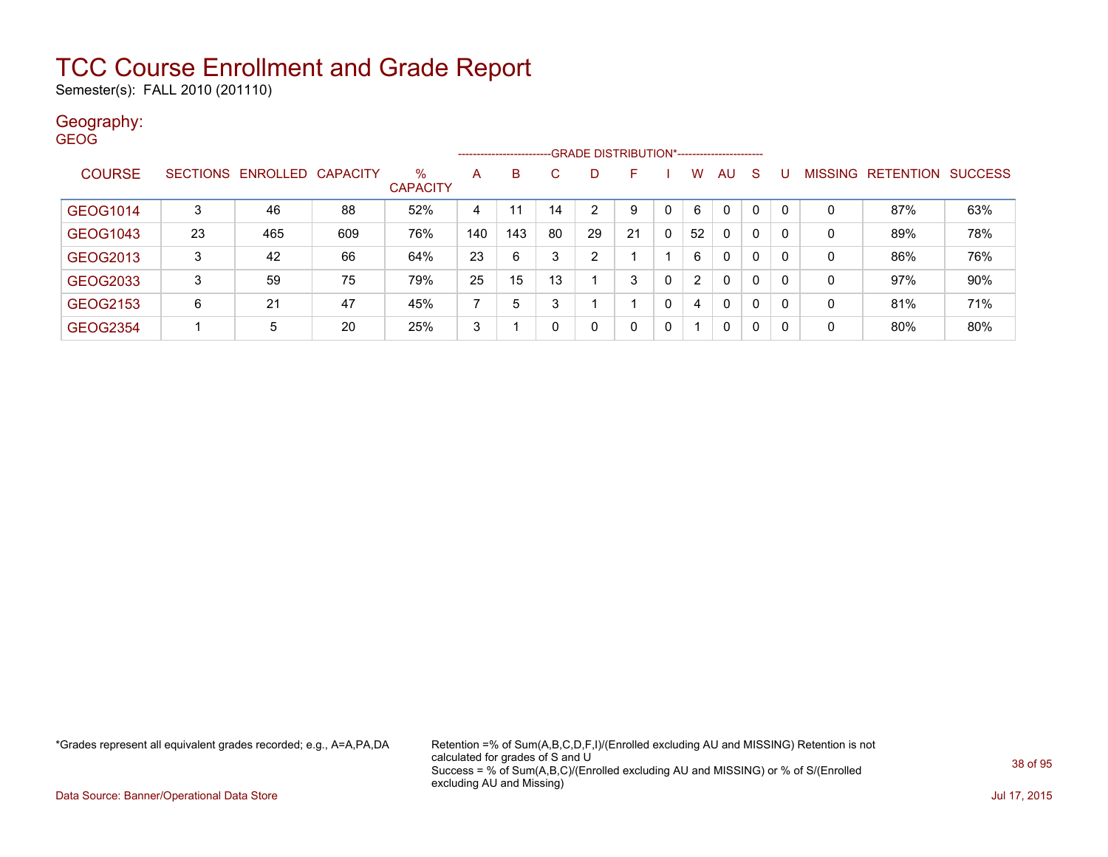Semester(s): FALL 2010 (201110)

### Geography:

| <b>GEOG</b>     |                 |                   |     |                         | --------------------- |     |    | -GRADE DISTRIBUTION*----------------------- |    |              |                |              |              |              |                |                  |                |
|-----------------|-----------------|-------------------|-----|-------------------------|-----------------------|-----|----|---------------------------------------------|----|--------------|----------------|--------------|--------------|--------------|----------------|------------------|----------------|
| <b>COURSE</b>   | <b>SECTIONS</b> | ENROLLED CAPACITY |     | $\%$<br><b>CAPACITY</b> | A                     | B.  | C  | D.                                          | F  |              | W              | AU           | -S           |              | <b>MISSING</b> | <b>RETENTION</b> | <b>SUCCESS</b> |
| GEOG1014        | 3               | 46                | 88  | 52%                     | 4                     | 11  | 14 | 2                                           | 9  | 0            | 6              | 0            | 0            | $\Omega$     | 0              | 87%              | 63%            |
| <b>GEOG1043</b> | 23              | 465               | 609 | 76%                     | 140                   | 143 | 80 | 29                                          | 21 | $\mathbf{0}$ | 52             | $\mathbf{0}$ | 0            | 0            | 0              | 89%              | 78%            |
| GEOG2013        | 3               | 42                | 66  | 64%                     | 23                    | 6   |    | $\overline{2}$                              |    |              | 6              | 0            | 0            | 0            | 0              | 86%              | 76%            |
| GEOG2033        | 3               | 59                | 75  | 79%                     | 25                    | 15  | 13 |                                             | 3  | 0            | $\overline{2}$ | $\mathbf{0}$ | 0            | $\mathbf{0}$ | 0              | 97%              | 90%            |
| GEOG2153        | 6               | 21                | 47  | 45%                     | 7                     | 5   | 3  |                                             |    | 0            | 4              | $\mathbf{0}$ | $\mathbf{0}$ | $\Omega$     | 0              | 81%              | 71%            |
| <b>GEOG2354</b> |                 | 5                 | 20  | 25%                     | 3                     |     |    | 0                                           | 0  | 0            |                | 0            | 0            | 0            | 0              | 80%              | 80%            |

\*Grades represent all equivalent grades recorded; e.g., A=A,PA,DA Retention =% of Sum(A,B,C,D,F,I)/(Enrolled excluding AU and MISSING) Retention is not calculated for grades of S and U Success = % of Sum(A,B,C)/(Enrolled excluding AU and MISSING) or % of S/(Enrolled excluding AU and Missing)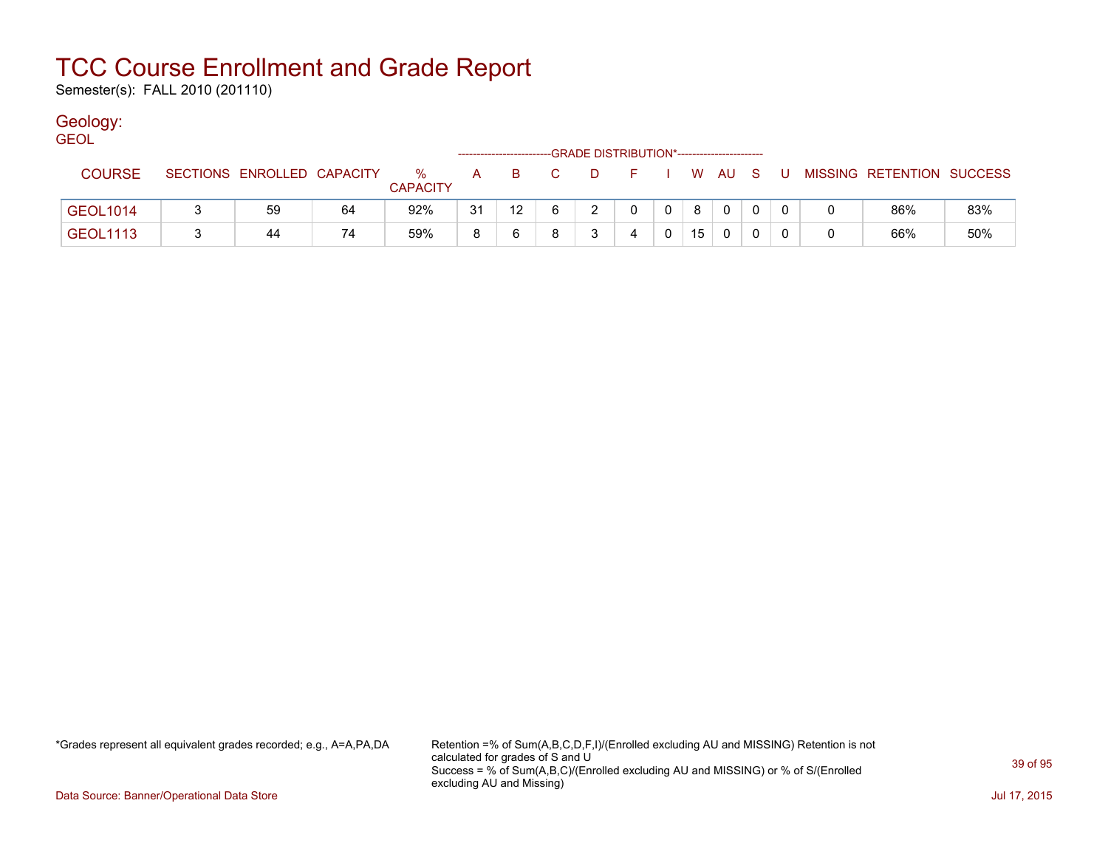Semester(s): FALL 2010 (201110)

### Geology:

| <b>GEOL</b>     |                            |    |                      |    |                   |      | -GRADE DISTRIBUTION*----------------------- |              |    |                |  |   |                           |     |
|-----------------|----------------------------|----|----------------------|----|-------------------|------|---------------------------------------------|--------------|----|----------------|--|---|---------------------------|-----|
| <b>COURSE</b>   | SECTIONS ENROLLED CAPACITY |    | %<br><b>CAPACITY</b> | A  | -B                | $-C$ | - F                                         |              |    | W AU S         |  |   | MISSING RETENTION SUCCESS |     |
| <b>GEOL1014</b> | 59                         | 64 | 92%                  | 31 | $12 \overline{ }$ | 6    | $\Omega$                                    | $\mathbf{0}$ | 8  | $\overline{0}$ |  |   | 86%                       | 83% |
| <b>GEOL1113</b> | 44                         | 74 | 59%                  |    |                   |      |                                             |              | 15 |                |  | 0 | 66%                       | 50% |

\*Grades represent all equivalent grades recorded; e.g., A=A,PA,DA Retention =% of Sum(A,B,C,D,F,I)/(Enrolled excluding AU and MISSING) Retention is not calculated for grades of S and U Success = % of Sum(A,B,C)/(Enrolled excluding AU and MISSING) or % of S/(Enrolled excluding AU and Missing)

Data Source: Banner/Operational Data Store Jul 17, 2015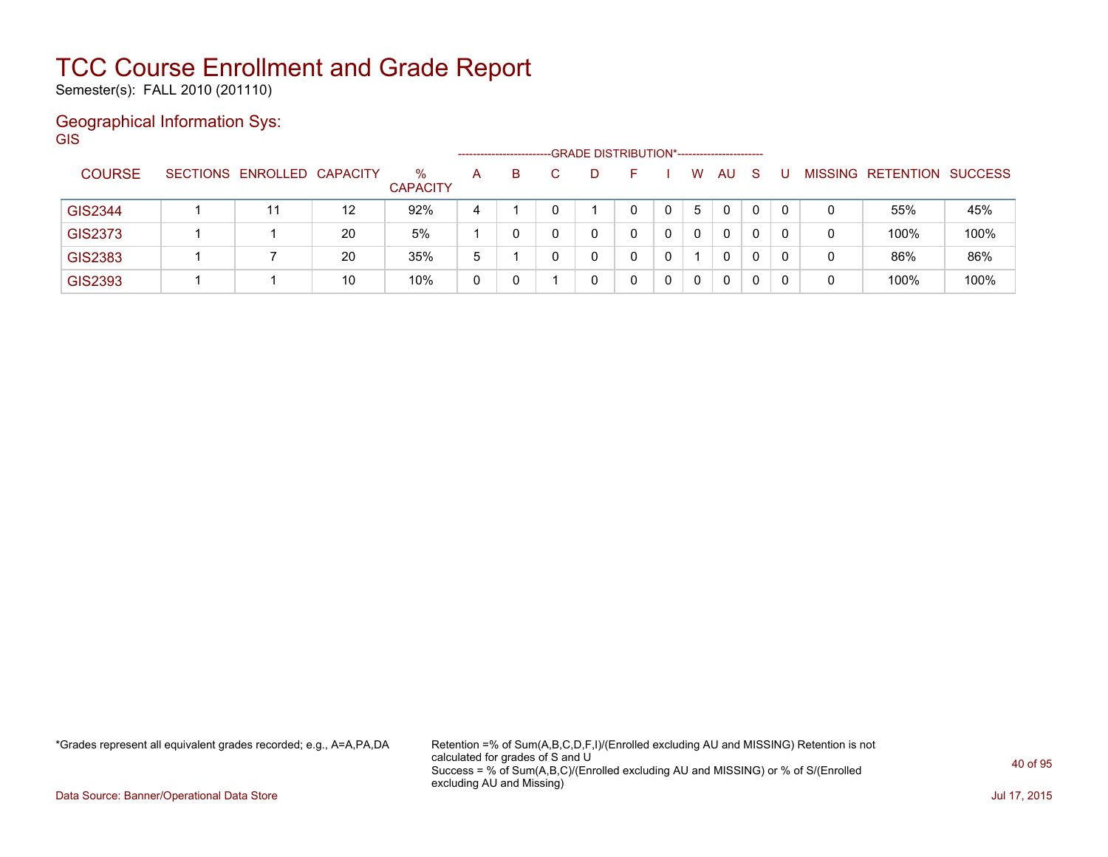Semester(s): FALL 2010 (201110)

### Geographical Information Sys:

**GIS** 

|                |                            |    |                         |   | ------------------------ | -GRADE DISTRIBUTION*----------------------- |  |   |    |    |   |   |                          |                |
|----------------|----------------------------|----|-------------------------|---|--------------------------|---------------------------------------------|--|---|----|----|---|---|--------------------------|----------------|
| <b>COURSE</b>  | SECTIONS ENROLLED CAPACITY |    | $\%$<br><b>CAPACITY</b> | A | B.                       |                                             |  | W | AU | S. |   |   | <b>MISSING RETENTION</b> | <b>SUCCESS</b> |
| <b>GIS2344</b> | 11                         | 12 | 92%                     | 4 |                          |                                             |  | 5 | 0  | 0  | 0 | 0 | 55%                      | 45%            |
| <b>GIS2373</b> |                            | 20 | 5%                      |   |                          |                                             |  | 0 | 0  |    | 0 | 0 | 100%                     | 100%           |
| <b>GIS2383</b> |                            | 20 | 35%                     | 5 |                          | 0                                           |  |   |    |    | 0 | 0 | 86%                      | 86%            |
| GIS2393        |                            | 10 | 10%                     | 0 |                          |                                             |  | 0 | 0  |    |   | 0 | 100%                     | 100%           |

\*Grades represent all equivalent grades recorded; e.g., A=A,PA,DA Retention =% of Sum(A,B,C,D,F,I)/(Enrolled excluding AU and MISSING) Retention is not calculated for grades of S and U Success = % of Sum(A,B,C)/(Enrolled excluding AU and MISSING) or % of S/(Enrolled excluding AU and Missing)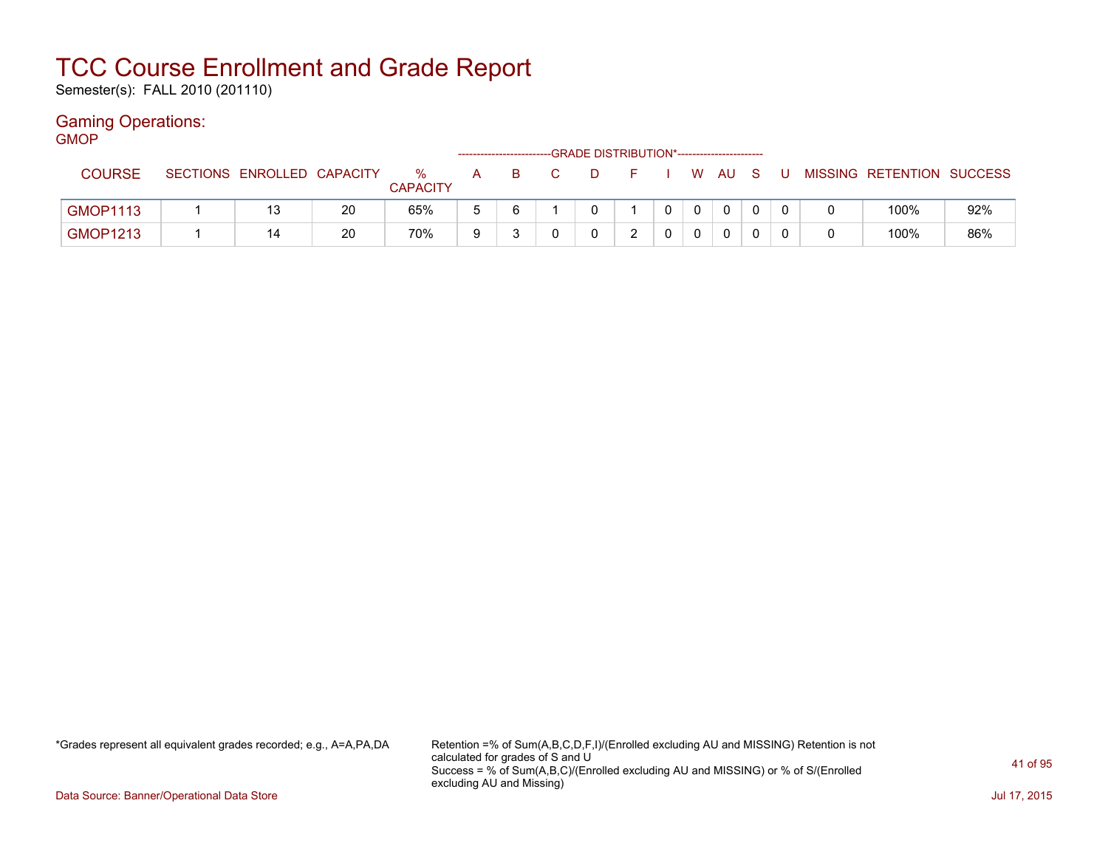Semester(s): FALL 2010 (201110)

### Gaming Operations:

| <b>GMOP</b>     |                            |    |                         |             | ----------------------- | -GRADE DISTRIBUTION*----------------------- |       |          |              |     |   |                           |     |
|-----------------|----------------------------|----|-------------------------|-------------|-------------------------|---------------------------------------------|-------|----------|--------------|-----|---|---------------------------|-----|
| <b>COURSE</b>   | SECTIONS ENROLLED CAPACITY |    | $\%$<br><b>CAPACITY</b> | A           | B.                      | D.                                          | . E 1 |          | W AU         | - S | U | MISSING RETENTION SUCCESS |     |
| <b>GMOP1113</b> |                            | 20 | 65%                     | $\mathbf b$ | 6                       |                                             |       | $\Omega$ | $\mathbf{0}$ |     |   | 100%                      | 92% |
| <b>GMOP1213</b> | 14                         | 20 | 70%                     | 9           |                         |                                             |       | $\Omega$ | 0            |     |   | 100%                      | 86% |

\*Grades represent all equivalent grades recorded; e.g., A=A,PA,DA Retention =% of Sum(A,B,C,D,F,I)/(Enrolled excluding AU and MISSING) Retention is not calculated for grades of S and U Success = % of Sum(A,B,C)/(Enrolled excluding AU and MISSING) or % of S/(Enrolled excluding AU and Missing)

Data Source: Banner/Operational Data Store Jul 17, 2015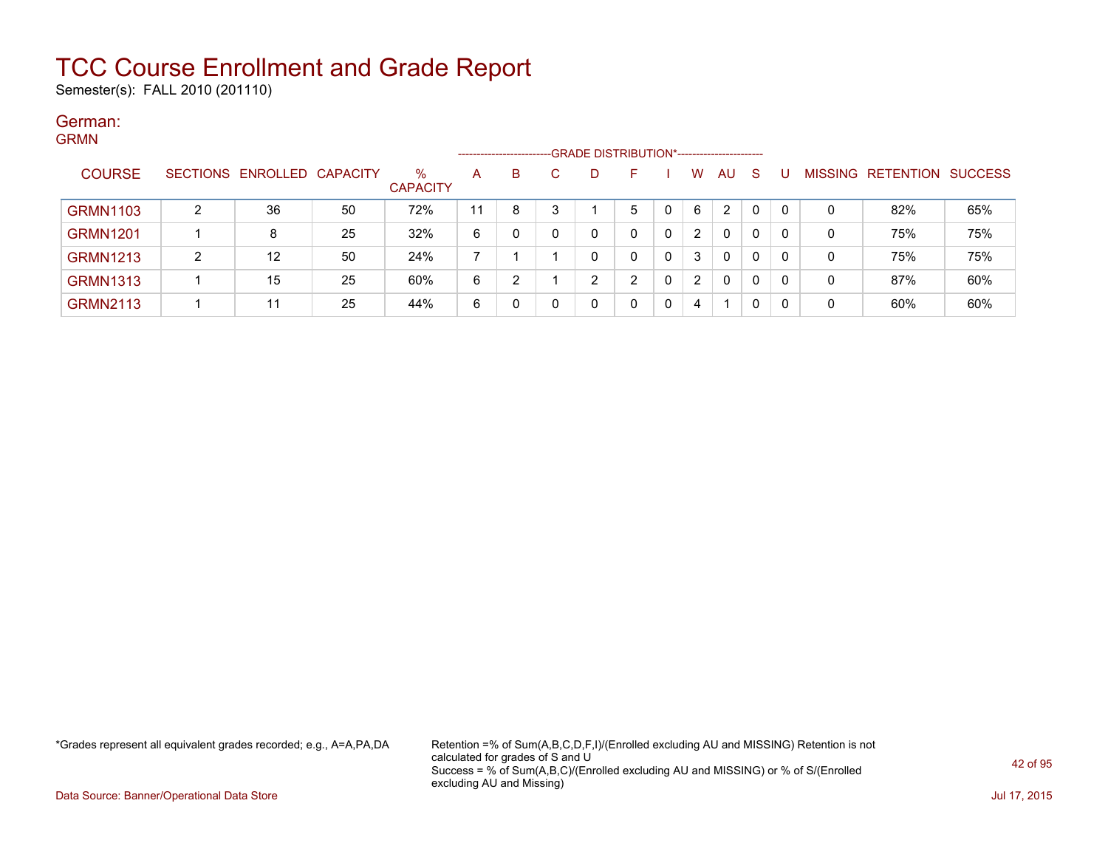Semester(s): FALL 2010 (201110)

### German: GRMN

| -------         |   |                            |    |                         | --------------------- |   |   | -GRADE DISTRIBUTION*----------------------- |   |          |                |    |              |          |   |                                  |     |
|-----------------|---|----------------------------|----|-------------------------|-----------------------|---|---|---------------------------------------------|---|----------|----------------|----|--------------|----------|---|----------------------------------|-----|
| <b>COURSE</b>   |   | SECTIONS ENROLLED CAPACITY |    | $\%$<br><b>CAPACITY</b> | A                     | B |   | D                                           |   |          | W              | AU | <sub>S</sub> |          |   | <b>MISSING RETENTION SUCCESS</b> |     |
| <b>GRMN1103</b> | ົ | 36                         | 50 | 72%                     | 11                    | 8 | 3 |                                             | 5 |          | 6              | 2  | 0            | $\Gamma$ | 0 | 82%                              | 65% |
| <b>GRMN1201</b> |   | 8                          | 25 | 32%                     | 6                     |   |   | 0                                           | 0 | 0        | 2              | 0  | 0            | -0       | 0 | 75%                              | 75% |
| <b>GRMN1213</b> | ົ | 12                         | 50 | 24%                     |                       |   |   | ∩                                           | 0 | $\Omega$ | 3              | 0  | 0            | - 0      | 0 | 75%                              | 75% |
| <b>GRMN1313</b> |   | 15                         | 25 | 60%                     | 6                     | 2 |   | ົ                                           | ົ |          | $\overline{2}$ | 0  | 0            | -0       | 0 | 87%                              | 60% |
| <b>GRMN2113</b> |   | 11                         | 25 | 44%                     | 6                     |   |   | 0                                           |   | 0        | 4              |    | 0            |          | 0 | 60%                              | 60% |

\*Grades represent all equivalent grades recorded; e.g., A=A,PA,DA Retention =% of Sum(A,B,C,D,F,I)/(Enrolled excluding AU and MISSING) Retention is not calculated for grades of S and U Success = % of Sum(A,B,C)/(Enrolled excluding AU and MISSING) or % of S/(Enrolled excluding AU and Missing)

Data Source: Banner/Operational Data Store Jul 17, 2015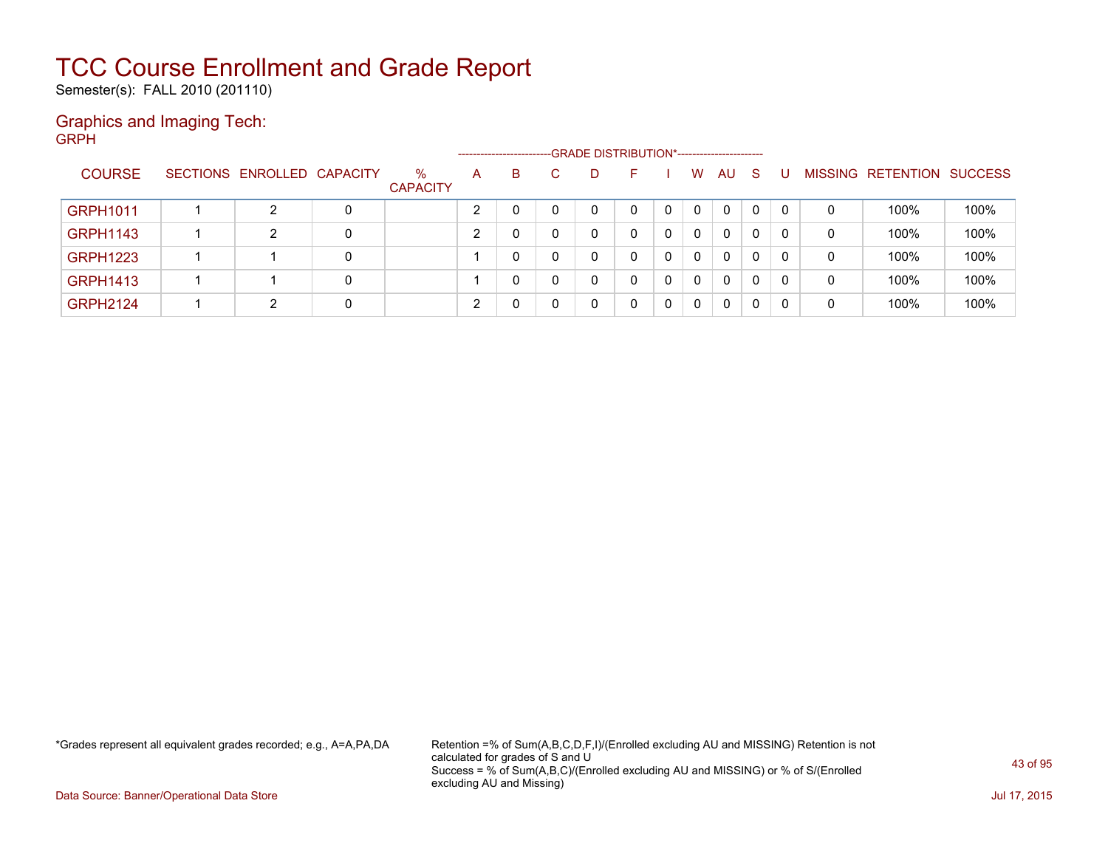Semester(s): FALL 2010 (201110)

### Graphics and Imaging Tech: GRPH

|                 |                            |   |                      |   | --------------------- | -GRADE DISTRIBUTION*----------------------- |    |   |          |              |    |          |   |                   |                |
|-----------------|----------------------------|---|----------------------|---|-----------------------|---------------------------------------------|----|---|----------|--------------|----|----------|---|-------------------|----------------|
| <b>COURSE</b>   | SECTIONS ENROLLED CAPACITY |   | %<br><b>CAPACITY</b> | A | B                     | D                                           | н. |   | W        | AU           | -S |          |   | MISSING RETENTION | <b>SUCCESS</b> |
| <b>GRPH1011</b> | 2                          | 0 |                      |   |                       |                                             | 0  | 0 | $\Omega$ | $\mathbf{0}$ | 0  | $\Omega$ | 0 | 100%              | 100%           |
| <b>GRPH1143</b> | 2                          | 0 |                      |   |                       |                                             |    |   | 0        | $\Omega$     | 0  | 0        | 0 | 100%              | 100%           |
| <b>GRPH1223</b> |                            | 0 |                      |   | $\mathbf{0}$          |                                             | 0  | 0 | $\Omega$ | $\mathbf{0}$ | 0  | $\Omega$ | 0 | 100%              | 100%           |
| <b>GRPH1413</b> |                            | 0 |                      |   |                       | <sup>n</sup>                                | 0  | 0 | $\Omega$ | 0            | 0  | 0        | 0 | 100%              | 100%           |
| <b>GRPH2124</b> | 2                          | 0 |                      |   |                       |                                             | 0  | 0 | 0        | 0            | 0  | -0       | 0 | 100%              | 100%           |

\*Grades represent all equivalent grades recorded; e.g., A=A,PA,DA Retention =% of Sum(A,B,C,D,F,I)/(Enrolled excluding AU and MISSING) Retention is not calculated for grades of S and U Success = % of Sum(A,B,C)/(Enrolled excluding AU and MISSING) or % of S/(Enrolled excluding AU and Missing)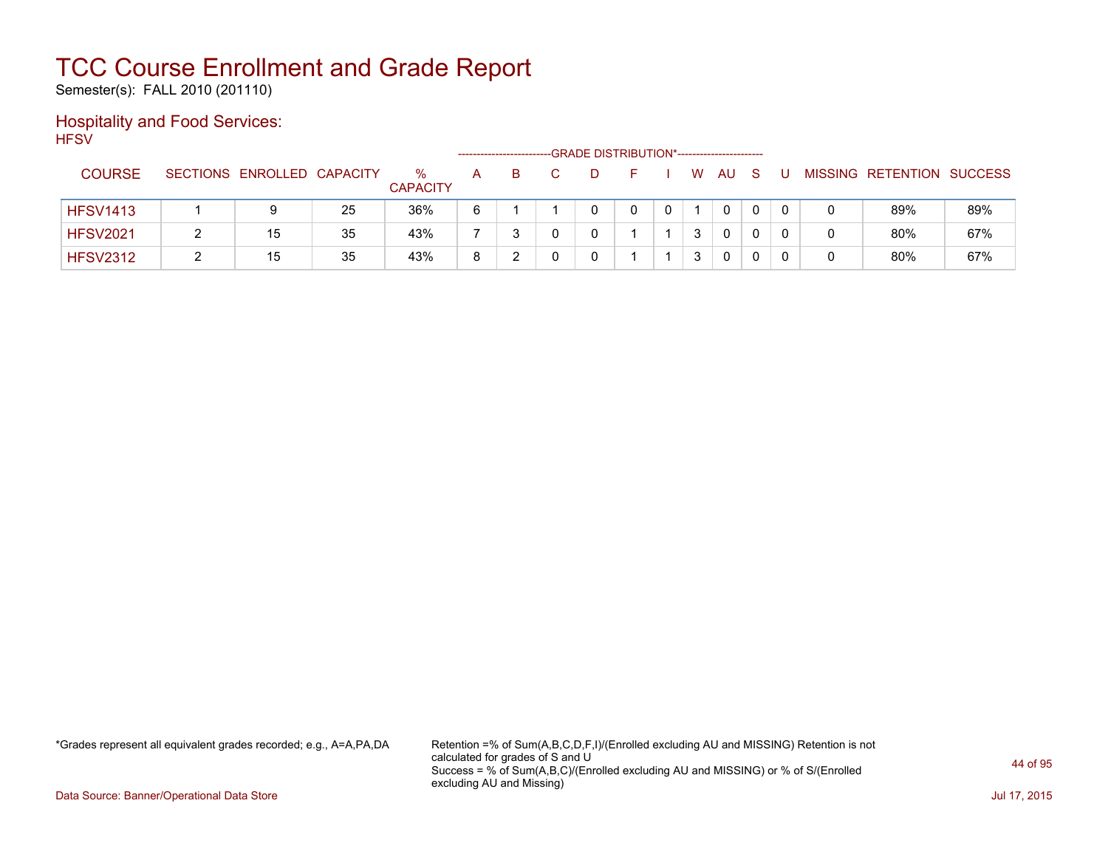Semester(s): FALL 2010 (201110)

### Hospitality and Food Services: **HFSV**

|                 |                            |    |                         |   |    |  | -GRADE DISTRIBUTION*----------------------- |   |              |              |  |                           |     |
|-----------------|----------------------------|----|-------------------------|---|----|--|---------------------------------------------|---|--------------|--------------|--|---------------------------|-----|
| <b>COURSE</b>   | SECTIONS ENROLLED CAPACITY |    | $\%$<br><b>CAPACITY</b> | A | B. |  | н.                                          | W | AU           | <sub>S</sub> |  | MISSING RETENTION SUCCESS |     |
| <b>HFSV1413</b> |                            | 25 | 36%                     | 6 |    |  |                                             |   | $\mathbf{0}$ |              |  | 89%                       | 89% |
| <b>HFSV2021</b> | 15                         | 35 | 43%                     |   |    |  |                                             | 3 | 0            |              |  | 80%                       | 67% |
| <b>HFSV2312</b> | 15                         | 35 | 43%                     | 8 |    |  |                                             | 3 | 0            |              |  | 80%                       | 67% |

\*Grades represent all equivalent grades recorded; e.g., A=A,PA,DA Retention =% of Sum(A,B,C,D,F,I)/(Enrolled excluding AU and MISSING) Retention is not calculated for grades of S and U Success = % of Sum(A,B,C)/(Enrolled excluding AU and MISSING) or % of S/(Enrolled excluding AU and Missing)

Data Source: Banner/Operational Data Store Jul 17, 2015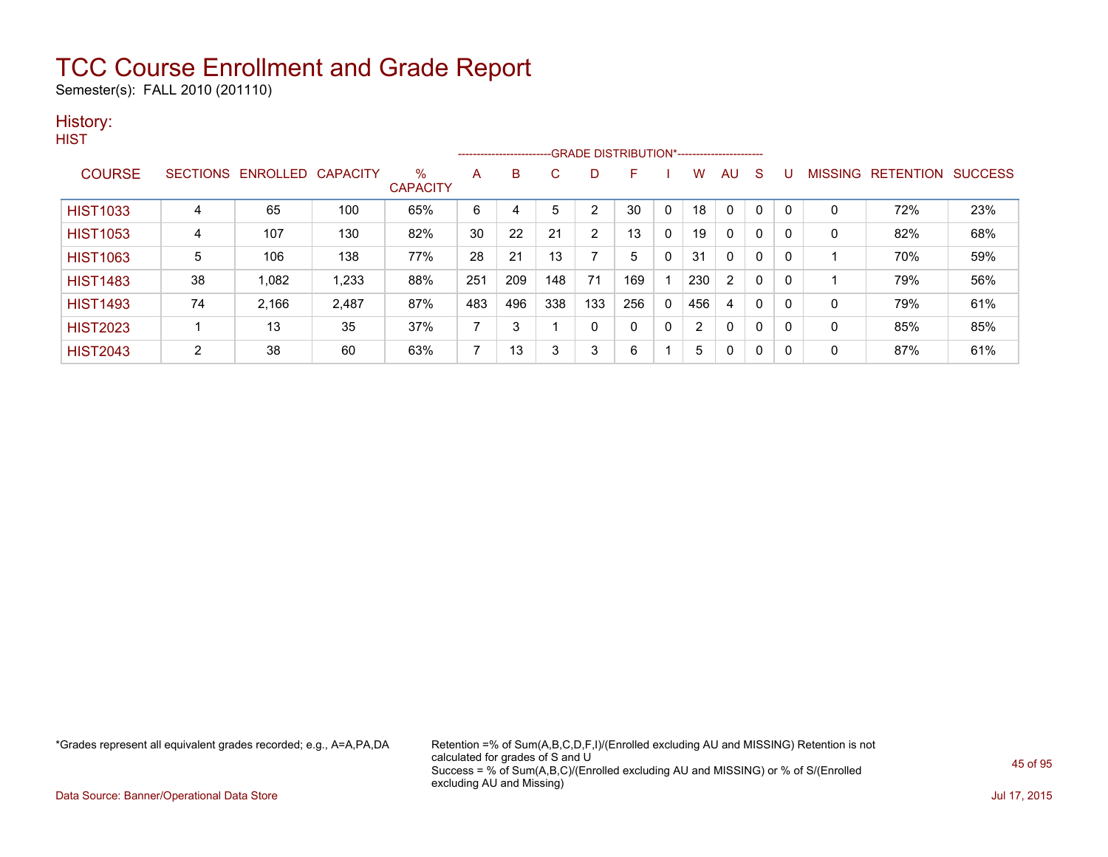Semester(s): FALL 2010 (201110)

### History:

|    |       |       | $\%$<br><b>CAPACITY</b>    | A   | B   | С   | D              | F            |          | W   | AU.            | <sub>S</sub> | U                                                                                |              |     |                           |
|----|-------|-------|----------------------------|-----|-----|-----|----------------|--------------|----------|-----|----------------|--------------|----------------------------------------------------------------------------------|--------------|-----|---------------------------|
| 4  | 65    | 100   | 65%                        | 6   | 4   | 5   | 2              | 30           | 0        | 18  | $\mathbf{0}$   | $\mathbf{0}$ | 0                                                                                | $\mathbf{0}$ | 72% | 23%                       |
| 4  | 107   | 130   | 82%                        | 30  | 22  | 21  | $\overline{2}$ | 13           | 0        | 19  | $\Omega$       | 0            | 0                                                                                | $\mathbf{0}$ | 82% | 68%                       |
| 5  | 106   | 138   | 77%                        | 28  | 21  | 13  | 7              | 5            | $\Omega$ | 31  | $\Omega$       | $\mathbf{0}$ | 0                                                                                |              | 70% | 59%                       |
| 38 | 1,082 | 1,233 | 88%                        | 251 | 209 | 148 | 71             | 169          |          | 230 | $\overline{2}$ | $\mathbf{0}$ | 0                                                                                |              | 79% | 56%                       |
| 74 | 2,166 | 2,487 | 87%                        | 483 | 496 | 338 | 133            | 256          | $\Omega$ | 456 | 4              | 0            | 0                                                                                | $\mathbf{0}$ | 79% | 61%                       |
|    | 13    | 35    | 37%                        | 7   | 3   |     | 0              | $\mathbf{0}$ | 0        | 2   | $\mathbf{0}$   | $\mathbf{0}$ | 0                                                                                | $\Omega$     | 85% | 85%                       |
| 2  | 38    | 60    | 63%                        | 7   | 13  | 3   | 3              | 6            |          | 5   | 0              | $\Omega$     | 0                                                                                | 0            | 87% | 61%                       |
|    |       |       | SECTIONS ENROLLED CAPACITY |     |     |     |                |              |          |     |                |              | ------------------------GRADE                DISTRIBUTION*---------------------- |              |     | MISSING RETENTION SUCCESS |

\*Grades represent all equivalent grades recorded; e.g., A=A,PA,DA Retention =% of Sum(A,B,C,D,F,I)/(Enrolled excluding AU and MISSING) Retention is not calculated for grades of S and U Success = % of Sum(A,B,C)/(Enrolled excluding AU and MISSING) or % of S/(Enrolled excluding AU and Missing)

Data Source: Banner/Operational Data Store Jul 17, 2015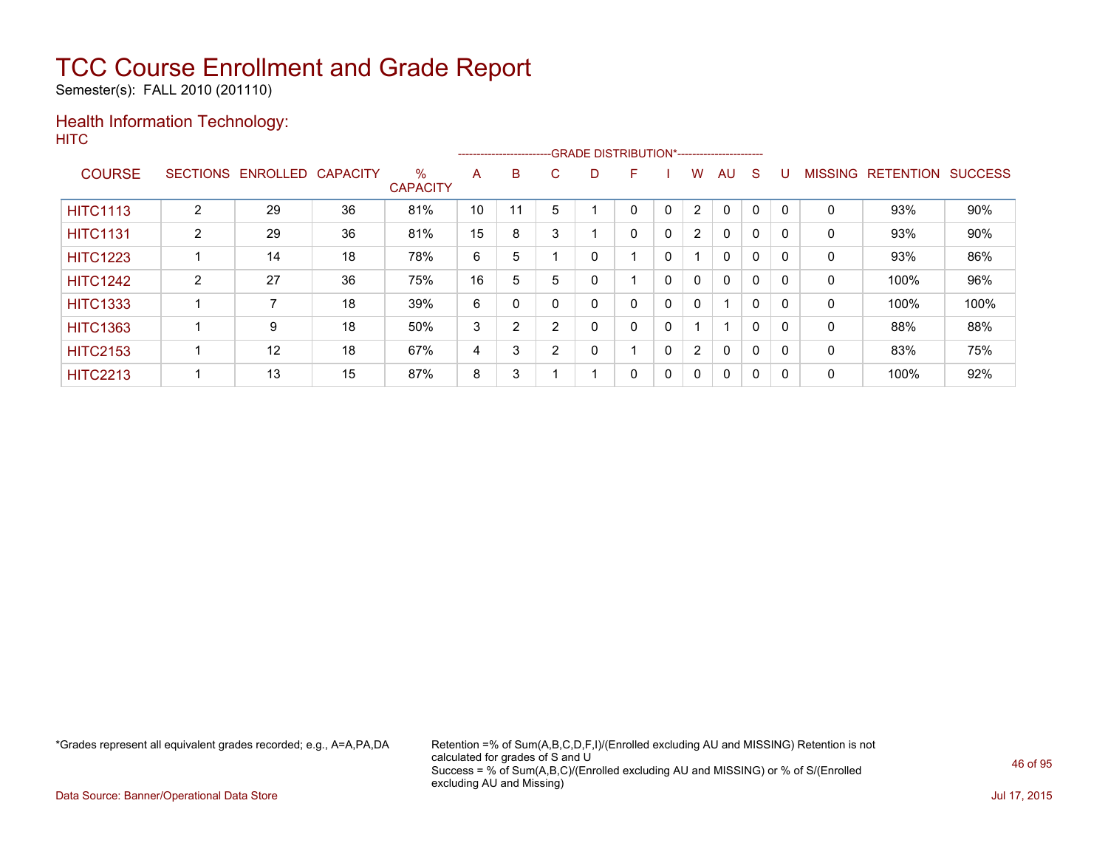Semester(s): FALL 2010 (201110)

### Health Information Technology: **HITC**

|                 |                |                   |                 |                         |    |    |   | --------------------------GRADE DISTRIBUTION*----------------------- |   |              |                |              |              |          |                |                          |      |
|-----------------|----------------|-------------------|-----------------|-------------------------|----|----|---|----------------------------------------------------------------------|---|--------------|----------------|--------------|--------------|----------|----------------|--------------------------|------|
| <b>COURSE</b>   |                | SECTIONS ENROLLED | <b>CAPACITY</b> | $\%$<br><b>CAPACITY</b> | A  | B. | C | D                                                                    | F |              | W              | AU.          | <sub>S</sub> |          | <b>MISSING</b> | <b>RETENTION SUCCESS</b> |      |
| <b>HITC1113</b> | $\overline{2}$ | 29                | 36              | 81%                     | 10 | 11 | 5 |                                                                      | 0 |              | 2              | 0            | 0            |          | 0              | 93%                      | 90%  |
| <b>HITC1131</b> | 2              | 29                | 36              | 81%                     | 15 | 8  | 3 |                                                                      | 0 | $\mathbf{0}$ | $\overline{2}$ | $\mathbf{0}$ | $\mathbf 0$  |          | 0              | 93%                      | 90%  |
| <b>HITC1223</b> |                | 14                | 18              | 78%                     | 6  | 5  |   | 0                                                                    |   | 0            |                | $\mathbf{0}$ | $\mathbf 0$  |          | 0              | 93%                      | 86%  |
| <b>HITC1242</b> | 2              | 27                | 36              | 75%                     | 16 | 5  | 5 | 0                                                                    |   | 0            | $\mathbf{0}$   | $\mathbf{0}$ | 0            |          | 0              | 100%                     | 96%  |
| <b>HITC1333</b> |                |                   | 18              | 39%                     | 6  | 0  | 0 | 0                                                                    | 0 | 0            | 0              | 1            | 0            |          | 0              | 100%                     | 100% |
| <b>HITC1363</b> |                | 9                 | 18              | 50%                     | 3  | 2  | C | 0                                                                    | 0 | $\mathbf{0}$ |                | ۸            | $\mathbf{0}$ | $\Omega$ | 0              | 88%                      | 88%  |
| <b>HITC2153</b> |                | 12                | 18              | 67%                     | 4  | 3  | 2 | 0                                                                    |   | $\Omega$     | $\overline{2}$ | $\mathbf{0}$ | 0            |          | 0              | 83%                      | 75%  |
| <b>HITC2213</b> |                | 13                | 15              | 87%                     | 8  | 3  |   |                                                                      | 0 | 0            | 0              | 0            | 0            | -C       | 0              | 100%                     | 92%  |

\*Grades represent all equivalent grades recorded; e.g., A=A,PA,DA Retention =% of Sum(A,B,C,D,F,I)/(Enrolled excluding AU and MISSING) Retention is not calculated for grades of S and U Success = % of Sum(A,B,C)/(Enrolled excluding AU and MISSING) or % of S/(Enrolled excluding AU and Missing)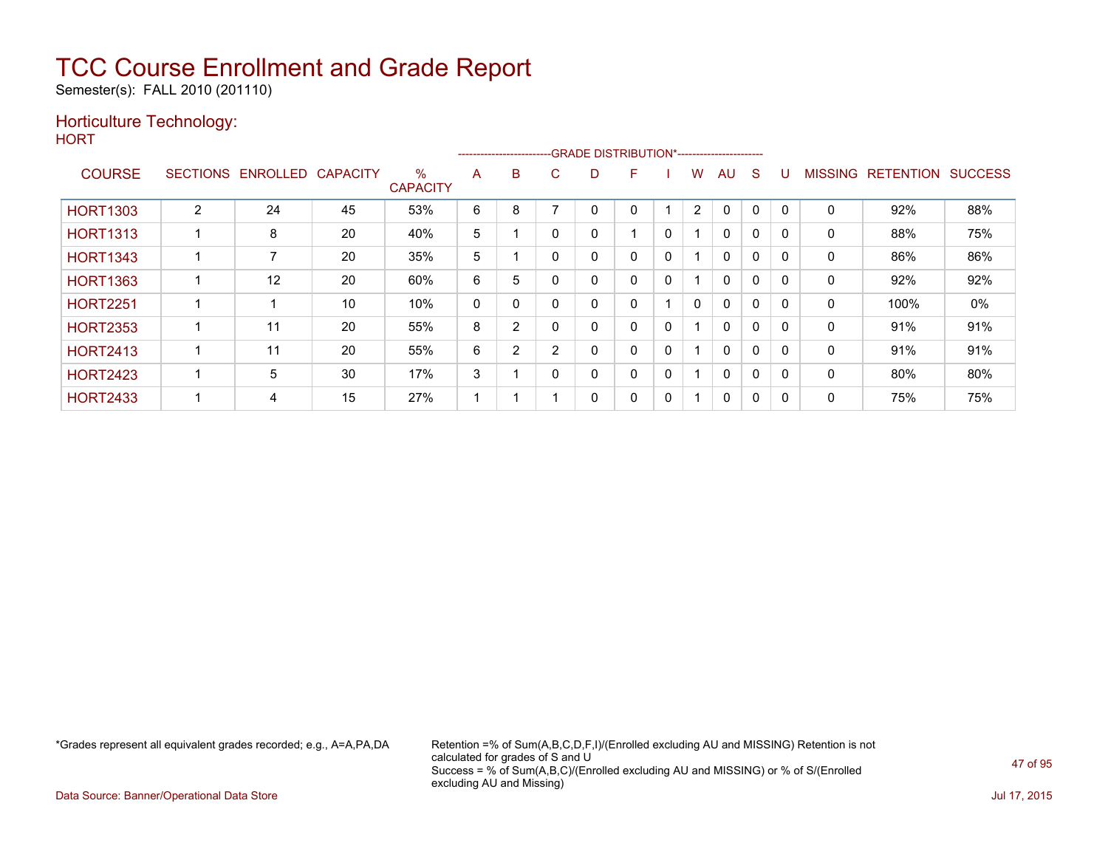Semester(s): FALL 2010 (201110)

### Horticulture Technology:

**HORT** 

| .               |                 |          |                 |                         |              | ---------------------- |                |   | -- GRADE DISTRIBUTION*------------------------- |   |                |              |              |              |                |                  |                |
|-----------------|-----------------|----------|-----------------|-------------------------|--------------|------------------------|----------------|---|-------------------------------------------------|---|----------------|--------------|--------------|--------------|----------------|------------------|----------------|
| <b>COURSE</b>   | <b>SECTIONS</b> | ENROLLED | <b>CAPACITY</b> | $\%$<br><b>CAPACITY</b> | A            | B                      | С              | D | F                                               |   | w              | AU           | S            |              | <b>MISSING</b> | <b>RETENTION</b> | <b>SUCCESS</b> |
| <b>HORT1303</b> | $\overline{2}$  | 24       | 45              | 53%                     | 6            | 8                      |                | 0 | 0                                               |   | $\overline{2}$ | $\mathbf 0$  | $\mathbf{0}$ | $\mathbf{0}$ | 0              | 92%              | 88%            |
| <b>HORT1313</b> |                 | 8        | 20              | 40%                     | 5            |                        |                | 0 |                                                 | 0 |                | $\Omega$     | $\Omega$     | 0            | 0              | 88%              | 75%            |
| <b>HORT1343</b> |                 |          | 20              | 35%                     | 5            |                        |                | 0 | 0                                               | 0 |                | 0            | 0            | $\Omega$     | 0              | 86%              | 86%            |
| <b>HORT1363</b> |                 | 12       | 20              | 60%                     | 6            | 5                      |                | 0 | 0                                               | 0 |                | $\mathbf{0}$ | $\Omega$     | $\Omega$     | 0              | 92%              | 92%            |
| <b>HORT2251</b> |                 |          | 10              | 10%                     | $\mathbf{0}$ | $\Omega$               |                | 0 | 0                                               |   | 0              | $\mathbf{0}$ | $\Omega$     | $\mathbf{0}$ | 0              | 100%             | 0%             |
| <b>HORT2353</b> |                 | 11       | 20              | 55%                     | 8            | 2                      |                | 0 | 0                                               | 0 |                | $\Omega$     | 0            | 0            | 0              | 91%              | 91%            |
| <b>HORT2413</b> |                 | 11       | 20              | 55%                     | 6            | $\overline{2}$         | $\overline{2}$ | 0 | 0                                               | 0 |                | $\mathbf{0}$ | $\Omega$     | $\Omega$     | 0              | 91%              | 91%            |
| <b>HORT2423</b> |                 | 5        | 30              | 17%                     | 3            |                        |                | 0 | $\Omega$                                        | 0 | 4              | $\mathbf{0}$ | $\Omega$     | $\Omega$     | 0              | 80%              | 80%            |
| <b>HORT2433</b> |                 | 4        | 15              | 27%                     |              |                        |                | 0 | 0                                               | 0 |                | 0            | 0            | 0            | 0              | 75%              | 75%            |

\*Grades represent all equivalent grades recorded; e.g., A=A,PA,DA Retention =% of Sum(A,B,C,D,F,I)/(Enrolled excluding AU and MISSING) Retention is not calculated for grades of S and U Success = % of Sum(A,B,C)/(Enrolled excluding AU and MISSING) or % of S/(Enrolled excluding AU and Missing)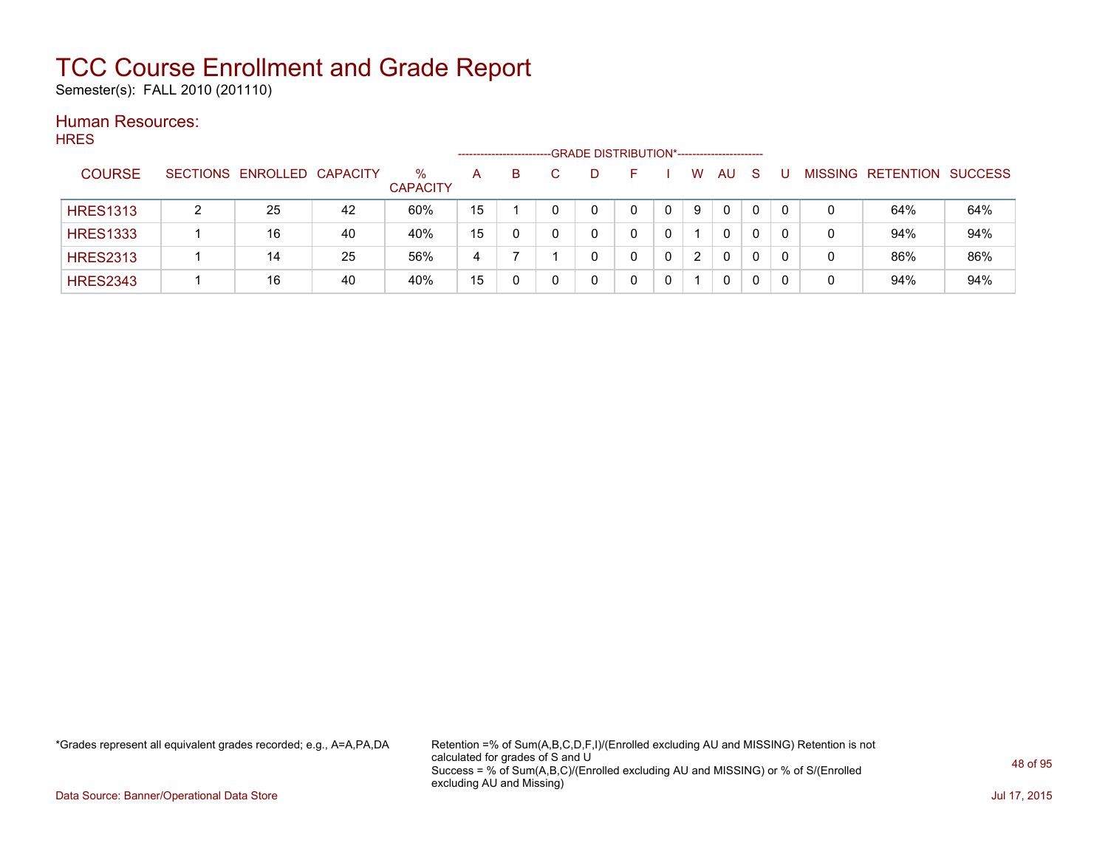Semester(s): FALL 2010 (201110)

### Human Resources: HRES

| .  .__          |                            |    |                         |    | ----------------------- |    | -GRADE DISTRIBUTION*----------------------- |   |                      |              |              |   |                           |     |
|-----------------|----------------------------|----|-------------------------|----|-------------------------|----|---------------------------------------------|---|----------------------|--------------|--------------|---|---------------------------|-----|
| <b>COURSE</b>   | SECTIONS ENROLLED CAPACITY |    | $\%$<br><b>CAPACITY</b> | A  | B                       | D. |                                             |   | W                    | AU.          | <sub>S</sub> |   | MISSING RETENTION SUCCESS |     |
| <b>HRES1313</b> | 25                         | 42 | 60%                     | 15 |                         |    | 0                                           |   | 9                    | $\mathbf{0}$ | 0            |   | 64%                       | 64% |
| <b>HRES1333</b> | 16                         | 40 | 40%                     | 15 |                         |    |                                             |   |                      | 0            |              |   | 94%                       | 94% |
| <b>HRES2313</b> | 14                         | 25 | 56%                     | 4  |                         |    |                                             | 0 | $\mathbf{2}^{\circ}$ | $\Omega$     | $\mathbf{0}$ | 0 | 86%                       | 86% |
| <b>HRES2343</b> | 16                         | 40 | 40%                     | 15 |                         |    |                                             |   |                      | 0            | 0            |   | 94%                       | 94% |

\*Grades represent all equivalent grades recorded; e.g., A=A,PA,DA Retention =% of Sum(A,B,C,D,F,I)/(Enrolled excluding AU and MISSING) Retention is not calculated for grades of S and U Success = % of Sum(A,B,C)/(Enrolled excluding AU and MISSING) or % of S/(Enrolled excluding AU and Missing)

Data Source: Banner/Operational Data Store Jul 17, 2015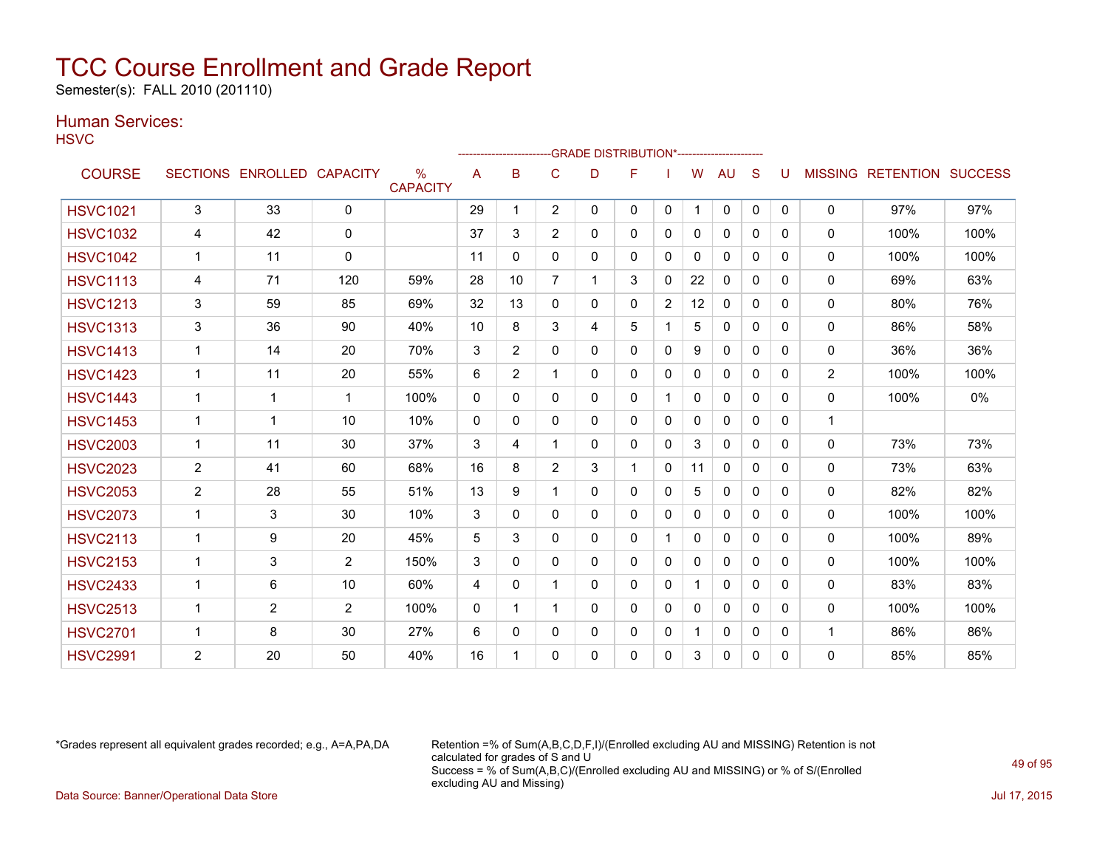Semester(s): FALL 2010 (201110)

### Human Services:

**HSVC** 

| .               |                |                            |                |                                  |              |                |                | -GRADE DISTRIBUTION*---------------------- |   |                |              |              |              |              |                |                                  |      |
|-----------------|----------------|----------------------------|----------------|----------------------------------|--------------|----------------|----------------|--------------------------------------------|---|----------------|--------------|--------------|--------------|--------------|----------------|----------------------------------|------|
| <b>COURSE</b>   |                | SECTIONS ENROLLED CAPACITY |                | $\frac{0}{0}$<br><b>CAPACITY</b> | A            | в              | C              | D                                          | F |                | W            | <b>AU</b>    | S            | U            |                | <b>MISSING RETENTION SUCCESS</b> |      |
| <b>HSVC1021</b> | 3              | 33                         | $\mathbf{0}$   |                                  | 29           | 1              | $\overline{2}$ | 0                                          | 0 | $\mathbf{0}$   | $\mathbf{1}$ | $\mathbf 0$  | $\mathbf{0}$ | $\Omega$     | $\mathbf{0}$   | 97%                              | 97%  |
| <b>HSVC1032</b> | 4              | 42                         | $\mathbf{0}$   |                                  | 37           | 3              | $\overline{2}$ | 0                                          | 0 | $\mathbf{0}$   | $\mathbf{0}$ | $\mathbf{0}$ | $\mathbf{0}$ | $\mathbf{0}$ | $\Omega$       | 100%                             | 100% |
| <b>HSVC1042</b> | 1              | 11                         | $\mathbf{0}$   |                                  | 11           | 0              | 0              | 0                                          | 0 | $\mathbf{0}$   | 0            | $\mathbf{0}$ | $\Omega$     | $\Omega$     | $\mathbf{0}$   | 100%                             | 100% |
| <b>HSVC1113</b> | 4              | 71                         | 120            | 59%                              | 28           | 10             | $\overline{7}$ | 1                                          | 3 | $\mathbf{0}$   | 22           | 0            | 0            | $\Omega$     | $\mathbf{0}$   | 69%                              | 63%  |
| <b>HSVC1213</b> | 3              | 59                         | 85             | 69%                              | 32           | 13             | $\Omega$       | $\Omega$                                   | 0 | $\overline{2}$ | 12           | $\Omega$     | $\mathbf{0}$ | $\Omega$     | 0              | 80%                              | 76%  |
| <b>HSVC1313</b> | 3              | 36                         | 90             | 40%                              | 10           | 8              | 3              | 4                                          | 5 |                | 5            | $\mathbf{0}$ | $\Omega$     | $\Omega$     | 0              | 86%                              | 58%  |
| <b>HSVC1413</b> | $\mathbf{1}$   | 14                         | 20             | 70%                              | 3            | $\overline{2}$ | $\Omega$       | $\mathbf{0}$                               | 0 | $\mathbf{0}$   | 9            | 0            | $\mathbf{0}$ | $\Omega$     | 0              | 36%                              | 36%  |
| <b>HSVC1423</b> | $\mathbf{1}$   | 11                         | 20             | 55%                              | 6            | $\overline{2}$ | 1              | 0                                          | 0 | $\Omega$       | $\Omega$     | $\mathbf{0}$ | $\mathbf{0}$ | $\Omega$     | $\overline{2}$ | 100%                             | 100% |
| <b>HSVC1443</b> | 1              | 1                          | $\mathbf 1$    | 100%                             | $\mathbf{0}$ | $\Omega$       | $\Omega$       | $\Omega$                                   | 0 |                | $\mathbf{0}$ | $\Omega$     | $\Omega$     | $\Omega$     | 0              | 100%                             | 0%   |
| <b>HSVC1453</b> | $\mathbf{1}$   | 1                          | 10             | 10%                              | $\mathbf{0}$ | $\Omega$       | $\Omega$       | $\mathbf{0}$                               | 0 | $\mathbf{0}$   | $\Omega$     | $\mathbf{0}$ | $\Omega$     | $\Omega$     | $\mathbf{1}$   |                                  |      |
| <b>HSVC2003</b> | $\mathbf{1}$   | 11                         | 30             | 37%                              | 3            | 4              | 1              | 0                                          | 0 | $\Omega$       | 3            | $\mathbf{0}$ | $\Omega$     | $\Omega$     | 0              | 73%                              | 73%  |
| <b>HSVC2023</b> | 2              | 41                         | 60             | 68%                              | 16           | 8              | $\overline{2}$ | 3                                          | 1 | $\Omega$       | 11           | $\mathbf{0}$ | $\Omega$     | $\Omega$     | $\mathbf{0}$   | 73%                              | 63%  |
| <b>HSVC2053</b> | $\overline{2}$ | 28                         | 55             | 51%                              | 13           | 9              | 1              | $\Omega$                                   | 0 | $\Omega$       | 5            | $\mathbf{0}$ | $\Omega$     | $\Omega$     | 0              | 82%                              | 82%  |
| <b>HSVC2073</b> | $\mathbf 1$    | 3                          | 30             | 10%                              | 3            | 0              | 0              | 0                                          | 0 | $\Omega$       | $\Omega$     | 0            | $\Omega$     | $\Omega$     | 0              | 100%                             | 100% |
| <b>HSVC2113</b> | 1              | 9                          | 20             | 45%                              | 5            | 3              | $\Omega$       | 0                                          | 0 |                | 0            | $\mathbf{0}$ | $\Omega$     | $\Omega$     | $\mathbf{0}$   | 100%                             | 89%  |
| <b>HSVC2153</b> | 1              | 3                          | $\overline{2}$ | 150%                             | 3            | $\Omega$       | 0              | $\Omega$                                   | 0 | $\Omega$       | $\Omega$     | $\mathbf{0}$ | $\Omega$     | $\Omega$     | 0              | 100%                             | 100% |
| <b>HSVC2433</b> | $\mathbf 1$    | 6                          | 10             | 60%                              | 4            | 0              | 1              | 0                                          | 0 | $\mathbf{0}$   | 1            | 0            | $\Omega$     | $\Omega$     | $\mathbf{0}$   | 83%                              | 83%  |
| <b>HSVC2513</b> | 1              | $\overline{2}$             | 2              | 100%                             | $\mathbf{0}$ |                |                | 0                                          | 0 | $\mathbf{0}$   | 0            | 0            | $\mathbf{0}$ | $\Omega$     | $\mathbf{0}$   | 100%                             | 100% |
| <b>HSVC2701</b> | $\mathbf{1}$   | 8                          | 30             | 27%                              | 6            | 0              | 0              | 0                                          | 0 | $\mathbf{0}$   | 1            | $\mathbf{0}$ | $\mathbf{0}$ | $\mathbf{0}$ | $\mathbf{1}$   | 86%                              | 86%  |
| <b>HSVC2991</b> | $\overline{2}$ | 20                         | 50             | 40%                              | 16           | 1              | 0              | 0                                          | 0 | $\mathbf{0}$   | 3            | $\mathbf{0}$ | $\mathbf{0}$ | $\Omega$     | $\mathbf 0$    | 85%                              | 85%  |

\*Grades represent all equivalent grades recorded; e.g., A=A,PA,DA Retention =% of Sum(A,B,C,D,F,I)/(Enrolled excluding AU and MISSING) Retention is not calculated for grades of S and U Success = % of Sum(A,B,C)/(Enrolled excluding AU and MISSING) or % of S/(Enrolled excluding AU and Missing) Data Source: Banner/Operational Data Store Jul 17, 2015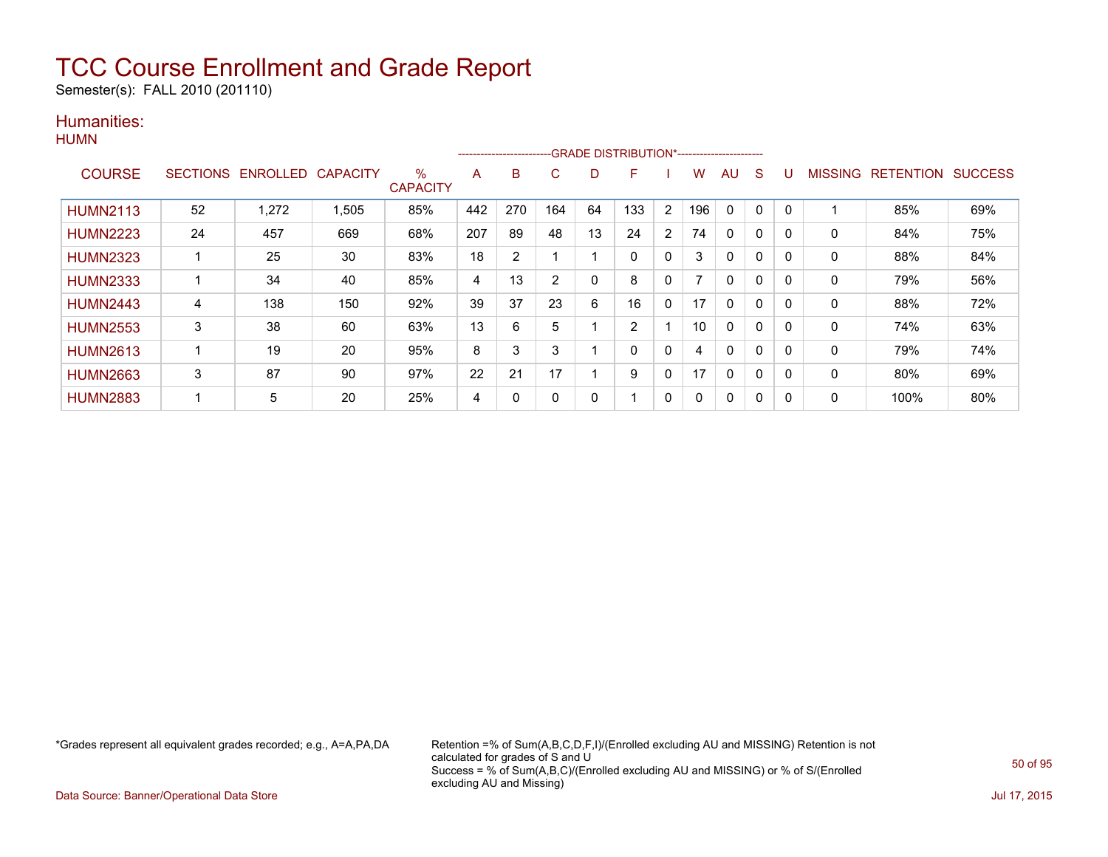Semester(s): FALL 2010 (201110)

### Humanities:

|                 |                 |                   |       |                      |     |     |     |             | --------------------------GRADE DISTRIBUTION*----------------------- |                |     |    |              |          |         |                  |                |
|-----------------|-----------------|-------------------|-------|----------------------|-----|-----|-----|-------------|----------------------------------------------------------------------|----------------|-----|----|--------------|----------|---------|------------------|----------------|
| <b>COURSE</b>   | <b>SECTIONS</b> | ENROLLED CAPACITY |       | %<br><b>CAPACITY</b> | A   | B   | C   | D           | F                                                                    |                | W   | AU | S            |          | MISSING | <b>RETENTION</b> | <b>SUCCESS</b> |
| <b>HUMN2113</b> | 52              | 1,272             | 1,505 | 85%                  | 442 | 270 | 164 | 64          | 133                                                                  | $\overline{2}$ | 196 | 0  | 0            | $\Omega$ |         | 85%              | 69%            |
| <b>HUMN2223</b> | 24              | 457               | 669   | 68%                  | 207 | 89  | 48  | 13          | 24                                                                   | 2              | 74  | 0  | 0            | 0        | 0       | 84%              | 75%            |
| <b>HUMN2323</b> |                 | 25                | 30    | 83%                  | 18  | 2   |     |             | 0                                                                    | $\mathbf{0}$   | 3   | 0  | 0            | 0        | 0       | 88%              | 84%            |
| <b>HUMN2333</b> |                 | 34                | 40    | 85%                  | 4   | 13  | 2   | $\mathbf 0$ | 8                                                                    | $\mathbf{0}$   |     | 0  | $\Omega$     | 0        | 0       | 79%              | 56%            |
| <b>HUMN2443</b> | 4               | 138               | 150   | 92%                  | 39  | 37  | 23  | 6           | 16                                                                   | $\mathbf{0}$   | 17  | 0  | $\mathbf{0}$ | $\Omega$ | 0       | 88%              | 72%            |
| <b>HUMN2553</b> | 3               | 38                | 60    | 63%                  | 13  | 6   | 5   |             | 2                                                                    |                | 10  | 0  | 0            | 0        | 0       | 74%              | 63%            |
| <b>HUMN2613</b> | 1               | 19                | 20    | 95%                  | 8   | 3   | 3   |             | 0                                                                    | $\mathbf{0}$   | 4   | 0  | 0            | $\Omega$ | 0       | 79%              | 74%            |
| <b>HUMN2663</b> | 3               | 87                | 90    | 97%                  | 22  | 21  | 17  |             | 9                                                                    | 0              | 17  | 0  | $\Omega$     | 0        | 0       | 80%              | 69%            |
| <b>HUMN2883</b> | ۰               | 5                 | 20    | 25%                  | 4   | 0   | 0   | 0           |                                                                      | $\mathbf{0}$   | 0   | 0  | 0            | $\Omega$ | 0       | 100%             | 80%            |

\*Grades represent all equivalent grades recorded; e.g., A=A,PA,DA Retention =% of Sum(A,B,C,D,F,I)/(Enrolled excluding AU and MISSING) Retention is not calculated for grades of S and U Success = % of Sum(A,B,C)/(Enrolled excluding AU and MISSING) or % of S/(Enrolled excluding AU and Missing)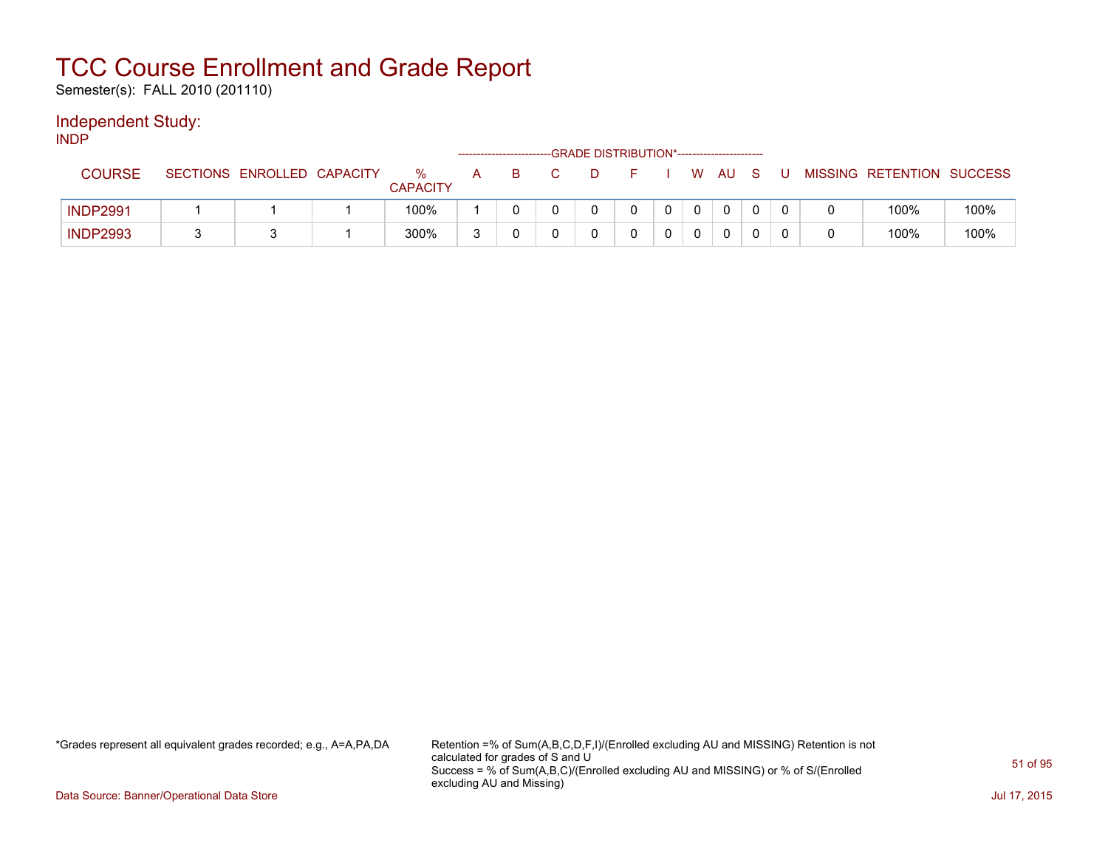Semester(s): FALL 2010 (201110)

### Independent Study:

INDP

|                 |                            |                      |        | -------------------------- | -GRADE DISTRIBUTION*----------------------- |  |    |      |  |                           |      |
|-----------------|----------------------------|----------------------|--------|----------------------------|---------------------------------------------|--|----|------|--|---------------------------|------|
| <b>COURSE</b>   | SECTIONS ENROLLED CAPACITY | %<br><b>CAPACITY</b> | A      | в                          |                                             |  | W. | - AU |  | MISSING RETENTION SUCCESS |      |
| <b>INDP2991</b> |                            | 100%                 |        |                            |                                             |  |    |      |  | 100%                      | 100% |
| <b>INDP2993</b> |                            | 300%                 | $\sim$ |                            |                                             |  |    |      |  | 100%                      | 100% |

\*Grades represent all equivalent grades recorded; e.g., A=A,PA,DA Retention =% of Sum(A,B,C,D,F,I)/(Enrolled excluding AU and MISSING) Retention is not calculated for grades of S and U Success = % of Sum(A,B,C)/(Enrolled excluding AU and MISSING) or % of S/(Enrolled excluding AU and Missing)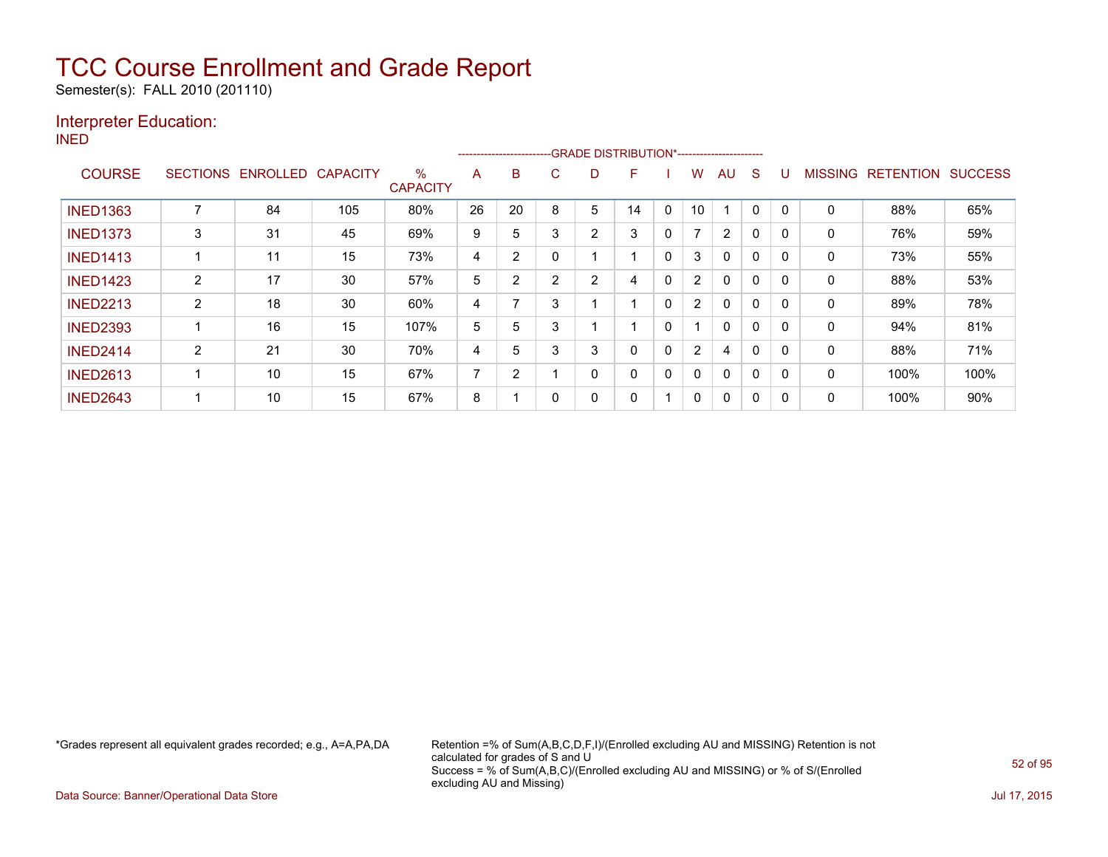Semester(s): FALL 2010 (201110)

### Interpreter Education:

INED

|                 |                 |          |                 |                         |                |    |   |                | -----------------------GRADE DISTRIBUTION*----------------------- |              |                          |              |          |              |                |                  |                |
|-----------------|-----------------|----------|-----------------|-------------------------|----------------|----|---|----------------|-------------------------------------------------------------------|--------------|--------------------------|--------------|----------|--------------|----------------|------------------|----------------|
| <b>COURSE</b>   | <b>SECTIONS</b> | ENROLLED | <b>CAPACITY</b> | $\%$<br><b>CAPACITY</b> | A              | B  | С | D              | F                                                                 |              | w                        | AU           | S        |              | <b>MISSING</b> | <b>RETENTION</b> | <b>SUCCESS</b> |
| <b>INED1363</b> | 7               | 84       | 105             | 80%                     | 26             | 20 | 8 | 5              | 14                                                                | $\mathbf{0}$ | 10                       |              | $\Omega$ | $\mathbf{0}$ | 0              | 88%              | 65%            |
| <b>INED1373</b> | 3               | 31       | 45              | 69%                     | 9              | 5  | 3 | 2              | 3                                                                 | 0            | $\overline{\phantom{a}}$ | 2            | $\Omega$ | 0            | 0              | 76%              | 59%            |
| <b>INED1413</b> |                 | 11       | 15              | 73%                     | 4              | 2  |   |                |                                                                   | 0            | 3                        | $\mathbf{0}$ | 0        | 0            | 0              | 73%              | 55%            |
| <b>INED1423</b> | $\overline{2}$  | 17       | 30              | 57%                     | 5              | 2  | 2 | $\overline{2}$ | 4                                                                 | 0            | $\overline{2}$           | $\Omega$     | 0        | 0            | 0              | 88%              | 53%            |
| <b>INED2213</b> | $\overline{2}$  | 18       | 30              | 60%                     | 4              |    | 3 |                | $\overline{ }$                                                    | $\Omega$     | $\overline{2}$           | $\Omega$     | 0        | $\Omega$     | 0              | 89%              | 78%            |
| <b>INED2393</b> |                 | 16       | 15              | 107%                    | 5              | 5  | 3 |                |                                                                   | 0            |                          | $\Omega$     | 0        | 0            | 0              | 94%              | 81%            |
| <b>INED2414</b> | $\overline{2}$  | 21       | 30              | 70%                     | 4              | 5  | 3 | 3              | 0                                                                 | 0            | $\overline{2}$           | 4            | 0        | $\Omega$     | 0              | 88%              | 71%            |
| <b>INED2613</b> |                 | 10       | 15              | 67%                     | $\overline{ }$ | 2  |   | 0              | 0                                                                 | 0            | 0                        | $\mathbf{0}$ | 0        | $\Omega$     | 0              | 100%             | 100%           |
| <b>INED2643</b> |                 | 10       | 15              | 67%                     | 8              |    |   | 0              | 0                                                                 |              | 0                        | $\Omega$     | 0        | 0            | 0              | 100%             | 90%            |

\*Grades represent all equivalent grades recorded; e.g., A=A,PA,DA Retention =% of Sum(A,B,C,D,F,I)/(Enrolled excluding AU and MISSING) Retention is not calculated for grades of S and U Success = % of Sum(A,B,C)/(Enrolled excluding AU and MISSING) or % of S/(Enrolled excluding AU and Missing)

Data Source: Banner/Operational Data Store Jul 17, 2015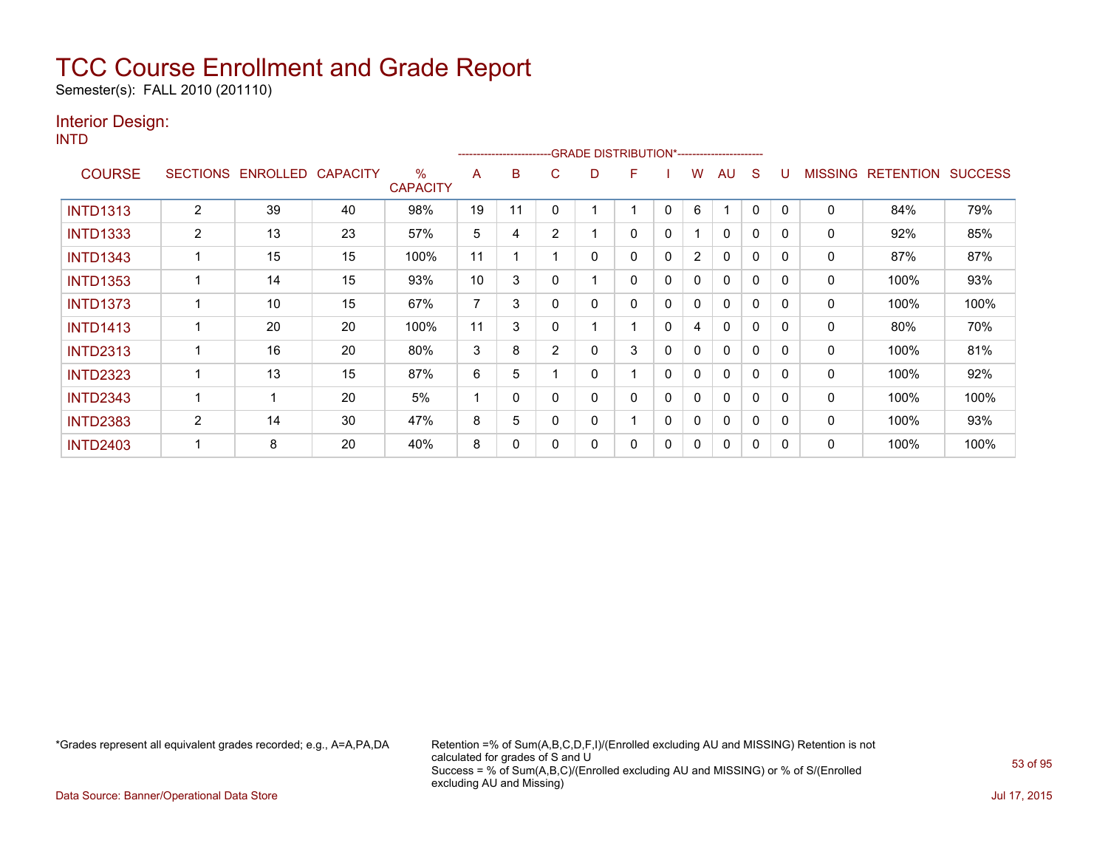Semester(s): FALL 2010 (201110)

### Interior Design:

INTD

|                 |                |                   |                 |                         |    | --------------------- |                | -GRADE DISTRIBUTION*---------------------- |   |              |                |              |              |          |                |                  |                |
|-----------------|----------------|-------------------|-----------------|-------------------------|----|-----------------------|----------------|--------------------------------------------|---|--------------|----------------|--------------|--------------|----------|----------------|------------------|----------------|
| <b>COURSE</b>   |                | SECTIONS ENROLLED | <b>CAPACITY</b> | $\%$<br><b>CAPACITY</b> | A  | B                     | C              | D                                          | F |              | W              | AU           | S            |          | <b>MISSING</b> | <b>RETENTION</b> | <b>SUCCESS</b> |
| <b>INTD1313</b> | 2              | 39                | 40              | 98%                     | 19 | 11                    |                |                                            |   | $\mathbf{0}$ | 6              |              | 0            | 0        | 0              | 84%              | 79%            |
| <b>INTD1333</b> | $\overline{2}$ | 13                | 23              | 57%                     | 5  | 4                     | $\overline{2}$ |                                            | 0 | 0            |                | 0            | $\Omega$     |          | 0              | 92%              | 85%            |
| <b>INTD1343</b> |                | 15                | 15              | 100%                    | 11 |                       |                | 0                                          | 0 | 0            | $\overline{2}$ | $\mathbf{0}$ | 0            | $\Omega$ | 0              | 87%              | 87%            |
| <b>INTD1353</b> |                | 14                | 15              | 93%                     | 10 | 3                     |                |                                            | 0 | 0            | 0              | $\mathbf{0}$ | $\mathbf{0}$ | $\Omega$ | 0              | 100%             | 93%            |
| <b>INTD1373</b> |                | 10                | 15              | 67%                     | 7  | 3                     | O              | 0                                          | 0 | 0            | $\mathbf{0}$   | $\mathbf{0}$ | 0            | $\Omega$ | $\mathbf{0}$   | 100%             | 100%           |
| <b>INTD1413</b> |                | 20                | 20              | 100%                    | 11 | 3                     |                |                                            |   | 0            | 4              | $\mathbf{0}$ | $\Omega$     | $\Omega$ | 0              | 80%              | 70%            |
| <b>INTD2313</b> |                | 16                | 20              | 80%                     | 3  | 8                     | $\overline{2}$ | 0                                          | 3 | $\mathbf{0}$ | 0              | 0            | 0            | 0        | 0              | 100%             | 81%            |
| <b>INTD2323</b> |                | 13                | 15              | 87%                     | 6  | 5                     |                | 0                                          |   | 0            | 0              | $\mathbf{0}$ | 0            | $\Omega$ | 0              | 100%             | 92%            |
| <b>INTD2343</b> |                | -1                | 20              | 5%                      |    | $\Omega$              |                | 0                                          | 0 | $\mathbf{0}$ | 0              | $\mathbf{0}$ | $\mathbf{0}$ | $\Omega$ | 0              | 100%             | 100%           |
| <b>INTD2383</b> | $\overline{2}$ | 14                | 30              | 47%                     | 8  | 5                     |                | 0                                          |   | 0            | 0              | $\mathbf{0}$ | $\Omega$     | $\Omega$ | 0              | 100%             | 93%            |
| <b>INTD2403</b> |                | 8                 | 20              | 40%                     | 8  | 0                     |                | 0                                          | 0 | 0            | 0              | $\mathbf{0}$ | 0            | $\Omega$ | 0              | 100%             | 100%           |

\*Grades represent all equivalent grades recorded; e.g., A=A,PA,DA Retention =% of Sum(A,B,C,D,F,I)/(Enrolled excluding AU and MISSING) Retention is not calculated for grades of S and U Success = % of Sum(A,B,C)/(Enrolled excluding AU and MISSING) or % of S/(Enrolled excluding AU and Missing)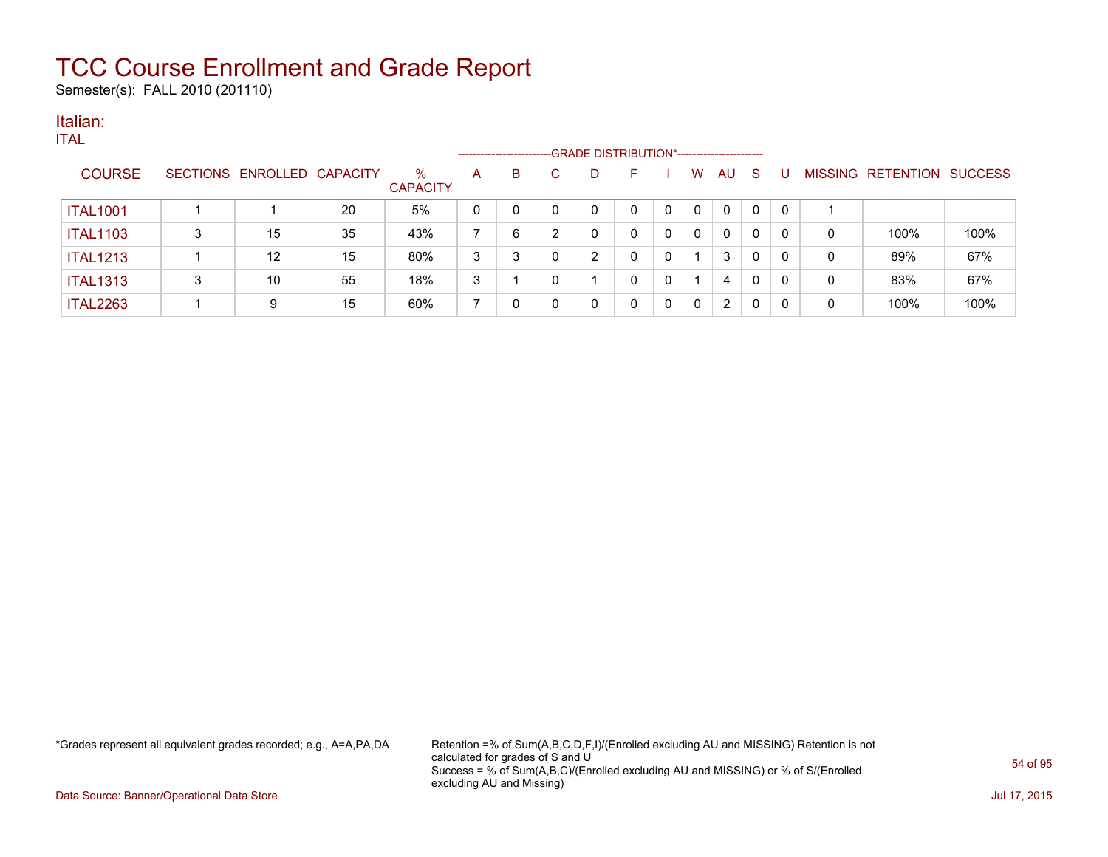Semester(s): FALL 2010 (201110)

### Italian:

|                 |   |                            |    |                         |             | --------------------- |   | -GRADE DISTRIBUTION*---------------------- |   |   |                |              |              |   |                   |                |
|-----------------|---|----------------------------|----|-------------------------|-------------|-----------------------|---|--------------------------------------------|---|---|----------------|--------------|--------------|---|-------------------|----------------|
| <b>COURSE</b>   |   | SECTIONS ENROLLED CAPACITY |    | $\%$<br><b>CAPACITY</b> | A           | B                     | D | н.                                         |   | w | AU.            | <sub>S</sub> |              |   | MISSING RETENTION | <b>SUCCESS</b> |
| <b>ITAL1001</b> |   |                            | 20 | 5%                      | $\mathbf 0$ |                       |   | 0                                          |   | 0 | $\mathbf{0}$   | $\Omega$     | $\mathbf{0}$ |   |                   |                |
| <b>ITAL1103</b> | 3 | 15                         | 35 | 43%                     |             | 6                     |   |                                            |   | 0 | $\mathbf{0}$   | 0            | 0            | 0 | 100%              | 100%           |
| <b>ITAL1213</b> |   | 12                         | 15 | 80%                     | 3           | 3                     | ົ | 0                                          |   |   | 3              | 0            | 0            | 0 | 89%               | 67%            |
| <b>ITAL1313</b> | ົ | 10                         | 55 | 18%                     | 3           |                       |   | 0                                          | 0 |   | 4              | 0            | 0            | 0 | 83%               | 67%            |
| <b>ITAL2263</b> |   | 9                          | 15 | 60%                     |             |                       |   | 0                                          |   | 0 | $\overline{2}$ | 0            |              | 0 | 100%              | 100%           |

\*Grades represent all equivalent grades recorded; e.g., A=A,PA,DA Retention =% of Sum(A,B,C,D,F,I)/(Enrolled excluding AU and MISSING) Retention is not calculated for grades of S and U Success = % of Sum(A,B,C)/(Enrolled excluding AU and MISSING) or % of S/(Enrolled excluding AU and Missing)

Data Source: Banner/Operational Data Store Jul 17, 2015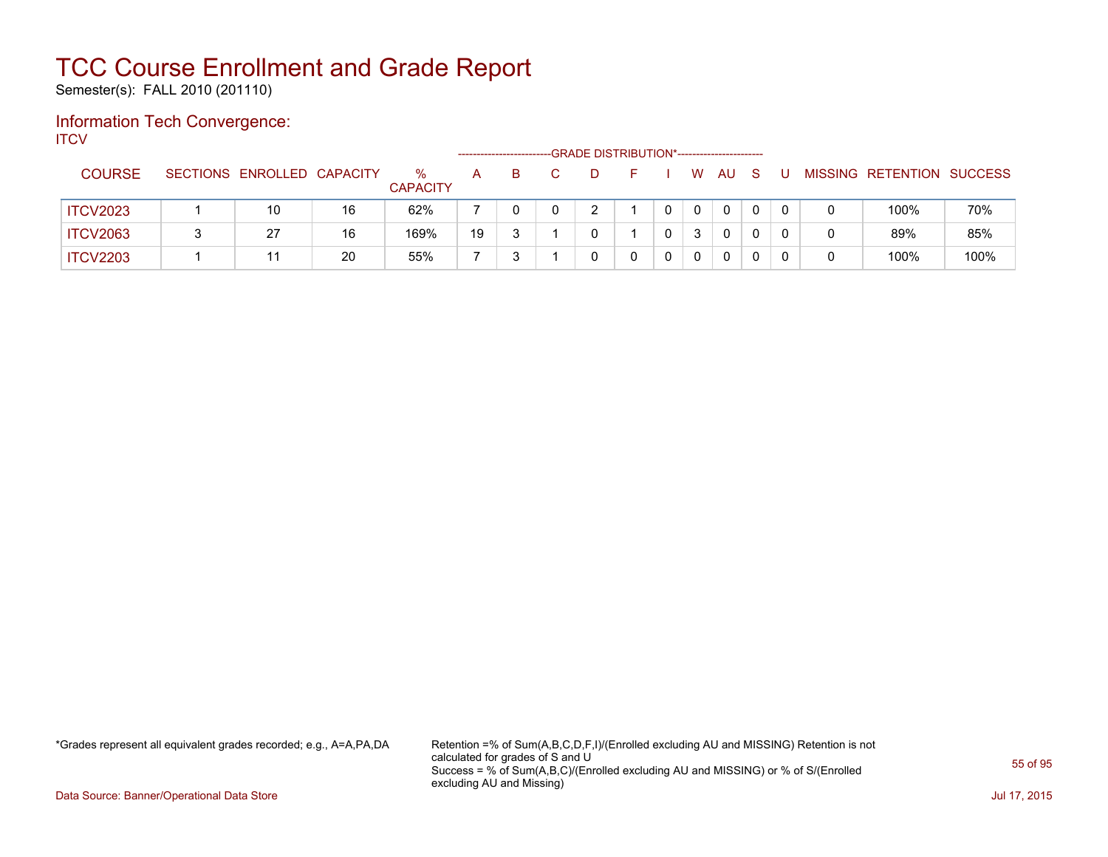Semester(s): FALL 2010 (201110)

### Information Tech Convergence: **ITCV**

|                 |                            |    |                         |    |    |    | -GRADE DISTRIBUTION*----------------------- |          |              |              |  |                           |      |
|-----------------|----------------------------|----|-------------------------|----|----|----|---------------------------------------------|----------|--------------|--------------|--|---------------------------|------|
| <b>COURSE</b>   | SECTIONS ENROLLED CAPACITY |    | $\%$<br><b>CAPACITY</b> | A  | B. | D. | н.                                          | W        | AU           | <sub>S</sub> |  | MISSING RETENTION SUCCESS |      |
| <b>ITCV2023</b> | 10                         | 16 | 62%                     |    |    |    |                                             | $\Omega$ | $\mathbf{0}$ |              |  | 100%                      | 70%  |
| <b>ITCV2063</b> | 27                         | 16 | 169%                    | 19 |    |    |                                             | 3        | 0            |              |  | 89%                       | 85%  |
| <b>ITCV2203</b> |                            | 20 | 55%                     |    |    |    |                                             | 0        | $\Omega$     |              |  | 100%                      | 100% |

\*Grades represent all equivalent grades recorded; e.g., A=A,PA,DA Retention =% of Sum(A,B,C,D,F,I)/(Enrolled excluding AU and MISSING) Retention is not calculated for grades of S and U Success = % of Sum(A,B,C)/(Enrolled excluding AU and MISSING) or % of S/(Enrolled excluding AU and Missing)

Data Source: Banner/Operational Data Store Jul 17, 2015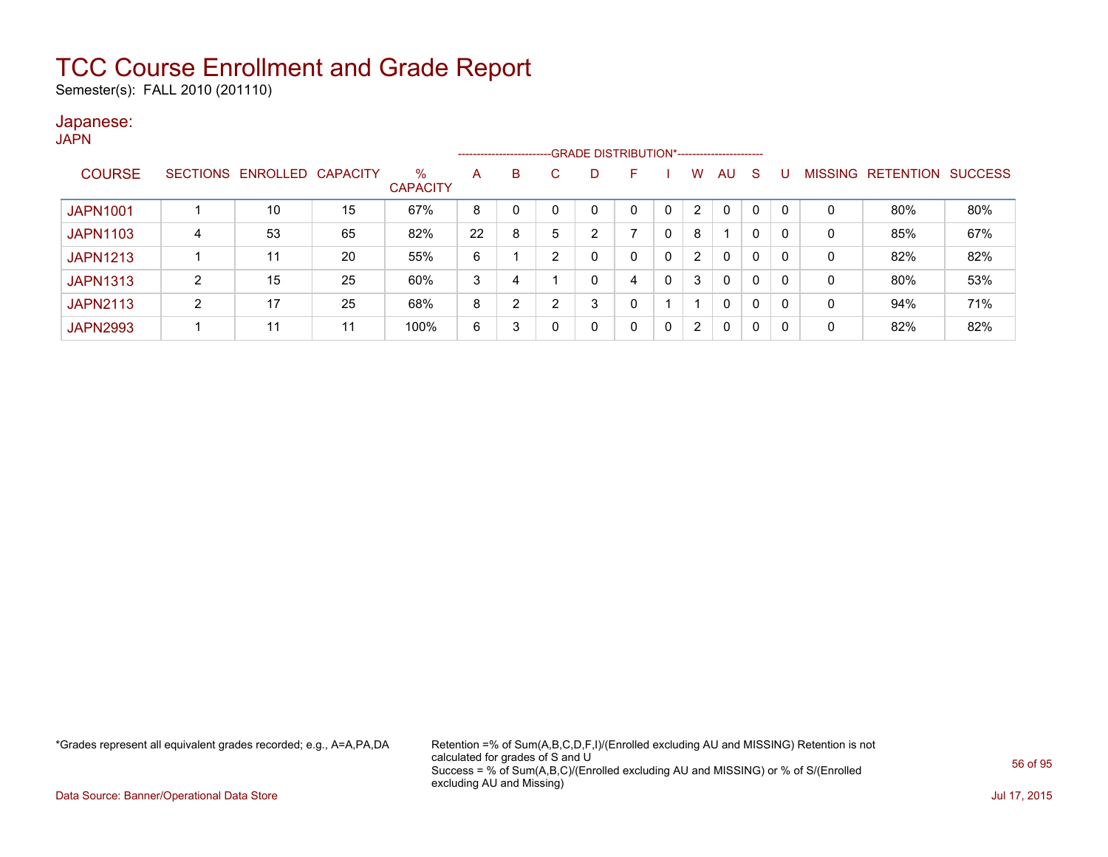Semester(s): FALL 2010 (201110)

### Japanese:

**JAPN** 

|                 |   |                            |    |                         |    |    |   |                | ------------------------GRADE DISTRIBUTION*----------------------- |   |                |          |          |          |   |                                  |     |
|-----------------|---|----------------------------|----|-------------------------|----|----|---|----------------|--------------------------------------------------------------------|---|----------------|----------|----------|----------|---|----------------------------------|-----|
| <b>COURSE</b>   |   | SECTIONS ENROLLED CAPACITY |    | $\%$<br><b>CAPACITY</b> | A  | B  | C | D              |                                                                    |   | w              | AU       | -S       |          |   | <b>MISSING RETENTION SUCCESS</b> |     |
| <b>JAPN1001</b> |   | 10                         | 15 | 67%                     | 8  |    |   | 0              |                                                                    | 0 | $\overline{2}$ | $\Omega$ |          | $\Omega$ | 0 | 80%                              | 80% |
| <b>JAPN1103</b> | 4 | 53                         | 65 | 82%                     | 22 | 8  | 5 | $\overline{2}$ |                                                                    |   | 8              |          | 0        | $\Omega$ | 0 | 85%                              | 67% |
| <b>JAPN1213</b> |   | 11                         | 20 | 55%                     | 6  |    | ົ |                | $\Omega$                                                           | 0 | $\overline{2}$ | $\Omega$ | 0        | 0        | 0 | 82%                              | 82% |
| <b>JAPN1313</b> | ົ | 15                         | 25 | 60%                     | 3  |    |   | 0              | 4                                                                  |   | 3              | $\Omega$ | $\Omega$ | $\Omega$ | 0 | 80%                              | 53% |
| <b>JAPN2113</b> | 2 | 17                         | 25 | 68%                     | 8  | C. | ົ | 3              | $\Omega$                                                           |   |                | $\Omega$ | 0        | 0        | 0 | 94%                              | 71% |
| <b>JAPN2993</b> |   | 11                         | 11 | 100%                    | 6  |    |   | 0              | $\mathbf{0}$                                                       | 0 | $\overline{2}$ | $\Omega$ | $\Omega$ | $\Omega$ | 0 | 82%                              | 82% |

\*Grades represent all equivalent grades recorded; e.g., A=A,PA,DA Retention =% of Sum(A,B,C,D,F,I)/(Enrolled excluding AU and MISSING) Retention is not calculated for grades of S and U Success = % of Sum(A,B,C)/(Enrolled excluding AU and MISSING) or % of S/(Enrolled excluding AU and Missing)

Data Source: Banner/Operational Data Store Jul 17, 2015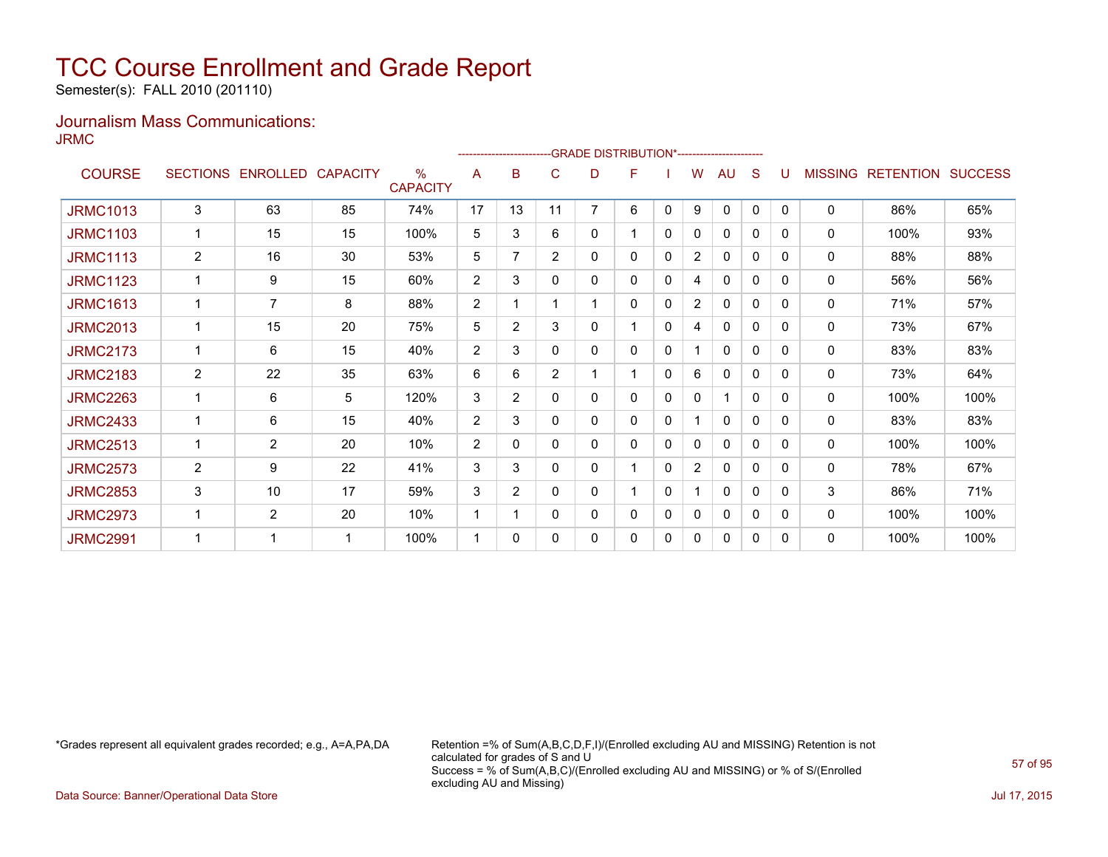Semester(s): FALL 2010 (201110)

### Journalism Mass Communications: JRMC

|                 |                 |                   |    |                                  |    |                |                |                | <b>GRADE DISTRIBUTION*-----------------------</b> |             |                |              |   |              |                |                  |                |
|-----------------|-----------------|-------------------|----|----------------------------------|----|----------------|----------------|----------------|---------------------------------------------------|-------------|----------------|--------------|---|--------------|----------------|------------------|----------------|
| <b>COURSE</b>   | <b>SECTIONS</b> | ENROLLED CAPACITY |    | $\frac{0}{0}$<br><b>CAPACITY</b> | A  | в              | C              | D              | F                                                 |             | W              | AU           | S |              | <b>MISSING</b> | <b>RETENTION</b> | <b>SUCCESS</b> |
| <b>JRMC1013</b> | 3               | 63                | 85 | 74%                              | 17 | 13             | 11             | $\overline{7}$ | 6                                                 | $\Omega$    | 9              | $\mathbf{0}$ | 0 | $\mathbf{0}$ | 0              | 86%              | 65%            |
| <b>JRMC1103</b> | 1               | 15                | 15 | 100%                             | 5  | 3              | 6              | 0              |                                                   | 0           | 0              | 0            | 0 | 0            | 0              | 100%             | 93%            |
| <b>JRMC1113</b> | 2               | 16                | 30 | 53%                              | 5  | 7              | $\overline{2}$ | 0              | 0                                                 | 0           | $\overline{2}$ | $\mathbf{0}$ | 0 | $\Omega$     | 0              | 88%              | 88%            |
| <b>JRMC1123</b> |                 | 9                 | 15 | 60%                              | 2  | 3              | 0              | 0              | 0                                                 | 0           | 4              | 0            | 0 | 0            | 0              | 56%              | 56%            |
| <b>JRMC1613</b> |                 | $\overline{7}$    | 8  | 88%                              | 2  |                |                |                | 0                                                 | 0           | 2              | 0            | 0 | 0            | 0              | 71%              | 57%            |
| <b>JRMC2013</b> |                 | 15                | 20 | 75%                              | 5  | $\overline{2}$ | 3              | 0              |                                                   | 0           | 4              | 0            | 0 | 0            | 0              | 73%              | 67%            |
| <b>JRMC2173</b> |                 | 6                 | 15 | 40%                              | 2  | 3              | 0              | 0              | 0                                                 | 0           |                | $\mathbf{0}$ | 0 | 0            | 0              | 83%              | 83%            |
| <b>JRMC2183</b> | $\overline{2}$  | 22                | 35 | 63%                              | 6  | 6              | $\overline{2}$ |                |                                                   | 0           | 6              | 0            | 0 | 0            | 0              | 73%              | 64%            |
| <b>JRMC2263</b> | 1               | 6                 | 5  | 120%                             | 3  | $\overline{2}$ | $\mathbf{0}$   | 0              | 0                                                 | 0           | 0              | 1            | 0 | 0            | 0              | 100%             | 100%           |
| <b>JRMC2433</b> |                 | 6                 | 15 | 40%                              | 2  | 3              | 0              | 0              | 0                                                 | 0           |                | 0            | 0 | 0            | 0              | 83%              | 83%            |
| <b>JRMC2513</b> |                 | $\overline{2}$    | 20 | 10%                              | 2  | 0              | 0              | 0              | 0                                                 | 0           | 0              | 0            | 0 | 0            | 0              | 100%             | 100%           |
| <b>JRMC2573</b> | 2               | 9                 | 22 | 41%                              | 3  | 3              | $\mathbf{0}$   | 0              |                                                   | $\mathbf 0$ | $\overline{2}$ | 0            | 0 | 0            | 0              | 78%              | 67%            |
| <b>JRMC2853</b> | 3               | 10                | 17 | 59%                              | 3  | $\overline{2}$ | 0              | 0              |                                                   | 0           |                | $\mathbf{0}$ | 0 | $\mathbf{0}$ | 3              | 86%              | 71%            |
| <b>JRMC2973</b> |                 | $\overline{2}$    | 20 | 10%                              |    |                | 0              | 0              | 0                                                 | 0           | 0              | 0            | 0 | 0            | 0              | 100%             | 100%           |
| <b>JRMC2991</b> |                 | 1                 | 1  | 100%                             | 1  | $\mathbf{0}$   | 0              | 0              | 0                                                 | 0           | 0              | 0            | 0 | 0            | 0              | 100%             | 100%           |

\*Grades represent all equivalent grades recorded; e.g., A=A,PA,DA Retention =% of Sum(A,B,C,D,F,I)/(Enrolled excluding AU and MISSING) Retention is not calculated for grades of S and U Success = % of Sum(A,B,C)/(Enrolled excluding AU and MISSING) or % of S/(Enrolled excluding AU and Missing)

Data Source: Banner/Operational Data Store Jul 17, 2015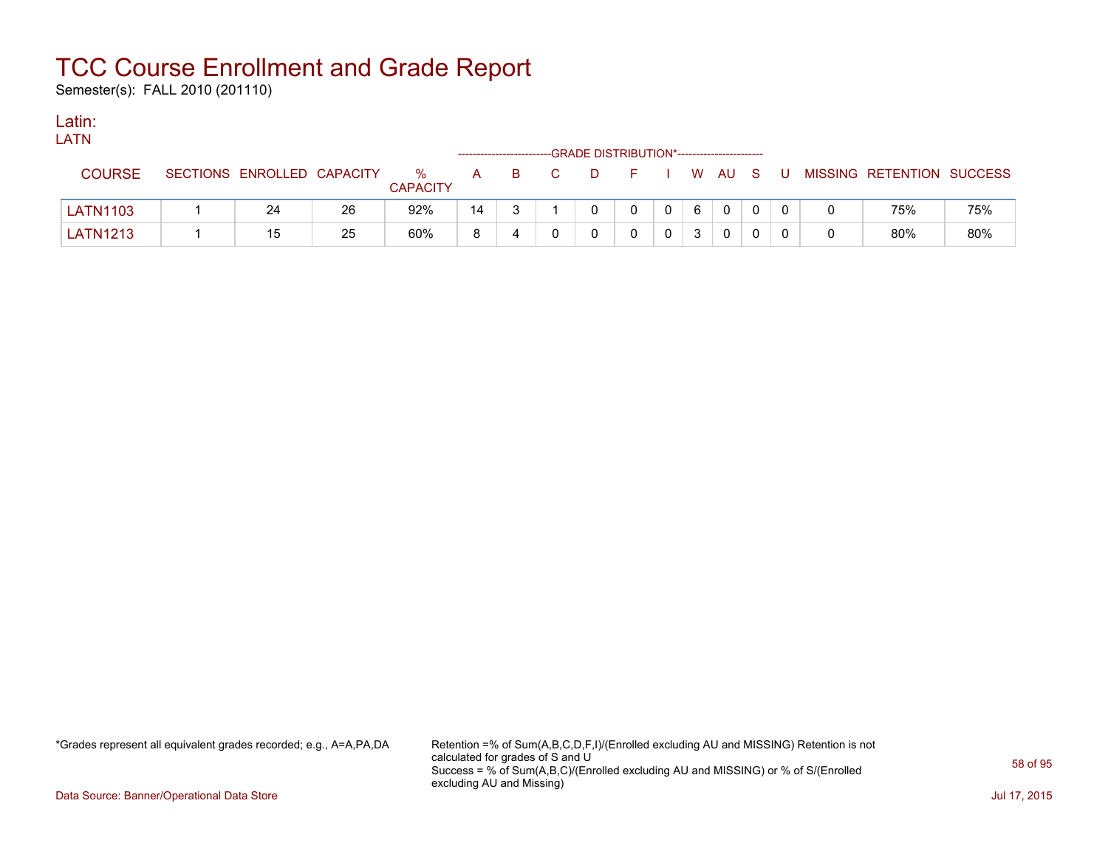Semester(s): FALL 2010 (201110)

### Latin:

| -----<br><b>LATN</b> |                            |    |                      |    | ------------------------ |                | -GRADE DISTRIBUTION*----------------------- |          |                |   |                |          |    |   |                           |     |
|----------------------|----------------------------|----|----------------------|----|--------------------------|----------------|---------------------------------------------|----------|----------------|---|----------------|----------|----|---|---------------------------|-----|
| <b>COURSE</b>        | SECTIONS ENROLLED CAPACITY |    | %<br><b>CAPACITY</b> | A  | B.                       | $\overline{C}$ | $\Box$                                      | FIWAUS   |                |   |                |          | -U |   | MISSING RETENTION SUCCESS |     |
| <b>LATN1103</b>      | 24                         | 26 | 92%                  | 14 |                          |                |                                             | $\Omega$ | 0 <sup>1</sup> | 6 | $\overline{0}$ | $\Omega$ |    |   | 75%                       | 75% |
| <b>LATN1213</b>      | 15                         | 25 | 60%                  | 8  | 4                        |                |                                             |          |                |   | $\mathbf{0}$   |          |    | 0 | 80%                       | 80% |

\*Grades represent all equivalent grades recorded; e.g., A=A,PA,DA Retention =% of Sum(A,B,C,D,F,I)/(Enrolled excluding AU and MISSING) Retention is not calculated for grades of S and U Success = % of Sum(A,B,C)/(Enrolled excluding AU and MISSING) or % of S/(Enrolled excluding AU and Missing)

Data Source: Banner/Operational Data Store Jul 17, 2015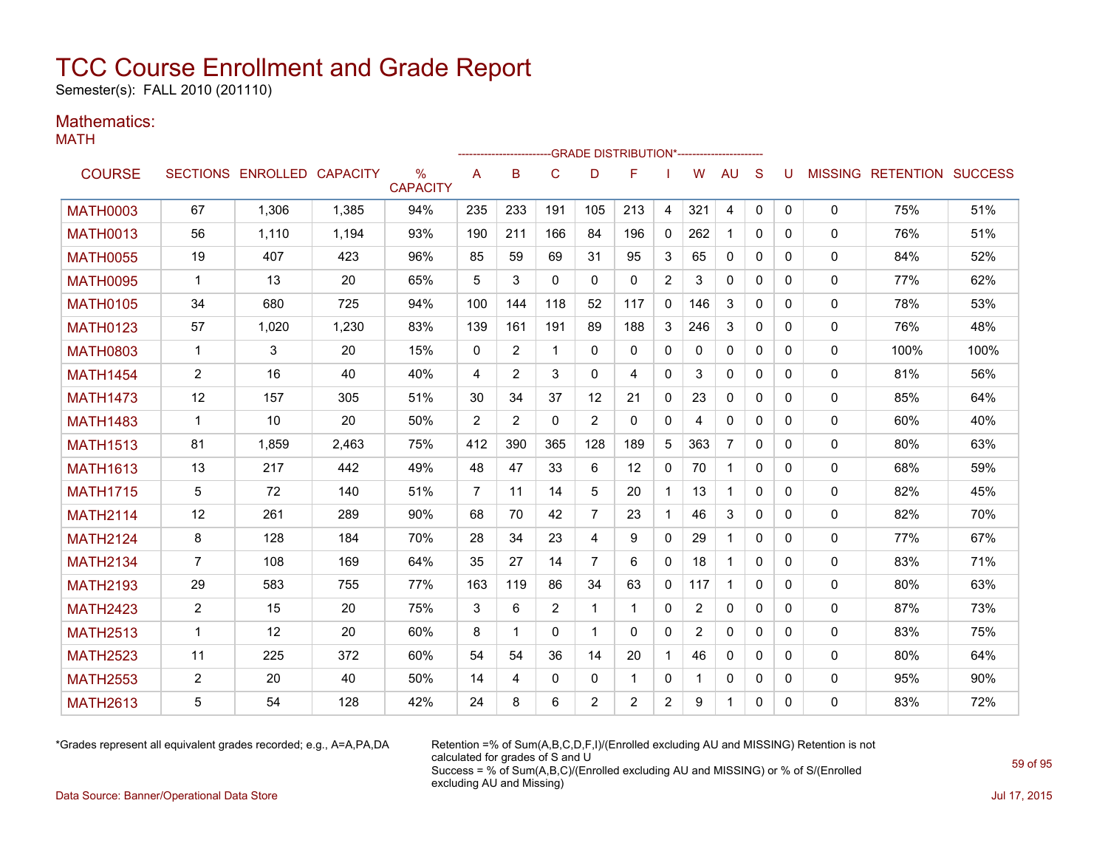Semester(s): FALL 2010 (201110)

### Mathematics:

MATH

|                 |                |                            |       |                         |                |     |              | -GRADE DISTRIBUTION*----------------------- |                |                |                |                |              |              |              |                           |      |
|-----------------|----------------|----------------------------|-------|-------------------------|----------------|-----|--------------|---------------------------------------------|----------------|----------------|----------------|----------------|--------------|--------------|--------------|---------------------------|------|
| <b>COURSE</b>   |                | SECTIONS ENROLLED CAPACITY |       | $\%$<br><b>CAPACITY</b> | A              | B   | $\mathsf{C}$ | D                                           | F              |                | W              | <b>AU</b>      | S            | U            |              | MISSING RETENTION SUCCESS |      |
| <b>MATH0003</b> | 67             | 1.306                      | 1.385 | 94%                     | 235            | 233 | 191          | 105                                         | 213            | 4              | 321            | 4              | $\mathbf{0}$ | $\mathbf{0}$ | 0            | 75%                       | 51%  |
| <b>MATH0013</b> | 56             | 1.110                      | 1,194 | 93%                     | 190            | 211 | 166          | 84                                          | 196            | $\mathbf{0}$   | 262            | $\mathbf{1}$   | $\Omega$     | $\Omega$     | $\Omega$     | 76%                       | 51%  |
| <b>MATH0055</b> | 19             | 407                        | 423   | 96%                     | 85             | 59  | 69           | 31                                          | 95             | 3              | 65             | 0              | $\mathbf{0}$ | $\mathbf{0}$ | 0            | 84%                       | 52%  |
| <b>MATH0095</b> | 1              | 13                         | 20    | 65%                     | 5              | 3   | $\Omega$     | $\Omega$                                    | $\mathbf{0}$   | $\overline{2}$ | 3              | 0              | $\mathbf{0}$ | 0            | 0            | 77%                       | 62%  |
| <b>MATH0105</b> | 34             | 680                        | 725   | 94%                     | 100            | 144 | 118          | 52                                          | 117            | $\mathbf{0}$   | 146            | 3              | $\mathbf{0}$ | 0            | 0            | 78%                       | 53%  |
| <b>MATH0123</b> | 57             | 1,020                      | 1,230 | 83%                     | 139            | 161 | 191          | 89                                          | 188            | 3              | 246            | 3              | $\Omega$     | $\Omega$     | 0            | 76%                       | 48%  |
| <b>MATH0803</b> | $\mathbf{1}$   | 3                          | 20    | 15%                     | $\mathbf{0}$   | 2   | $\mathbf 1$  | $\Omega$                                    | $\Omega$       | $\mathbf{0}$   | $\Omega$       | $\Omega$       | $\Omega$     | $\Omega$     | 0            | 100%                      | 100% |
| <b>MATH1454</b> | $\overline{2}$ | 16                         | 40    | 40%                     | 4              | 2   | 3            | $\Omega$                                    | 4              | $\mathbf{0}$   | 3              | 0              | $\Omega$     | $\Omega$     | 0            | 81%                       | 56%  |
| <b>MATH1473</b> | 12             | 157                        | 305   | 51%                     | 30             | 34  | 37           | 12                                          | 21             | 0              | 23             | 0              | $\Omega$     | 0            | 0            | 85%                       | 64%  |
| <b>MATH1483</b> | 1              | 10                         | 20    | 50%                     | 2              | 2   | 0            | $\overline{2}$                              | 0              | $\mathbf{0}$   | 4              | 0              | 0            | 0            | 0            | 60%                       | 40%  |
| <b>MATH1513</b> | 81             | 1.859                      | 2,463 | 75%                     | 412            | 390 | 365          | 128                                         | 189            | 5              | 363            | $\overline{7}$ | $\Omega$     | 0            | $\mathbf{0}$ | 80%                       | 63%  |
| <b>MATH1613</b> | 13             | 217                        | 442   | 49%                     | 48             | 47  | 33           | 6                                           | 12             | 0              | 70             | $\mathbf{1}$   | $\mathbf{0}$ | $\mathbf{0}$ | 0            | 68%                       | 59%  |
| <b>MATH1715</b> | 5              | 72                         | 140   | 51%                     | $\overline{7}$ | 11  | 14           | 5                                           | 20             | $\mathbf{1}$   | 13             | $\mathbf{1}$   | $\Omega$     | $\Omega$     | 0            | 82%                       | 45%  |
| <b>MATH2114</b> | 12             | 261                        | 289   | 90%                     | 68             | 70  | 42           | $\overline{7}$                              | 23             | $\mathbf{1}$   | 46             | 3              | $\Omega$     | $\Omega$     | 0            | 82%                       | 70%  |
| <b>MATH2124</b> | 8              | 128                        | 184   | 70%                     | 28             | 34  | 23           | 4                                           | 9              | $\mathbf{0}$   | 29             | $\mathbf{1}$   | $\Omega$     | $\Omega$     | 0            | 77%                       | 67%  |
| <b>MATH2134</b> | $\overline{7}$ | 108                        | 169   | 64%                     | 35             | 27  | 14           | 7                                           | 6              | $\mathbf{0}$   | 18             | $\mathbf{1}$   | $\Omega$     | 0            | 0            | 83%                       | 71%  |
| <b>MATH2193</b> | 29             | 583                        | 755   | 77%                     | 163            | 119 | 86           | 34                                          | 63             | 0              | 117            | $\mathbf{1}$   | $\Omega$     | $\Omega$     | 0            | 80%                       | 63%  |
| <b>MATH2423</b> | $\overline{2}$ | 15                         | 20    | 75%                     | 3              | 6   | 2            | -1                                          | -1             | 0              | $\overline{2}$ | $\mathbf{0}$   | $\Omega$     | 0            | 0            | 87%                       | 73%  |
| <b>MATH2513</b> | $\mathbf{1}$   | 12                         | 20    | 60%                     | 8              | 1   | $\Omega$     | 1                                           | $\Omega$       | $\mathbf{0}$   | $\overline{2}$ | $\mathbf{0}$   | $\Omega$     | $\Omega$     | 0            | 83%                       | 75%  |
| <b>MATH2523</b> | 11             | 225                        | 372   | 60%                     | 54             | 54  | 36           | 14                                          | 20             | $\mathbf{1}$   | 46             | $\mathbf{0}$   | $\Omega$     | $\Omega$     | 0            | 80%                       | 64%  |
| <b>MATH2553</b> | $\overline{2}$ | 20                         | 40    | 50%                     | 14             | 4   | 0            | $\Omega$                                    | 1              | $\mathbf{0}$   |                | 0              | $\mathbf{0}$ | 0            | 0            | 95%                       | 90%  |
| <b>MATH2613</b> | 5              | 54                         | 128   | 42%                     | 24             | 8   | 6            | 2                                           | $\overline{2}$ | $\overline{2}$ | 9              | $\mathbf{1}$   | 0            | 0            | 0            | 83%                       | 72%  |

\*Grades represent all equivalent grades recorded; e.g., A=A,PA,DA Retention =% of Sum(A,B,C,D,F,I)/(Enrolled excluding AU and MISSING) Retention is not calculated for grades of S and U Success = % of Sum(A,B,C)/(Enrolled excluding AU and MISSING) or % of S/(Enrolled excluding AU and Missing)

Data Source: Banner/Operational Data Store Jul 17, 2015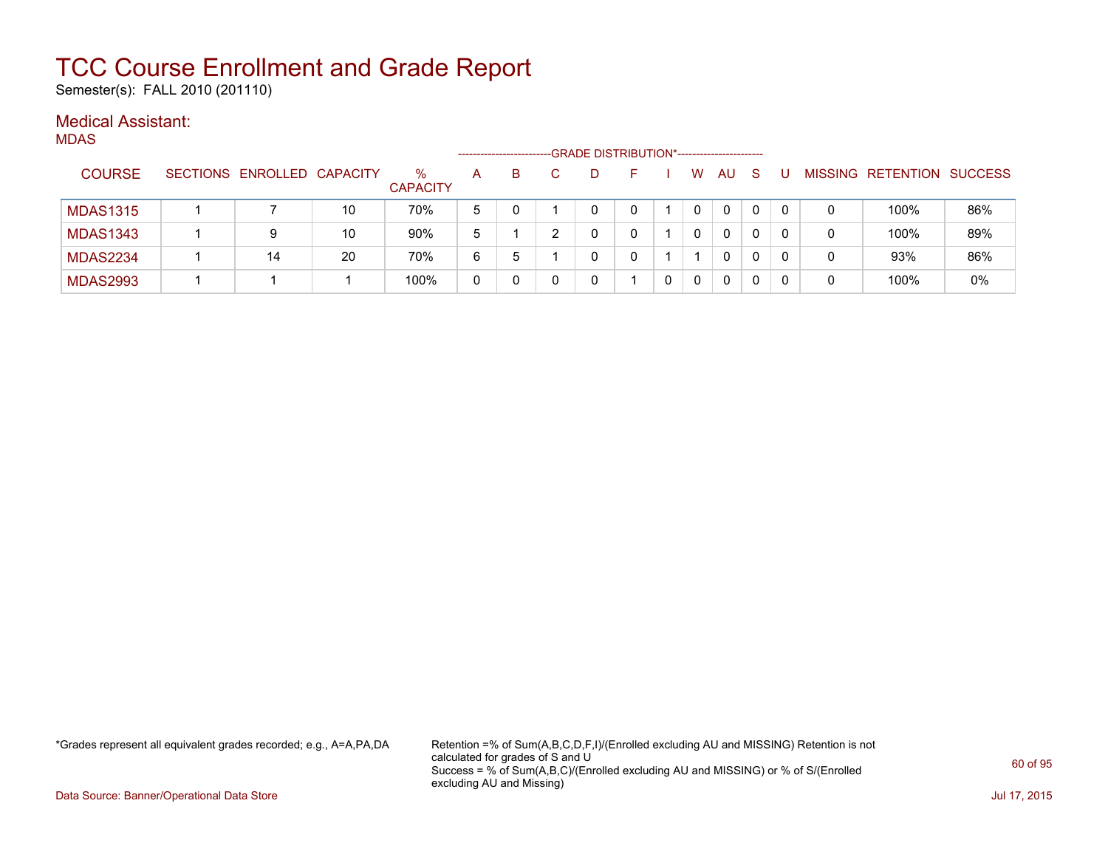Semester(s): FALL 2010 (201110)

### Medical Assistant:

MDAS

|                 |                            |    |                         | -------------------- |             | -GRADE DISTRIBUTION*----------------------- |    |   |           |              |   |                           |     |
|-----------------|----------------------------|----|-------------------------|----------------------|-------------|---------------------------------------------|----|---|-----------|--------------|---|---------------------------|-----|
| <b>COURSE</b>   | SECTIONS ENROLLED CAPACITY |    | $\%$<br><b>CAPACITY</b> | A                    | B           | Ð                                           | н. | W | <b>AU</b> | <sub>S</sub> |   | MISSING RETENTION SUCCESS |     |
| <b>MDAS1315</b> |                            | 10 | 70%                     | 5                    |             |                                             |    |   | 0         | 0            |   | 100%                      | 86% |
| <b>MDAS1343</b> | 9                          | 10 | 90%                     | 5                    |             |                                             |    | 0 | 0         |              |   | 100%                      | 89% |
| <b>MDAS2234</b> | 14                         | 20 | 70%                     | 6                    | $\mathbf b$ |                                             |    |   | 0         |              |   | 93%                       | 86% |
| <b>MDAS2993</b> |                            |    | 100%                    | 0                    |             |                                             |    | 0 | 0         |              | 0 | 100%                      | 0%  |

\*Grades represent all equivalent grades recorded; e.g., A=A,PA,DA Retention =% of Sum(A,B,C,D,F,I)/(Enrolled excluding AU and MISSING) Retention is not calculated for grades of S and U Success = % of Sum(A,B,C)/(Enrolled excluding AU and MISSING) or % of S/(Enrolled excluding AU and Missing)

Data Source: Banner/Operational Data Store Jul 17, 2015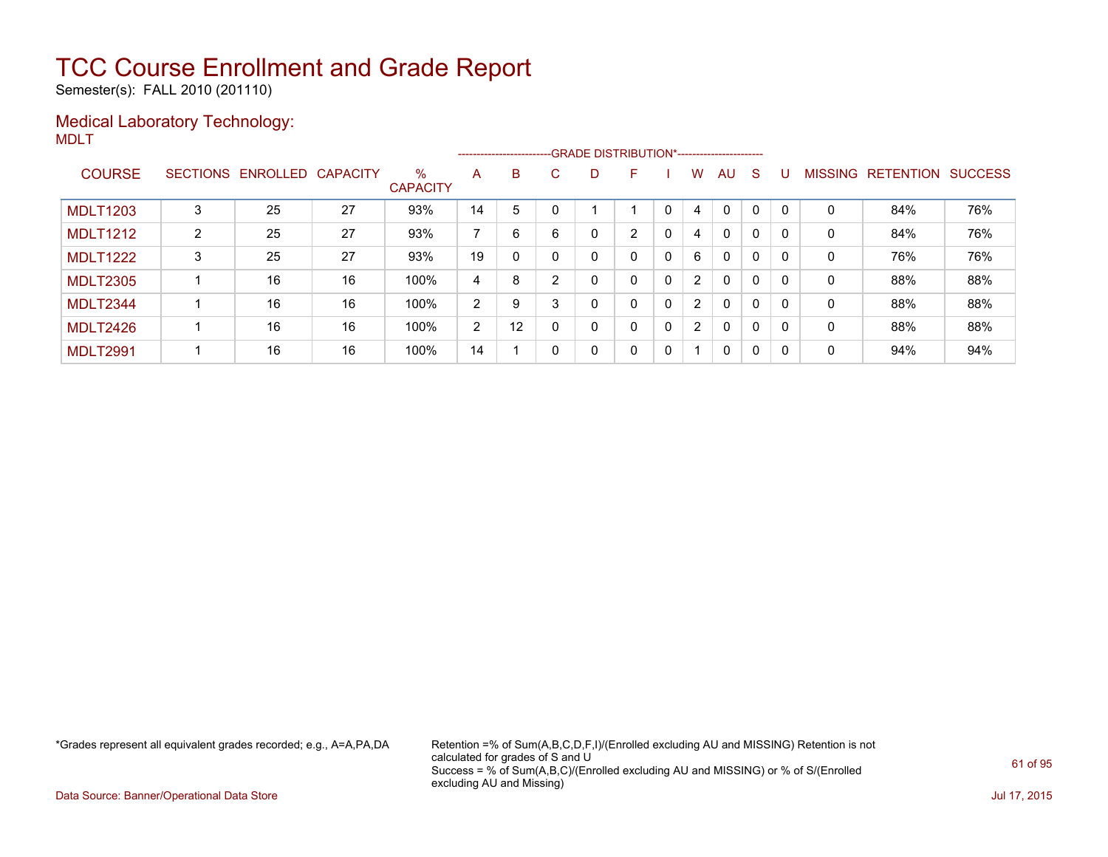Semester(s): FALL 2010 (201110)

### Medical Laboratory Technology: MDLT

|                 |   |                   |          |                      |    |    |    | ------------------------GRADE                DISTRIBUTION*---------------------- |                |              |                |              |   |              |                |                  |                |
|-----------------|---|-------------------|----------|----------------------|----|----|----|----------------------------------------------------------------------------------|----------------|--------------|----------------|--------------|---|--------------|----------------|------------------|----------------|
| <b>COURSE</b>   |   | SECTIONS ENROLLED | CAPACITY | %<br><b>CAPACITY</b> | A  | B  | C. | D                                                                                | F              |              | W              | AU           | S |              | <b>MISSING</b> | <b>RETENTION</b> | <b>SUCCESS</b> |
| <b>MDLT1203</b> |   | 25                | 27       | 93%                  | 14 | 5  |    |                                                                                  |                |              | 4              | $\mathbf 0$  | 0 | $\Omega$     | 0              | 84%              | 76%            |
| <b>MDLT1212</b> | 2 | 25                | 27       | 93%                  | 7  | 6  | 6  | 0                                                                                | $\overline{2}$ | 0            | 4              | $\mathbf{0}$ | 0 | <sup>0</sup> | 0              | 84%              | 76%            |
| <b>MDLT1222</b> | 3 | 25                | 27       | 93%                  | 19 | 0  |    | 0                                                                                | 0              | $\mathbf{0}$ | 6              | $\mathbf{0}$ | 0 |              | 0              | 76%              | 76%            |
| <b>MDLT2305</b> |   | 16                | 16       | 100%                 | 4  | 8  |    |                                                                                  | 0              | $\mathbf{0}$ | $\overline{2}$ | $\mathbf{0}$ | 0 | $\Omega$     | 0              | 88%              | 88%            |
| MDLT2344        |   | 16                | 16       | 100%                 | 2  | 9  | 3  | 0                                                                                | 0              | $\mathbf{0}$ | $\overline{2}$ | $\mathbf{0}$ | 0 | - 0          | 0              | 88%              | 88%            |
| MDLT2426        |   | 16                | 16       | 100%                 | 2  | 12 |    | 0                                                                                | 0              | $\mathbf{0}$ | $\overline{2}$ | $\mathbf{0}$ | 0 | $\Omega$     | 0              | 88%              | 88%            |
| <b>MDLT2991</b> |   | 16                | 16       | 100%                 | 14 |    |    | 0                                                                                | 0              | $\mathbf 0$  |                | 0            | 0 | 0            | 0              | 94%              | 94%            |

\*Grades represent all equivalent grades recorded; e.g., A=A,PA,DA Retention =% of Sum(A,B,C,D,F,I)/(Enrolled excluding AU and MISSING) Retention is not calculated for grades of S and U Success = % of Sum(A,B,C)/(Enrolled excluding AU and MISSING) or % of S/(Enrolled excluding AU and Missing)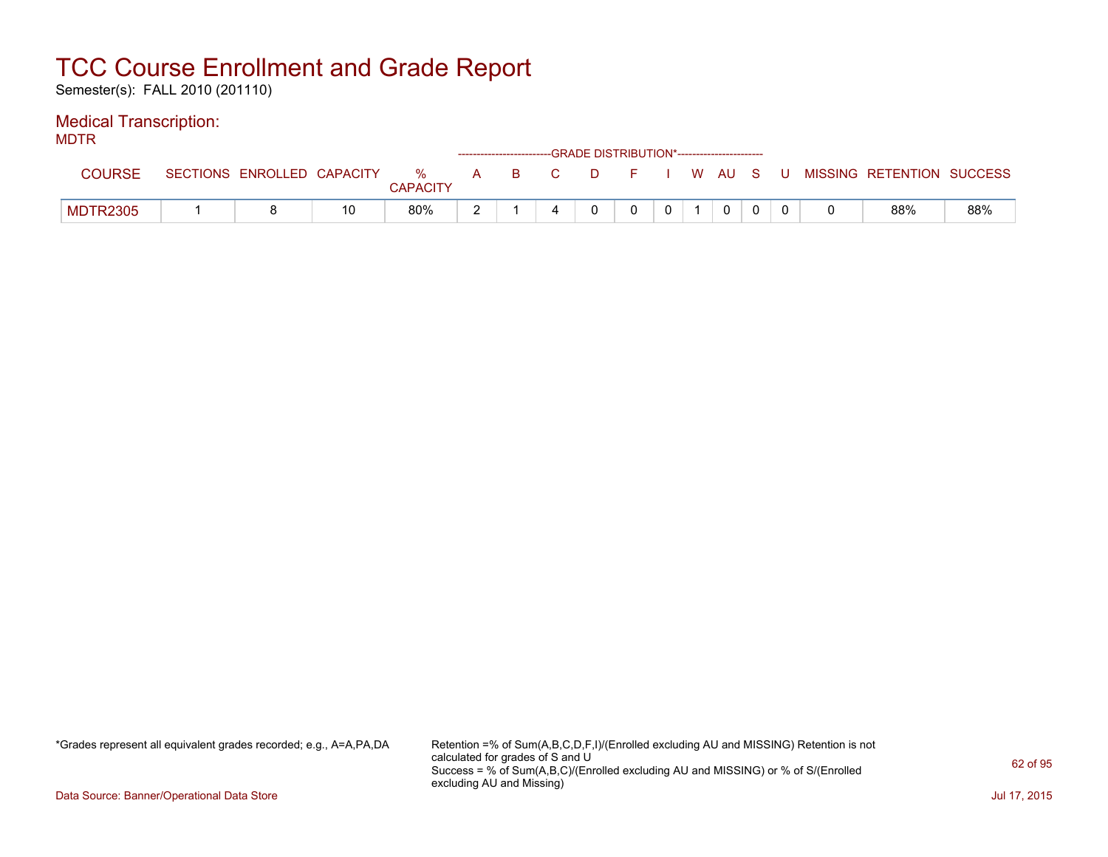Semester(s): FALL 2010 (201110)

### Medical Transcription:

MDTR

| .               |                            |    |                      |    |     | ------------------------GRADE DISTRIBUTION*----------------------- |  |  |  |                                          |     |
|-----------------|----------------------------|----|----------------------|----|-----|--------------------------------------------------------------------|--|--|--|------------------------------------------|-----|
| COURSE          | SECTIONS ENROLLED CAPACITY |    | %<br><b>CAPACITY</b> | A. | BC. |                                                                    |  |  |  | D F I W AU S U MISSING RETENTION SUCCESS |     |
| <b>MDTR2305</b> |                            | 10 | 80%                  | -  |     |                                                                    |  |  |  | 88%                                      | 88% |

\*Grades represent all equivalent grades recorded; e.g., A=A,PA,DA Retention =% of Sum(A,B,C,D,F,I)/(Enrolled excluding AU and MISSING) Retention is not calculated for grades of S and U Success = % of Sum(A,B,C)/(Enrolled excluding AU and MISSING) or % of S/(Enrolled excluding AU and Missing)

Data Source: Banner/Operational Data Store Jul 17, 2015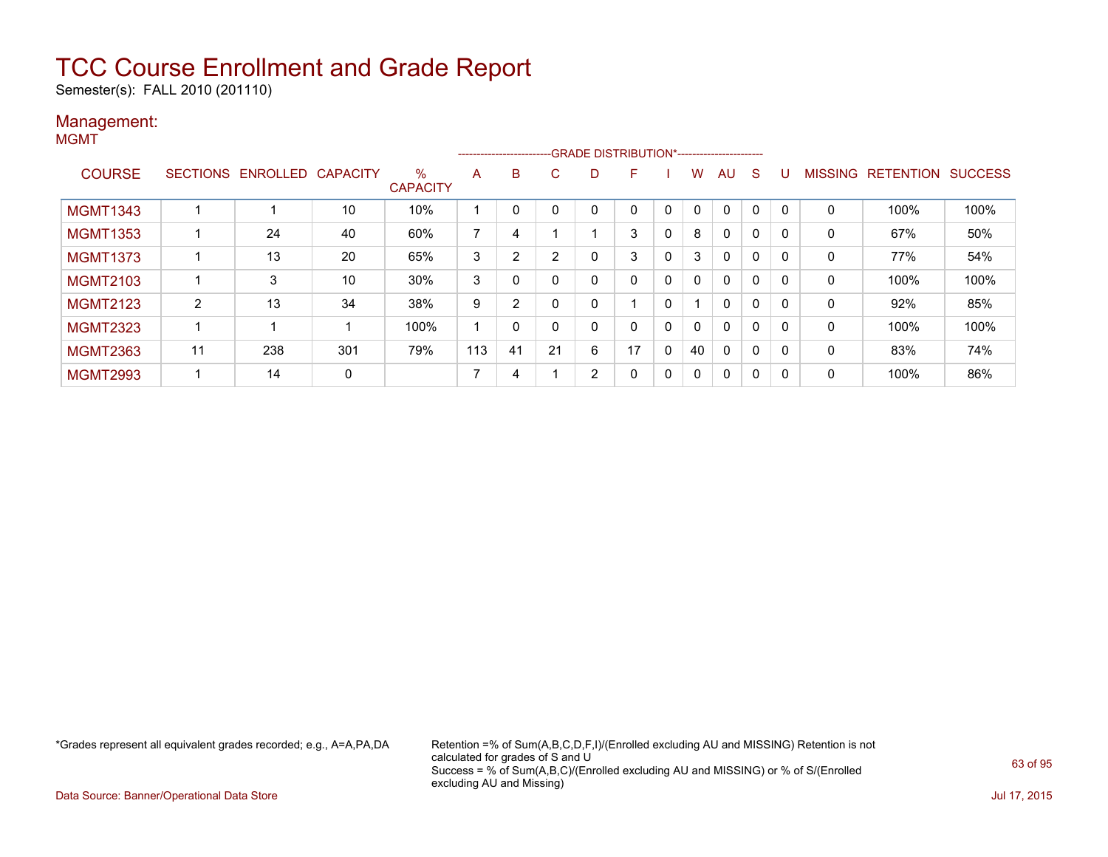Semester(s): FALL 2010 (201110)

### Management: MGMT

|                 |                |                            |     |                      |     |                |                |                | -------------------------GRADE DISTRIBUTION*---------------------- |              |          |             |              |   |   |                           |      |
|-----------------|----------------|----------------------------|-----|----------------------|-----|----------------|----------------|----------------|--------------------------------------------------------------------|--------------|----------|-------------|--------------|---|---|---------------------------|------|
| <b>COURSE</b>   |                | SECTIONS ENROLLED CAPACITY |     | %<br><b>CAPACITY</b> | A   | B              | C.             |                | E                                                                  |              | W        | AU          | <sub>S</sub> | U |   | MISSING RETENTION SUCCESS |      |
| <b>MGMT1343</b> |                |                            | 10  | 10%                  | 1   | 0              | 0              | $\Omega$       |                                                                    | $\Omega$     |          | $\mathbf 0$ | 0            | 0 | 0 | 100%                      | 100% |
| <b>MGMT1353</b> |                | 24                         | 40  | 60%                  | 7   | 4              |                |                | 3                                                                  | 0            | 8        | 0           | 0            | 0 | 0 | 67%                       | 50%  |
| <b>MGMT1373</b> |                | 13                         | 20  | 65%                  | 3   | $\overline{2}$ | $\overline{2}$ | 0              | 3                                                                  | 0            | 3        | 0           | 0            | 0 | 0 | 77%                       | 54%  |
| <b>MGMT2103</b> |                | 3                          | 10  | 30%                  | 3   | 0              | 0              | $\mathbf{0}$   | $\Omega$                                                           | $\mathbf{0}$ | $\Omega$ | 0           | 0            | 0 | 0 | 100%                      | 100% |
| <b>MGMT2123</b> | $\overline{2}$ | 13                         | 34  | 38%                  | 9   | $\overline{2}$ | 0              | $\mathbf{0}$   |                                                                    | 0            |          | 0           | 0            | 0 | 0 | 92%                       | 85%  |
| <b>MGMT2323</b> | 1              |                            |     | 100%                 | -1  | 0              | $\mathbf{0}$   | $\mathbf{0}$   |                                                                    | $\Omega$     | $\Omega$ | 0           | 0            | 0 | 0 | 100%                      | 100% |
| <b>MGMT2363</b> | 11             | 238                        | 301 | 79%                  | 113 | 41             | 21             | 6              | 17                                                                 | $\mathbf{0}$ | 40       | 0           | 0            | 0 | 0 | 83%                       | 74%  |
| <b>MGMT2993</b> | 1              | 14                         | 0   |                      | 7   | 4              |                | $\overline{2}$ |                                                                    | 0            | $\Omega$ | 0           | 0            | 0 | 0 | 100%                      | 86%  |

\*Grades represent all equivalent grades recorded; e.g., A=A,PA,DA Retention =% of Sum(A,B,C,D,F,I)/(Enrolled excluding AU and MISSING) Retention is not calculated for grades of S and U Success = % of Sum(A,B,C)/(Enrolled excluding AU and MISSING) or % of S/(Enrolled excluding AU and Missing)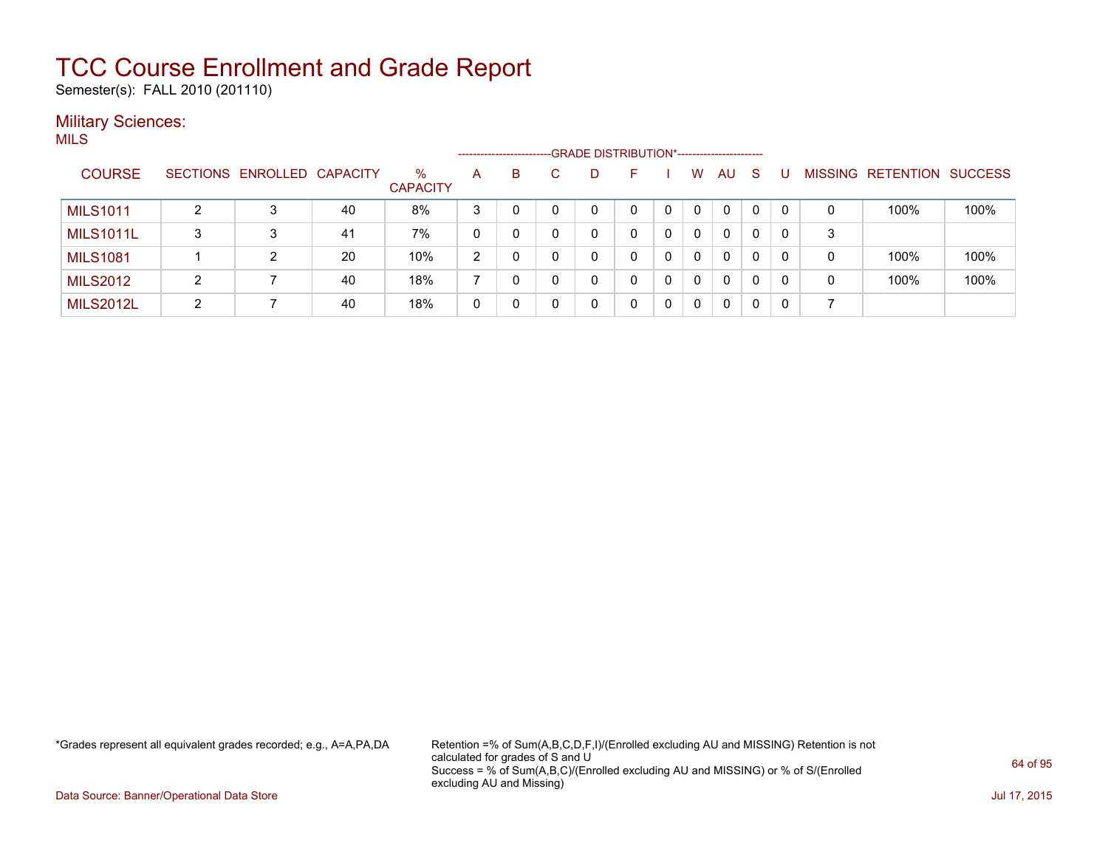Semester(s): FALL 2010 (201110)

### **Military Sciences:** MILS

|                  |   |                            |    |                         |                | --------------------- |   | -GRADE DISTRIBUTION*---------------------- |    |          |   |    |    |          |   |                   |                |
|------------------|---|----------------------------|----|-------------------------|----------------|-----------------------|---|--------------------------------------------|----|----------|---|----|----|----------|---|-------------------|----------------|
| <b>COURSE</b>    |   | SECTIONS ENROLLED CAPACITY |    | $\%$<br><b>CAPACITY</b> | A              | B                     |   | D.                                         | F. |          | W | AU | -S |          |   | MISSING RETENTION | <b>SUCCESS</b> |
| <b>MILS1011</b>  |   | 3                          | 40 | 8%                      | 3              |                       |   |                                            |    |          |   | 0  | 0  | $\Omega$ | 0 | 100%              | 100%           |
| <b>MILS1011L</b> | 3 | 3                          | 41 | 7%                      | 0              |                       | 0 |                                            |    |          | 0 | 0  | 0  | 0        | 3 |                   |                |
| <b>MILS1081</b>  |   | 2                          | 20 | 10%                     | $\overline{2}$ |                       |   |                                            |    |          | 0 | 0  | 0  | 0        | 0 | 100%              | 100%           |
| <b>MILS2012</b>  | 2 |                            | 40 | 18%                     |                |                       |   |                                            |    | $\Omega$ | 0 | 0  | 0  | 0        | 0 | 100%              | 100%           |
| <b>MILS2012L</b> | 2 |                            | 40 | 18%                     | 0              |                       |   |                                            |    |          |   | 0  | 0  | $\Omega$ |   |                   |                |

\*Grades represent all equivalent grades recorded; e.g., A=A,PA,DA Retention =% of Sum(A,B,C,D,F,I)/(Enrolled excluding AU and MISSING) Retention is not calculated for grades of S and U Success = % of Sum(A,B,C)/(Enrolled excluding AU and MISSING) or % of S/(Enrolled excluding AU and Missing)

Data Source: Banner/Operational Data Store Jul 17, 2015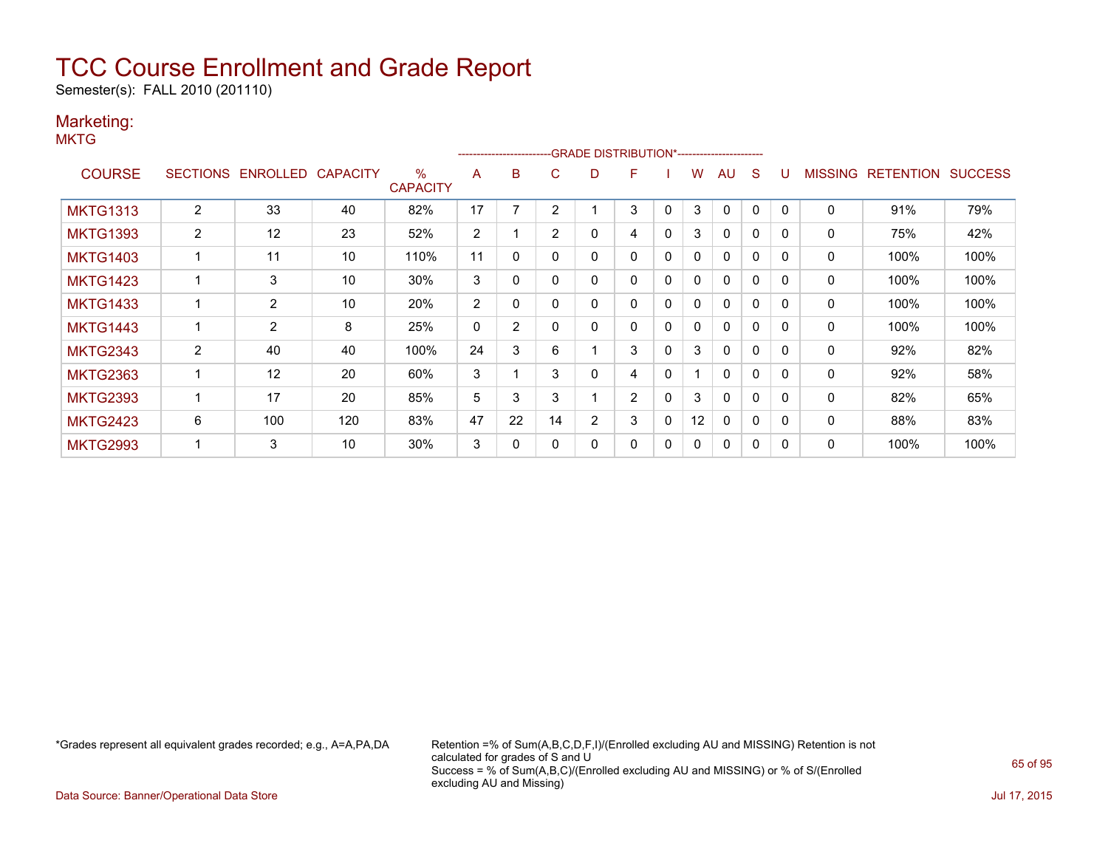Semester(s): FALL 2010 (201110)

### Marketing:

**MKTG** 

|                 |                |                   |                 |                         |                |                |                |                | -------------------------GRADE                DISTRIBUTION*---------------------- |              |              |              |              |          |                |                  |                |
|-----------------|----------------|-------------------|-----------------|-------------------------|----------------|----------------|----------------|----------------|-----------------------------------------------------------------------------------|--------------|--------------|--------------|--------------|----------|----------------|------------------|----------------|
| <b>COURSE</b>   |                | SECTIONS ENROLLED | <b>CAPACITY</b> | $\%$<br><b>CAPACITY</b> | A              | B              | C              | D              | F                                                                                 |              | w            | AU           | S            |          | <b>MISSING</b> | <b>RETENTION</b> | <b>SUCCESS</b> |
| <b>MKTG1313</b> | $\overline{2}$ | 33                | 40              | 82%                     | 17             |                | 2              |                | 3                                                                                 | 0            | 3            | $\Omega$     | 0            |          | 0              | 91%              | 79%            |
| <b>MKTG1393</b> | 2              | 12                | 23              | 52%                     | $\overline{2}$ |                | $\overline{2}$ | 0              | 4                                                                                 | 0            | 3            | $\mathbf{0}$ | $\Omega$     | $\Omega$ | 0              | 75%              | 42%            |
| <b>MKTG1403</b> |                | 11                | 10              | 110%                    | 11             | 0              | O              | 0              | 0                                                                                 | 0            | $\mathbf{0}$ | $\mathbf{0}$ | $\mathbf{0}$ | $\Omega$ | 0              | 100%             | 100%           |
| <b>MKTG1423</b> |                | 3                 | 10              | 30%                     | 3              | 0              |                | 0              | 0                                                                                 | $\mathbf{0}$ | $\mathbf{0}$ | $\mathbf{0}$ | $\mathbf{0}$ | $\Omega$ | 0              | 100%             | 100%           |
| <b>MKTG1433</b> |                | $\overline{2}$    | 10              | 20%                     | 2              | 0              |                | 0              | 0                                                                                 | 0            | 0            | $\mathbf{0}$ | $\mathbf{0}$ | $\Omega$ | 0              | 100%             | 100%           |
| <b>MKTG1443</b> |                | $\overline{2}$    | 8               | 25%                     | 0              | $\overline{2}$ |                | 0              | 0                                                                                 | 0            | 0            | $\mathbf{0}$ | 0            |          | 0              | 100%             | 100%           |
| <b>MKTG2343</b> | 2              | 40                | 40              | 100%                    | 24             | 3              | 6              |                | 3                                                                                 | 0            | 3            | $\mathbf{0}$ | $\Omega$     | $\Omega$ | 0              | 92%              | 82%            |
| <b>MKTG2363</b> |                | 12                | 20              | 60%                     | 3              |                | 3              | 0              | 4                                                                                 | $\mathbf{0}$ |              | $\mathbf{0}$ | $\Omega$     |          | 0              | 92%              | 58%            |
| <b>MKTG2393</b> |                | 17                | 20              | 85%                     | 5              | 3              | 3              |                | $\overline{2}$                                                                    | $\mathbf{0}$ | 3            | $\mathbf{0}$ | $\Omega$     | $\Omega$ | 0              | 82%              | 65%            |
| <b>MKTG2423</b> | 6              | 100               | 120             | 83%                     | 47             | 22             | 14             | $\overline{2}$ | 3                                                                                 | $\mathbf{0}$ | 12           | $\mathbf{0}$ | $\mathbf{0}$ | $\Omega$ | $\Omega$       | 88%              | 83%            |
| <b>MKTG2993</b> |                | 3                 | 10              | 30%                     | 3              | 0              |                | 0              | 0                                                                                 | 0            | 0            | $\mathbf{0}$ | 0            |          | 0              | 100%             | 100%           |

\*Grades represent all equivalent grades recorded; e.g., A=A,PA,DA Retention =% of Sum(A,B,C,D,F,I)/(Enrolled excluding AU and MISSING) Retention is not calculated for grades of S and U Success = % of Sum(A,B,C)/(Enrolled excluding AU and MISSING) or % of S/(Enrolled excluding AU and Missing)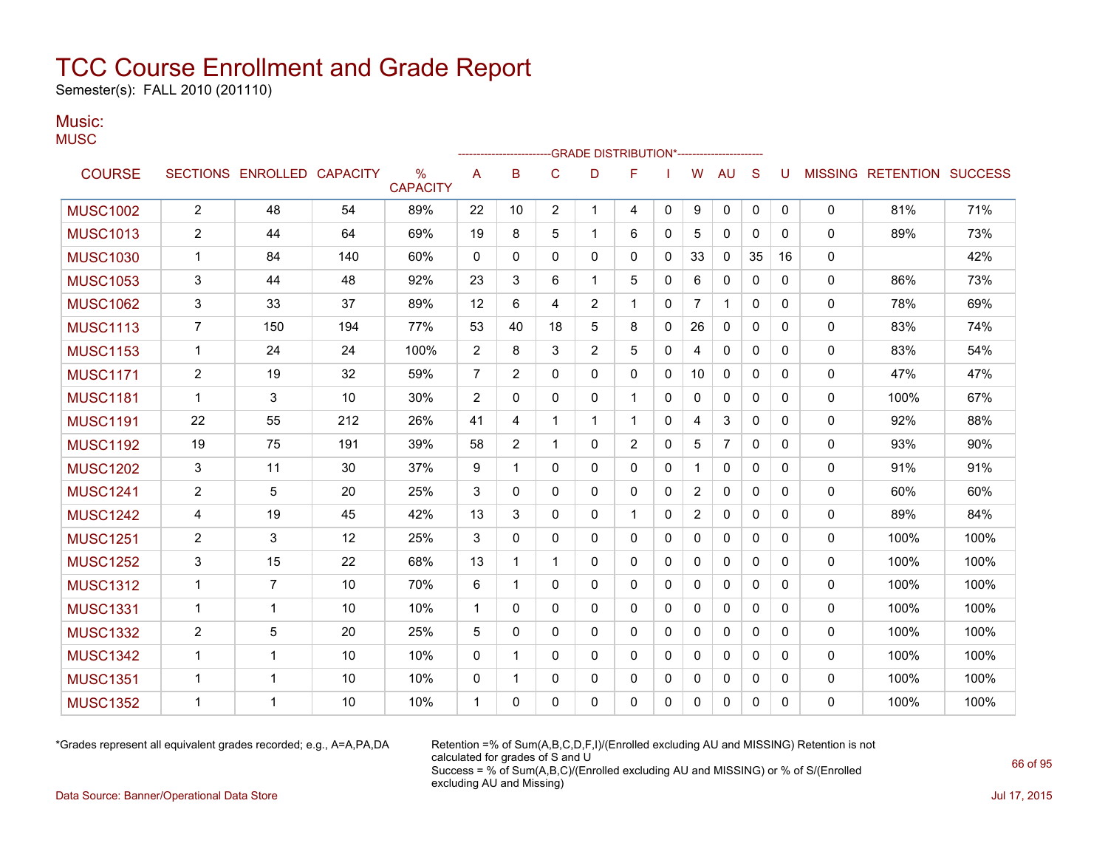Semester(s): FALL 2010 (201110)

### Music: **MUSC**

|                 |                         |                            |     |                                  |                |                |                | -GRADE DISTRIBUTION*---------------------- |                |              |                |                |              |              |              |                                  |      |
|-----------------|-------------------------|----------------------------|-----|----------------------------------|----------------|----------------|----------------|--------------------------------------------|----------------|--------------|----------------|----------------|--------------|--------------|--------------|----------------------------------|------|
| <b>COURSE</b>   |                         | SECTIONS ENROLLED CAPACITY |     | $\frac{0}{0}$<br><b>CAPACITY</b> | Α              | B              | C              | D                                          | F              |              | W              | <b>AU</b>      | S            | U            |              | <b>MISSING RETENTION SUCCESS</b> |      |
| <b>MUSC1002</b> | $\overline{c}$          | 48                         | 54  | 89%                              | 22             | 10             | $\overline{2}$ | $\mathbf 1$                                | 4              | $\mathbf{0}$ | 9              | 0              | 0            | $\mathbf{0}$ | 0            | 81%                              | 71%  |
| <b>MUSC1013</b> | $\overline{\mathbf{c}}$ | 44                         | 64  | 69%                              | 19             | 8              | 5              | 1                                          | 6              | 0            | 5              | $\mathbf{0}$   | $\mathbf{0}$ | 0            | $\mathbf{0}$ | 89%                              | 73%  |
| <b>MUSC1030</b> | $\mathbf 1$             | 84                         | 140 | 60%                              | 0              | 0              | 0              | 0                                          | 0              | 0            | 33             | 0              | 35           | 16           | 0            |                                  | 42%  |
| <b>MUSC1053</b> | 3                       | 44                         | 48  | 92%                              | 23             | 3              | 6              | -1                                         | 5              | 0            | 6              | 0              | 0            | 0            | 0            | 86%                              | 73%  |
| <b>MUSC1062</b> | 3                       | 33                         | 37  | 89%                              | 12             | 6              | 4              | 2                                          | 1              | 0            | $\overline{7}$ | 1              | 0            | 0            | 0            | 78%                              | 69%  |
| <b>MUSC1113</b> | $\overline{7}$          | 150                        | 194 | 77%                              | 53             | 40             | 18             | 5                                          | 8              | 0            | 26             | $\mathbf{0}$   | $\mathbf{0}$ | $\mathbf{0}$ | $\mathbf{0}$ | 83%                              | 74%  |
| <b>MUSC1153</b> | $\mathbf{1}$            | 24                         | 24  | 100%                             | $\overline{2}$ | 8              | 3              | $\overline{2}$                             | 5              | 0            | 4              | 0              | $\mathbf{0}$ | 0            | 0            | 83%                              | 54%  |
| <b>MUSC1171</b> | $\overline{c}$          | 19                         | 32  | 59%                              | $\overline{7}$ | $\overline{2}$ | $\Omega$       | $\Omega$                                   | 0              | 0            | 10             | $\Omega$       | $\mathbf{0}$ | 0            | 0            | 47%                              | 47%  |
| <b>MUSC1181</b> | $\mathbf{1}$            | 3                          | 10  | 30%                              | $\overline{c}$ | 0              | $\Omega$       | 0                                          | $\mathbf 1$    | 0            | $\mathbf{0}$   | $\Omega$       | $\mathbf{0}$ | $\Omega$     | 0            | 100%                             | 67%  |
| <b>MUSC1191</b> | 22                      | 55                         | 212 | 26%                              | 41             | 4              | $\mathbf{1}$   | -1                                         | 1              | 0            | 4              | 3              | $\mathbf{0}$ | $\Omega$     | 0            | 92%                              | 88%  |
| <b>MUSC1192</b> | 19                      | 75                         | 191 | 39%                              | 58             | 2              | 1              | 0                                          | $\overline{c}$ | 0            | 5              | $\overline{7}$ | 0            | 0            | 0            | 93%                              | 90%  |
| <b>MUSC1202</b> | 3                       | 11                         | 30  | 37%                              | 9              | 1              | $\mathbf{0}$   | $\Omega$                                   | 0              | 0            | 1              | 0              | $\mathbf{0}$ | 0            | 0            | 91%                              | 91%  |
| <b>MUSC1241</b> | 2                       | 5                          | 20  | 25%                              | 3              | 0              | $\mathbf{0}$   | 0                                          | 0              | 0            | 2              | 0              | $\mathbf{0}$ | 0            | 0            | 60%                              | 60%  |
| <b>MUSC1242</b> | 4                       | 19                         | 45  | 42%                              | 13             | 3              | $\mathbf{0}$   | 0                                          | 1              | 0            | $\overline{2}$ | $\mathbf{0}$   | $\mathbf{0}$ | 0            | 0            | 89%                              | 84%  |
| <b>MUSC1251</b> | $\overline{c}$          | 3                          | 12  | 25%                              | 3              | 0              | $\Omega$       | $\Omega$                                   | $\mathbf{0}$   | 0            | $\mathbf{0}$   | $\Omega$       | $\mathbf{0}$ | $\Omega$     | 0            | 100%                             | 100% |
| <b>MUSC1252</b> | 3                       | 15                         | 22  | 68%                              | 13             | 1              | 1              | 0                                          | 0              | 0            | 0              | 0              | 0            | 0            | 0            | 100%                             | 100% |
| <b>MUSC1312</b> | $\mathbf{1}$            | $\overline{7}$             | 10  | 70%                              | 6              | $\mathbf{1}$   | $\mathbf{0}$   | $\Omega$                                   | $\mathbf{0}$   | 0            | $\mathbf{0}$   | $\Omega$       | $\mathbf{0}$ | $\Omega$     | 0            | 100%                             | 100% |
| <b>MUSC1331</b> | 1                       | $\mathbf{1}$               | 10  | 10%                              | $\mathbf{1}$   | 0              | $\mathbf{0}$   | $\mathbf{0}$                               | $\mathbf{0}$   | 0            | $\mathbf{0}$   | $\mathbf{0}$   | $\mathbf{0}$ | $\Omega$     | 0            | 100%                             | 100% |
| <b>MUSC1332</b> | 2                       | 5                          | 20  | 25%                              | 5              | 0              | $\mathbf{0}$   | 0                                          | 0              | 0            | 0              | 0              | 0            | 0            | $\mathbf{0}$ | 100%                             | 100% |
| <b>MUSC1342</b> | $\mathbf{1}$            | 1                          | 10  | 10%                              | $\Omega$       | 1              | $\mathbf{0}$   | $\Omega$                                   | $\mathbf{0}$   | 0            | 0              | 0              | $\mathbf{0}$ | 0            | 0            | 100%                             | 100% |
| <b>MUSC1351</b> | 1                       | 1                          | 10  | 10%                              | 0              | 1              | 0              | 0                                          | 0              | 0            | 0              | 0              | 0            | 0            | 0            | 100%                             | 100% |
| <b>MUSC1352</b> | 1                       | 1                          | 10  | 10%                              | 1              | 0              | $\Omega$       | $\Omega$                                   | 0              | 0            | $\mathbf{0}$   | $\Omega$       | 0            | 0            | 0            | 100%                             | 100% |

\*Grades represent all equivalent grades recorded; e.g., A=A,PA,DA Retention =% of Sum(A,B,C,D,F,I)/(Enrolled excluding AU and MISSING) Retention is not calculated for grades of S and U Success = % of Sum(A,B,C)/(Enrolled excluding AU and MISSING) or % of S/(Enrolled excluding AU and Missing)

Data Source: Banner/Operational Data Store Jul 17, 2015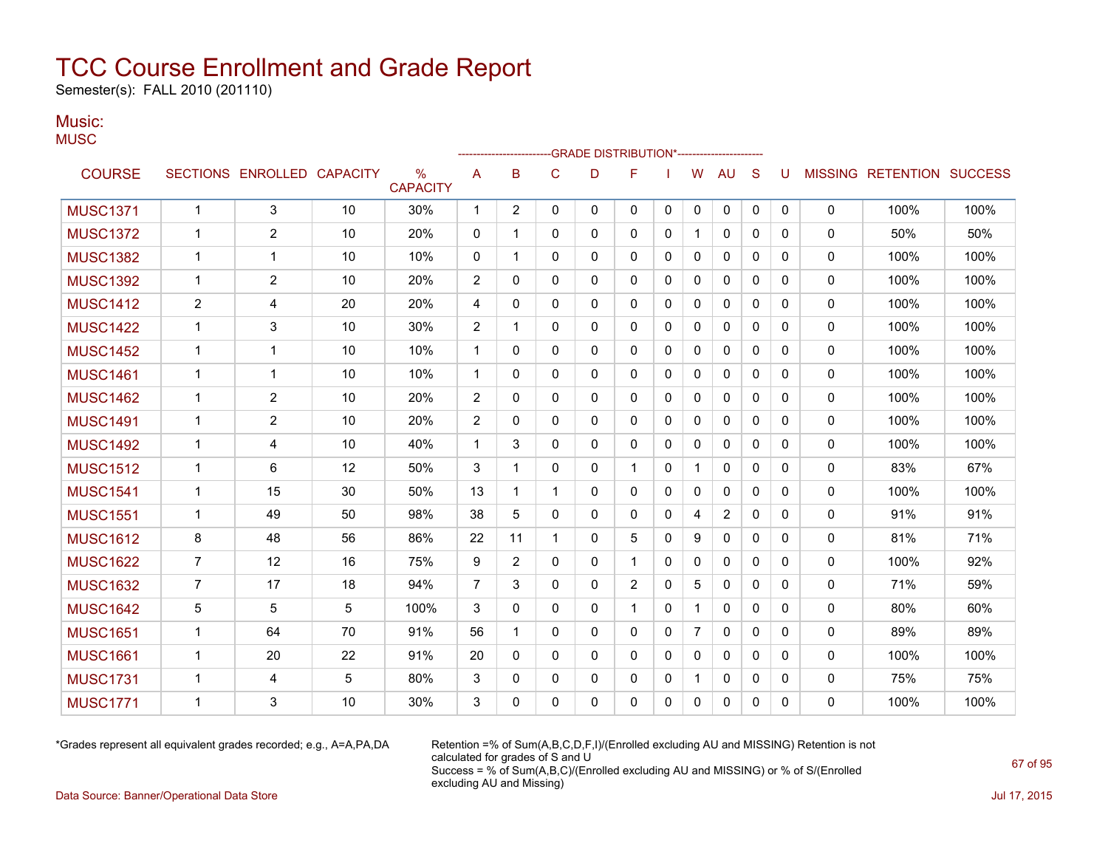Semester(s): FALL 2010 (201110)

### Music: **MUSC**

|                 |                |                            |    |                      |                |                |              | -GRADE DISTRIBUTION*---------------------- |              |              |                |              |              |              |              |                                  |      |
|-----------------|----------------|----------------------------|----|----------------------|----------------|----------------|--------------|--------------------------------------------|--------------|--------------|----------------|--------------|--------------|--------------|--------------|----------------------------------|------|
| <b>COURSE</b>   |                | SECTIONS ENROLLED CAPACITY |    | %<br><b>CAPACITY</b> | A              | B              | $\mathsf{C}$ | D                                          | F            |              | W              | <b>AU</b>    | S            | U            |              | <b>MISSING RETENTION SUCCESS</b> |      |
| <b>MUSC1371</b> | $\mathbf{1}$   | 3                          | 10 | 30%                  | $\mathbf 1$    | $\overline{2}$ | $\Omega$     | $\mathbf{0}$                               | $\mathbf{0}$ | $\mathbf{0}$ | 0              | 0            | 0            | 0            | $\mathbf 0$  | 100%                             | 100% |
| <b>MUSC1372</b> | $\mathbf{1}$   | $\overline{c}$             | 10 | 20%                  | 0              | 1              | 0            | 0                                          | $\mathbf{0}$ | 0            | 1              | 0            | 0            | 0            | 0            | 50%                              | 50%  |
| <b>MUSC1382</b> | 1              | $\mathbf 1$                | 10 | 10%                  | 0              | 1              | $\mathbf{0}$ | $\mathbf{0}$                               | $\mathbf{0}$ | 0            | 0              | 0            | 0            | 0            | 0            | 100%                             | 100% |
| <b>MUSC1392</b> | $\mathbf 1$    | 2                          | 10 | 20%                  | 2              | 0              | 0            | 0                                          | 0            | 0            | 0              | 0            | 0            | 0            | 0            | 100%                             | 100% |
| <b>MUSC1412</b> | 2              | 4                          | 20 | 20%                  | 4              | $\Omega$       | $\mathbf{0}$ | $\mathbf{0}$                               | $\mathbf{0}$ | $\mathbf{0}$ | 0              | $\mathbf{0}$ | 0            | 0            | $\mathbf{0}$ | 100%                             | 100% |
| <b>MUSC1422</b> | $\mathbf{1}$   | 3                          | 10 | 30%                  | 2              | 1              | $\mathbf{0}$ | $\mathbf{0}$                               | $\mathbf{0}$ | $\mathbf{0}$ | 0              | $\mathbf{0}$ | $\mathbf{0}$ | $\mathbf{0}$ | $\mathbf{0}$ | 100%                             | 100% |
| <b>MUSC1452</b> | $\mathbf{1}$   | $\mathbf{1}$               | 10 | 10%                  | $\mathbf{1}$   | $\Omega$       | $\mathbf{0}$ | $\mathbf{0}$                               | $\mathbf{0}$ | $\mathbf{0}$ | 0              | 0            | $\mathbf{0}$ | $\mathbf{0}$ | $\mathbf{0}$ | 100%                             | 100% |
| <b>MUSC1461</b> | $\mathbf{1}$   | $\mathbf{1}$               | 10 | 10%                  | $\mathbf{1}$   | $\Omega$       | $\Omega$     | 0                                          | $\mathbf{0}$ | $\mathbf 0$  | $\mathbf{0}$   | $\mathbf{0}$ | $\mathbf{0}$ | $\Omega$     | $\mathbf 0$  | 100%                             | 100% |
| <b>MUSC1462</b> | $\mathbf{1}$   | 2                          | 10 | 20%                  | 2              | 0              | 0            | $\mathbf{0}$                               | $\mathbf{0}$ | 0            | 0              | 0            | 0            | 0            | $\mathbf 0$  | 100%                             | 100% |
| <b>MUSC1491</b> | $\mathbf{1}$   | $\overline{c}$             | 10 | 20%                  | $\overline{c}$ | 0              | $\mathbf{0}$ | 0                                          | $\mathbf{0}$ | 0            | 0              | 0            | 0            | 0            | 0            | 100%                             | 100% |
| <b>MUSC1492</b> | $\mathbf{1}$   | 4                          | 10 | 40%                  | 1              | 3              | 0            | 0                                          | $\mathbf{0}$ | 0            | 0              | 0            | 0            | 0            | 0            | 100%                             | 100% |
| <b>MUSC1512</b> | $\mathbf{1}$   | 6                          | 12 | 50%                  | 3              | 1              | $\mathbf{0}$ | $\mathbf{0}$                               |              | $\mathbf{0}$ | 1              | $\Omega$     | 0            | $\Omega$     | $\Omega$     | 83%                              | 67%  |
| <b>MUSC1541</b> | $\mathbf 1$    | 15                         | 30 | 50%                  | 13             | 1              | $\mathbf 1$  | 0                                          | $\mathbf{0}$ | 0            | 0              | $\mathbf{0}$ | 0            | $\mathbf{0}$ | $\mathbf{0}$ | 100%                             | 100% |
| <b>MUSC1551</b> | $\mathbf 1$    | 49                         | 50 | 98%                  | 38             | 5              | $\mathbf{0}$ | 0                                          | 0            | 0            | 4              | 2            | 0            | 0            | $\mathbf{0}$ | 91%                              | 91%  |
| <b>MUSC1612</b> | 8              | 48                         | 56 | 86%                  | 22             | 11             | $\mathbf 1$  | 0                                          | 5            | 0            | 9              | 0            | 0            | $\mathbf{0}$ | $\mathbf{0}$ | 81%                              | 71%  |
| <b>MUSC1622</b> | $\overline{7}$ | 12                         | 16 | 75%                  | 9              | 2              | 0            | 0                                          | 1            | 0            | 0              | 0            | 0            | $\mathbf{0}$ | $\mathbf 0$  | 100%                             | 92%  |
| <b>MUSC1632</b> | 7              | 17                         | 18 | 94%                  | $\overline{7}$ | 3              | 0            | 0                                          | 2            | 0            | 5              | 0            | 0            | $\mathbf{0}$ | $\mathbf 0$  | 71%                              | 59%  |
| <b>MUSC1642</b> | 5              | 5                          | 5  | 100%                 | 3              | 0              | 0            | 0                                          | $\mathbf{1}$ | 0            | $\mathbf 1$    | 0            | 0            | 0            | 0            | 80%                              | 60%  |
| <b>MUSC1651</b> | $\mathbf{1}$   | 64                         | 70 | 91%                  | 56             | 1              | $\mathbf{0}$ | $\Omega$                                   | $\mathbf{0}$ | $\mathbf{0}$ | $\overline{7}$ | $\mathbf{0}$ | $\Omega$     | $\Omega$     | $\mathbf{0}$ | 89%                              | 89%  |
| <b>MUSC1661</b> | $\mathbf{1}$   | 20                         | 22 | 91%                  | 20             | 0              | $\mathbf{0}$ | $\mathbf{0}$                               | $\mathbf{0}$ | $\mathbf{0}$ | 0              | $\mathbf{0}$ | $\Omega$     | 0            | $\Omega$     | 100%                             | 100% |
| <b>MUSC1731</b> | $\mathbf{1}$   | 4                          | 5  | 80%                  | 3              | 0              | $\mathbf{0}$ | 0                                          | 0            | 0            | 1              | 0            | 0            | 0            | 0            | 75%                              | 75%  |
| <b>MUSC1771</b> | 1              | 3                          | 10 | 30%                  | 3              | 0              | 0            | 0                                          | 0            | 0            | 0              | 0            | 0            | 0            | 0            | 100%                             | 100% |
|                 |                |                            |    |                      |                |                |              |                                            |              |              |                |              |              |              |              |                                  |      |

\*Grades represent all equivalent grades recorded; e.g., A=A,PA,DA Retention =% of Sum(A,B,C,D,F,I)/(Enrolled excluding AU and MISSING) Retention is not calculated for grades of S and U Success = % of Sum(A,B,C)/(Enrolled excluding AU and MISSING) or % of S/(Enrolled excluding AU and Missing)

Data Source: Banner/Operational Data Store Jul 17, 2015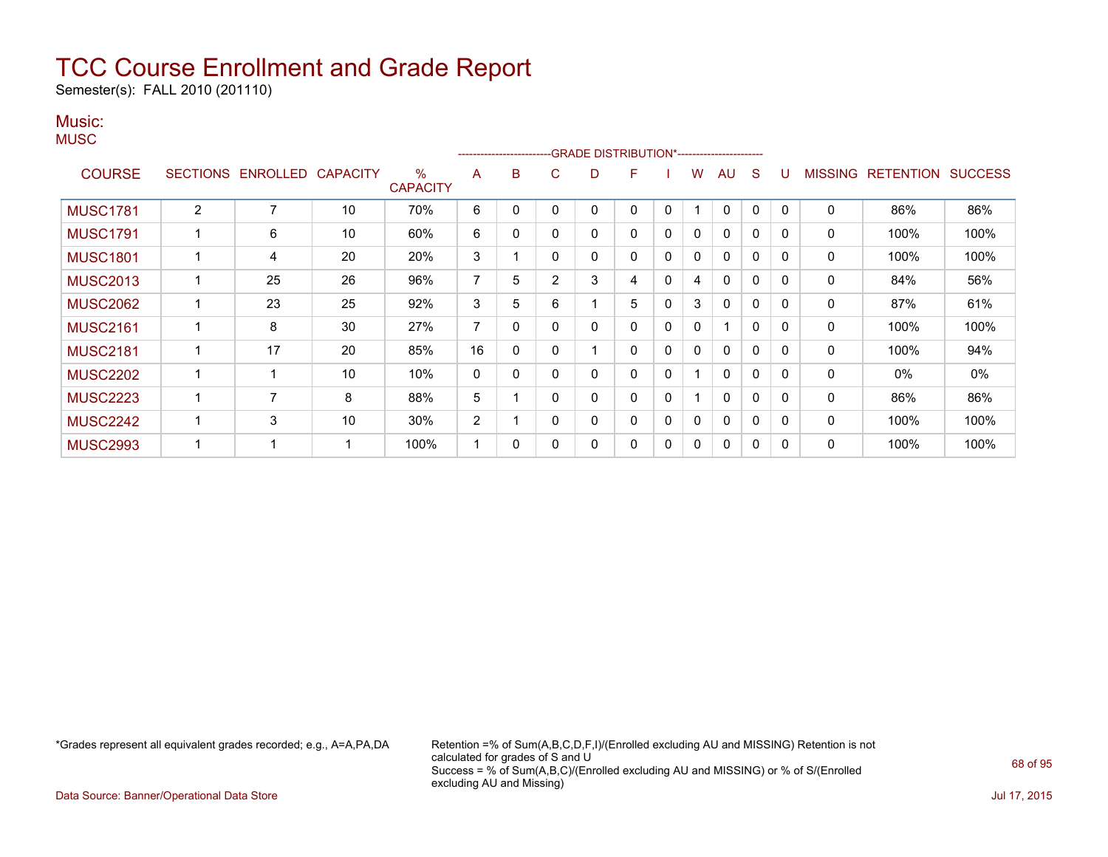Semester(s): FALL 2010 (201110)

### Music:

**MUSC** 

|                 |                |                   |                 |                         |                | --------------------- |                | -GRADE DISTRIBUTION*---------------------- |   |              |   |              |              |          |                |                  |                |
|-----------------|----------------|-------------------|-----------------|-------------------------|----------------|-----------------------|----------------|--------------------------------------------|---|--------------|---|--------------|--------------|----------|----------------|------------------|----------------|
| <b>COURSE</b>   |                | SECTIONS ENROLLED | <b>CAPACITY</b> | $\%$<br><b>CAPACITY</b> | A              | B                     | С              | D                                          | F |              | w | AU           | S            |          | <b>MISSING</b> | <b>RETENTION</b> | <b>SUCCESS</b> |
| <b>MUSC1781</b> | $\overline{2}$ | 7                 | 10              | 70%                     | 6              |                       |                |                                            | 0 | 0            |   | $\mathbf{0}$ | 0            | 0        | 0              | 86%              | 86%            |
| <b>MUSC1791</b> |                | 6                 | 10              | 60%                     | 6              | 0                     |                | 0                                          | 0 | 0            | 0 | $\Omega$     | 0            |          | 0              | 100%             | 100%           |
| <b>MUSC1801</b> |                | 4                 | 20              | 20%                     | 3              |                       | 0              | 0                                          | 0 | 0            | 0 | $\mathbf{0}$ | $\mathbf{0}$ | $\Omega$ | 0              | 100%             | 100%           |
| <b>MUSC2013</b> |                | 25                | 26              | 96%                     | 7              | 5                     | $\overline{2}$ | 3                                          | 4 | $\mathbf{0}$ | 4 | $\mathbf{0}$ | $\mathbf{0}$ | $\Omega$ | 0              | 84%              | 56%            |
| <b>MUSC2062</b> |                | 23                | 25              | 92%                     | 3              | 5                     | 6              |                                            | 5 | 0            | 3 | $\mathbf{0}$ | $\mathbf{0}$ | $\Omega$ | $\mathbf{0}$   | 87%              | 61%            |
| <b>MUSC2161</b> |                | 8                 | 30              | 27%                     | $\overline{7}$ | 0                     |                | 0                                          | 0 | 0            | 0 | 1            | $\mathbf{0}$ | $\Omega$ | 0              | 100%             | 100%           |
| <b>MUSC2181</b> |                | 17                | 20              | 85%                     | 16             | 0                     |                |                                            | 0 | $\mathbf{0}$ | 0 | $\mathbf{0}$ | 0            | 0        | 0              | 100%             | 94%            |
| <b>MUSC2202</b> |                |                   | 10              | 10%                     | 0              | 0                     |                | 0                                          | 0 | 0            |   | $\mathbf{0}$ | 0            | $\Omega$ | 0              | 0%               | 0%             |
| <b>MUSC2223</b> |                | 7                 | 8               | 88%                     | 5              |                       | $\Omega$       | 0                                          | 0 | $\mathbf{0}$ |   | $\mathbf{0}$ | $\mathbf{0}$ | $\Omega$ | $\mathbf 0$    | 86%              | 86%            |
| <b>MUSC2242</b> |                | 3                 | 10              | 30%                     | $\overline{2}$ |                       |                | 0                                          | 0 | 0            | 0 | $\Omega$     | $\Omega$     | $\Omega$ | 0              | 100%             | 100%           |
| <b>MUSC2993</b> |                |                   |                 | 100%                    |                | 0                     |                | 0                                          | 0 | 0            | 0 | $\mathbf{0}$ | 0            | $\Omega$ | 0              | 100%             | 100%           |

\*Grades represent all equivalent grades recorded; e.g., A=A,PA,DA Retention =% of Sum(A,B,C,D,F,I)/(Enrolled excluding AU and MISSING) Retention is not calculated for grades of S and U Success = % of Sum(A,B,C)/(Enrolled excluding AU and MISSING) or % of S/(Enrolled excluding AU and Missing)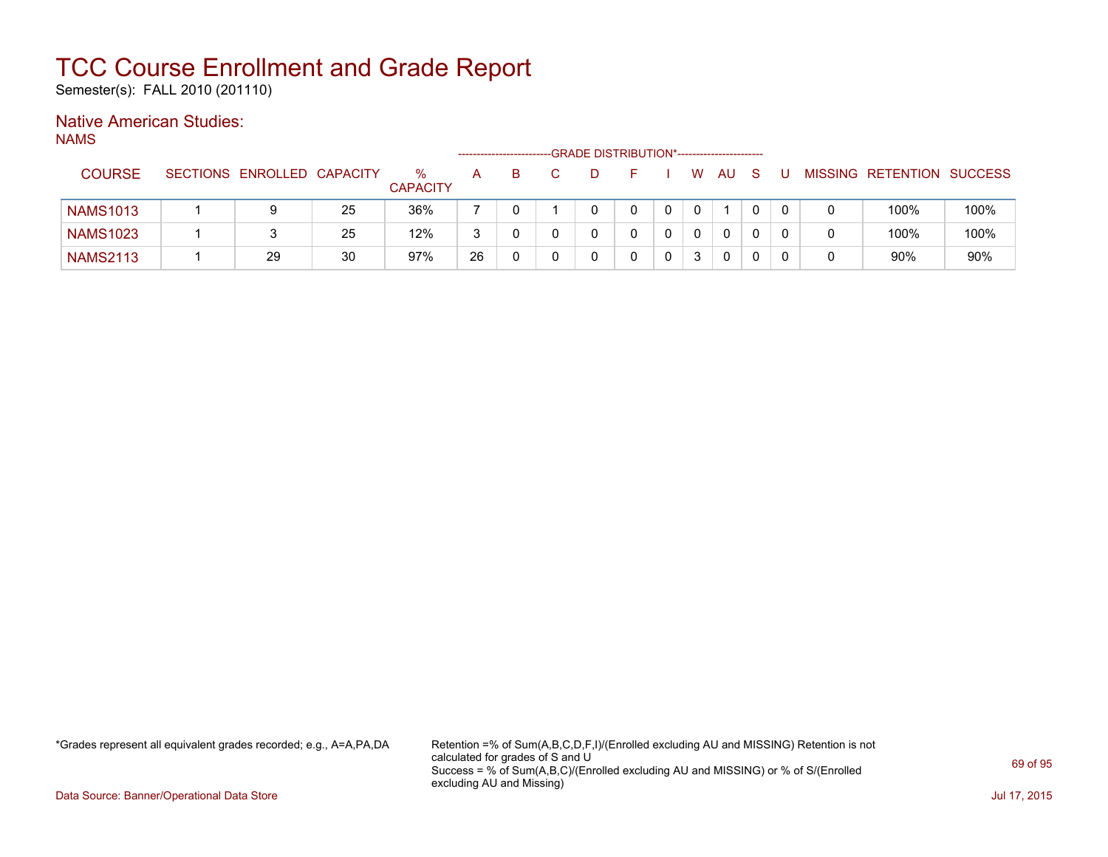Semester(s): FALL 2010 (201110)

### Native American Studies:

NAMS

|                 |                            |    |                         |    | ------------------------ | -GRADE DISTRIBUTION*----------------------- |   |          |              |          |  |                           |      |
|-----------------|----------------------------|----|-------------------------|----|--------------------------|---------------------------------------------|---|----------|--------------|----------|--|---------------------------|------|
| <b>COURSE</b>   | SECTIONS ENROLLED CAPACITY |    | $\%$<br><b>CAPACITY</b> | A  | B                        |                                             |   | W        | AU           | <b>S</b> |  | MISSING RETENTION SUCCESS |      |
| <b>NAMS1013</b> | 9                          | 25 | 36%                     |    |                          |                                             |   | $\Omega$ |              |          |  | 100%                      | 100% |
| <b>NAMS1023</b> |                            | 25 | 12%                     | 3  |                          |                                             |   | $\Omega$ | $\mathbf{0}$ |          |  | 100%                      | 100% |
| <b>NAMS2113</b> | 29                         | 30 | 97%                     | 26 |                          |                                             | 0 | 3        | 0            |          |  | 90%                       | 90%  |

\*Grades represent all equivalent grades recorded; e.g., A=A,PA,DA Retention =% of Sum(A,B,C,D,F,I)/(Enrolled excluding AU and MISSING) Retention is not calculated for grades of S and U Success = % of Sum(A,B,C)/(Enrolled excluding AU and MISSING) or % of S/(Enrolled excluding AU and Missing)

Data Source: Banner/Operational Data Store Jul 17, 2015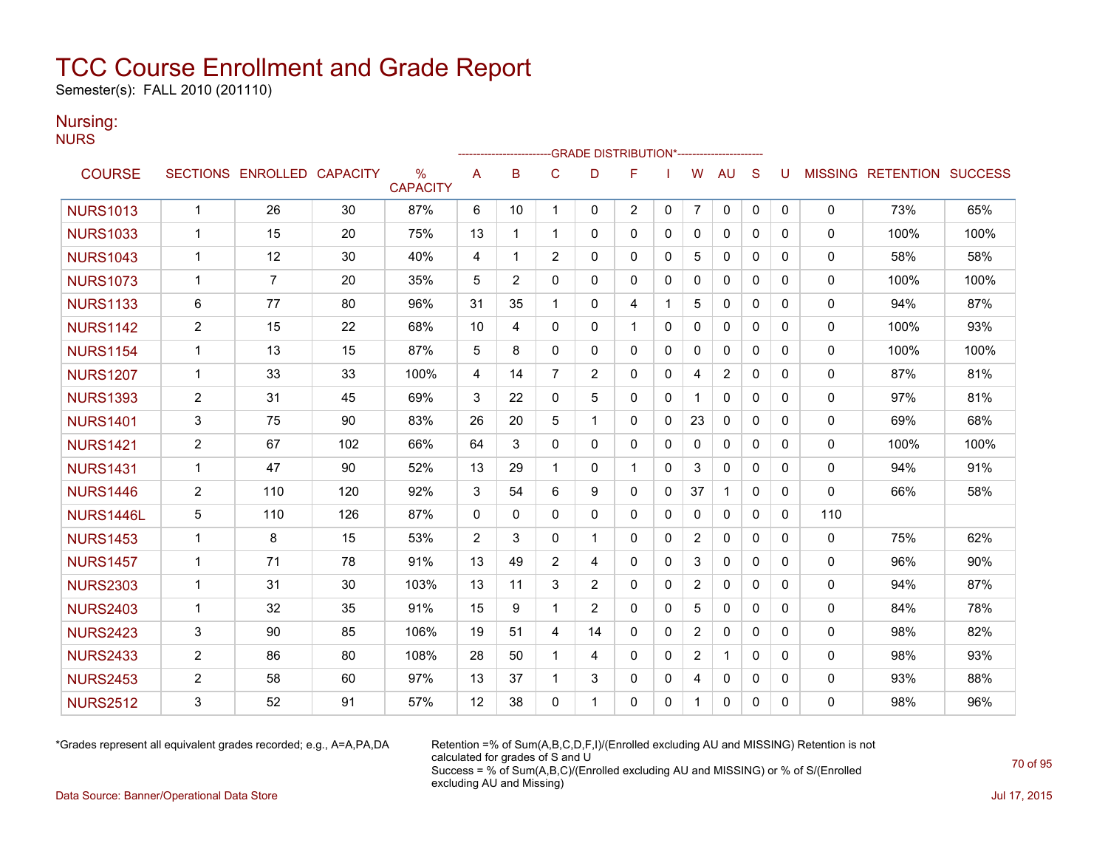Semester(s): FALL 2010 (201110)

### Nursing:

NURS

|                 |                |                            |     |                                  |    |              |                | <b>GRADE DISTRIBUTION*-----------------------</b> |              |              |                |                |              |          |              |                           |      |
|-----------------|----------------|----------------------------|-----|----------------------------------|----|--------------|----------------|---------------------------------------------------|--------------|--------------|----------------|----------------|--------------|----------|--------------|---------------------------|------|
| <b>COURSE</b>   |                | SECTIONS ENROLLED CAPACITY |     | $\frac{0}{0}$<br><b>CAPACITY</b> | A  | B            | C              | D                                                 | F            |              | W              | <b>AU</b>      | S            | U        |              | MISSING RETENTION SUCCESS |      |
| <b>NURS1013</b> | $\mathbf{1}$   | 26                         | 30  | 87%                              | 6  | 10           | 1              | 0                                                 | 2            | 0            | $\overline{7}$ | 0              | 0            | 0        | 0            | 73%                       | 65%  |
| <b>NURS1033</b> | $\mathbf{1}$   | 15                         | 20  | 75%                              | 13 | 1            | $\mathbf 1$    | $\Omega$                                          | $\mathbf{0}$ | 0            | $\mathbf{0}$   | $\mathbf{0}$   | $\Omega$     | 0        | $\mathbf{0}$ | 100%                      | 100% |
| <b>NURS1043</b> | $\mathbf{1}$   | 12                         | 30  | 40%                              | 4  | $\mathbf 1$  | $\overline{2}$ | 0                                                 | $\mathbf{0}$ | 0            | 5              | $\mathbf{0}$   | $\mathbf{0}$ | 0        | 0            | 58%                       | 58%  |
| <b>NURS1073</b> | $\mathbf{1}$   | $\overline{7}$             | 20  | 35%                              | 5  | 2            | $\mathbf{0}$   | $\Omega$                                          | $\mathbf{0}$ | $\Omega$     | $\Omega$       | $\mathbf{0}$   | $\Omega$     | 0        | $\Omega$     | 100%                      | 100% |
| <b>NURS1133</b> | 6              | 77                         | 80  | 96%                              | 31 | 35           | 1              | 0                                                 | 4            | $\mathbf 1$  | 5              | $\mathbf{0}$   | $\Omega$     | 0        | 0            | 94%                       | 87%  |
| <b>NURS1142</b> | $\overline{2}$ | 15                         | 22  | 68%                              | 10 | 4            | $\mathbf{0}$   | $\Omega$                                          | $\mathbf{1}$ | 0            | $\Omega$       | $\mathbf{0}$   | $\mathbf{0}$ | 0        | $\mathbf{0}$ | 100%                      | 93%  |
| <b>NURS1154</b> | $\mathbf{1}$   | 13                         | 15  | 87%                              | 5  | 8            | $\mathbf{0}$   | 0                                                 | $\mathbf{0}$ | 0            | $\mathbf{0}$   | 0              | $\mathbf{0}$ | 0        | 0            | 100%                      | 100% |
| <b>NURS1207</b> | $\mathbf{1}$   | 33                         | 33  | 100%                             | 4  | 14           | $\overline{7}$ | $\overline{c}$                                    | $\mathbf{0}$ | 0            | 4              | $\overline{2}$ | $\mathbf{0}$ | 0        | 0            | 87%                       | 81%  |
| <b>NURS1393</b> | $\overline{2}$ | 31                         | 45  | 69%                              | 3  | 22           | 0              | 5                                                 | $\mathbf{0}$ | 0            |                | $\mathbf{0}$   | $\mathbf{0}$ | 0        | 0            | 97%                       | 81%  |
| <b>NURS1401</b> | 3              | 75                         | 90  | 83%                              | 26 | 20           | 5              | 1                                                 | 0            | 0            | 23             | 0              | 0            | 0        | 0            | 69%                       | 68%  |
| <b>NURS1421</b> | $\overline{2}$ | 67                         | 102 | 66%                              | 64 | 3            | $\mathbf{0}$   | 0                                                 | $\mathbf{0}$ | $\mathbf{0}$ | $\mathbf{0}$   | $\mathbf{0}$   | $\Omega$     | 0        | 0            | 100%                      | 100% |
| <b>NURS1431</b> | $\mathbf{1}$   | 47                         | 90  | 52%                              | 13 | 29           | $\mathbf 1$    | 0                                                 | $\mathbf{1}$ | $\Omega$     | 3              | $\mathbf{0}$   | $\mathbf{0}$ | 0        | $\mathbf{0}$ | 94%                       | 91%  |
| <b>NURS1446</b> | $\overline{2}$ | 110                        | 120 | 92%                              | 3  | 54           | 6              | 9                                                 | $\Omega$     | $\Omega$     | 37             | $\mathbf{1}$   | $\Omega$     | $\Omega$ | $\Omega$     | 66%                       | 58%  |
| NURS1446L       | 5              | 110                        | 126 | 87%                              | 0  | $\mathbf{0}$ | $\mathbf 0$    | 0                                                 | 0            | $\mathbf{0}$ | 0              | 0              | $\mathbf{0}$ | 0        | 110          |                           |      |
| <b>NURS1453</b> | $\mathbf{1}$   | 8                          | 15  | 53%                              | 2  | 3            | $\mathbf{0}$   | $\mathbf 1$                                       | $\mathbf{0}$ | 0            | $\overline{2}$ | $\mathbf{0}$   | $\mathbf{0}$ | 0        | 0            | 75%                       | 62%  |
| <b>NURS1457</b> | $\mathbf 1$    | 71                         | 78  | 91%                              | 13 | 49           | $\overline{c}$ | 4                                                 | $\mathbf{0}$ | 0            | 3              | $\mathbf{0}$   | $\mathbf{0}$ | 0        | 0            | 96%                       | 90%  |
| <b>NURS2303</b> | $\mathbf{1}$   | 31                         | 30  | 103%                             | 13 | 11           | 3              | $\overline{2}$                                    | $\mathbf{0}$ | $\Omega$     | $\overline{2}$ | $\mathbf{0}$   | $\Omega$     | 0        | 0            | 94%                       | 87%  |
| <b>NURS2403</b> | $\mathbf{1}$   | 32                         | 35  | 91%                              | 15 | 9            | $\mathbf 1$    | $\overline{2}$                                    | $\Omega$     | $\Omega$     | 5              | $\mathbf{0}$   | $\Omega$     | 0        | 0            | 84%                       | 78%  |
| <b>NURS2423</b> | 3              | 90                         | 85  | 106%                             | 19 | 51           | 4              | 14                                                | 0            | 0            | $\overline{2}$ | $\mathbf{0}$   | $\mathbf{0}$ | 0        | 0            | 98%                       | 82%  |
| <b>NURS2433</b> | $\overline{2}$ | 86                         | 80  | 108%                             | 28 | 50           | 1              | 4                                                 | $\Omega$     | 0            | $\overline{2}$ | $\mathbf 1$    | $\Omega$     | $\Omega$ | $\mathbf{0}$ | 98%                       | 93%  |
| <b>NURS2453</b> | $\overline{2}$ | 58                         | 60  | 97%                              | 13 | 37           | 1              | 3                                                 | $\mathbf{0}$ | 0            | 4              | $\mathbf{0}$   | $\Omega$     | 0        | 0            | 93%                       | 88%  |
| <b>NURS2512</b> | 3              | 52                         | 91  | 57%                              | 12 | 38           | $\Omega$       | 1                                                 | $\Omega$     | $\Omega$     | $\mathbf{1}$   | $\mathbf{0}$   | $\Omega$     | 0        | 0            | 98%                       | 96%  |

\*Grades represent all equivalent grades recorded; e.g., A=A,PA,DA Retention =% of Sum(A,B,C,D,F,I)/(Enrolled excluding AU and MISSING) Retention is not calculated for grades of S and U Success = % of Sum(A,B,C)/(Enrolled excluding AU and MISSING) or % of S/(Enrolled excluding AU and Missing)

Data Source: Banner/Operational Data Store Jul 17, 2015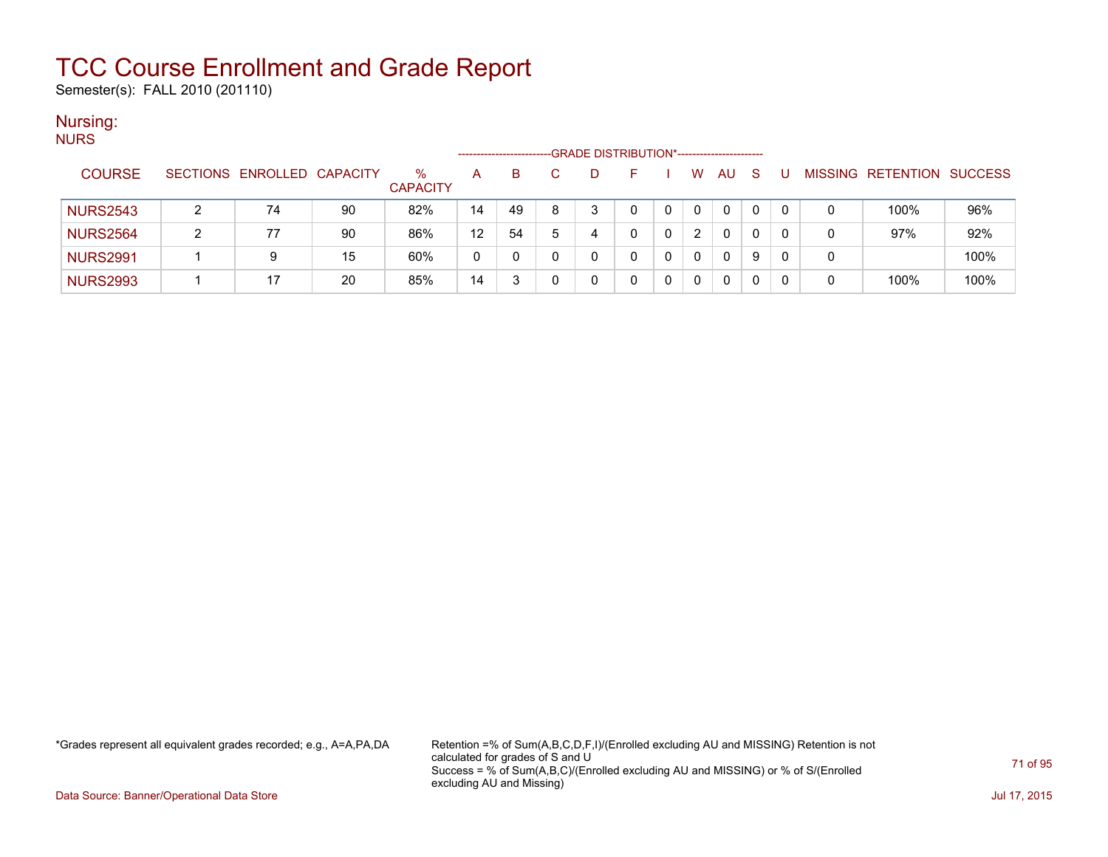Semester(s): FALL 2010 (201110)

### Nursing:

| <b>NURS</b> |                 |                                                                    |                            |    |                 |    |    |   |   |  |  |              |    |    |   |   |                   |                |
|-------------|-----------------|--------------------------------------------------------------------|----------------------------|----|-----------------|----|----|---|---|--|--|--------------|----|----|---|---|-------------------|----------------|
|             |                 | -GRADE DISTRIBUTION*-----------------------<br>------------------- |                            |    |                 |    |    |   |   |  |  |              |    |    |   |   |                   |                |
|             | <b>COURSE</b>   |                                                                    | SECTIONS ENROLLED CAPACITY |    | $\%$            | A  | B. |   |   |  |  | W            | AU | -S | U |   | MISSING RETENTION | <b>SUCCESS</b> |
|             |                 |                                                                    |                            |    | <b>CAPACITY</b> |    |    |   |   |  |  |              |    |    |   |   |                   |                |
|             | <b>NURS2543</b> |                                                                    | 74                         | 90 | 82%             | 14 | 49 | 8 | ◠ |  |  | 0            | 0  | 0  |   |   | 100%              | 96%            |
|             | <b>NURS2564</b> | ົ                                                                  | 77                         | 90 | 86%             | 12 | 54 |   | 4 |  |  | 2            | 0  | 0  |   |   | 97%               | 92%            |
|             | <b>NURS2991</b> |                                                                    |                            | 15 | 60%             | 0  |    |   |   |  |  | $\mathbf{0}$ | 0  | 9  |   | 0 |                   | 100%           |
|             | <b>NURS2993</b> |                                                                    | 17                         | 20 | 85%             | 14 | 2  |   |   |  |  | 0            | 0  | 0  |   |   | 100%              | 100%           |

\*Grades represent all equivalent grades recorded; e.g., A=A,PA,DA Retention =% of Sum(A,B,C,D,F,I)/(Enrolled excluding AU and MISSING) Retention is not calculated for grades of S and U Success = % of Sum(A,B,C)/(Enrolled excluding AU and MISSING) or % of S/(Enrolled excluding AU and Missing)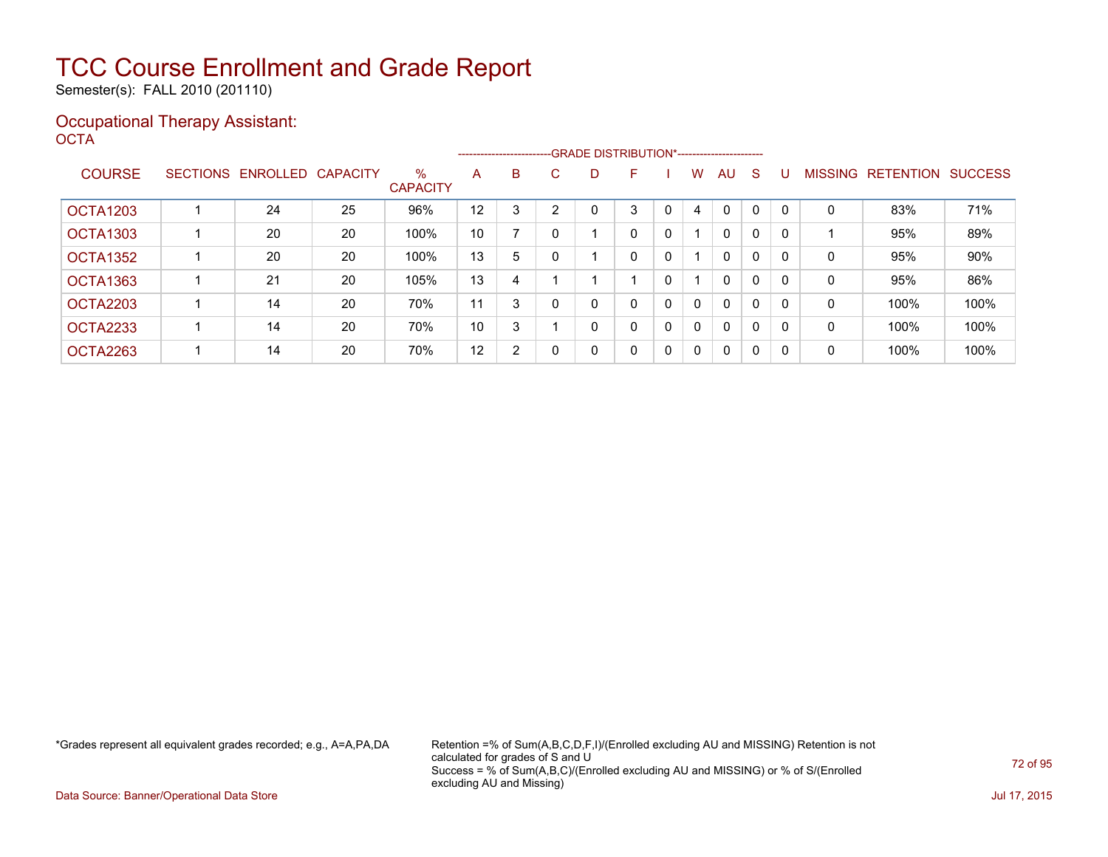Semester(s): FALL 2010 (201110)

### Occupational Therapy Assistant: OCTA<sup>'</sup>

|                 | ------------------------GRADE                DISTRIBUTION*---------------------- |                   |          |                      |    |   |    |   |   |              |              |              |              |          |                |                  |                |
|-----------------|----------------------------------------------------------------------------------|-------------------|----------|----------------------|----|---|----|---|---|--------------|--------------|--------------|--------------|----------|----------------|------------------|----------------|
| <b>COURSE</b>   |                                                                                  | SECTIONS ENROLLED | CAPACITY | %<br><b>CAPACITY</b> | A  | B | C. | D | F |              | W            | AU           | S            |          | <b>MISSING</b> | <b>RETENTION</b> | <b>SUCCESS</b> |
| <b>OCTA1203</b> |                                                                                  | 24                | 25       | 96%                  | 12 | 3 |    |   | 3 | 0            | 4            | 0            | 0            |          | 0              | 83%              | 71%            |
| <b>OCTA1303</b> |                                                                                  | 20                | 20       | 100%                 | 10 |   |    |   | 0 | 0            |              | 0            | 0            | $\Omega$ |                | 95%              | 89%            |
| OCTA1352        |                                                                                  | 20                | 20       | 100%                 | 13 | 5 |    |   | 0 | 0            |              | $\mathbf{0}$ | 0            | $\Omega$ | 0              | 95%              | 90%            |
| OCTA1363        |                                                                                  | 21                | 20       | 105%                 | 13 | 4 |    |   |   | $\mathbf{0}$ |              | $\mathbf{0}$ | 0            | 0        | 0              | 95%              | 86%            |
| OCTA2203        |                                                                                  | 14                | 20       | 70%                  | 11 | 3 |    | 0 | 0 | 0            | $\Omega$     | $\mathbf{0}$ | 0            | $\Omega$ | 0              | 100%             | 100%           |
| <b>OCTA2233</b> |                                                                                  | 14                | 20       | 70%                  | 10 | 3 |    | 0 | 0 | 0            | $\Omega$     | $\mathbf{0}$ | 0            | $\Omega$ | 0              | 100%             | 100%           |
| OCTA2263        |                                                                                  | 14                | 20       | 70%                  | 12 | 2 |    | 0 | 0 | $\mathbf{0}$ | $\mathbf{0}$ | $\mathbf{0}$ | $\mathbf{0}$ | $\Omega$ | 0              | 100%             | 100%           |

\*Grades represent all equivalent grades recorded; e.g., A=A,PA,DA Retention =% of Sum(A,B,C,D,F,I)/(Enrolled excluding AU and MISSING) Retention is not calculated for grades of S and U Success = % of Sum(A,B,C)/(Enrolled excluding AU and MISSING) or % of S/(Enrolled excluding AU and Missing)

Data Source: Banner/Operational Data Store Jul 17, 2015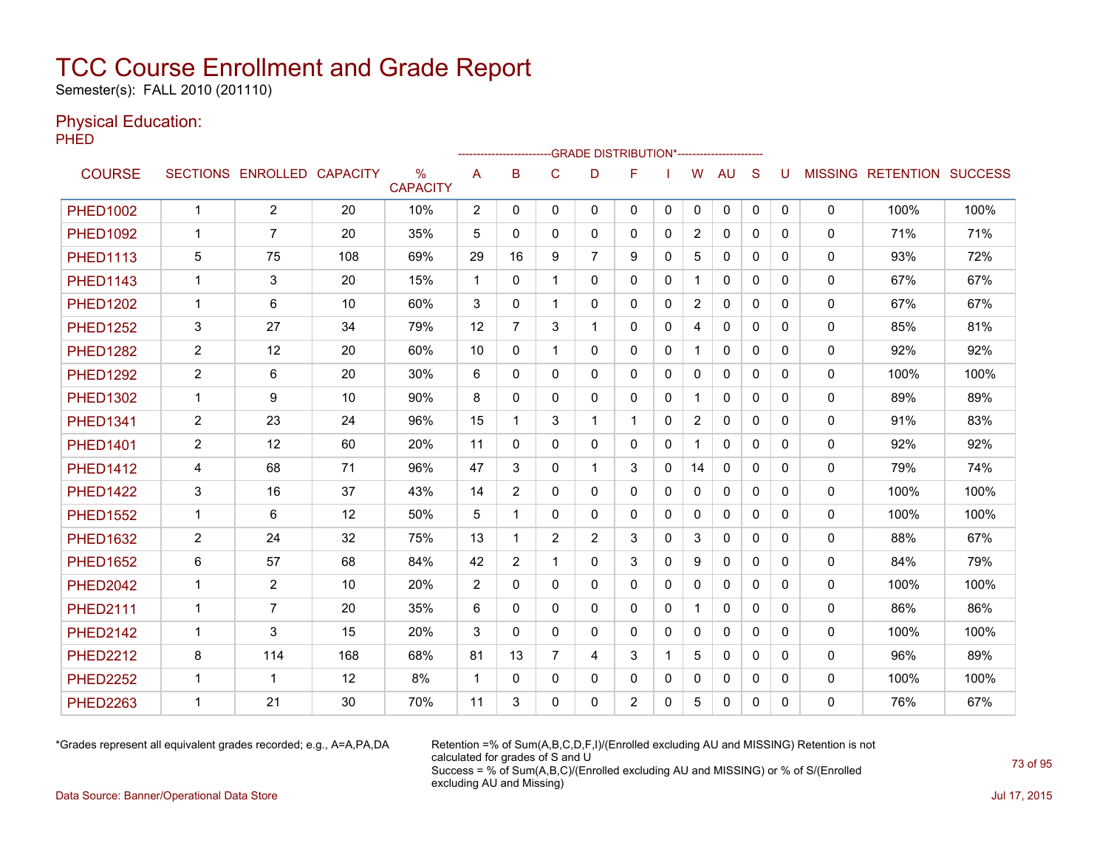Semester(s): FALL 2010 (201110)

#### Physical Education:

PHED

|                 |                |                            |     |                      |             |                |                |                | -GRADE DISTRIBUTION*---------------------- |          |                |              |              |              |              |                           |      |
|-----------------|----------------|----------------------------|-----|----------------------|-------------|----------------|----------------|----------------|--------------------------------------------|----------|----------------|--------------|--------------|--------------|--------------|---------------------------|------|
| <b>COURSE</b>   |                | SECTIONS ENROLLED CAPACITY |     | %<br><b>CAPACITY</b> | A           | B              | C              | D              | F                                          |          | W              | <b>AU</b>    | S            | U            |              | MISSING RETENTION SUCCESS |      |
| <b>PHED1002</b> | $\mathbf{1}$   | $\overline{2}$             | 20  | 10%                  | 2           | $\Omega$       | 0              | $\mathbf{0}$   | 0                                          | 0        | 0              | 0            | $\mathbf{0}$ | $\mathbf{0}$ | $\mathbf{0}$ | 100%                      | 100% |
| <b>PHED1092</b> | $\mathbf 1$    | $\overline{7}$             | 20  | 35%                  | 5           | $\Omega$       | $\Omega$       | $\Omega$       | $\Omega$                                   | $\Omega$ | $\overline{2}$ | $\mathbf{0}$ | $\Omega$     | 0            | $\mathbf{0}$ | 71%                       | 71%  |
| <b>PHED1113</b> | 5              | 75                         | 108 | 69%                  | 29          | 16             | 9              | $\overline{7}$ | 9                                          | 0        | 5              | $\mathbf{0}$ | $\mathbf{0}$ | 0            | 0            | 93%                       | 72%  |
| <b>PHED1143</b> | $\mathbf{1}$   | 3                          | 20  | 15%                  | $\mathbf 1$ | $\Omega$       | 1              | $\mathbf{0}$   | 0                                          | 0        | $\mathbf{1}$   | $\mathbf{0}$ | $\Omega$     | 0            | $\mathbf{0}$ | 67%                       | 67%  |
| <b>PHED1202</b> | $\mathbf{1}$   | 6                          | 10  | 60%                  | 3           | $\Omega$       | $\mathbf{1}$   | $\mathbf{0}$   | $\mathbf{0}$                               | 0        | $\overline{2}$ | $\mathbf{0}$ | $\Omega$     | 0            | 0            | 67%                       | 67%  |
| <b>PHED1252</b> | 3              | 27                         | 34  | 79%                  | 12          | $\overline{7}$ | 3              | 1              | 0                                          | $\Omega$ | 4              | $\Omega$     | $\Omega$     | 0            | $\mathbf{0}$ | 85%                       | 81%  |
| <b>PHED1282</b> | 2              | 12                         | 20  | 60%                  | 10          | $\mathbf{0}$   | $\mathbf{1}$   | $\Omega$       | $\mathbf{0}$                               | 0        |                | $\mathbf{0}$ | $\mathbf{0}$ | 0            | 0            | 92%                       | 92%  |
| <b>PHED1292</b> | $\overline{2}$ | 6                          | 20  | 30%                  | 6           | $\Omega$       | 0              | $\mathbf{0}$   | 0                                          | 0        | 0              | $\mathbf{0}$ | 0            | 0            | 0            | 100%                      | 100% |
| <b>PHED1302</b> | $\mathbf 1$    | 9                          | 10  | 90%                  | 8           | $\Omega$       | $\Omega$       | $\mathbf{0}$   | $\mathbf{0}$                               | 0        | 1              | $\mathbf{0}$ | $\Omega$     | 0            | $\mathbf{0}$ | 89%                       | 89%  |
| <b>PHED1341</b> | $\overline{2}$ | 23                         | 24  | 96%                  | 15          | 1              | 3              | 1              | 1                                          | 0        | $\overline{2}$ | $\mathbf{0}$ | $\Omega$     | 0            | 0            | 91%                       | 83%  |
| <b>PHED1401</b> | $\overline{2}$ | 12                         | 60  | 20%                  | 11          | $\Omega$       | 0              | 0              | 0                                          | 0        | $\mathbf{1}$   | $\mathbf{0}$ | $\Omega$     | 0            | 0            | 92%                       | 92%  |
| <b>PHED1412</b> | 4              | 68                         | 71  | 96%                  | 47          | 3              | $\mathbf{0}$   | 1              | 3                                          | 0        | 14             | $\mathbf{0}$ | 0            | 0            | 0            | 79%                       | 74%  |
| <b>PHED1422</b> | 3              | 16                         | 37  | 43%                  | 14          | $\overline{2}$ | $\Omega$       | $\Omega$       | $\Omega$                                   | 0        | $\mathbf{0}$   | $\mathbf{0}$ | $\Omega$     | 0            | $\mathbf{0}$ | 100%                      | 100% |
| <b>PHED1552</b> | $\mathbf{1}$   | 6                          | 12  | 50%                  | 5           | 1              | 0              | 0              | $\mathbf{0}$                               | 0        | 0              | $\mathbf{0}$ | $\mathbf{0}$ | 0            | 0            | 100%                      | 100% |
| <b>PHED1632</b> | $\overline{2}$ | 24                         | 32  | 75%                  | 13          | 1              | 2              | 2              | 3                                          | 0        | 3              | $\mathbf{0}$ | $\mathbf{0}$ | 0            | 0            | 88%                       | 67%  |
| <b>PHED1652</b> | 6              | 57                         | 68  | 84%                  | 42          | $\overline{2}$ | 1              | $\mathbf{0}$   | 3                                          | 0        | 9              | $\mathbf{0}$ | $\Omega$     | $\Omega$     | 0            | 84%                       | 79%  |
| <b>PHED2042</b> | $\mathbf{1}$   | $\overline{2}$             | 10  | 20%                  | 2           | $\Omega$       | $\Omega$       | $\Omega$       | 0                                          | $\Omega$ | $\Omega$       | $\Omega$     | $\Omega$     | 0            | $\mathbf{0}$ | 100%                      | 100% |
| <b>PHED2111</b> | 1              | $\overline{7}$             | 20  | 35%                  | 6           | $\Omega$       | $\mathbf{0}$   | $\mathbf{0}$   | $\mathbf{0}$                               | 0        | $\mathbf 1$    | $\mathbf{0}$ | $\Omega$     | 0            | 0            | 86%                       | 86%  |
| <b>PHED2142</b> | 1              | 3                          | 15  | 20%                  | 3           | $\Omega$       | 0              | $\mathbf{0}$   | 0                                          | 0        | 0              | $\mathbf{0}$ | 0            | 0            | 0            | 100%                      | 100% |
| <b>PHED2212</b> | 8              | 114                        | 168 | 68%                  | 81          | 13             | $\overline{7}$ | 4              | 3                                          |          | 5              | $\mathbf{0}$ | $\Omega$     | 0            | 0            | 96%                       | 89%  |
| <b>PHED2252</b> | $\mathbf 1$    | 1                          | 12  | 8%                   | $\mathbf 1$ | $\Omega$       | $\Omega$       | $\Omega$       | 0                                          | 0        | 0              | $\mathbf{0}$ | $\Omega$     | 0            | $\mathbf{0}$ | 100%                      | 100% |
| <b>PHED2263</b> | 1              | 21                         | 30  | 70%                  | 11          | 3              | $\Omega$       | 0              | 2                                          | 0        | 5              | $\mathbf{0}$ | 0            | 0            | $\Omega$     | 76%                       | 67%  |

\*Grades represent all equivalent grades recorded; e.g., A=A,PA,DA Retention =% of Sum(A,B,C,D,F,I)/(Enrolled excluding AU and MISSING) Retention is not calculated for grades of S and U Success = % of Sum(A,B,C)/(Enrolled excluding AU and MISSING) or % of S/(Enrolled excluding AU and Missing)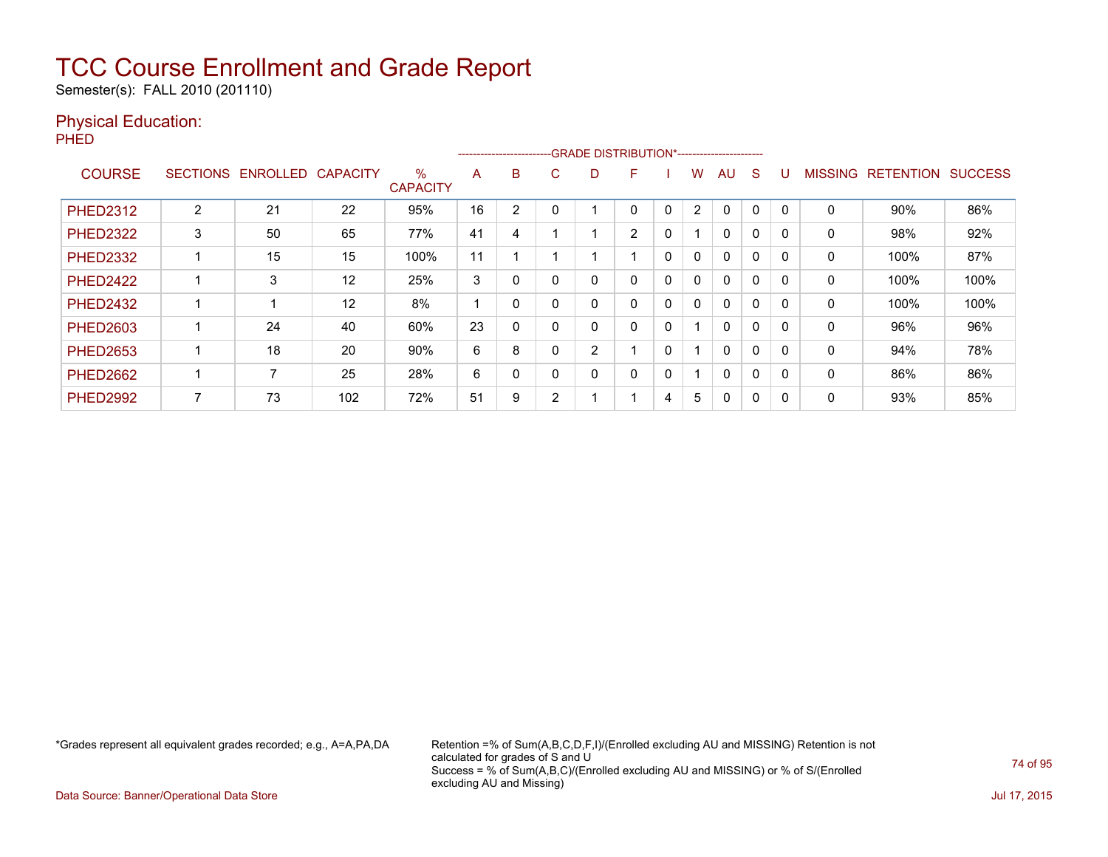Semester(s): FALL 2010 (201110)

#### Physical Education:

PHED

|                 |                 |          |                 |                         | ------------------------- |          |        | -GRADE DISTRIBUTION*----------------------- |                |              |              |              |              |          |                |                  |                |
|-----------------|-----------------|----------|-----------------|-------------------------|---------------------------|----------|--------|---------------------------------------------|----------------|--------------|--------------|--------------|--------------|----------|----------------|------------------|----------------|
| <b>COURSE</b>   | <b>SECTIONS</b> | ENROLLED | <b>CAPACITY</b> | $\%$<br><b>CAPACITY</b> | A                         | B        | C      | D                                           | F              |              | W            | AU           | S            |          | <b>MISSING</b> | <b>RETENTION</b> | <b>SUCCESS</b> |
| <b>PHED2312</b> | 2               | 21       | 22              | 95%                     | 16                        | 2        |        |                                             | 0              | $\Omega$     | 2            | 0            | 0            |          | 0              | 90%              | 86%            |
| <b>PHED2322</b> | 3               | 50       | 65              | 77%                     | 41                        | 4        |        |                                             | $\overline{2}$ | 0            |              | $\mathbf{0}$ | $\mathbf 0$  |          | 0              | 98%              | 92%            |
| <b>PHED2332</b> |                 | 15       | 15              | 100%                    | 11                        |          |        |                                             |                | $\mathbf{0}$ | $\mathbf{0}$ | $\mathbf{0}$ | $\mathbf{0}$ | $\Omega$ | $\mathbf{0}$   | 100%             | 87%            |
| <b>PHED2422</b> |                 | 3        | 12              | 25%                     | 3                         | 0        |        | 0                                           | 0              | 0            | $\mathbf{0}$ | 0            | 0            |          | 0              | 100%             | 100%           |
| <b>PHED2432</b> |                 |          | 12              | 8%                      |                           | $\Omega$ |        | 0                                           | 0              | 0            | $\mathbf{0}$ | $\mathbf{0}$ | $\mathbf 0$  |          | 0              | 100%             | 100%           |
| <b>PHED2603</b> |                 | 24       | 40              | 60%                     | 23                        | 0        | 0      | 0                                           | 0              | $\Omega$     |              | $\mathbf{0}$ | 0            |          | 0              | 96%              | 96%            |
| <b>PHED2653</b> |                 | 18       | 20              | 90%                     | 6                         | 8        |        | $\overline{2}$                              |                | $\Omega$     |              | $\mathbf{0}$ | $\mathbf{0}$ | $\Omega$ | 0              | 94%              | 78%            |
| <b>PHED2662</b> |                 |          | 25              | 28%                     | 6                         | 0        | 0      | 0                                           | 0              | 0            |              | $\mathbf{0}$ | $\mathbf 0$  |          | 0              | 86%              | 86%            |
| <b>PHED2992</b> |                 | 73       | 102             | 72%                     | 51                        | 9        | $\sim$ |                                             |                | 4            | 5            | 0            | 0            |          | 0              | 93%              | 85%            |

\*Grades represent all equivalent grades recorded; e.g., A=A,PA,DA Retention =% of Sum(A,B,C,D,F,I)/(Enrolled excluding AU and MISSING) Retention is not calculated for grades of S and U Success = % of Sum(A,B,C)/(Enrolled excluding AU and MISSING) or % of S/(Enrolled excluding AU and Missing)

Data Source: Banner/Operational Data Store Jul 17, 2015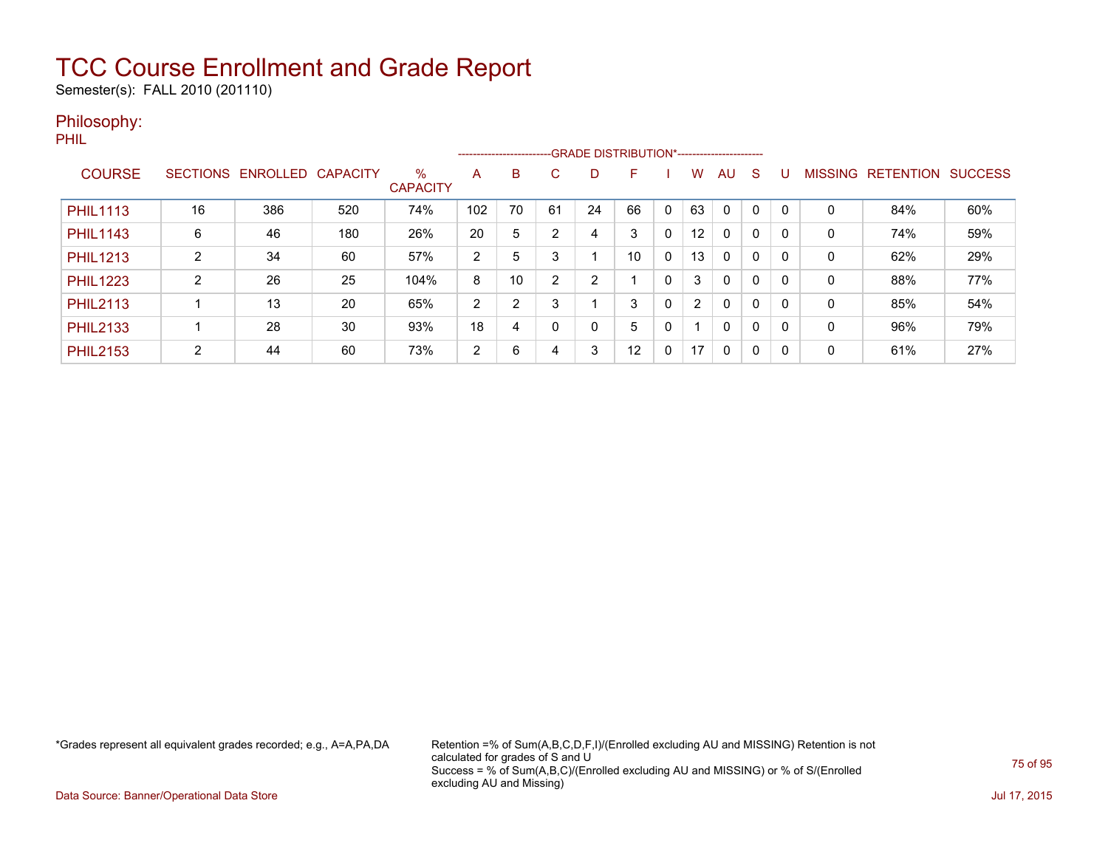Semester(s): FALL 2010 (201110)

#### Philosophy:

PHIL

|                 |                 |          |                 |                      |     |                |    |    | --------------------------GRADE DISTRIBUTION*----------------------- |              |                   |              |             |          |                |                  |                |
|-----------------|-----------------|----------|-----------------|----------------------|-----|----------------|----|----|----------------------------------------------------------------------|--------------|-------------------|--------------|-------------|----------|----------------|------------------|----------------|
| <b>COURSE</b>   | <b>SECTIONS</b> | ENROLLED | <b>CAPACITY</b> | %<br><b>CAPACITY</b> | Α   | B              | C. | D  | F                                                                    |              | w                 | AU           | S           |          | <b>MISSING</b> | <b>RETENTION</b> | <b>SUCCESS</b> |
| <b>PHIL1113</b> | 16              | 386      | 520             | 74%                  | 102 | 70             | 61 | 24 | 66                                                                   | $\mathbf{0}$ | 63                | $\Omega$     |             | $\Omega$ | 0              | 84%              | 60%            |
| <b>PHIL1143</b> | 6               | 46       | 180             | 26%                  | 20  | 5              | າ  | 4  | 3                                                                    | 0            | $12 \overline{ }$ | 0            |             | 0        | 0              | 74%              | 59%            |
| <b>PHIL1213</b> | C               | 34       | 60              | 57%                  | 2   | 5              | 3  |    | 10                                                                   | 0            | 13                | $\Omega$     | $\Omega$    | 0        | 0              | 62%              | 29%            |
| <b>PHIL1223</b> | C               | 26       | 25              | 104%                 | 8   | 10             | ົ  | 2  |                                                                      | $\Omega$     | 3                 | 0            | 0           | 0        | 0              | 88%              | 77%            |
| <b>PHIL2113</b> |                 | 13       | 20              | 65%                  | 2   | $\overline{2}$ | 3  |    | 3                                                                    | 0            | $\overline{2}$    | 0            | $\mathbf 0$ | 0        | 0              | 85%              | 54%            |
| <b>PHIL2133</b> |                 | 28       | 30              | 93%                  | 18  | 4              |    | 0  | 5                                                                    | 0            |                   | $\mathbf{0}$ | $\mathbf 0$ | $\Omega$ | 0              | 96%              | 79%            |
| <b>PHIL2153</b> | $\mathcal{P}$   | 44       | 60              | 73%                  | 2   | 6              | 4  | 3  | 12                                                                   | 0            | 17                | $\mathbf{0}$ | $\Omega$    | $\Omega$ | 0              | 61%              | 27%            |

\*Grades represent all equivalent grades recorded; e.g., A=A,PA,DA Retention =% of Sum(A,B,C,D,F,I)/(Enrolled excluding AU and MISSING) Retention is not calculated for grades of S and U Success = % of Sum(A,B,C)/(Enrolled excluding AU and MISSING) or % of S/(Enrolled excluding AU and Missing)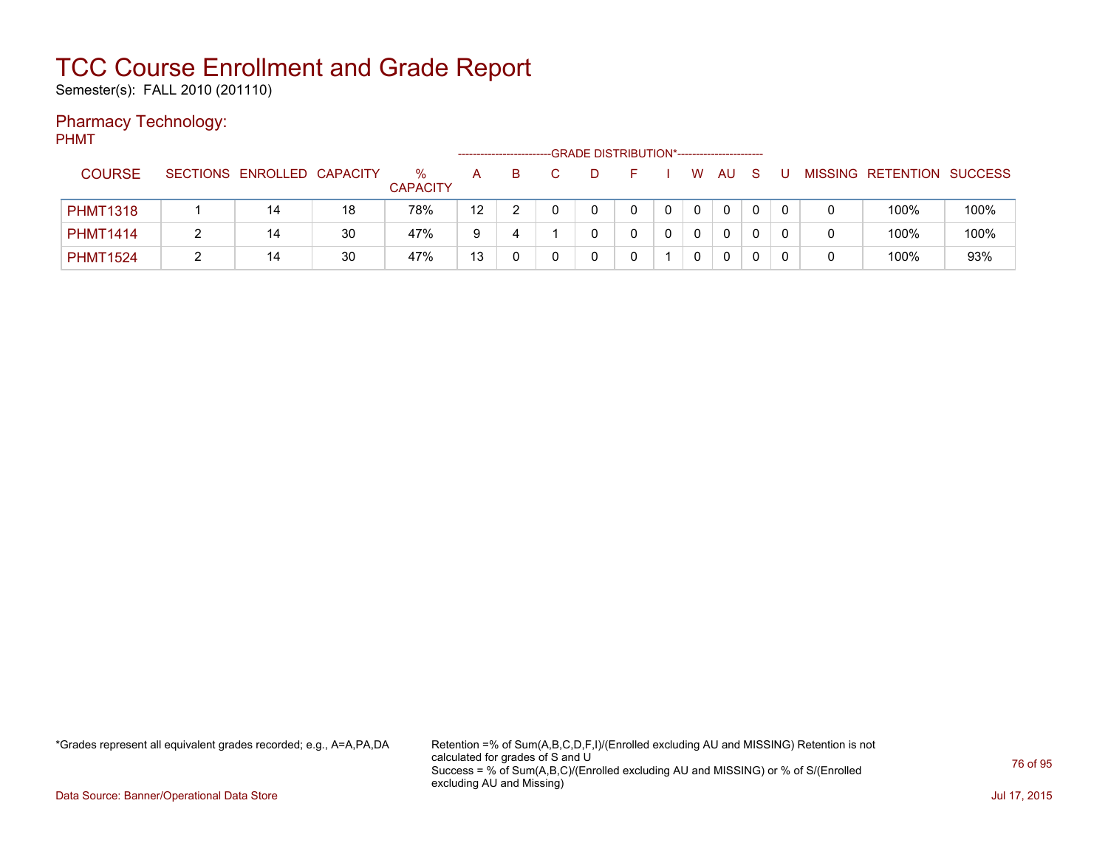Semester(s): FALL 2010 (201110)

### Pharmacy Technology:

PHMT

|                 |                            |    |                      |    | ---------------------- | -GRADE DISTRIBUTION*----------------------- |  |   |    |  |                           |      |
|-----------------|----------------------------|----|----------------------|----|------------------------|---------------------------------------------|--|---|----|--|---------------------------|------|
| <b>COURSE</b>   | SECTIONS ENROLLED CAPACITY |    | %<br><b>CAPACITY</b> | A  |                        |                                             |  | W | AU |  | MISSING RETENTION SUCCESS |      |
| <b>PHMT1318</b> | 14                         | 18 | 78%                  | 12 |                        |                                             |  |   | 0  |  | 100%                      | 100% |
| <b>PHMT1414</b> | 14                         | 30 | 47%                  | 9  |                        |                                             |  |   | 0  |  | 100%                      | 100% |
| <b>PHMT1524</b> | 14                         | 30 | 47%                  | 13 |                        |                                             |  |   | 0  |  | 100%                      | 93%  |

\*Grades represent all equivalent grades recorded; e.g., A=A,PA,DA Retention =% of Sum(A,B,C,D,F,I)/(Enrolled excluding AU and MISSING) Retention is not calculated for grades of S and U Success = % of Sum(A,B,C)/(Enrolled excluding AU and MISSING) or % of S/(Enrolled excluding AU and Missing)

Data Source: Banner/Operational Data Store Jul 17, 2015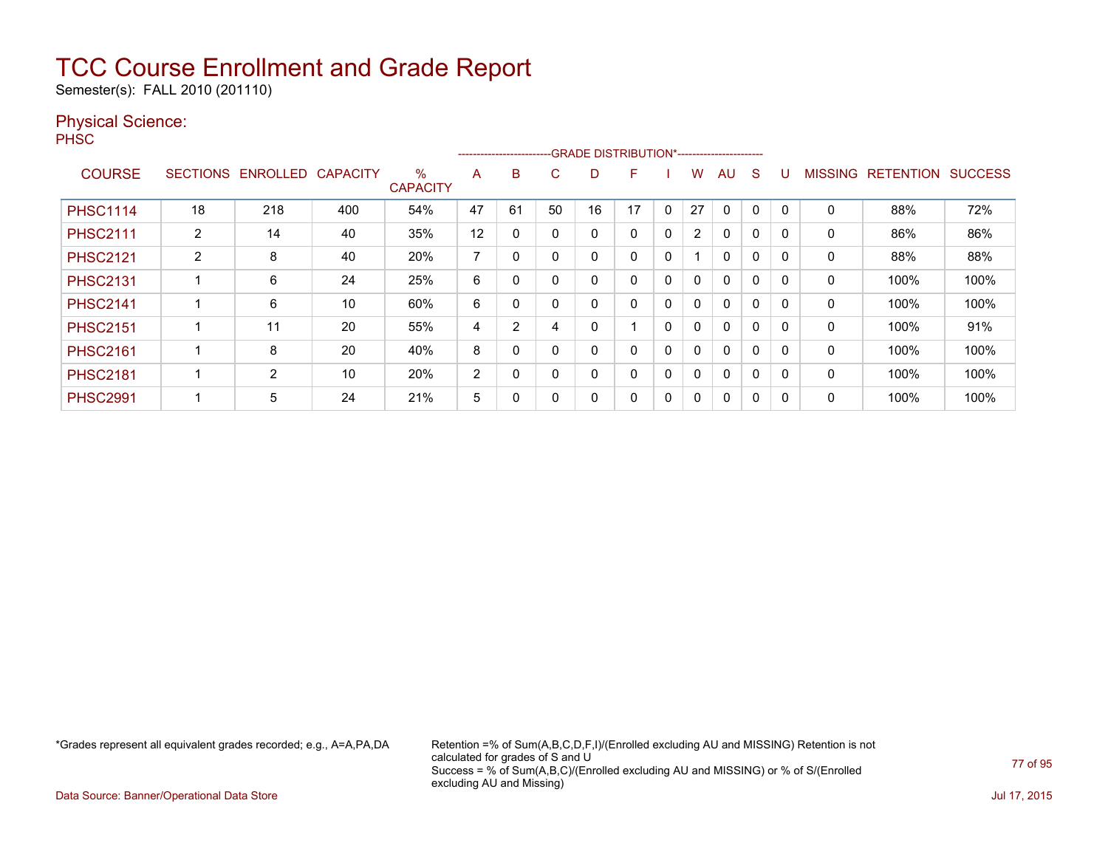Semester(s): FALL 2010 (201110)

#### Physical Science:

PH<sub>SC</sub>

|                 |                 |                |                 |                         |                | ------------------------ |              |    | -GRADE DISTRIBUTION*----------------------- |          |                |              |             |              |                |                  |                |
|-----------------|-----------------|----------------|-----------------|-------------------------|----------------|--------------------------|--------------|----|---------------------------------------------|----------|----------------|--------------|-------------|--------------|----------------|------------------|----------------|
| <b>COURSE</b>   | <b>SECTIONS</b> | ENROLLED       | <b>CAPACITY</b> | $\%$<br><b>CAPACITY</b> | A              | B                        | C            | D  | F                                           |          | w              | AU           | S           |              | <b>MISSING</b> | <b>RETENTION</b> | <b>SUCCESS</b> |
| <b>PHSC1114</b> | 18              | 218            | 400             | 54%                     | 47             | 61                       | 50           | 16 | 17                                          | $\Omega$ | 27             | 0            | 0           | $\Omega$     | 0              | 88%              | 72%            |
| <b>PHSC2111</b> | $\overline{2}$  | 14             | 40              | 35%                     | 12             | 0                        |              | 0  | 0                                           | 0        | $\overline{2}$ | 0            | $\Omega$    |              | 0              | 86%              | 86%            |
| <b>PHSC2121</b> | 2               | 8              | 40              | 20%                     | ⇁              | $\Omega$                 | <sup>0</sup> | 0  | 0                                           | $\Omega$ |                | 0            | $\mathbf 0$ | $\Omega$     | 0              | 88%              | 88%            |
| <b>PHSC2131</b> |                 | 6              | 24              | 25%                     | 6              | 0                        |              | 0  | 0                                           | 0        | 0              | 0            | $\mathbf 0$ | $\Omega$     | 0              | 100%             | 100%           |
| <b>PHSC2141</b> |                 | 6              | 10              | 60%                     | 6              | 0                        |              | 0  | 0                                           | 0        | $\mathbf{0}$   | $\mathbf{0}$ | 0           |              | 0              | 100%             | 100%           |
| <b>PHSC2151</b> |                 | 11             | 20              | 55%                     | 4              | $\overline{2}$           |              | 0  |                                             | 0        | 0              | 0            | 0           | <sup>0</sup> | 0              | 100%             | 91%            |
| <b>PHSC2161</b> |                 | 8              | 20              | 40%                     | 8              | 0                        |              | 0  | 0                                           | 0        | 0              | 0            | 0           | $\Omega$     | 0              | 100%             | 100%           |
| <b>PHSC2181</b> |                 | $\overline{2}$ | 10              | 20%                     | $\overline{2}$ | 0                        | 0            | 0  | 0                                           | 0        | $\mathbf{0}$   | 0            | 0           | <sup>0</sup> | 0              | 100%             | 100%           |
| <b>PHSC2991</b> |                 | 5              | 24              | 21%                     | 5              |                          |              | 0  | 0                                           | 0        | 0              | 0            | 0           |              | 0              | 100%             | 100%           |

\*Grades represent all equivalent grades recorded; e.g., A=A,PA,DA Retention =% of Sum(A,B,C,D,F,I)/(Enrolled excluding AU and MISSING) Retention is not calculated for grades of S and U Success = % of Sum(A,B,C)/(Enrolled excluding AU and MISSING) or % of S/(Enrolled excluding AU and Missing)

Data Source: Banner/Operational Data Store **July 17, 2015**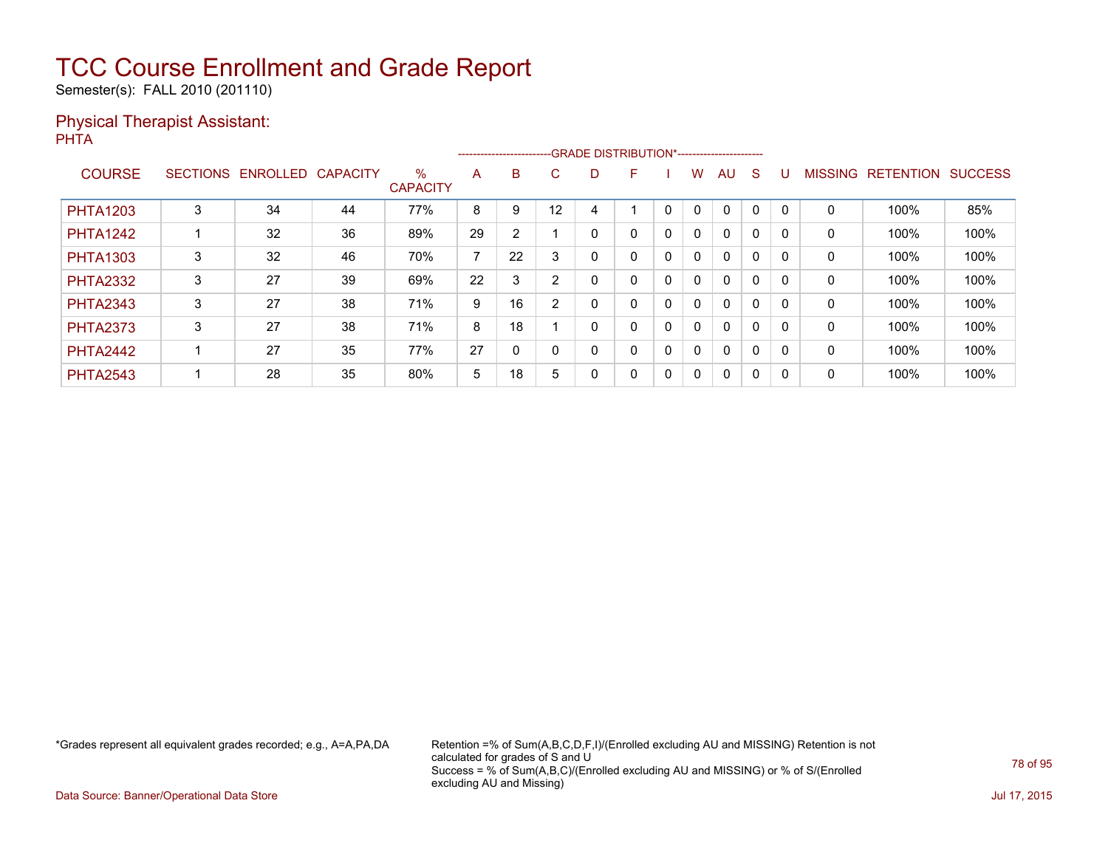Semester(s): FALL 2010 (201110)

#### Physical Therapist Assistant: PHTA

|                 |   |                   |                 |                         |                          |    | -------------------------GRADE DISTRIBUTION*----------------------- |   |   |              |              |              |              |          |                |                  |                |
|-----------------|---|-------------------|-----------------|-------------------------|--------------------------|----|---------------------------------------------------------------------|---|---|--------------|--------------|--------------|--------------|----------|----------------|------------------|----------------|
| <b>COURSE</b>   |   | SECTIONS ENROLLED | <b>CAPACITY</b> | $\%$<br><b>CAPACITY</b> | A                        | B  | C.                                                                  | D | F |              | W            | <b>AU</b>    | <sub>S</sub> |          | <b>MISSING</b> | <b>RETENTION</b> | <b>SUCCESS</b> |
| <b>PHTA1203</b> | 3 | 34                | 44              | 77%                     | 8                        | 9  | 12                                                                  |   |   |              | 0            | 0            | 0            |          | 0              | 100%             | 85%            |
| <b>PHTA1242</b> |   | 32                | 36              | 89%                     | 29                       | 2  |                                                                     |   | 0 | 0            | $\mathbf{0}$ | $\mathbf{0}$ | $\Omega$     |          | 0              | 100%             | 100%           |
| <b>PHTA1303</b> | 3 | 32                | 46              | 70%                     | $\overline{\phantom{a}}$ | 22 |                                                                     | ი | 0 | 0            | $\mathbf{0}$ | $\mathbf{0}$ | $\Omega$     | $\Omega$ | 0              | 100%             | 100%           |
| <b>PHTA2332</b> | 3 | 27                | 39              | 69%                     | 22                       | 3  | $\sim$                                                              |   | 0 | 0            | 0            | $\mathbf{0}$ | 0            |          | 0              | 100%             | 100%           |
| <b>PHTA2343</b> | 3 | 27                | 38              | 71%                     | 9                        | 16 | ົ                                                                   | 0 | 0 | 0            | 0            | $\mathbf{0}$ | 0            | $\Omega$ | $\Omega$       | 100%             | 100%           |
| <b>PHTA2373</b> | 3 | 27                | 38              | 71%                     | 8                        | 18 |                                                                     |   | 0 | 0            | $\mathbf{0}$ | $\mathbf{0}$ | $\Omega$     |          | 0              | 100%             | 100%           |
| <b>PHTA2442</b> |   | 27                | 35              | 77%                     | 27                       | 0  |                                                                     | 0 | 0 | $\mathbf{0}$ | $\mathbf{0}$ | $\mathbf{0}$ | $\Omega$     |          | 0              | 100%             | 100%           |
| <b>PHTA2543</b> |   | 28                | 35              | 80%                     | 5                        | 18 | 5                                                                   | 0 | 0 | 0            | 0            | 0            | 0            |          | 0              | 100%             | 100%           |

\*Grades represent all equivalent grades recorded; e.g., A=A,PA,DA Retention =% of Sum(A,B,C,D,F,I)/(Enrolled excluding AU and MISSING) Retention is not calculated for grades of S and U Success = % of Sum(A,B,C)/(Enrolled excluding AU and MISSING) or % of S/(Enrolled excluding AU and Missing)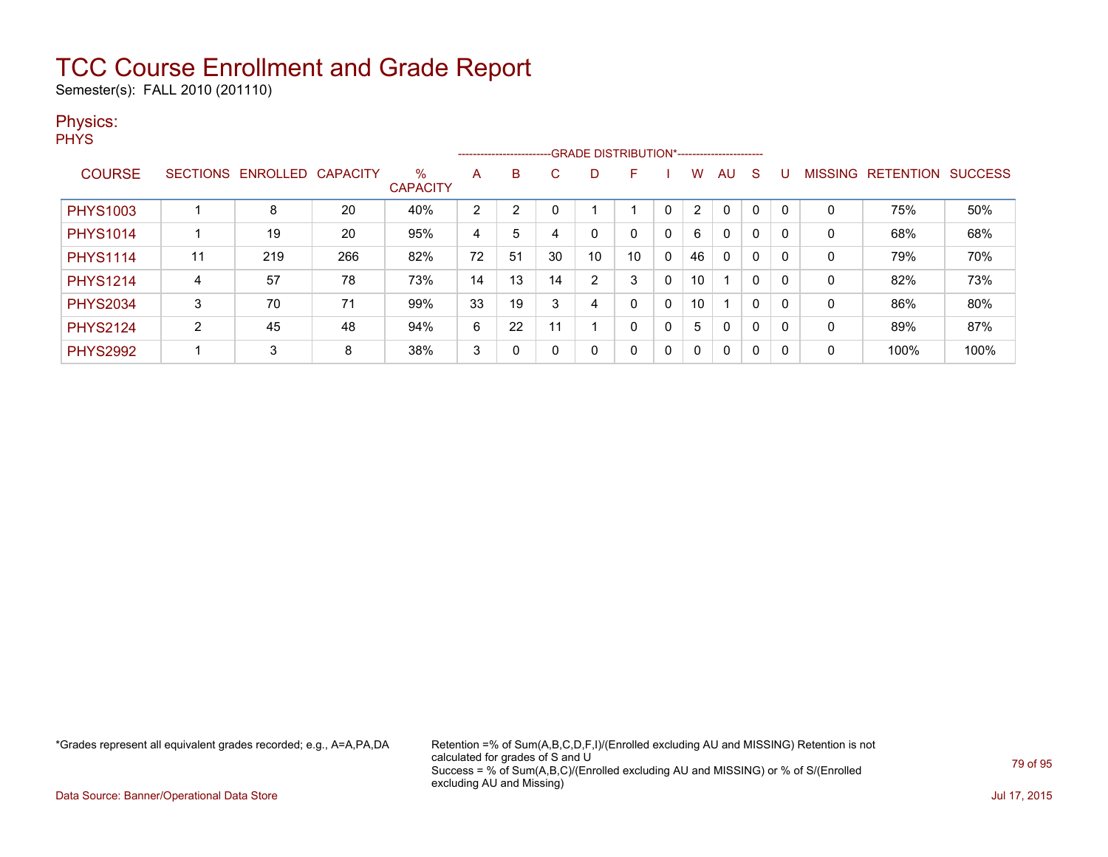Semester(s): FALL 2010 (201110)

#### Physics:

**PHYS** 

|                 |    |                   |                 |                         |    |    |    |        | -------------------------GRADE DISTRIBUTION*----------------------- |   |              |              |              |          |                |                  |                |
|-----------------|----|-------------------|-----------------|-------------------------|----|----|----|--------|---------------------------------------------------------------------|---|--------------|--------------|--------------|----------|----------------|------------------|----------------|
| <b>COURSE</b>   |    | SECTIONS ENROLLED | <b>CAPACITY</b> | $\%$<br><b>CAPACITY</b> | A  | B  | C. | D      | F                                                                   |   | W            | AU           | <sub>S</sub> |          | <b>MISSING</b> | <b>RETENTION</b> | <b>SUCCESS</b> |
| <b>PHYS1003</b> |    | 8                 | 20              | 40%                     | 2  | っ  |    |        |                                                                     |   | 2            | $\Omega$     | 0            |          | 0              | 75%              | 50%            |
| <b>PHYS1014</b> |    | 19                | 20              | 95%                     | 4  | 5  |    |        | 0                                                                   | 0 | 6            | $\mathbf{0}$ | 0            |          | 0              | 68%              | 68%            |
| <b>PHYS1114</b> | 11 | 219               | 266             | 82%                     | 72 | 51 | 30 | 10     | 10                                                                  | 0 | 46           | $\mathbf{0}$ | 0            |          | 0              | 79%              | 70%            |
| <b>PHYS1214</b> | 4  | 57                | 78              | 73%                     | 14 | 13 | 14 | າ<br>∠ | 3                                                                   | 0 | 10           |              | 0            | 0        | 0              | 82%              | 73%            |
| <b>PHYS2034</b> | 3  | 70                | 71              | 99%                     | 33 | 19 |    | 4      | 0                                                                   | 0 | 10           | 1            | 0            |          | 0              | 86%              | 80%            |
| <b>PHYS2124</b> | ົ  | 45                | 48              | 94%                     | 6  | 22 | 11 |        | 0                                                                   | 0 | 5            | $\mathbf{0}$ | 0            | $\Omega$ | 0              | 89%              | 87%            |
| <b>PHYS2992</b> |    | 3                 | 8               | 38%                     | 3  | 0  |    | 0      | 0                                                                   | 0 | $\mathbf{0}$ | $\mathbf{0}$ | 0            | $\Omega$ | 0              | 100%             | 100%           |

\*Grades represent all equivalent grades recorded; e.g., A=A,PA,DA Retention =% of Sum(A,B,C,D,F,I)/(Enrolled excluding AU and MISSING) Retention is not calculated for grades of S and U Success = % of Sum(A,B,C)/(Enrolled excluding AU and MISSING) or % of S/(Enrolled excluding AU and Missing)

Data Source: Banner/Operational Data Store Jul 17, 2015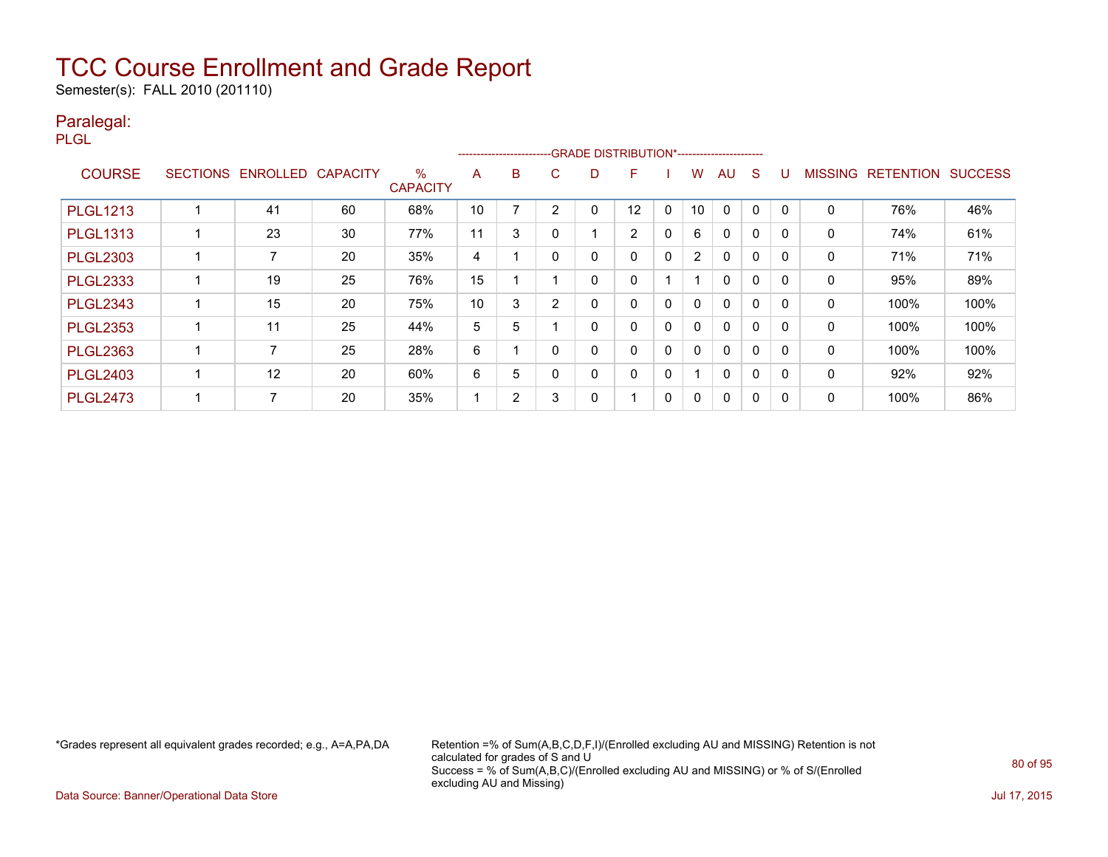Semester(s): FALL 2010 (201110)

#### Paralegal:

PLGL

|                 |                 |                 |                 |                         |    |                |   |   | ------------------------GRADE DISTRIBUTION*----------------------- |          |                |              |             |              |                |                  |                |
|-----------------|-----------------|-----------------|-----------------|-------------------------|----|----------------|---|---|--------------------------------------------------------------------|----------|----------------|--------------|-------------|--------------|----------------|------------------|----------------|
| <b>COURSE</b>   | <b>SECTIONS</b> | <b>ENROLLED</b> | <b>CAPACITY</b> | $\%$<br><b>CAPACITY</b> | A  | B              | C | D | F                                                                  |          | W              | AU           | S           |              | <b>MISSING</b> | <b>RETENTION</b> | <b>SUCCESS</b> |
| <b>PLGL1213</b> |                 | 41              | 60              | 68%                     | 10 |                | 2 | 0 | 12                                                                 | 0        | 10             | 0            | 0           | $\Omega$     | 0              | 76%              | 46%            |
| <b>PLGL1313</b> |                 | 23              | 30              | 77%                     | 11 | 3              |   |   | 2                                                                  | 0        | 6              | $\mathbf 0$  | $\mathbf 0$ |              | 0              | 74%              | 61%            |
| <b>PLGL2303</b> |                 |                 | 20              | 35%                     | 4  |                | 0 | 0 | 0                                                                  | $\Omega$ | $\overline{2}$ | 0            | 0           | $\Omega$     | 0              | 71%              | 71%            |
| <b>PLGL2333</b> |                 | 19              | 25              | 76%                     | 15 |                |   | 0 | 0                                                                  |          |                | 0            | $\mathbf 0$ |              | 0              | 95%              | 89%            |
| <b>PLGL2343</b> |                 | 15              | 20              | 75%                     | 10 | 3              | 2 | 0 | 0                                                                  | 0        | $\mathbf{0}$   | 0            | 0           | $\Omega$     | $\mathbf{0}$   | 100%             | 100%           |
| <b>PLGL2353</b> |                 | 11              | 25              | 44%                     | 5  | 5              |   | 0 | 0                                                                  | $\Omega$ | 0              | $\mathbf{0}$ | 0           |              | 0              | 100%             | 100%           |
| <b>PLGL2363</b> |                 |                 | 25              | 28%                     | 6  |                |   | 0 | 0                                                                  | 0        | 0              | 0            | $\mathbf 0$ | <sup>0</sup> | $\mathbf{0}$   | 100%             | 100%           |
| <b>PLGL2403</b> |                 | 12              | 20              | 60%                     | 6  | 5              | ი | 0 | 0                                                                  | 0        |                | $\mathbf{0}$ | $\Omega$    | $\Omega$     | 0              | 92%              | 92%            |
| <b>PLGL2473</b> |                 |                 | 20              | 35%                     |    | $\overline{2}$ | 3 | 0 |                                                                    | 0        | $\Omega$       | $\mathbf{0}$ | 0           |              | 0              | 100%             | 86%            |

\*Grades represent all equivalent grades recorded; e.g., A=A,PA,DA Retention =% of Sum(A,B,C,D,F,I)/(Enrolled excluding AU and MISSING) Retention is not calculated for grades of S and U Success = % of Sum(A,B,C)/(Enrolled excluding AU and MISSING) or % of S/(Enrolled excluding AU and Missing)

Data Source: Banner/Operational Data Store Jul 17, 2015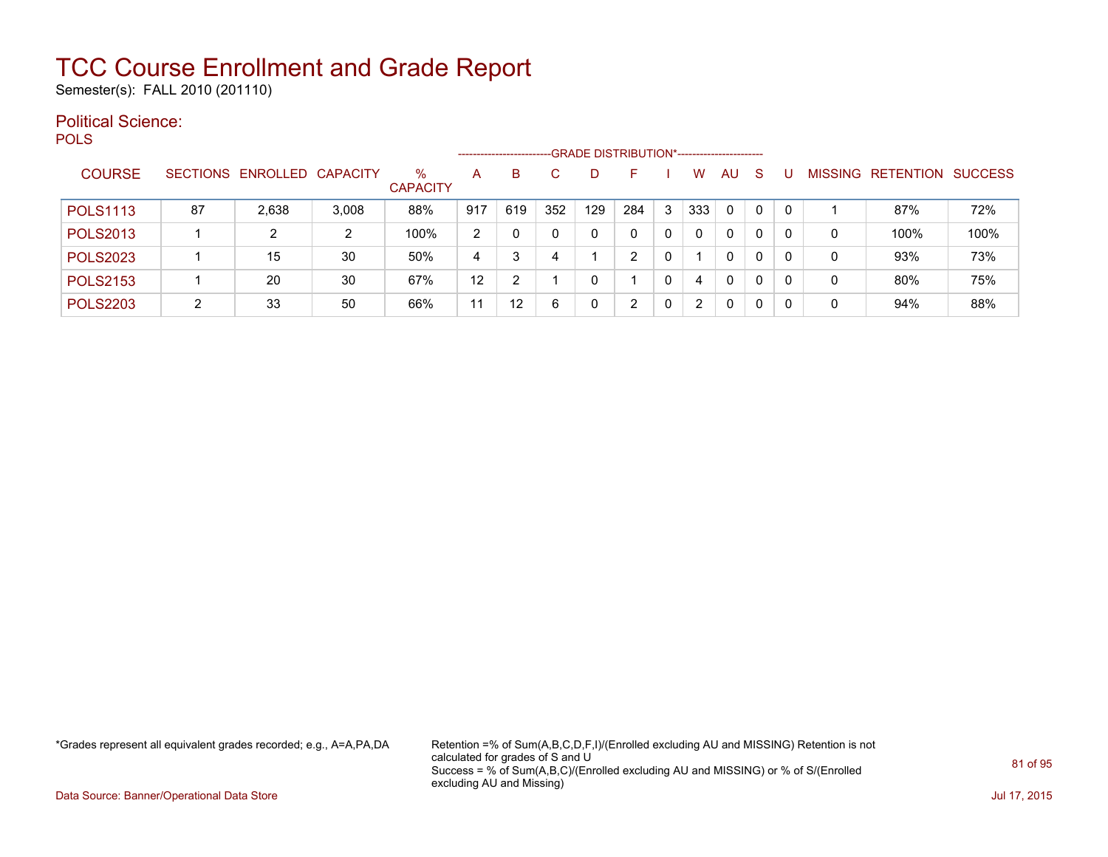Semester(s): FALL 2010 (201110)

#### Political Science: POLS

|                 |    |                            |       |                      |     | ---------------------- |              | -GRADE DISTRIBUTION*----------------------- |               |   |              |              |    |          |   |                   |                |
|-----------------|----|----------------------------|-------|----------------------|-----|------------------------|--------------|---------------------------------------------|---------------|---|--------------|--------------|----|----------|---|-------------------|----------------|
| <b>COURSE</b>   |    | SECTIONS ENROLLED CAPACITY |       | %<br><b>CAPACITY</b> | А   | B                      | C            |                                             | F.            |   | W            | AU           | -S |          |   | MISSING RETENTION | <b>SUCCESS</b> |
| <b>POLS1113</b> | 87 | 2,638                      | 3,008 | 88%                  | 917 | 619                    | 352          | 129                                         | 284           | 3 | 333          | $\Omega$     | 0  | $\Omega$ |   | 87%               | 72%            |
| <b>POLS2013</b> |    | 2                          | 2     | 100%                 | 2   |                        | $\mathbf{0}$ | 0                                           |               | 0 | <sup>n</sup> | $\mathbf{0}$ | 0  |          | 0 | 100%              | 100%           |
| <b>POLS2023</b> |    | 15                         | 30    | 50%                  | 4   | 3                      | 4            |                                             | $\mathcal{P}$ | 0 |              | 0            | 0  |          | 0 | 93%               | 73%            |
| <b>POLS2153</b> |    | 20                         | 30    | 67%                  | 12  | ◠                      |              |                                             |               | 0 |              | $\mathbf{0}$ | 0  |          | 0 | 80%               | 75%            |
| <b>POLS2203</b> | ົ  | 33                         | 50    | 66%                  | 11  | 12 <sup>°</sup>        | 6            |                                             |               | 0 |              | $\mathbf{0}$ | 0  |          | 0 | 94%               | 88%            |

\*Grades represent all equivalent grades recorded; e.g., A=A,PA,DA Retention =% of Sum(A,B,C,D,F,I)/(Enrolled excluding AU and MISSING) Retention is not calculated for grades of S and U Success = % of Sum(A,B,C)/(Enrolled excluding AU and MISSING) or % of S/(Enrolled excluding AU and Missing)

Data Source: Banner/Operational Data Store **July 17, 2015**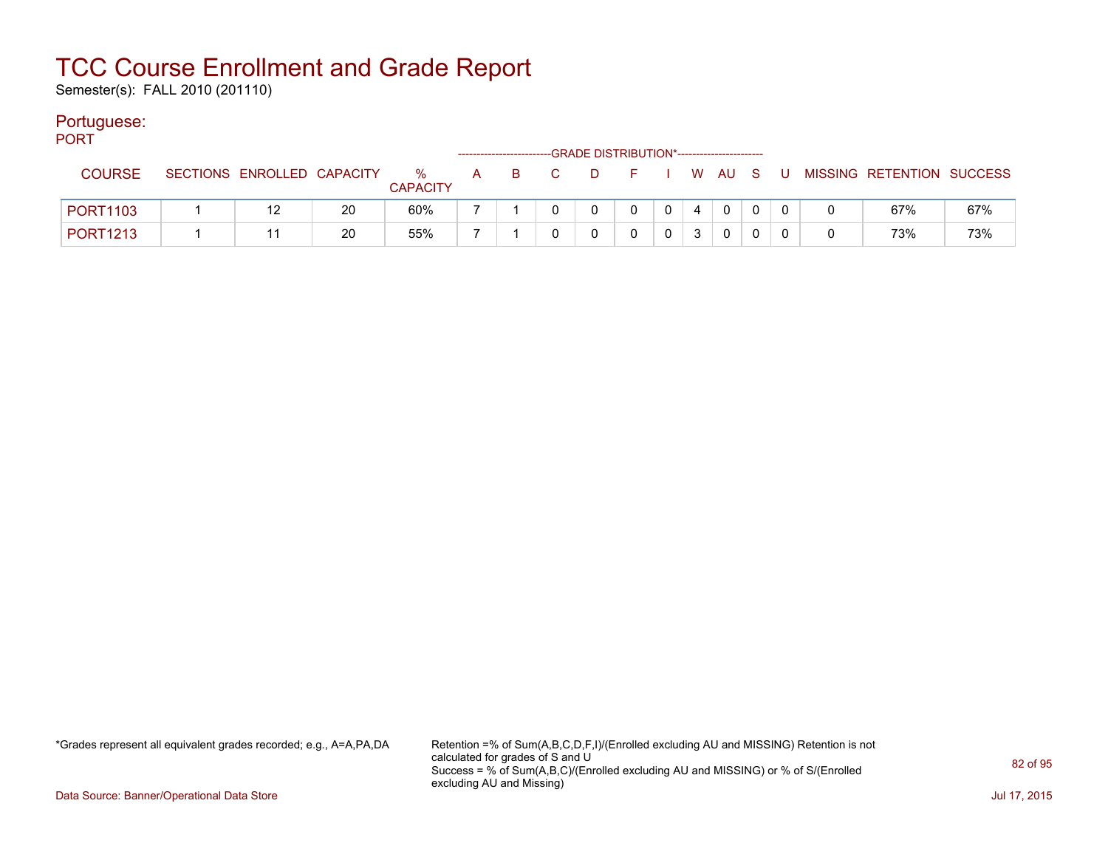Semester(s): FALL 2010 (201110)

#### Portuguese:

| PORT            |                            |    |                         | ------------------------- |       | -GRADE DISTRIBUTION*----------------------- |                |                |          |  |                             |     |
|-----------------|----------------------------|----|-------------------------|---------------------------|-------|---------------------------------------------|----------------|----------------|----------|--|-----------------------------|-----|
| <b>COURSE</b>   | SECTIONS ENROLLED CAPACITY |    | $\%$<br><b>CAPACITY</b> |                           | A B C | DFIWAUS                                     |                |                |          |  | U MISSING RETENTION SUCCESS |     |
| <b>PORT1103</b> |                            | 20 | 60%                     |                           |       | $\Omega$                                    | 0 <sup>1</sup> | $\overline{4}$ | $\Omega$ |  | 67%                         | 67% |
| <b>PORT1213</b> |                            | 20 | 55%                     |                           |       |                                             |                | 3              | $\Omega$ |  | 73%                         | 73% |

\*Grades represent all equivalent grades recorded; e.g., A=A,PA,DA Retention =% of Sum(A,B,C,D,F,I)/(Enrolled excluding AU and MISSING) Retention is not calculated for grades of S and U Success = % of Sum(A,B,C)/(Enrolled excluding AU and MISSING) or % of S/(Enrolled excluding AU and Missing)

Data Source: Banner/Operational Data Store Jul 17, 2015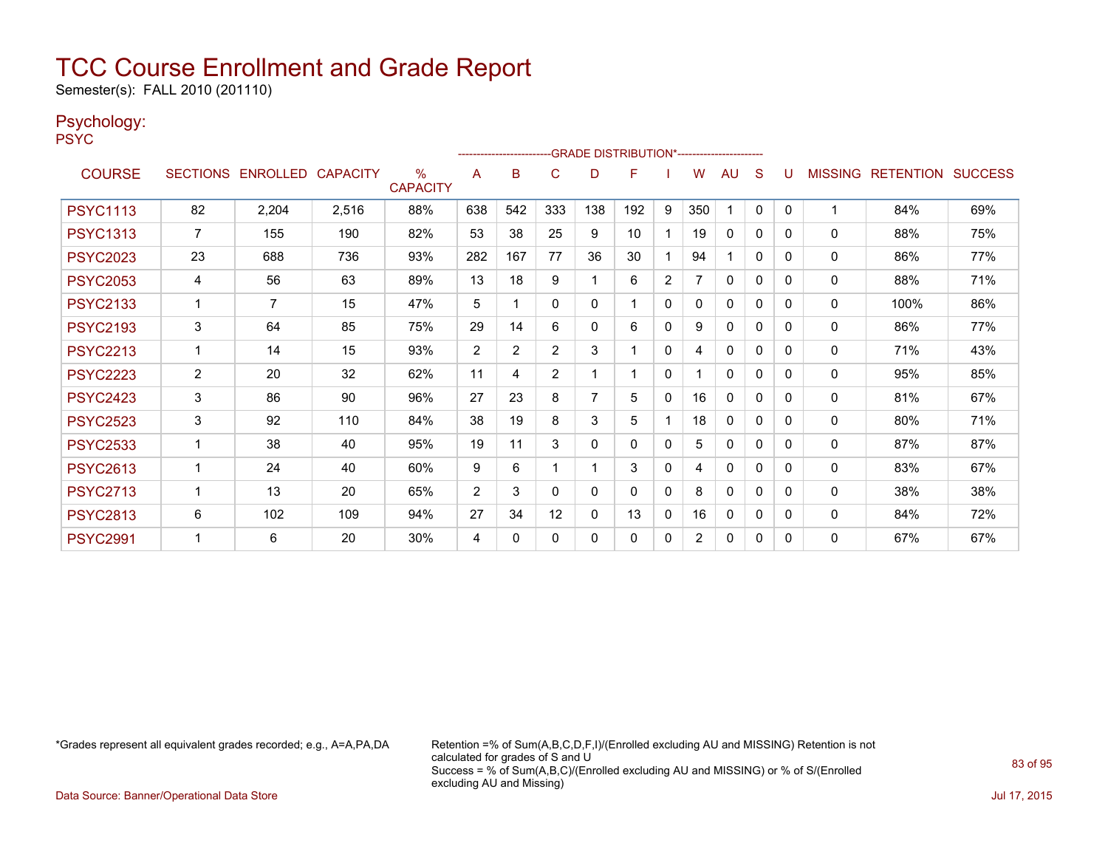Semester(s): FALL 2010 (201110)

#### Psychology:

PSYC

|                 |                |                            |       |                         |                | ----------------------- |                |              | -GRADE DISTRIBUTION*---------------------- |              |                |              |              |   |              |                                  |     |
|-----------------|----------------|----------------------------|-------|-------------------------|----------------|-------------------------|----------------|--------------|--------------------------------------------|--------------|----------------|--------------|--------------|---|--------------|----------------------------------|-----|
| <b>COURSE</b>   |                | SECTIONS ENROLLED CAPACITY |       | $\%$<br><b>CAPACITY</b> | A              | B                       | C              | D            | F                                          |              | W              | AU           | S            |   |              | <b>MISSING RETENTION SUCCESS</b> |     |
| <b>PSYC1113</b> | 82             | 2,204                      | 2,516 | 88%                     | 638            | 542                     | 333            | 138          | 192                                        | 9            | 350            |              | $\mathbf{0}$ | 0 |              | 84%                              | 69% |
| <b>PSYC1313</b> | 7              | 155                        | 190   | 82%                     | 53             | 38                      | 25             | 9            | 10                                         |              | 19             | $\mathbf{0}$ | 0            | 0 | 0            | 88%                              | 75% |
| <b>PSYC2023</b> | 23             | 688                        | 736   | 93%                     | 282            | 167                     | 77             | 36           | 30                                         |              | 94             |              | $\Omega$     | 0 | 0            | 86%                              | 77% |
| <b>PSYC2053</b> | 4              | 56                         | 63    | 89%                     | 13             | 18                      | 9              |              | 6                                          | 2            |                | 0            | 0            | 0 | 0            | 88%                              | 71% |
| <b>PSYC2133</b> |                | 7                          | 15    | 47%                     | 5              |                         | $\mathbf{0}$   | $\mathbf{0}$ |                                            | $\mathbf{0}$ | 0              | $\Omega$     | 0            | 0 | 0            | 100%                             | 86% |
| <b>PSYC2193</b> | 3              | 64                         | 85    | 75%                     | 29             | 14                      | 6              | $\mathbf{0}$ | 6                                          | $\mathbf{0}$ | 9              | 0            | $\mathbf{0}$ | 0 | 0            | 86%                              | 77% |
| <b>PSYC2213</b> | 1              | 14                         | 15    | 93%                     | $\overline{2}$ | $\overline{2}$          | 2              | 3            |                                            | $\mathbf{0}$ | 4              | $\Omega$     | $\mathbf{0}$ | 0 | $\mathbf{0}$ | 71%                              | 43% |
| <b>PSYC2223</b> | $\overline{2}$ | 20                         | 32    | 62%                     | 11             | 4                       | $\overline{2}$ |              |                                            | $\mathbf{0}$ |                | $\Omega$     | 0            | 0 | 0            | 95%                              | 85% |
| <b>PSYC2423</b> | 3              | 86                         | 90    | 96%                     | 27             | 23                      | 8              | 7            | 5                                          | $\mathbf{0}$ | 16             | 0            | 0            | 0 | 0            | 81%                              | 67% |
| <b>PSYC2523</b> | 3              | 92                         | 110   | 84%                     | 38             | 19                      | 8              | 3            | 5                                          |              | 18             | 0            | 0            | 0 | 0            | 80%                              | 71% |
| <b>PSYC2533</b> |                | 38                         | 40    | 95%                     | 19             | 11                      | 3              | 0            | 0                                          | $\mathbf{0}$ | 5              | 0            | 0            | 0 | 0            | 87%                              | 87% |
| <b>PSYC2613</b> | 1              | 24                         | 40    | 60%                     | 9              | 6                       |                |              | 3                                          | $\mathbf{0}$ | 4              | 0            | 0            | 0 | 0            | 83%                              | 67% |
| <b>PSYC2713</b> | 1              | 13                         | 20    | 65%                     | $\overline{2}$ | 3                       | $\mathbf{0}$   | 0            | $\Omega$                                   | $\mathbf{0}$ | 8              | 0            | 0            | 0 | $\mathbf{0}$ | 38%                              | 38% |
| <b>PSYC2813</b> | 6              | 102                        | 109   | 94%                     | 27             | 34                      | 12             | $\Omega$     | 13                                         | 0            | 16             | 0            | 0            | 0 | 0            | 84%                              | 72% |
| <b>PSYC2991</b> |                | 6                          | 20    | 30%                     | 4              | $\Omega$                | $\Omega$       | $\Omega$     | 0                                          | 0            | $\overline{2}$ | 0            | 0            | 0 | 0            | 67%                              | 67% |

\*Grades represent all equivalent grades recorded; e.g., A=A,PA,DA Retention =% of Sum(A,B,C,D,F,I)/(Enrolled excluding AU and MISSING) Retention is not calculated for grades of S and U Success = % of Sum(A,B,C)/(Enrolled excluding AU and MISSING) or % of S/(Enrolled excluding AU and Missing)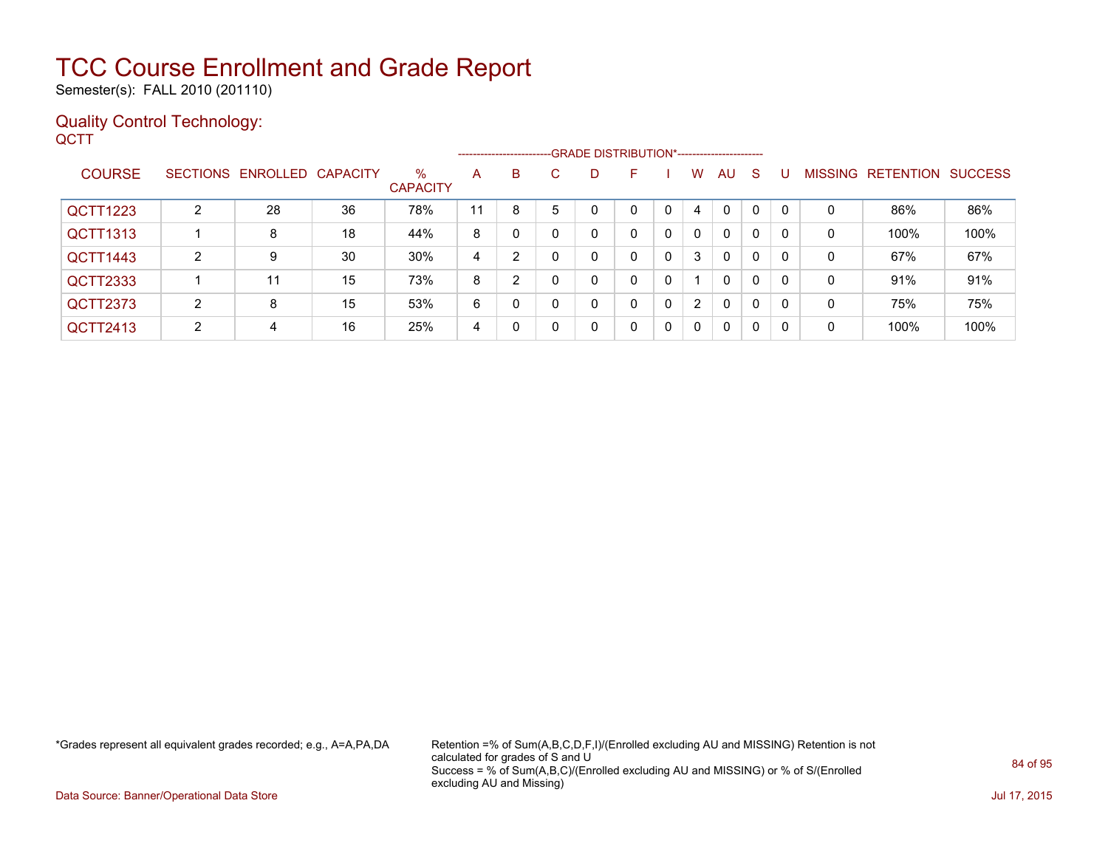Semester(s): FALL 2010 (201110)

#### Quality Control Technology: **QCTT**

|               |    |                            |    |                         |    |    |    | ------------------------GRADE DISTRIBUTION*----------------------- |   |              |                      |              |              |          |   |                                  |      |
|---------------|----|----------------------------|----|-------------------------|----|----|----|--------------------------------------------------------------------|---|--------------|----------------------|--------------|--------------|----------|---|----------------------------------|------|
| <b>COURSE</b> |    | SECTIONS ENROLLED CAPACITY |    | $\%$<br><b>CAPACITY</b> | A  | B. | C. | D                                                                  | F |              | W                    | AU           | <sub>S</sub> |          |   | <b>MISSING RETENTION SUCCESS</b> |      |
| QCTT1223      | 2  | 28                         | 36 | 78%                     | 11 | 8  | 5  |                                                                    | 0 |              | 4                    | 0            | $\mathbf{0}$ | -0       | 0 | 86%                              | 86%  |
| QCTT1313      |    | 8                          | 18 | 44%                     | 8  |    |    | 0                                                                  | 0 | $\mathbf{0}$ | $\Omega$             | $\mathbf{0}$ | 0            |          | 0 | 100%                             | 100% |
| QCTT1443      | 2  | 9                          | 30 | 30%                     | 4  | 2  |    | 0                                                                  | 0 | $\mathbf{0}$ | 3                    | $\mathbf{0}$ | 0            | $\Omega$ | 0 | 67%                              | 67%  |
| QCTT2333      |    | 11                         | 15 | 73%                     | 8  | 2  |    | 0                                                                  | 0 | 0            |                      | $\mathbf{0}$ | $\mathbf{0}$ | $\Omega$ | 0 | 91%                              | 91%  |
| QCTT2373      | 2  | 8                          | 15 | 53%                     | 6  | 0  |    | 0                                                                  | 0 | 0            | $\mathbf{2}^{\circ}$ | $\mathbf{0}$ | $\mathbf{0}$ | -0       | 0 | 75%                              | 75%  |
| QCTT2413      | C. | 4                          | 16 | 25%                     | 4  |    |    | 0                                                                  | 0 | 0            | $\mathbf{0}$         | 0            | 0            | 0        | 0 | 100%                             | 100% |

\*Grades represent all equivalent grades recorded; e.g., A=A,PA,DA Retention =% of Sum(A,B,C,D,F,I)/(Enrolled excluding AU and MISSING) Retention is not calculated for grades of S and U Success = % of Sum(A,B,C)/(Enrolled excluding AU and MISSING) or % of S/(Enrolled excluding AU and Missing)

Data Source: Banner/Operational Data Store Jul 17, 2015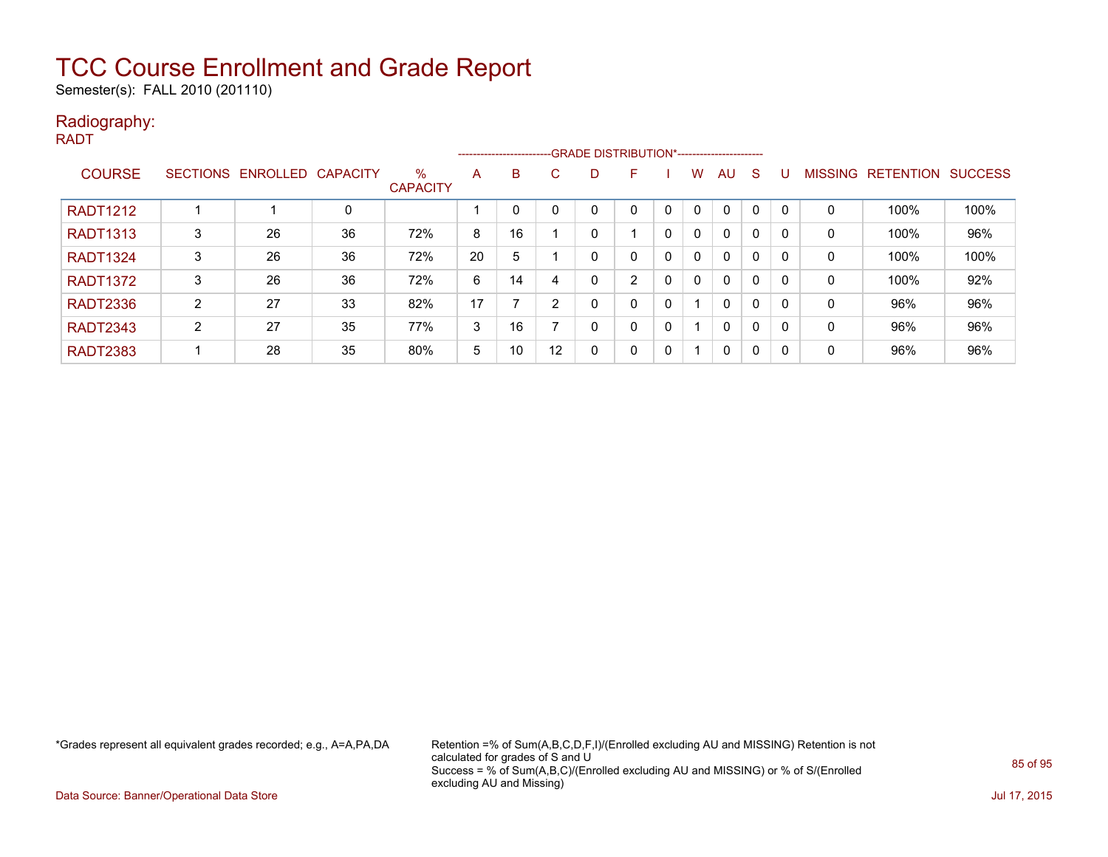Semester(s): FALL 2010 (201110)

#### Radiography:

RADT

|                 |   |                            |    |                         |    |    |         |   | --------------------------GRADE DISTRIBUTION*----------------------- |             |              |              |              |          |                |                  |                |
|-----------------|---|----------------------------|----|-------------------------|----|----|---------|---|----------------------------------------------------------------------|-------------|--------------|--------------|--------------|----------|----------------|------------------|----------------|
| <b>COURSE</b>   |   | SECTIONS ENROLLED CAPACITY |    | $\%$<br><b>CAPACITY</b> | A  | B  | C.      | D | F                                                                    |             | w            | AU           | <sub>S</sub> |          | <b>MISSING</b> | <b>RETENTION</b> | <b>SUCCESS</b> |
| <b>RADT1212</b> |   |                            | 0  |                         |    |    |         |   |                                                                      |             | $\mathbf{0}$ | $\Omega$     | $\Omega$     |          | 0              | 100%             | 100%           |
| <b>RADT1313</b> | 3 | 26                         | 36 | 72%                     | 8  | 16 |         |   |                                                                      | 0           | $\mathbf{0}$ | $\mathbf{0}$ | 0            |          | 0              | 100%             | 96%            |
| <b>RADT1324</b> | 3 | 26                         | 36 | 72%                     | 20 | 5  |         |   | 0                                                                    | 0           | $\mathbf{0}$ | $\mathbf{0}$ | $\mathbf{0}$ |          | 0              | 100%             | 100%           |
| <b>RADT1372</b> | 3 | 26                         | 36 | 72%                     | 6  | 14 |         |   | 2                                                                    | 0           | $\mathbf{0}$ | $\mathbf{0}$ | 0            |          | 0              | 100%             | 92%            |
| <b>RADT2336</b> | 2 | 27                         | 33 | 82%                     | 17 |    |         | 0 | 0                                                                    |             |              | $\mathbf{0}$ | 0            |          | 0              | 96%              | 96%            |
| <b>RADT2343</b> | ົ | 27                         | 35 | 77%                     | 3  | 16 |         |   | 0                                                                    | 0           |              | $\mathbf{0}$ | 0            | 0        | 0              | 96%              | 96%            |
| <b>RADT2383</b> |   | 28                         | 35 | 80%                     | 5  | 10 | $12 \,$ | 0 | 0                                                                    | $\mathbf 0$ |              | 0            | 0            | $\Omega$ | 0              | 96%              | 96%            |

\*Grades represent all equivalent grades recorded; e.g., A=A,PA,DA Retention =% of Sum(A,B,C,D,F,I)/(Enrolled excluding AU and MISSING) Retention is not calculated for grades of S and U Success = % of Sum(A,B,C)/(Enrolled excluding AU and MISSING) or % of S/(Enrolled excluding AU and Missing)

Data Source: Banner/Operational Data Store Jul 17, 2015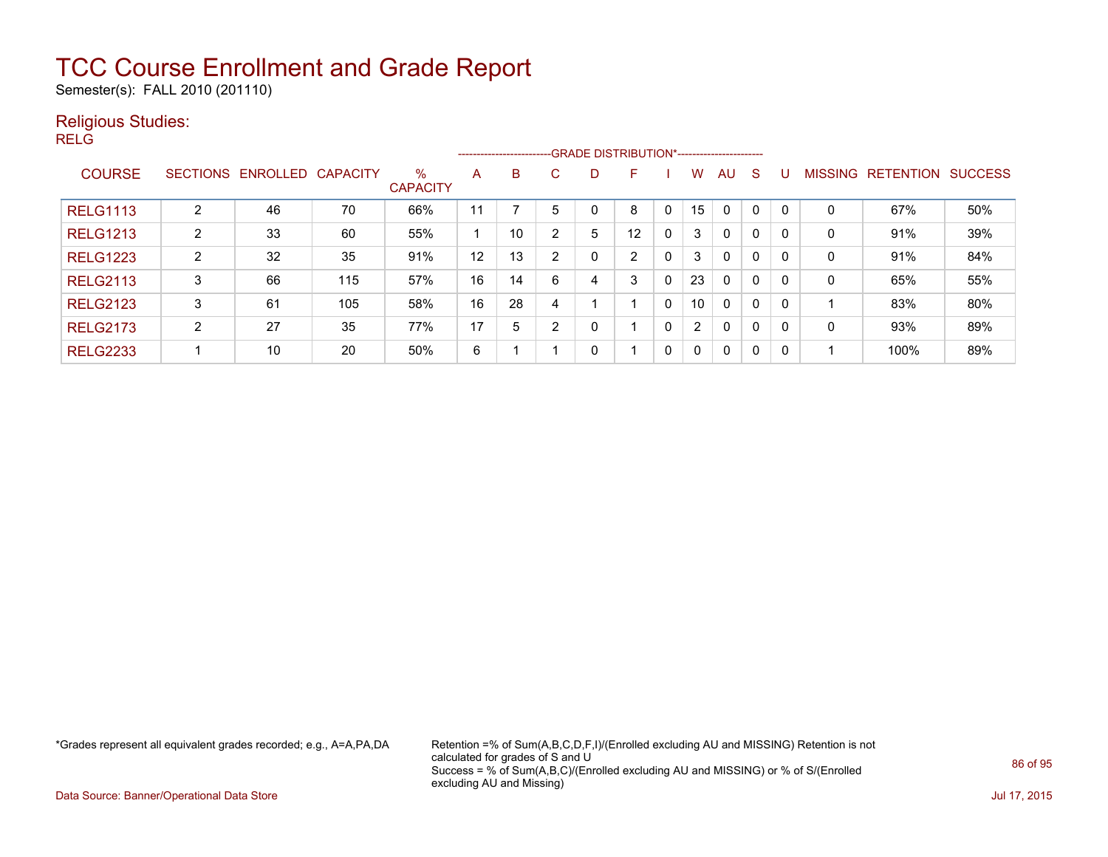Semester(s): FALL 2010 (201110)

#### Religious Studies:

RELG

|                 |                 |          |                 |                         |    |    |    |   | --------------------------GRADE DISTRIBUTION*----------------------- |              |                      |              |              |   |                |                  |                |
|-----------------|-----------------|----------|-----------------|-------------------------|----|----|----|---|----------------------------------------------------------------------|--------------|----------------------|--------------|--------------|---|----------------|------------------|----------------|
| <b>COURSE</b>   | <b>SECTIONS</b> | ENROLLED | <b>CAPACITY</b> | $\%$<br><b>CAPACITY</b> | A  | B. | C. | D | F                                                                    |              | w                    | AU           | S            |   | <b>MISSING</b> | <b>RETENTION</b> | <b>SUCCESS</b> |
| <b>RELG1113</b> | 2               | 46       | 70              | 66%                     | 11 |    |    |   | 8                                                                    | $\mathbf{0}$ | 15                   | $\mathbf 0$  | $\mathbf 0$  |   | 0              | 67%              | 50%            |
| <b>RELG1213</b> | 2               | 33       | 60              | 55%                     |    | 10 | ົ  | 5 | 12                                                                   | 0            | 3                    | 0            | $\mathbf 0$  |   | 0              | 91%              | 39%            |
| <b>RELG1223</b> | $\overline{2}$  | 32       | 35              | 91%                     | 12 | 13 | ົ  | 0 | C.                                                                   | 0            | 3                    | $\mathbf{0}$ | $\mathbf{0}$ |   | 0              | 91%              | 84%            |
| <b>RELG2113</b> | 3               | 66       | 115             | 57%                     | 16 | 14 | 6  | 4 | 3                                                                    | 0            | 23                   | $\mathbf{0}$ | $\mathbf 0$  |   | 0              | 65%              | 55%            |
| <b>RELG2123</b> | 3               | 61       | 105             | 58%                     | 16 | 28 |    |   |                                                                      | 0            | 10                   | $\mathbf{0}$ | 0            | 0 |                | 83%              | 80%            |
| <b>RELG2173</b> | C               | 27       | 35              | 77%                     | 17 | 5  | ົ  | 0 |                                                                      | 0            | $\mathbf{2}^{\circ}$ | $\mathbf{0}$ | 0            | 0 | 0              | 93%              | 89%            |
| <b>RELG2233</b> |                 | 10       | 20              | 50%                     | 6  |    |    | 0 |                                                                      | $\mathbf{0}$ | $\mathbf{0}$         | $\mathbf 0$  | 0            | 0 |                | 100%             | 89%            |

\*Grades represent all equivalent grades recorded; e.g., A=A,PA,DA Retention =% of Sum(A,B,C,D,F,I)/(Enrolled excluding AU and MISSING) Retention is not calculated for grades of S and U Success = % of Sum(A,B,C)/(Enrolled excluding AU and MISSING) or % of S/(Enrolled excluding AU and Missing)

Data Source: Banner/Operational Data Store Jul 17, 2015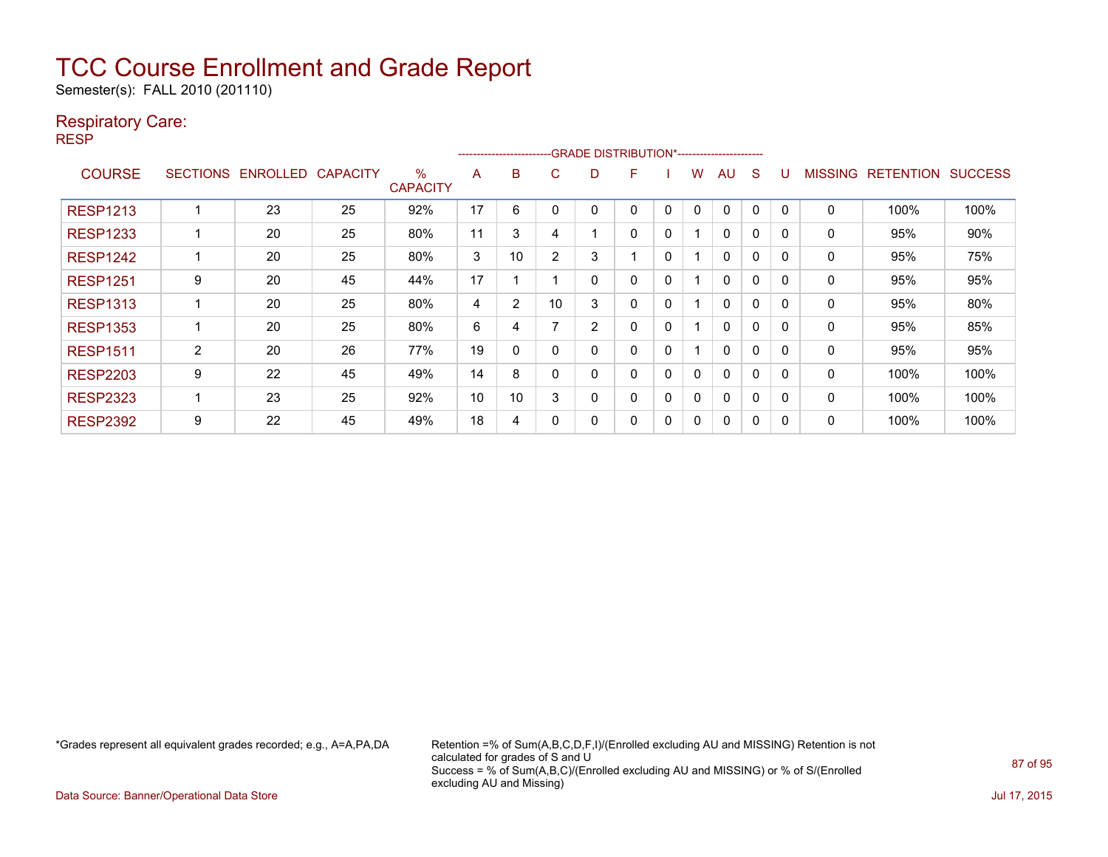Semester(s): FALL 2010 (201110)

#### Respiratory Care:

RESP

|                 |                 |                 |                 |                      |    | ------------------------ |              | -GRADE DISTRIBUTION*----------------------- |   |              |   |              |             |              |                |                  |                |
|-----------------|-----------------|-----------------|-----------------|----------------------|----|--------------------------|--------------|---------------------------------------------|---|--------------|---|--------------|-------------|--------------|----------------|------------------|----------------|
| <b>COURSE</b>   | <b>SECTIONS</b> | <b>ENROLLED</b> | <b>CAPACITY</b> | %<br><b>CAPACITY</b> | A  | B                        | C            | D                                           | F |              | w | AU           | S           |              | <b>MISSING</b> | <b>RETENTION</b> | <b>SUCCESS</b> |
| <b>RESP1213</b> |                 | 23              | 25              | 92%                  | 17 | 6                        |              |                                             | ი | $\Omega$     | 0 | 0            | $\Omega$    |              | $\mathbf{0}$   | 100%             | 100%           |
| <b>RESP1233</b> |                 | 20              | 25              | 80%                  | 11 | 3                        | 4            |                                             | 0 | 0            |   | 0            | $\mathbf 0$ | $\Omega$     | 0              | 95%              | 90%            |
| <b>RESP1242</b> |                 | 20              | 25              | 80%                  | 3  | 10                       | <sup>o</sup> | 3                                           |   | $\mathbf{0}$ |   | $\Omega$     | $\Omega$    | $\Omega$     | 0              | 95%              | 75%            |
| <b>RESP1251</b> | 9               | 20              | 45              | 44%                  | 17 |                          |              | 0                                           | 0 | $\mathbf{0}$ |   | 0            | $\Omega$    | <sup>0</sup> | 0              | 95%              | 95%            |
| <b>RESP1313</b> |                 | 20              | 25              | 80%                  | 4  | $\overline{2}$           | 10           | 3                                           | 0 | $\mathbf{0}$ |   | $\mathbf{0}$ | $\Omega$    | $\Omega$     | 0              | 95%              | 80%            |
| <b>RESP1353</b> |                 | 20              | 25              | 80%                  | 6  | 4                        |              | 2                                           | 0 | 0            |   | 0            | $\Omega$    | ∩            | 0              | 95%              | 85%            |
| <b>RESP1511</b> | $\overline{2}$  | 20              | 26              | 77%                  | 19 | 0                        |              | 0                                           | 0 | $\Omega$     |   | 0            | $\mathbf 0$ | O            | 0              | 95%              | 95%            |
| <b>RESP2203</b> | 9               | 22              | 45              | 49%                  | 14 | 8                        |              | 0                                           | 0 | 0            | 0 | 0            | $\Omega$    | O            | 0              | 100%             | 100%           |
| <b>RESP2323</b> |                 | 23              | 25              | 92%                  | 10 | 10                       | 3            | 0                                           | 0 | 0            | 0 | 0            | 0           | O            | 0              | 100%             | 100%           |
| <b>RESP2392</b> | 9               | 22              | 45              | 49%                  | 18 | 4                        |              | 0                                           | 0 | 0            | 0 | 0            | 0           |              | 0              | 100%             | 100%           |

\*Grades represent all equivalent grades recorded; e.g., A=A,PA,DA Retention =% of Sum(A,B,C,D,F,I)/(Enrolled excluding AU and MISSING) Retention is not calculated for grades of S and U Success = % of Sum(A,B,C)/(Enrolled excluding AU and MISSING) or % of S/(Enrolled excluding AU and Missing)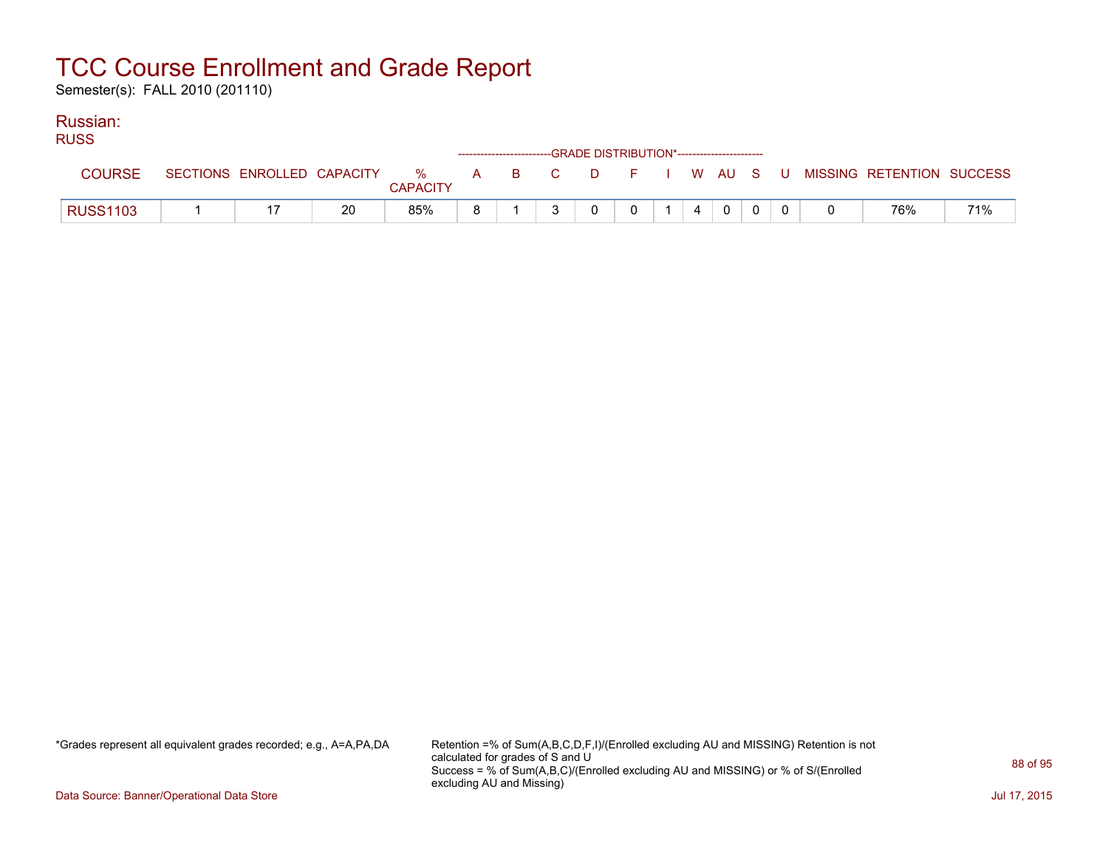Semester(s): FALL 2010 (201110)

#### Russian: RUSS

| <b>RUSS</b>     |                            |    |                 |    | ------------------------GRADE DISTRIBUTION*----------------------- |          |   |  |              |  |                                                  |     |
|-----------------|----------------------------|----|-----------------|----|--------------------------------------------------------------------|----------|---|--|--------------|--|--------------------------------------------------|-----|
| COURSE          | SECTIONS ENROLLED CAPACITY |    | <b>CAPACITY</b> |    |                                                                    |          |   |  |              |  | % A B C D F I W AU S U MISSING RETENTION SUCCESS |     |
| <b>RUSS1103</b> |                            | 20 | 85%             | R. | $\mathbf{r}$                                                       | $\Omega$ | 0 |  | $\mathbf{0}$ |  | 76%                                              | 71% |

\*Grades represent all equivalent grades recorded; e.g., A=A,PA,DA Retention =% of Sum(A,B,C,D,F,I)/(Enrolled excluding AU and MISSING) Retention is not calculated for grades of S and U Success = % of Sum(A,B,C)/(Enrolled excluding AU and MISSING) or % of S/(Enrolled excluding AU and Missing)

Data Source: Banner/Operational Data Store Jul 17, 2015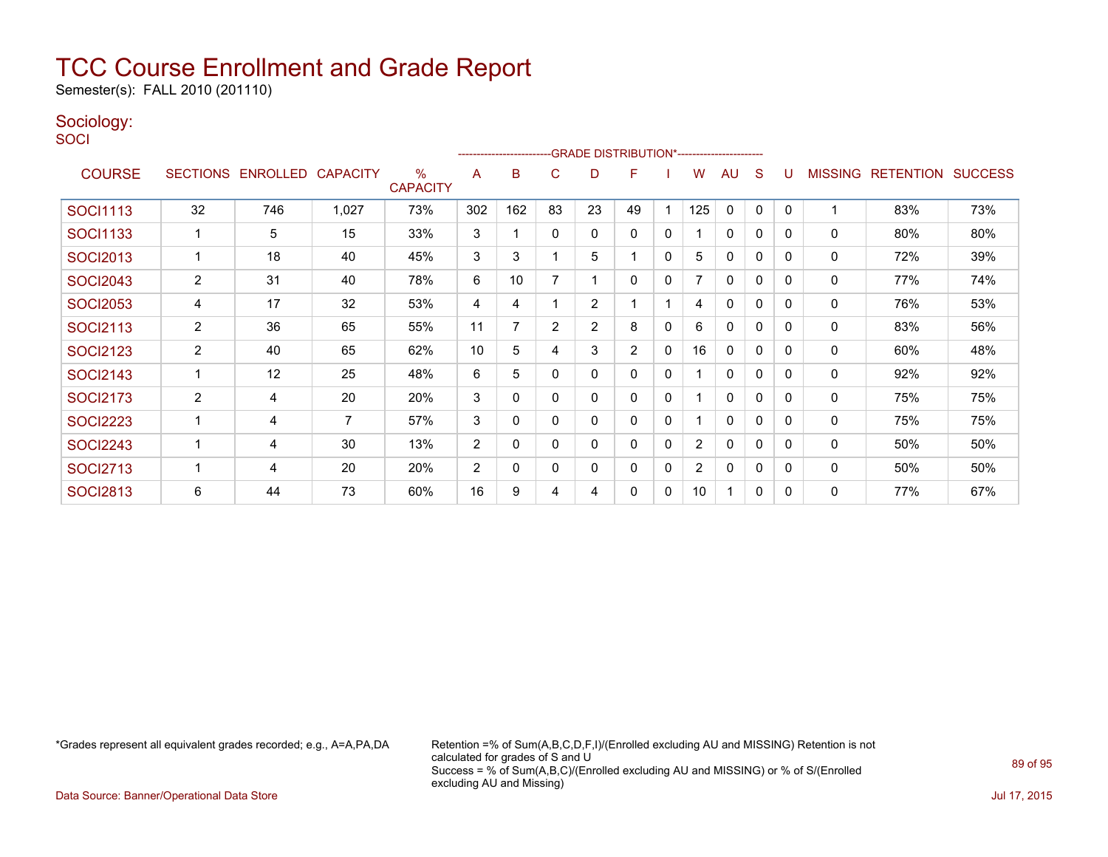Semester(s): FALL 2010 (201110)

### Sociology:

**SOCI** 

|                 |                 |                   |                |                      |                | ------------------------- |                | -- GRADE DISTRIBUTION*------------------------ |                |              |                       |              |          |              |                |                          |     |
|-----------------|-----------------|-------------------|----------------|----------------------|----------------|---------------------------|----------------|------------------------------------------------|----------------|--------------|-----------------------|--------------|----------|--------------|----------------|--------------------------|-----|
| <b>COURSE</b>   | <b>SECTIONS</b> | ENROLLED CAPACITY |                | %<br><b>CAPACITY</b> | A              | B                         | C              | D                                              | F              |              | W                     | AU           | S        | U            | <b>MISSING</b> | <b>RETENTION SUCCESS</b> |     |
| <b>SOCI1113</b> | 32              | 746               | 1,027          | 73%                  | 302            | 162                       | 83             | 23                                             | 49             |              | 125                   | $\mathbf{0}$ | $\Omega$ | $\mathbf{0}$ |                | 83%                      | 73% |
| SOCI1133        |                 | 5                 | 15             | 33%                  | 3              |                           | $\Omega$       | 0                                              | 0              | 0            |                       | $\mathbf{0}$ | $\Omega$ | $\Omega$     | 0              | 80%                      | 80% |
| <b>SOCI2013</b> |                 | 18                | 40             | 45%                  | 3              | 3                         |                | 5                                              |                | 0            | 5                     | $\mathbf{0}$ | 0        | $\Omega$     | 0              | 72%                      | 39% |
| <b>SOCI2043</b> | $\overline{2}$  | 31                | 40             | 78%                  | 6              | 10                        |                |                                                | $\Omega$       | 0            |                       | $\mathbf{0}$ | 0        | $\Omega$     | 0              | 77%                      | 74% |
| <b>SOCI2053</b> | 4               | 17                | 32             | 53%                  | 4              | 4                         |                | 2                                              |                |              | 4                     | $\mathbf{0}$ | 0        | $\Omega$     | 0              | 76%                      | 53% |
| <b>SOCI2113</b> | $\overline{2}$  | 36                | 65             | 55%                  | 11             | 7                         | $\overline{2}$ | 2                                              | 8              | 0            | 6                     | 0            | $\Omega$ | $\Omega$     | 0              | 83%                      | 56% |
| <b>SOCI2123</b> | $\overline{2}$  | 40                | 65             | 62%                  | 10             | 5                         | 4              | 3                                              | $\overline{2}$ | $\mathbf{0}$ | 16                    | $\mathbf{0}$ | 0        | $\Omega$     | 0              | 60%                      | 48% |
| <b>SOCI2143</b> |                 | 12                | 25             | 48%                  | 6              | 5                         | $\Omega$       | $\Omega$                                       | $\Omega$       | $\mathbf{0}$ |                       | $\mathbf{0}$ | $\Omega$ | $\Omega$     | $\mathbf{0}$   | 92%                      | 92% |
| <b>SOCI2173</b> | 2               | 4                 | 20             | 20%                  | 3              | $\Omega$                  | $\Omega$       | 0                                              | 0              | 0            |                       | $\mathbf{0}$ | 0        | $\Omega$     | 0              | 75%                      | 75% |
| <b>SOCI2223</b> |                 | 4                 | $\overline{7}$ | 57%                  | 3              | 0                         | $\Omega$       | 0                                              | 0              | 0            |                       | $\mathbf{0}$ | 0        | $\Omega$     | $\mathbf{0}$   | 75%                      | 75% |
| <b>SOCI2243</b> |                 | 4                 | 30             | 13%                  | $\overline{2}$ | 0                         | 0              | 0                                              | 0              | 0            | $\mathbf{2}^{\prime}$ | 0            | 0        | 0            | 0              | 50%                      | 50% |
| <b>SOCI2713</b> |                 | 4                 | 20             | 20%                  | $\overline{2}$ | 0                         | 0              | 0                                              | 0              | 0            | $\overline{2}$        | 0            | 0        | $\Omega$     | $\mathbf 0$    | 50%                      | 50% |
| <b>SOCI2813</b> | 6               | 44                | 73             | 60%                  | 16             | 9                         | 4              | 4                                              | 0              | 0            | 10 <sup>1</sup>       | 1            | 0        | 0            | $\mathbf 0$    | 77%                      | 67% |

\*Grades represent all equivalent grades recorded; e.g., A=A,PA,DA Retention =% of Sum(A,B,C,D,F,I)/(Enrolled excluding AU and MISSING) Retention is not calculated for grades of S and U Success = % of Sum(A,B,C)/(Enrolled excluding AU and MISSING) or % of S/(Enrolled excluding AU and Missing)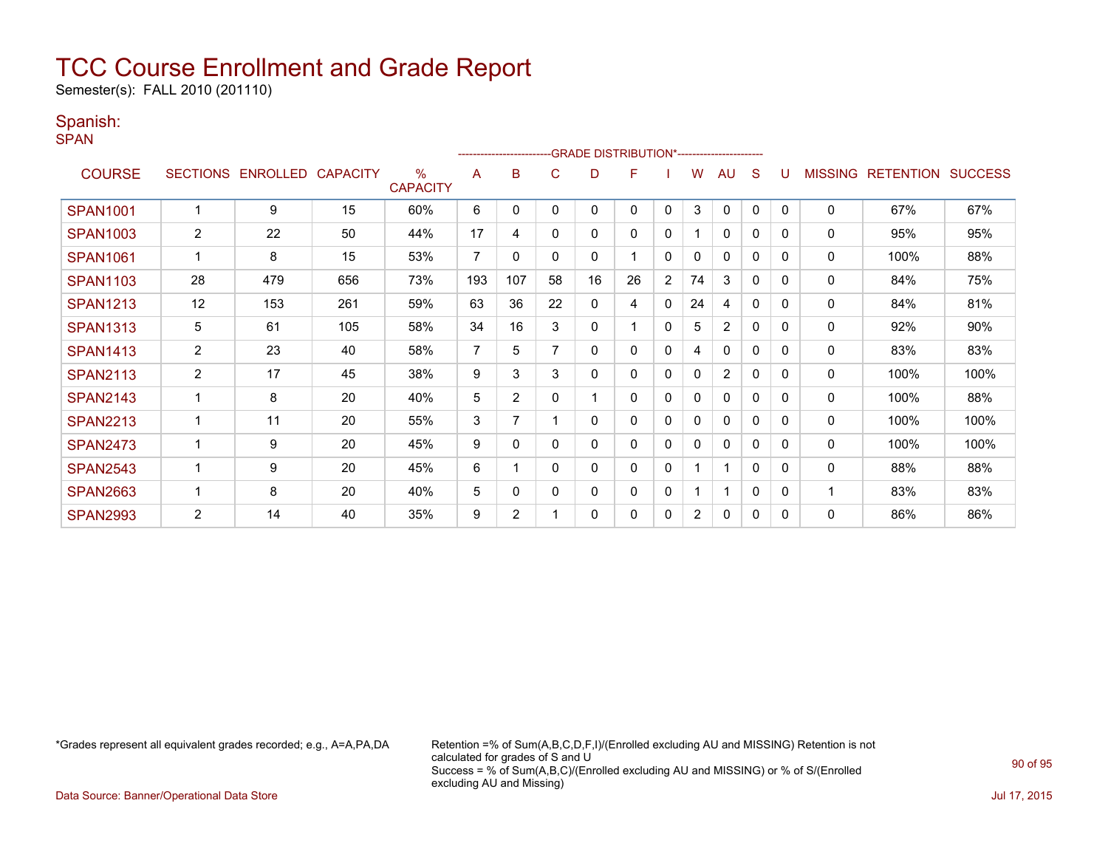Semester(s): FALL 2010 (201110)

#### Spanish:

SPAN

|                 |                |                            |     |                                  |                |                |              | ------------------------GRADE                DISTRIBUTION*---------------------- |    |                |                |                |          |          |                |                  |                |
|-----------------|----------------|----------------------------|-----|----------------------------------|----------------|----------------|--------------|----------------------------------------------------------------------------------|----|----------------|----------------|----------------|----------|----------|----------------|------------------|----------------|
| <b>COURSE</b>   |                | SECTIONS ENROLLED CAPACITY |     | $\frac{0}{0}$<br><b>CAPACITY</b> | A              | в              | С            | D                                                                                | F  |                | w              | AU             | S        | U        | <b>MISSING</b> | <b>RETENTION</b> | <b>SUCCESS</b> |
| <b>SPAN1001</b> |                | 9                          | 15  | 60%                              | 6              | 0              | 0            | 0                                                                                | 0  | 0              | 3              | $\mathbf{0}$   | 0        | $\Omega$ | 0              | 67%              | 67%            |
| <b>SPAN1003</b> | 2              | 22                         | 50  | 44%                              | 17             | 4              | 0            | 0                                                                                | 0  | 0              |                | $\Omega$       | 0        | 0        | 0              | 95%              | 95%            |
| <b>SPAN1061</b> |                | 8                          | 15  | 53%                              | 7              | 0              | $\Omega$     | 0                                                                                |    | $\mathbf 0$    | 0              | $\mathbf{0}$   | 0        | 0        | 0              | 100%             | 88%            |
| <b>SPAN1103</b> | 28             | 479                        | 656 | 73%                              | 193            | 107            | 58           | 16                                                                               | 26 | $\overline{2}$ | 74             | 3              | 0        | 0        | 0              | 84%              | 75%            |
| <b>SPAN1213</b> | 12             | 153                        | 261 | 59%                              | 63             | 36             | 22           | 0                                                                                | 4  | 0              | 24             | 4              | 0        | 0        | 0              | 84%              | 81%            |
| <b>SPAN1313</b> | 5              | 61                         | 105 | 58%                              | 34             | 16             | 3            | 0                                                                                |    | 0              | 5              | 2              | 0        | $\Omega$ | 0              | 92%              | 90%            |
| <b>SPAN1413</b> | $\overline{2}$ | 23                         | 40  | 58%                              | $\overline{7}$ | 5              | 7            | 0                                                                                | 0  | 0              | 4              | $\Omega$       | 0        | 0        | 0              | 83%              | 83%            |
| <b>SPAN2113</b> | $\overline{2}$ | 17                         | 45  | 38%                              | 9              | 3              | 3            | 0                                                                                | 0  | 0              | 0              | $\overline{2}$ | 0        | 0        | 0              | 100%             | 100%           |
| <b>SPAN2143</b> |                | 8                          | 20  | 40%                              | 5              | $\overline{2}$ | $\Omega$     |                                                                                  | 0  | $\mathbf 0$    | 0              | $\mathbf{0}$   | $\Omega$ | 0        | 0              | 100%             | 88%            |
| <b>SPAN2213</b> |                | 11                         | 20  | 55%                              | 3              | $\overline{ }$ |              | 0                                                                                | 0  | 0              | 0              | $\mathbf{0}$   | 0        | 0        | 0              | 100%             | 100%           |
| <b>SPAN2473</b> |                | 9                          | 20  | 45%                              | 9              | 0              | $\Omega$     | 0                                                                                | 0  | 0              | 0              | $\mathbf{0}$   | 0        | 0        | 0              | 100%             | 100%           |
| <b>SPAN2543</b> |                | 9                          | 20  | 45%                              | 6              |                | $\mathbf{0}$ | 0                                                                                | 0  | 0              |                | 1              | 0        | $\Omega$ | 0              | 88%              | 88%            |
| <b>SPAN2663</b> |                | 8                          | 20  | 40%                              | 5              | 0              | 0            | 0                                                                                | 0  | 0              |                | $\mathbf 1$    | 0        | 0        |                | 83%              | 83%            |
| <b>SPAN2993</b> | $\overline{2}$ | 14                         | 40  | 35%                              | 9              | $\overline{2}$ |              | 0                                                                                | 0  | 0              | $\overline{2}$ | $\Omega$       | 0        | $\Omega$ | 0              | 86%              | 86%            |

\*Grades represent all equivalent grades recorded; e.g., A=A,PA,DA Retention =% of Sum(A,B,C,D,F,I)/(Enrolled excluding AU and MISSING) Retention is not calculated for grades of S and U Success = % of Sum(A,B,C)/(Enrolled excluding AU and MISSING) or % of S/(Enrolled excluding AU and Missing)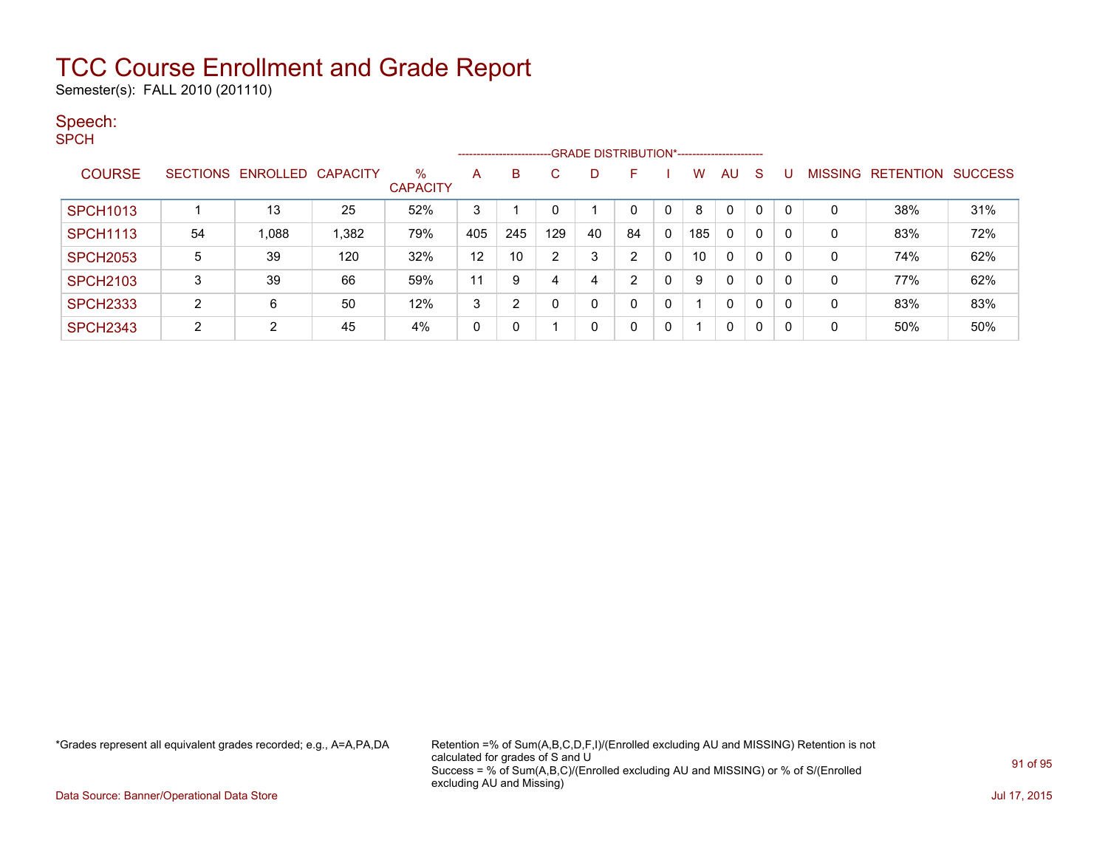Semester(s): FALL 2010 (201110)

#### Speech:

SPCH

|                 |    |                            |       |                         |     |     |                |    | ------------------------GRADE DISTRIBUTION*----------------------- |              |     |              |   |          |                |                  |                |
|-----------------|----|----------------------------|-------|-------------------------|-----|-----|----------------|----|--------------------------------------------------------------------|--------------|-----|--------------|---|----------|----------------|------------------|----------------|
| <b>COURSE</b>   |    | SECTIONS ENROLLED CAPACITY |       | $\%$<br><b>CAPACITY</b> | A   | B   | C.             | D  | F                                                                  |              | w   | AU           | S |          | <b>MISSING</b> | <b>RETENTION</b> | <b>SUCCESS</b> |
| <b>SPCH1013</b> |    | 13                         | 25    | 52%                     | 3   |     | 0              |    |                                                                    |              | 8   | $\Omega$     | 0 | $\Omega$ | 0              | 38%              | 31%            |
| <b>SPCH1113</b> | 54 | 1,088                      | 1,382 | 79%                     | 405 | 245 | 129            | 40 | 84                                                                 | 0            | 185 | $\mathbf{0}$ | 0 | 0        | 0              | 83%              | 72%            |
| <b>SPCH2053</b> | 5  | 39                         | 120   | 32%                     | 12  | 10  | $\overline{2}$ | 3  | 2                                                                  | 0            | 10  | $\mathbf{0}$ | 0 | 0        | 0              | 74%              | 62%            |
| <b>SPCH2103</b> | 3  | 39                         | 66    | 59%                     | 11  | 9   | 4              | 4  | າ                                                                  | $\mathbf{0}$ | 9   | $\mathbf{0}$ | 0 | $\Omega$ | 0              | 77%              | 62%            |
| <b>SPCH2333</b> | 2  | 6                          | 50    | 12%                     | 3   | ◠   | 0              | 0  |                                                                    | 0            |     | 0            | 0 | 0        | 0              | 83%              | 83%            |
| <b>SPCH2343</b> | 2  | 2                          | 45    | 4%                      | 0   |     |                | 0  |                                                                    | 0            |     | 0            | 0 | 0        | 0              | 50%              | 50%            |

\*Grades represent all equivalent grades recorded; e.g., A=A,PA,DA Retention =% of Sum(A,B,C,D,F,I)/(Enrolled excluding AU and MISSING) Retention is not calculated for grades of S and U Success = % of Sum(A,B,C)/(Enrolled excluding AU and MISSING) or % of S/(Enrolled excluding AU and Missing)

Data Source: Banner/Operational Data Store Jul 17, 2015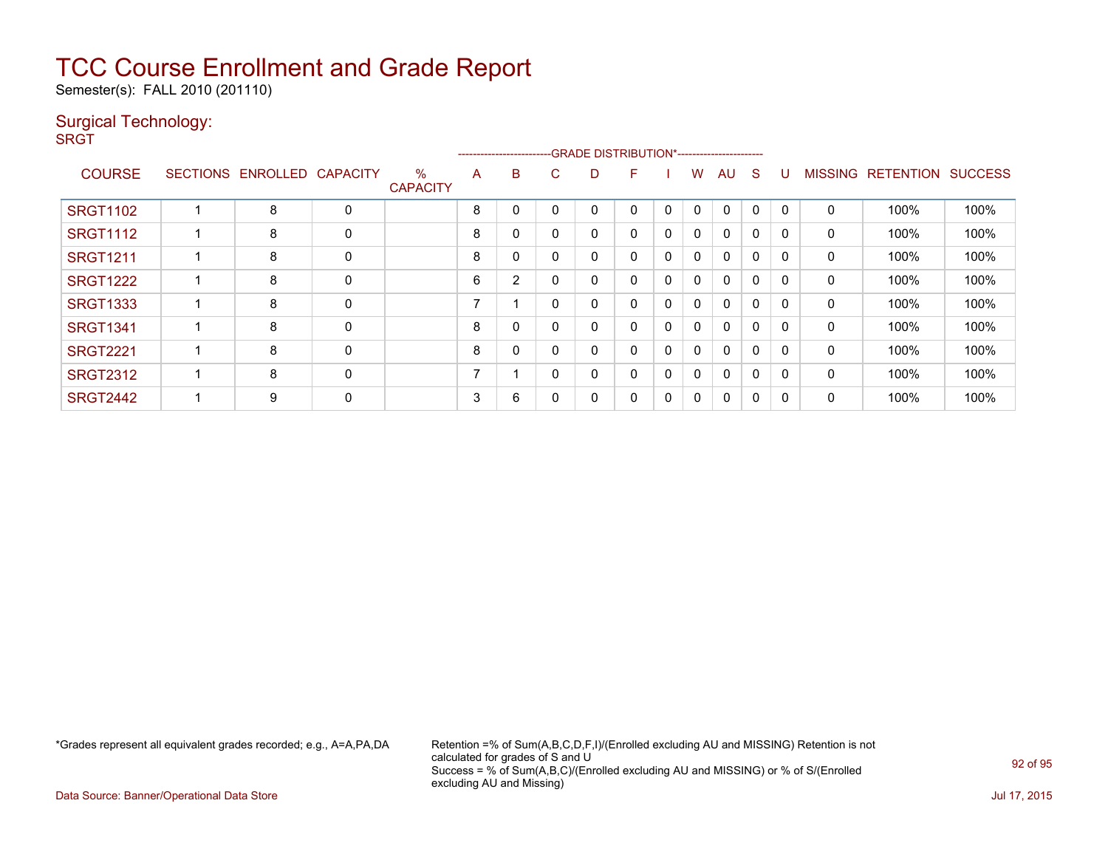Semester(s): FALL 2010 (201110)

### Surgical Technology:

**SRGT** 

|                 |                   |                 |                         |   |                |          | -------------------------GRADE                DISTRIBUTION*---------------------- |   |          |              |              |              |              |                |                  |                |
|-----------------|-------------------|-----------------|-------------------------|---|----------------|----------|-----------------------------------------------------------------------------------|---|----------|--------------|--------------|--------------|--------------|----------------|------------------|----------------|
| <b>COURSE</b>   | SECTIONS ENROLLED | <b>CAPACITY</b> | $\%$<br><b>CAPACITY</b> | A | B.             | С        | D                                                                                 | F |          | W            | AU           | <sub>S</sub> | U            | <b>MISSING</b> | <b>RETENTION</b> | <b>SUCCESS</b> |
| <b>SRGT1102</b> | 8                 | 0               |                         | 8 | 0              |          | 0                                                                                 | 0 | $\Omega$ | $\mathbf{0}$ | 0            | $\mathbf 0$  | $\Omega$     | 0              | 100%             | 100%           |
| <b>SRGT1112</b> | 8                 | 0               |                         | 8 | 0              | 0        | 0                                                                                 | 0 | 0        | 0            | 0            | 0            | $\Omega$     | 0              | 100%             | 100%           |
| <b>SRGT1211</b> | 8                 | 0               |                         | 8 | 0              |          | 0                                                                                 | 0 | 0        | 0            | 0            | $\Omega$     | $\Omega$     | 0              | 100%             | 100%           |
| <b>SRGT1222</b> | 8                 | 0               |                         | 6 | $\overline{2}$ |          | 0                                                                                 | 0 | 0        | 0            | $\mathbf{0}$ | 0            |              | 0              | 100%             | 100%           |
| <b>SRGT1333</b> | 8                 | 0               |                         | - |                | $\Omega$ | 0                                                                                 | 0 | 0        | $\Omega$     | 0            | $\Omega$     | $\Omega$     | 0              | 100%             | 100%           |
| <b>SRGT1341</b> | 8                 | 0               |                         | 8 | 0              |          | 0                                                                                 | 0 | 0        | 0            | 0            | 0            |              | 0              | 100%             | 100%           |
| <b>SRGT2221</b> | 8                 | 0               |                         | 8 | 0              |          | 0                                                                                 | 0 | 0        | 0            | 0            | $\Omega$     | <sup>0</sup> | $\mathbf{0}$   | 100%             | 100%           |
| <b>SRGT2312</b> | 8                 | 0               |                         | ⇁ |                | 0        | 0                                                                                 | 0 | 0        | $\Omega$     | $\mathbf{0}$ | $\Omega$     | $\Omega$     | 0              | 100%             | 100%           |
| <b>SRGT2442</b> | 9                 | 0               |                         | 3 | 6              |          | 0                                                                                 | 0 | 0        | 0            | 0            | 0            | n            | 0              | 100%             | 100%           |

\*Grades represent all equivalent grades recorded; e.g., A=A,PA,DA Retention =% of Sum(A,B,C,D,F,I)/(Enrolled excluding AU and MISSING) Retention is not calculated for grades of S and U Success = % of Sum(A,B,C)/(Enrolled excluding AU and MISSING) or % of S/(Enrolled excluding AU and Missing)

Data Source: Banner/Operational Data Store Jul 17, 2015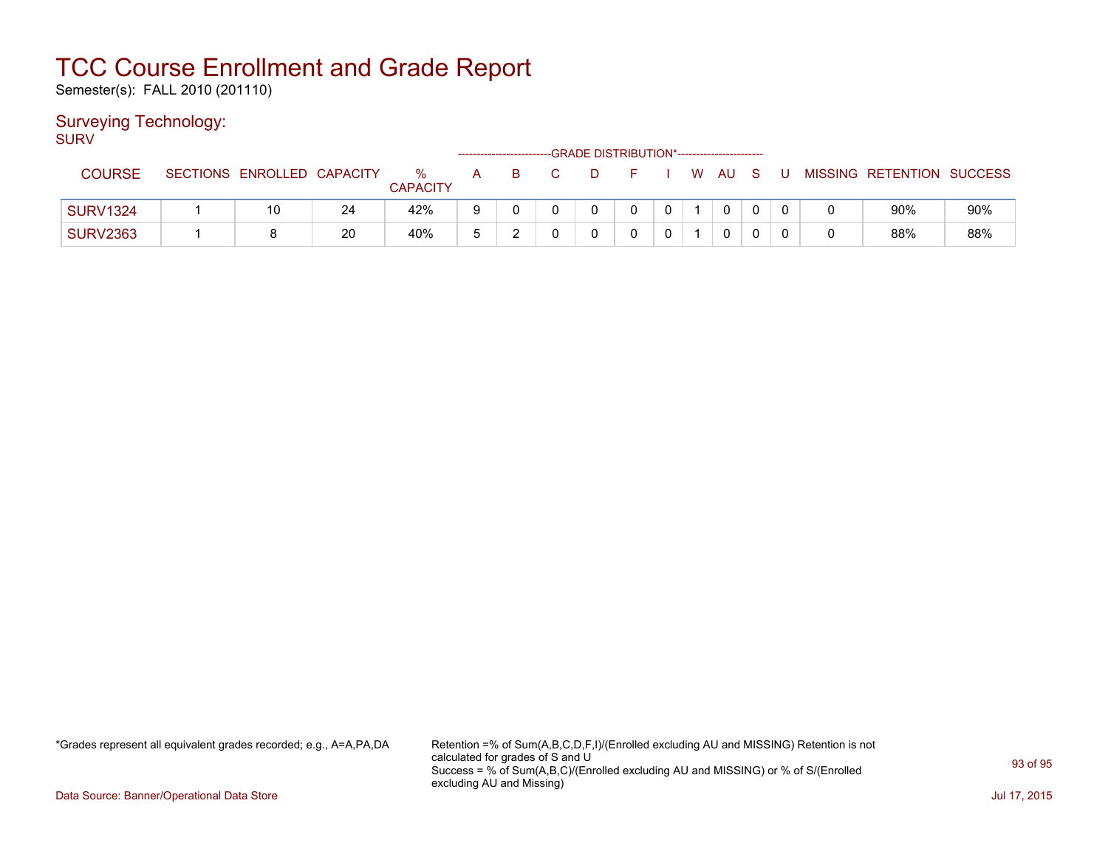Semester(s): FALL 2010 (201110)

### Surveying Technology:

SURV

|                 |                            |    |                      |        |   |  | -GRADE DISTRIBUTION*----------------------- |             |      |     |   |                           |     |
|-----------------|----------------------------|----|----------------------|--------|---|--|---------------------------------------------|-------------|------|-----|---|---------------------------|-----|
| <b>COURSE</b>   | SECTIONS ENROLLED CAPACITY |    | %<br><b>CAPACITY</b> | A      | B |  |                                             |             | W AU | - S | U | MISSING RETENTION SUCCESS |     |
| <b>SURV1324</b> | 10                         | 24 | 42%                  | 9      |   |  |                                             | $\mathbf 0$ |      |     |   | 90%                       | 90% |
| <b>SURV2363</b> |                            | 20 | 40%                  | π<br>w | ▃ |  |                                             | $\sim$      |      |     |   | 88%                       | 88% |

\*Grades represent all equivalent grades recorded; e.g., A=A,PA,DA Retention =% of Sum(A,B,C,D,F,I)/(Enrolled excluding AU and MISSING) Retention is not calculated for grades of S and U Success = % of Sum(A,B,C)/(Enrolled excluding AU and MISSING) or % of S/(Enrolled excluding AU and Missing)

Data Source: Banner/Operational Data Store Jul 17, 2015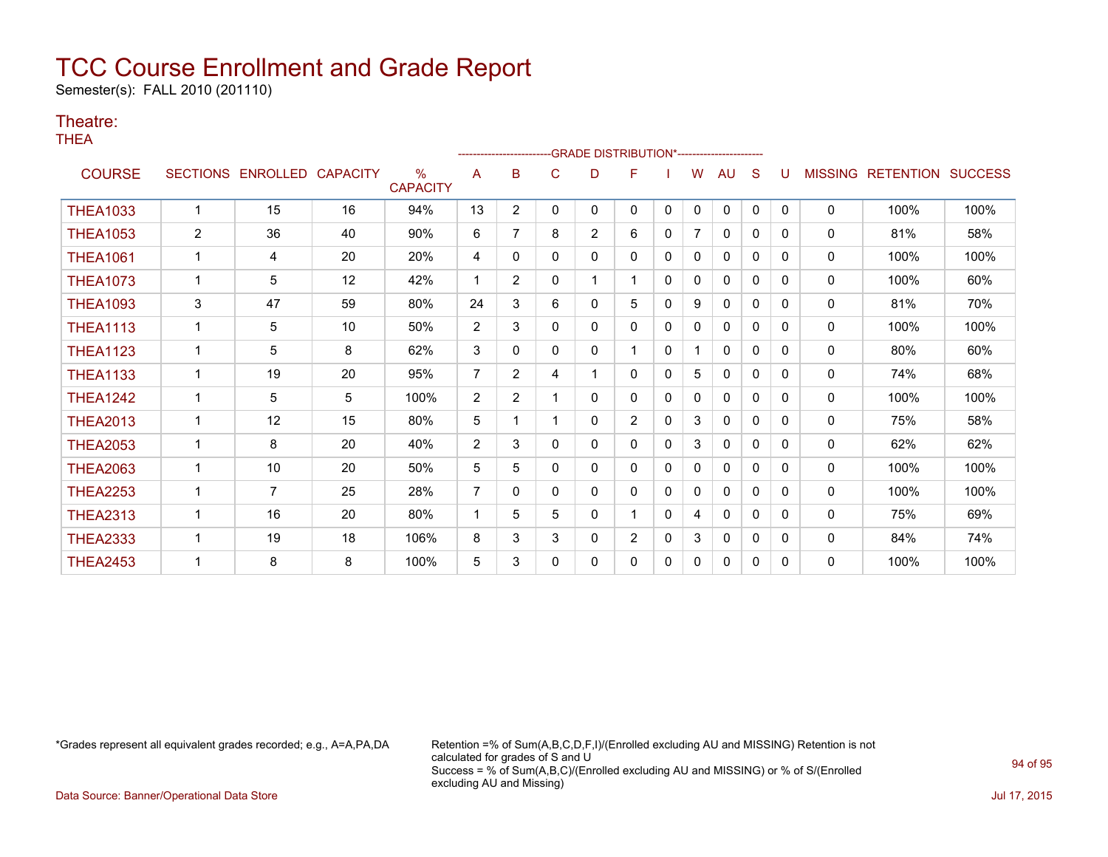Semester(s): FALL 2010 (201110)

#### Theatre:

THEA

|                 |                 |                 |                 |                                  |                | --------------------- |   | -GRADE DISTRIBUTION*---------------------- |                |              |              |              |              |              |                |                          |      |
|-----------------|-----------------|-----------------|-----------------|----------------------------------|----------------|-----------------------|---|--------------------------------------------|----------------|--------------|--------------|--------------|--------------|--------------|----------------|--------------------------|------|
| <b>COURSE</b>   | <b>SECTIONS</b> | <b>ENROLLED</b> | <b>CAPACITY</b> | $\frac{0}{0}$<br><b>CAPACITY</b> | A              | B                     | С | D                                          | F              |              | w            | AU           | S            |              | <b>MISSING</b> | <b>RETENTION SUCCESS</b> |      |
| <b>THEA1033</b> |                 | 15              | 16              | 94%                              | 13             | $\overline{2}$        | 0 | 0                                          | 0              | $\mathbf{0}$ | $\Omega$     | $\mathbf{0}$ | $\mathbf{0}$ | $\mathbf{0}$ | $\Omega$       | 100%                     | 100% |
| <b>THEA1053</b> | 2               | 36              | 40              | 90%                              | 6              | 7                     | 8 | $\overline{2}$                             | 6              | $\mathbf{0}$ | 7            | $\mathbf{0}$ | 0            | $\Omega$     | 0              | 81%                      | 58%  |
| <b>THEA1061</b> | $\mathbf{1}$    | 4               | 20              | 20%                              | 4              | 0                     | 0 | 0                                          | 0              | $\mathbf{0}$ | 0            | $\mathbf{0}$ | $\mathbf{0}$ | 0            | 0              | 100%                     | 100% |
| <b>THEA1073</b> | 1               | 5               | 12              | 42%                              | 1              | $\overline{2}$        | 0 |                                            | $\mathbf{1}$   | $\mathbf{0}$ | 0            | 0            | $\mathbf{0}$ | 0            | 0              | 100%                     | 60%  |
| <b>THEA1093</b> | 3               | 47              | 59              | 80%                              | 24             | 3                     | 6 | 0                                          | 5              | $\mathbf{0}$ | 9            | 0            | $\mathbf{0}$ | $\Omega$     | 0              | 81%                      | 70%  |
| <b>THEA1113</b> | $\mathbf 1$     | 5               | 10              | 50%                              | 2              | 3                     | 0 | 0                                          | 0              | $\mathbf{0}$ | $\mathbf{0}$ | 0            | $\mathbf{0}$ | $\Omega$     | 0              | 100%                     | 100% |
| <b>THEA1123</b> | 1               | 5               | 8               | 62%                              | 3              | 0                     | 0 | 0                                          | 1              | $\mathbf{0}$ |              | $\mathbf{0}$ | $\Omega$     | $\Omega$     | 0              | 80%                      | 60%  |
| <b>THEA1133</b> | 1               | 19              | 20              | 95%                              | $\overline{7}$ | $\overline{2}$        | 4 |                                            | 0              | $\Omega$     | 5            | $\mathbf{0}$ | $\Omega$     | $\Omega$     | 0              | 74%                      | 68%  |
| <b>THEA1242</b> | 1               | 5               | 5               | 100%                             | $\overline{2}$ | $\overline{2}$        |   | 0                                          | 0              | $\Omega$     | 0            | $\mathbf{0}$ | $\Omega$     | $\Omega$     | 0              | 100%                     | 100% |
| <b>THEA2013</b> | $\mathbf{1}$    | 12              | 15              | 80%                              | 5              |                       |   | 0                                          | $\overline{2}$ | $\Omega$     | 3            | $\mathbf{0}$ | $\mathbf{0}$ | $\Omega$     | 0              | 75%                      | 58%  |
| <b>THEA2053</b> | 1               | 8               | 20              | 40%                              | 2              | 3                     | 0 | 0                                          | 0              | $\mathbf{0}$ | 3            | 0            | $\mathbf{0}$ | 0            | 0              | 62%                      | 62%  |
| <b>THEA2063</b> | $\mathbf{1}$    | 10              | 20              | 50%                              | 5              | 5                     | 0 | 0                                          | 0              | 0            | 0            | $\mathbf{0}$ | $\mathbf{0}$ | 0            | 0              | 100%                     | 100% |
| <b>THEA2253</b> | 1               | $\overline{7}$  | 25              | 28%                              | $\overline{7}$ | 0                     | 0 | 0                                          | 0              | $\mathbf{0}$ | 0            | 0            | 0            | $\Omega$     | 0              | 100%                     | 100% |
| <b>THEA2313</b> | 1               | 16              | 20              | 80%                              | -1             | 5                     | 5 | 0                                          | 1              | $\mathbf{0}$ | 4            | 0            | 0            | 0            | $\mathbf{0}$   | 75%                      | 69%  |
| <b>THEA2333</b> |                 | 19              | 18              | 106%                             | 8              | 3                     | 3 | 0                                          | $\overline{2}$ | 0            | 3            | 0            | 0            | 0            | 0              | 84%                      | 74%  |
| <b>THEA2453</b> |                 | 8               | 8               | 100%                             | 5              | 3                     | 0 | 0                                          | 0              | $\mathbf{0}$ | 0            | $\mathbf{0}$ | 0            | $\Omega$     | $\Omega$       | 100%                     | 100% |

\*Grades represent all equivalent grades recorded; e.g., A=A,PA,DA Retention =% of Sum(A,B,C,D,F,I)/(Enrolled excluding AU and MISSING) Retention is not calculated for grades of S and U Success = % of Sum(A,B,C)/(Enrolled excluding AU and MISSING) or % of S/(Enrolled excluding AU and Missing)